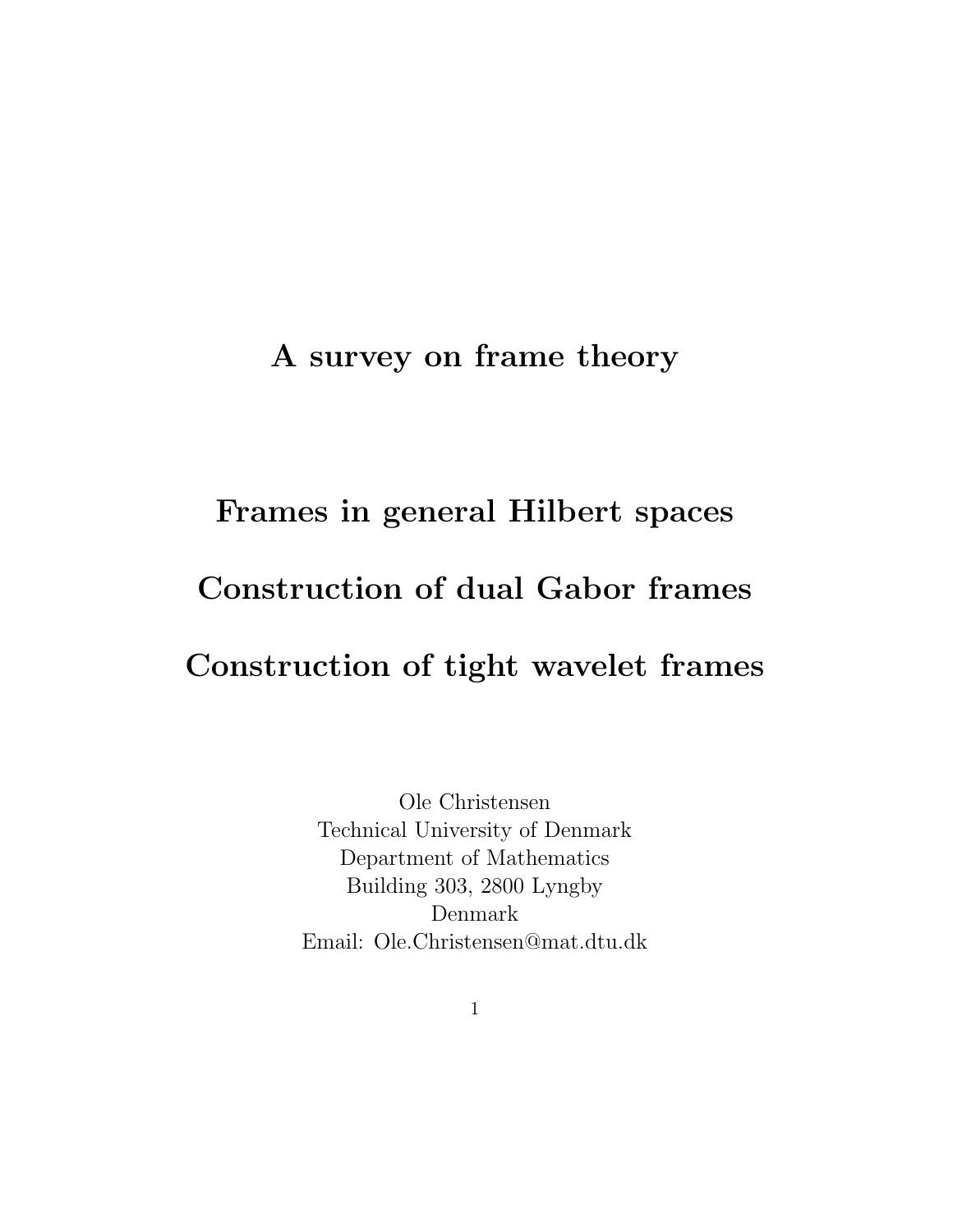#### A survey on frame theory

# Frames in general Hilbert spaces Construction of dual Gabor frames Construction of tight wavelet frames

Ole Christensen Technical University of Denmark Department of Mathematics Building 303, 2800 Lyngby Denmark Email: Ole.Christensen@mat.dtu.dk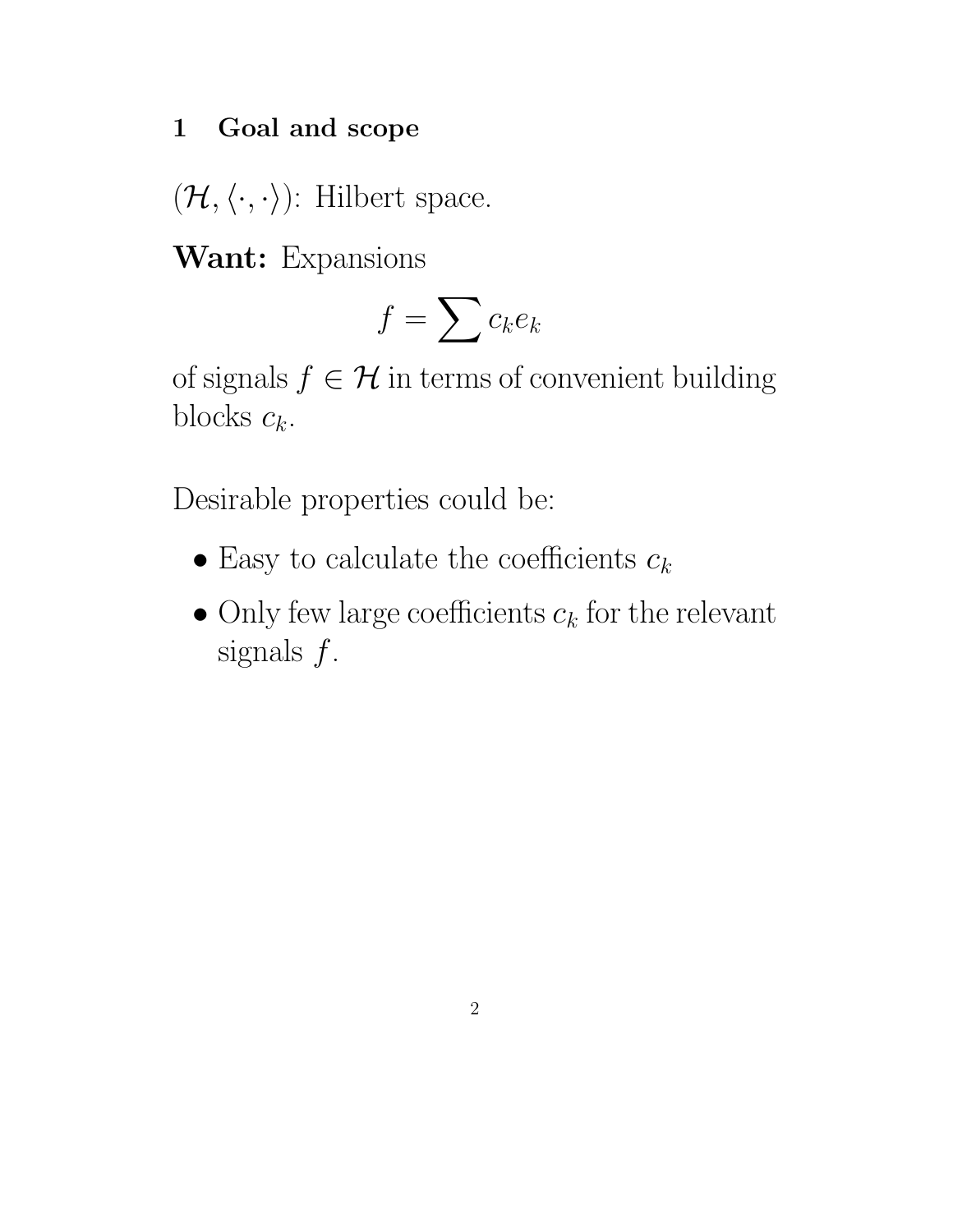#### 1 Goal and scope

 $(\mathcal{H}, \langle \cdot, \cdot \rangle)$ : Hilbert space.

Want: Expansions

$$
f = \sum c_k e_k
$$

of signals  $f \in \mathcal{H}$  in terms of convenient building blocks  $c_k$ .

Desirable properties could be:

- Easy to calculate the coefficients  $c_k$
- Only few large coefficients  $c_k$  for the relevant signals  $f$ .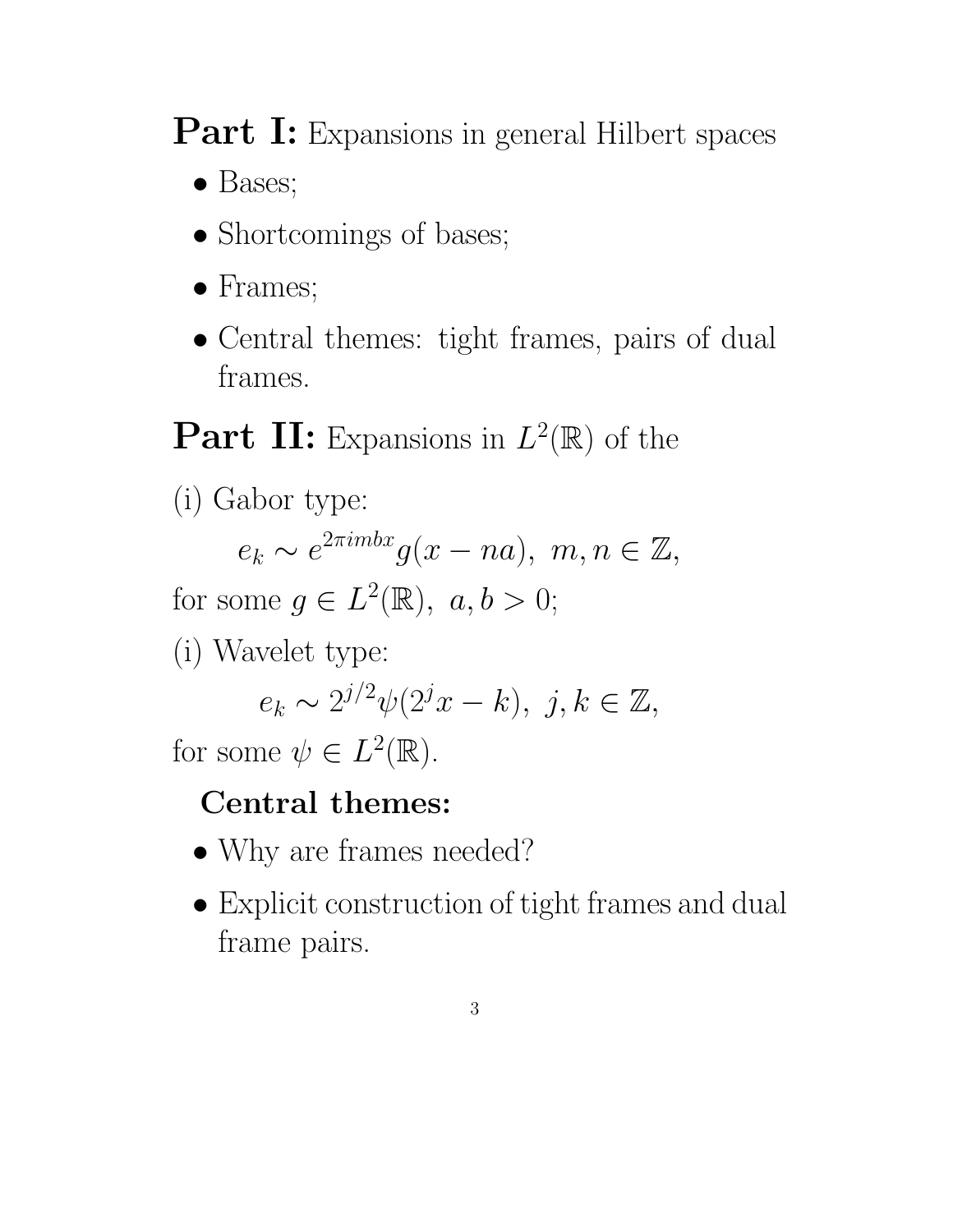Part I: Expansions in general Hilbert spaces

- Bases;
- Shortcomings of bases;
- Frames;
- Central themes: tight frames, pairs of dual frames.

**Part II:** Expansions in  $L^2(\mathbb{R})$  of the

(i) Gabor type:

$$
e_k \sim e^{2\pi i m b x} g(x - n a), \ m, n \in \mathbb{Z},
$$

for some  $g \in L^2(\mathbb{R}), a, b > 0;$ 

(i) Wavelet type:

$$
e_k \sim 2^{j/2} \psi(2^j x - k), \ j, k \in \mathbb{Z},
$$

for some  $\psi \in L^2(\mathbb{R})$ .

# Central themes:

- Why are frames needed?
- Explicit construction of tight frames and dual frame pairs.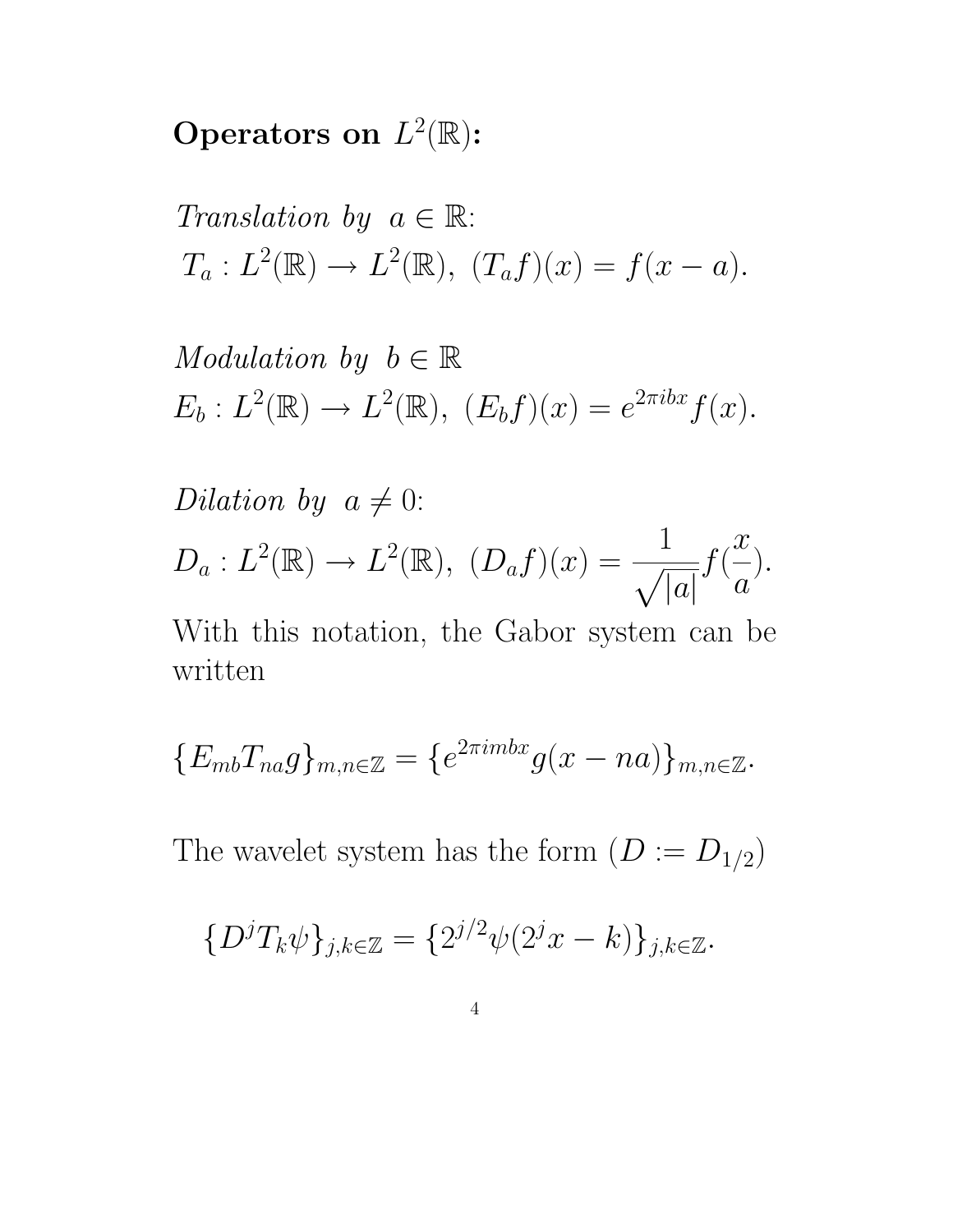Operators on  $L^2(\mathbb{R})$ :

Translation by  $a \in \mathbb{R}$ :  $T_a: L^2(\mathbb{R}) \to L^2(\mathbb{R}), \ (T_a f)(x) = f(x - a).$ 

Modulation by  $b \in \mathbb{R}$  $E_b: L^2(\mathbb{R}) \to L^2(\mathbb{R}), \ (E_b f)(x) = e^{2\pi i bx} f(x).$ 

Dilation by  $a \neq 0$ :  $D_a: L^2(\mathbb{R}) \to L^2(\mathbb{R}), (D_a f)(x) =$ 1  $\sqrt{|a|}$  $f(% \mathcal{N})=\left( \mathcal{N}\right) ^{\ast }=\mathcal{N}^{2}\left( \mathcal{N}\right) ^{\ast }$  $\overline{x}$  $\overline{a}$ ).

With this notation, the Gabor system can be written

$$
\{E_{mb}T_{na}g\}_{m,n\in\mathbb{Z}}=\{e^{2\pi imbx}g(x-na)\}_{m,n\in\mathbb{Z}}.
$$

The wavelet system has the form  $(D := D_{1/2})$ 

$$
\{D^jT_k\psi\}_{j,k\in\mathbb{Z}} = \{2^{j/2}\psi(2^jx-k)\}_{j,k\in\mathbb{Z}}.
$$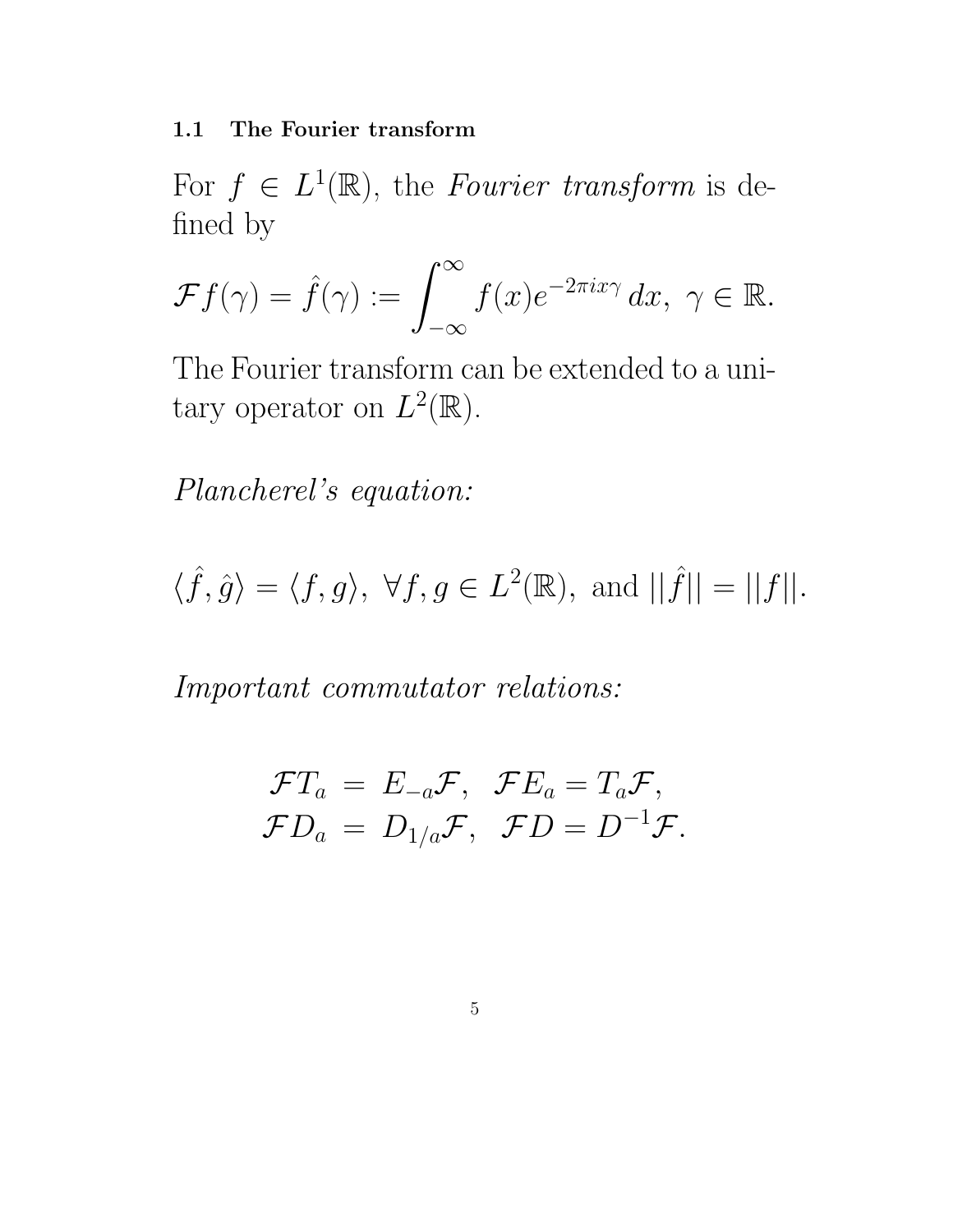1.1 The Fourier transform

For  $f \in L^1(\mathbb{R})$ , the Fourier transform is defined by

$$
\mathcal{F}f(\gamma) = \hat{f}(\gamma) := \int_{-\infty}^{\infty} f(x)e^{-2\pi ix\gamma} dx, \ \gamma \in \mathbb{R}.
$$

The Fourier transform can be extended to a unitary operator on  $L^2(\mathbb{R})$ .

Plancherel's equation:

 $\langle \hat{f}, \hat{g} \rangle = \langle f, g \rangle, \ \forall f, g \in L^2(\mathbb{R}), \text{ and } ||\hat{f}|| = ||f||.$ 

Important commutator relations:

$$
\mathcal{F}T_a = E_{-a}\mathcal{F}, \quad \mathcal{F}E_a = T_a\mathcal{F},
$$
  

$$
\mathcal{F}D_a = D_{1/a}\mathcal{F}, \quad \mathcal{F}D = D^{-1}\mathcal{F}.
$$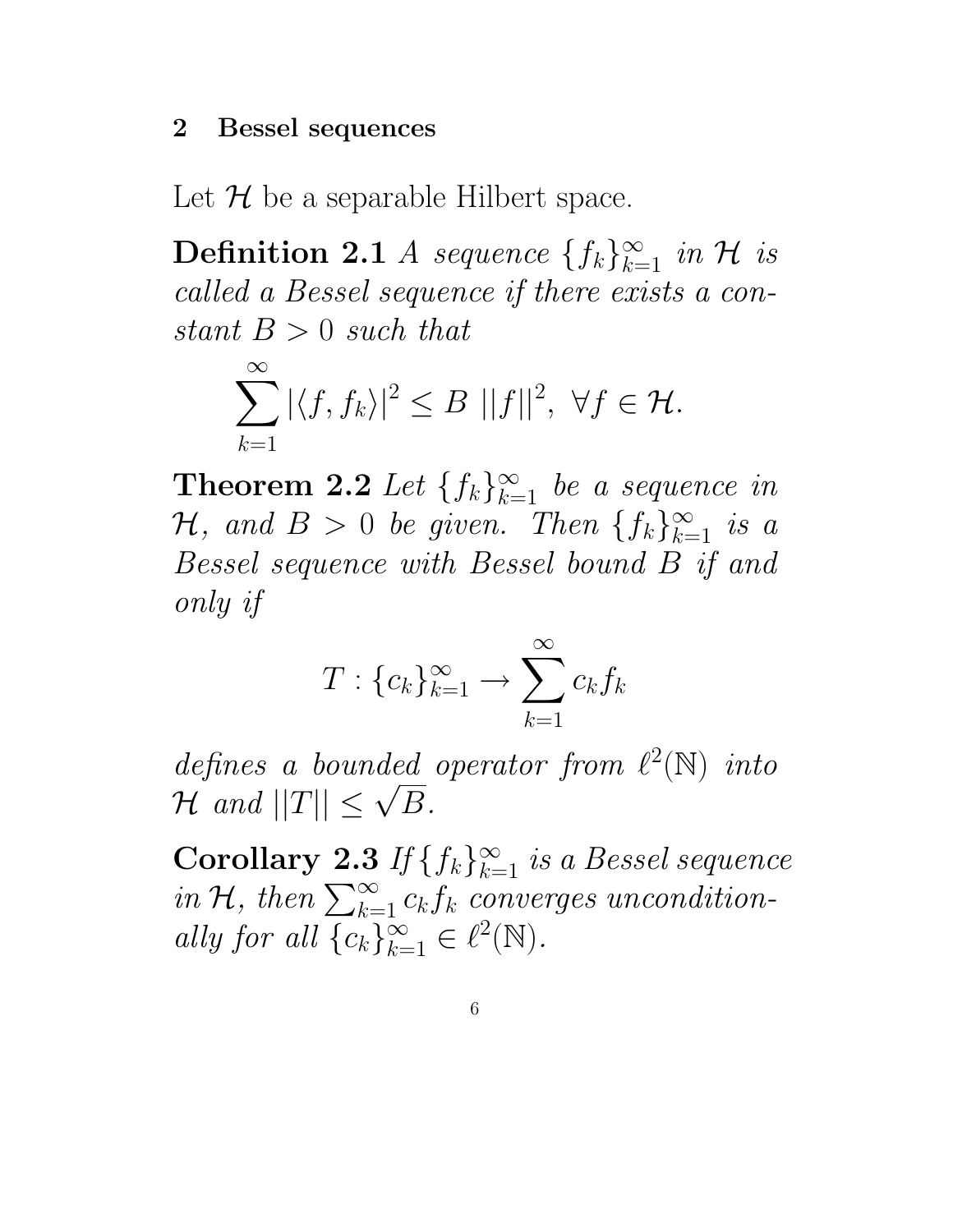#### 2 Bessel sequences

Let  $\mathcal H$  be a separable Hilbert space.

**Definition 2.1** *A sequence*  $\{f_k\}_{k=1}^{\infty}$  *in H is* called a Bessel sequence if there exists a constant  $B > 0$  such that

$$
\sum_{k=1}^{\infty} |\langle f, f_k \rangle|^2 \leq B ||f||^2, \ \forall f \in \mathcal{H}.
$$

**Theorem 2.2** Let  $\{f_k\}_{k=1}^{\infty}$  be a sequence in  $\mathcal{H}, \text{ and } B > 0 \text{ be given. Then } \{f_k\}_{k=1}^{\infty} \text{ is a }$ Bessel sequence with Bessel bound B if and only if

$$
T: \{c_k\}_{k=1}^\infty \to \sum_{k=1}^\infty c_k f_k
$$

defines a bounded operator from  $\ell^2(\mathbb{N})$  into  $H$  and  $||T|| \leq$ √  $B$ .

**Corollary 2.3** If  $\{f_k\}_{k=1}^{\infty}$  is a Bessel sequence in H, then  $\sum_{k=1}^{\infty} c_k f_k$  converges unconditionally for all  $\{c_k\}_{k=1}^{\infty} \in \ell^2(\mathbb{N}).$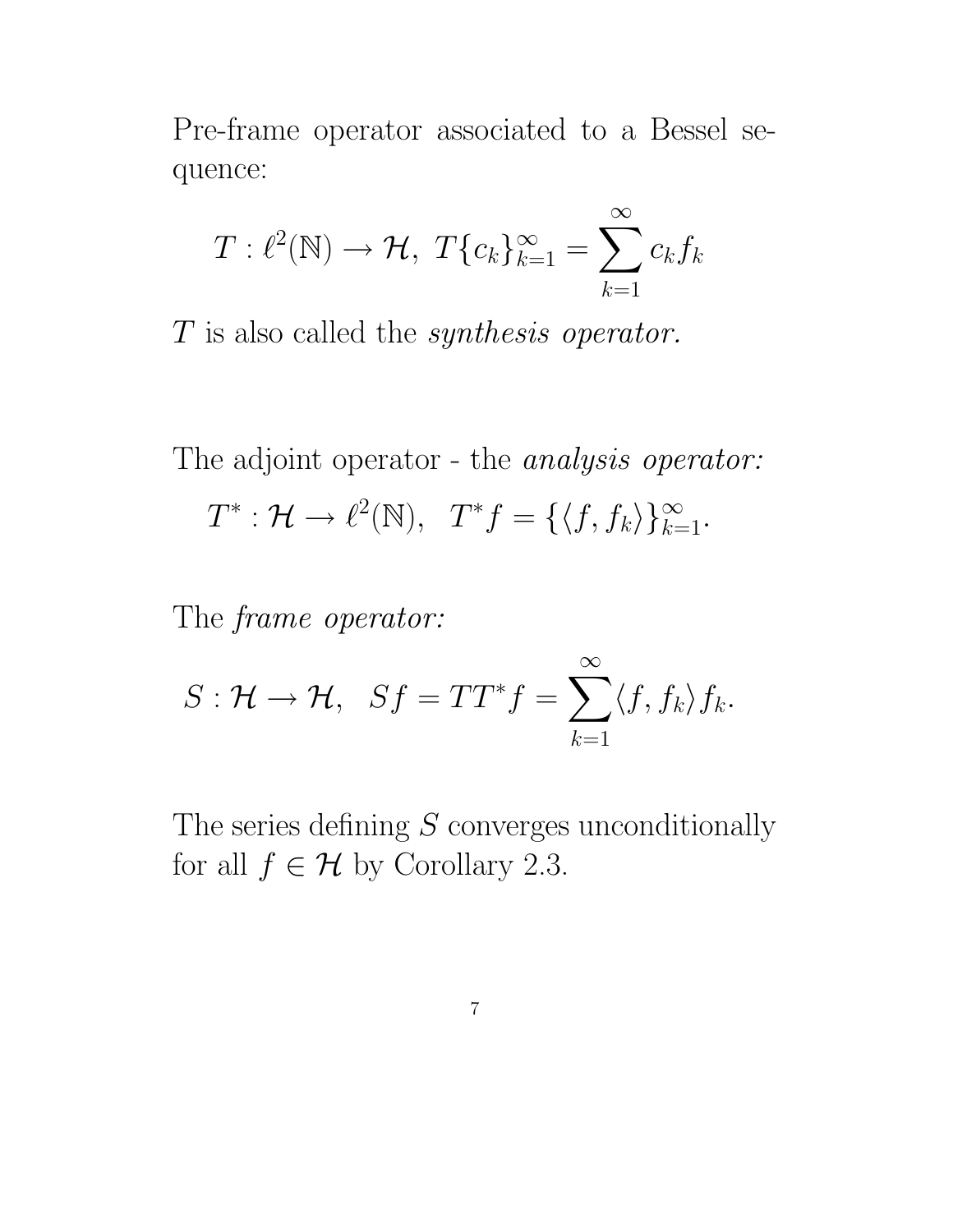Pre-frame operator associated to a Bessel sequence:

$$
T: \ell^2(\mathbb{N}) \to \mathcal{H}, \ T\{c_k\}_{k=1}^\infty = \sum_{k=1}^\infty c_k f_k
$$

T is also called the synthesis operator.

The adjoint operator - the *analysis operator*:

$$
T^*: \mathcal{H} \to \ell^2(\mathbb{N}), \quad T^*f = \{ \langle f, f_k \rangle \}_{k=1}^{\infty}.
$$

The frame operator:

$$
S: \mathcal{H} \to \mathcal{H}, \quad Sf = TT^*f = \sum_{k=1}^{\infty} \langle f, f_k \rangle f_k.
$$

The series defining  $S$  converges unconditionally for all  $f \in \mathcal{H}$  by Corollary 2.3.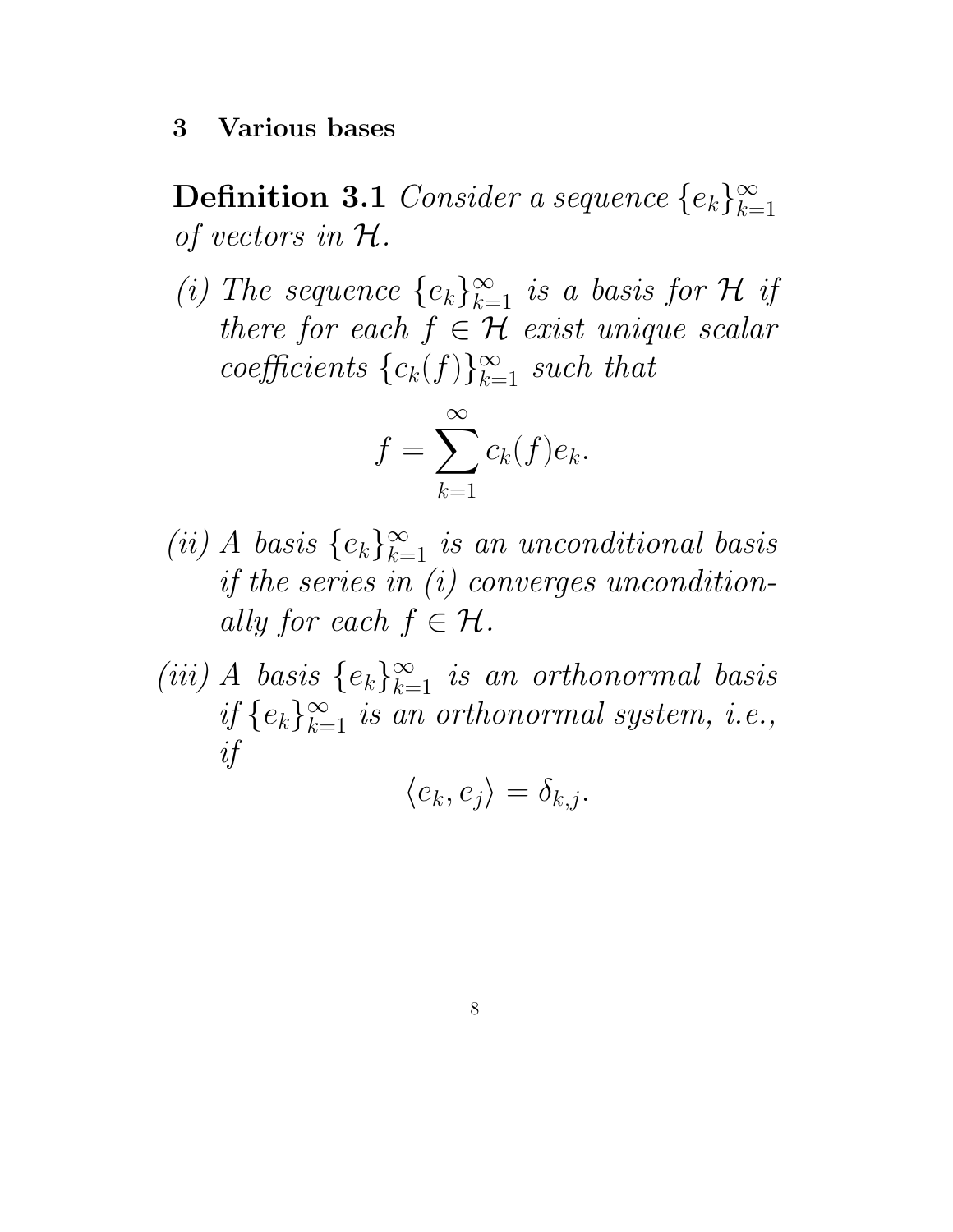$\textbf{Definition 3.1} \ Consider a sequence \ \{e_k\}_{k=1}^\infty$  $k=1$ of vectors in H.

(i) The sequence  $\{e_k\}_{k=1}^{\infty}$  is a basis for  $\mathcal H$  if there for each  $f \in \mathcal{H}$  exist unique scalar coefficients  ${c_k(f)}_{k=1}^{\infty}$  such that

$$
f = \sum_{k=1}^{\infty} c_k(f)e_k.
$$

- (ii) A basis  $\{e_k\}_{k=1}^{\infty}$  is an unconditional basis if the series in (i) converges unconditionally for each  $f \in \mathcal{H}$ .
- (iii) A basis  $\{e_k\}_{k=1}^{\infty}$  is an orthonormal basis if  $\{e_k\}_{k=1}^{\infty}$  is an orthonormal system, i.e., if

$$
\langle e_k, e_j \rangle = \delta_{k,j}.
$$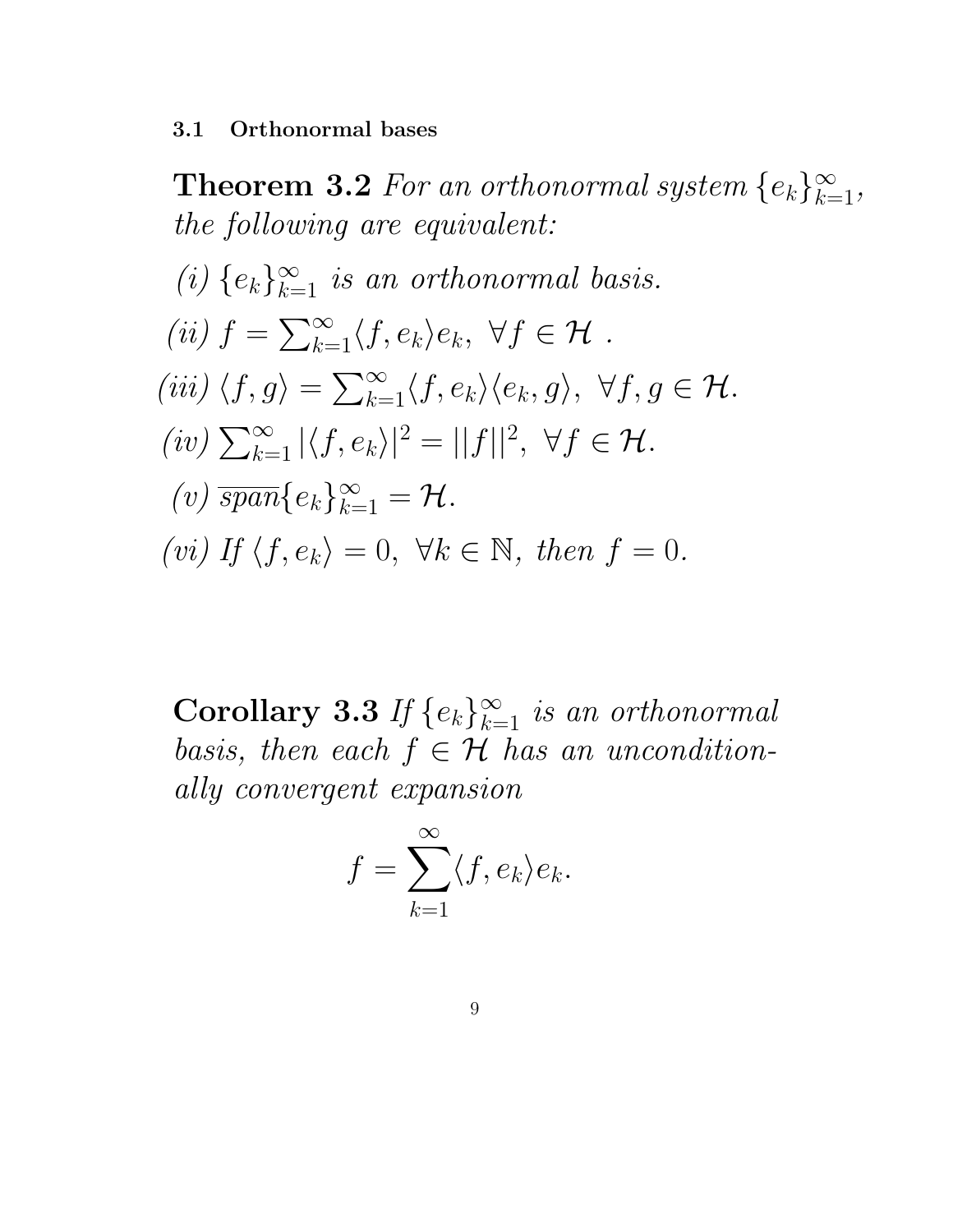3.1 Orthonormal bases

**Theorem 3.2** For an orthonormal system  $\{e_k\}_{k=1}^{\infty}$ , the following are equivalent: (i)  $\{e_k\}_{k=1}^{\infty}$  is an orthonormal basis. (ii)  $f = \sum_{k=1}^{\infty} \langle f, e_k \rangle e_k, \ \forall f \in \mathcal{H}$ . (iii)  $\langle f, g \rangle = \sum_{k=1}^{\infty} \langle f, e_k \rangle \langle e_k, g \rangle, \ \forall f, g \in \mathcal{H}.$  $(iv) \sum_{k=1}^{\infty} |\langle f, e_k \rangle|^2 = ||f||^2, \ \forall f \in \mathcal{H}.$ (v)  $\overline{span}\{e_k\}_{k=1}^{\infty} = \mathcal{H}.$ (vi) If  $\langle f, e_k \rangle = 0$ ,  $\forall k \in \mathbb{N}$ , then  $f = 0$ .

**Corollary 3.3** If  $\{e_k\}_{k=1}^{\infty}$  is an orthonormal basis, then each  $f \in \mathcal{H}$  has an unconditionally convergent expansion

$$
f = \sum_{k=1}^{\infty} \langle f, e_k \rangle e_k.
$$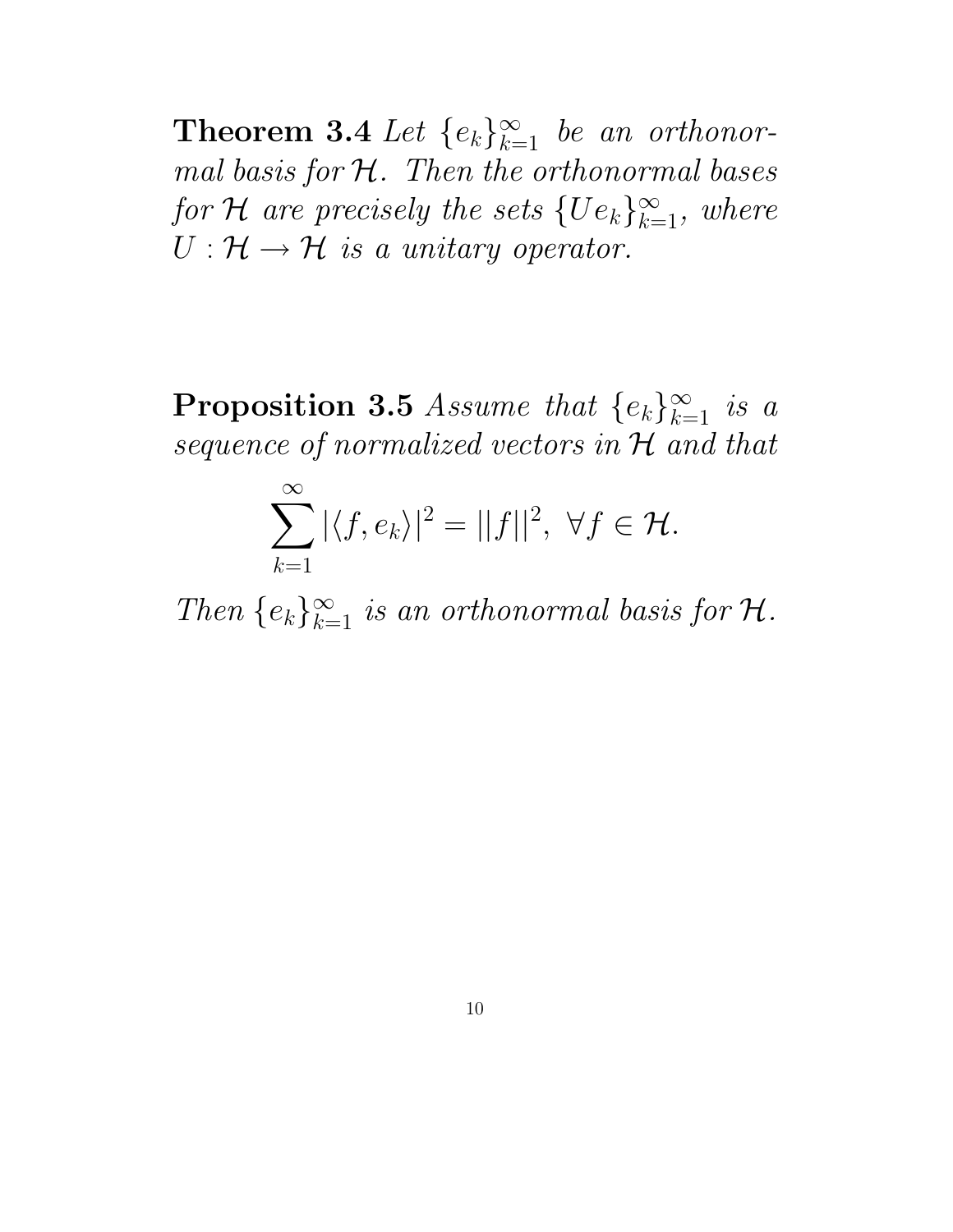**Theorem 3.4** Let  $\{e_k\}_{k=1}^{\infty}$  be an orthonormal basis for  $H$ . Then the orthonormal bases for  $\mathcal H$  are precisely the sets  $\{Ue_k\}_{k=1}^\infty$ , where  $U: \mathcal{H} \to \mathcal{H}$  is a unitary operator.

Proposition 3.5 Assume that  $\{e_k\}_{k=1}^{\infty}$  is a sequence of normalized vectors in  ${\mathcal H}$  and that

$$
\sum_{k=1}^{\infty} |\langle f, e_k \rangle|^2 = ||f||^2, \ \forall f \in \mathcal{H}.
$$

Then  $\{e_k\}_{k=1}^{\infty}$  is an orthonormal basis for  $\mathcal{H}$ .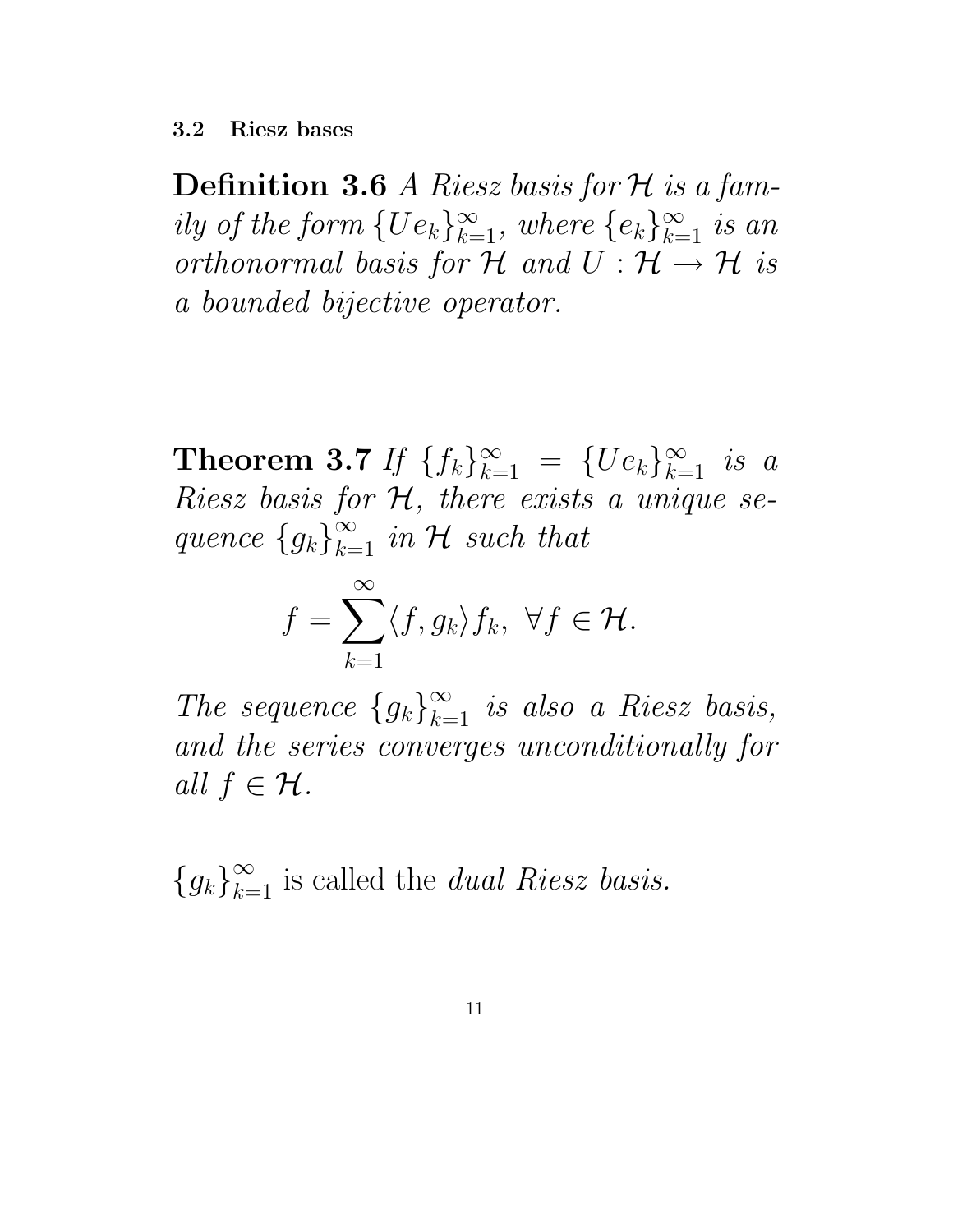3.2 Riesz bases

**Definition 3.6** A Riesz basis for  $H$  is a family of the form  ${Ue_k}_{k=1}^{\infty}$ , where  ${e_k}_{k=1}^{\infty}$  is an orthonormal basis for  $\mathcal H$  and  $U : \mathcal H \to \mathcal H$  is a bounded bijective operator.

**Theorem 3.7** If  $\{f_k\}_{k=1}^{\infty} = \{Ue_k\}_{k=1}^{\infty}$  is a Riesz basis for  $H$ , there exists a unique sequence  ${g_k}_{k=1}^{\infty}$  in H such that

$$
f = \sum_{k=1}^{\infty} \langle f, g_k \rangle f_k, \ \forall f \in \mathcal{H}.
$$

The sequence  ${g_k}_{k=1}^{\infty}$  is also a Riesz basis, and the series converges unconditionally for all  $f \in \mathcal{H}$ .

 ${g_k}_{k=1}^{\infty}$  is called the *dual Riesz basis.*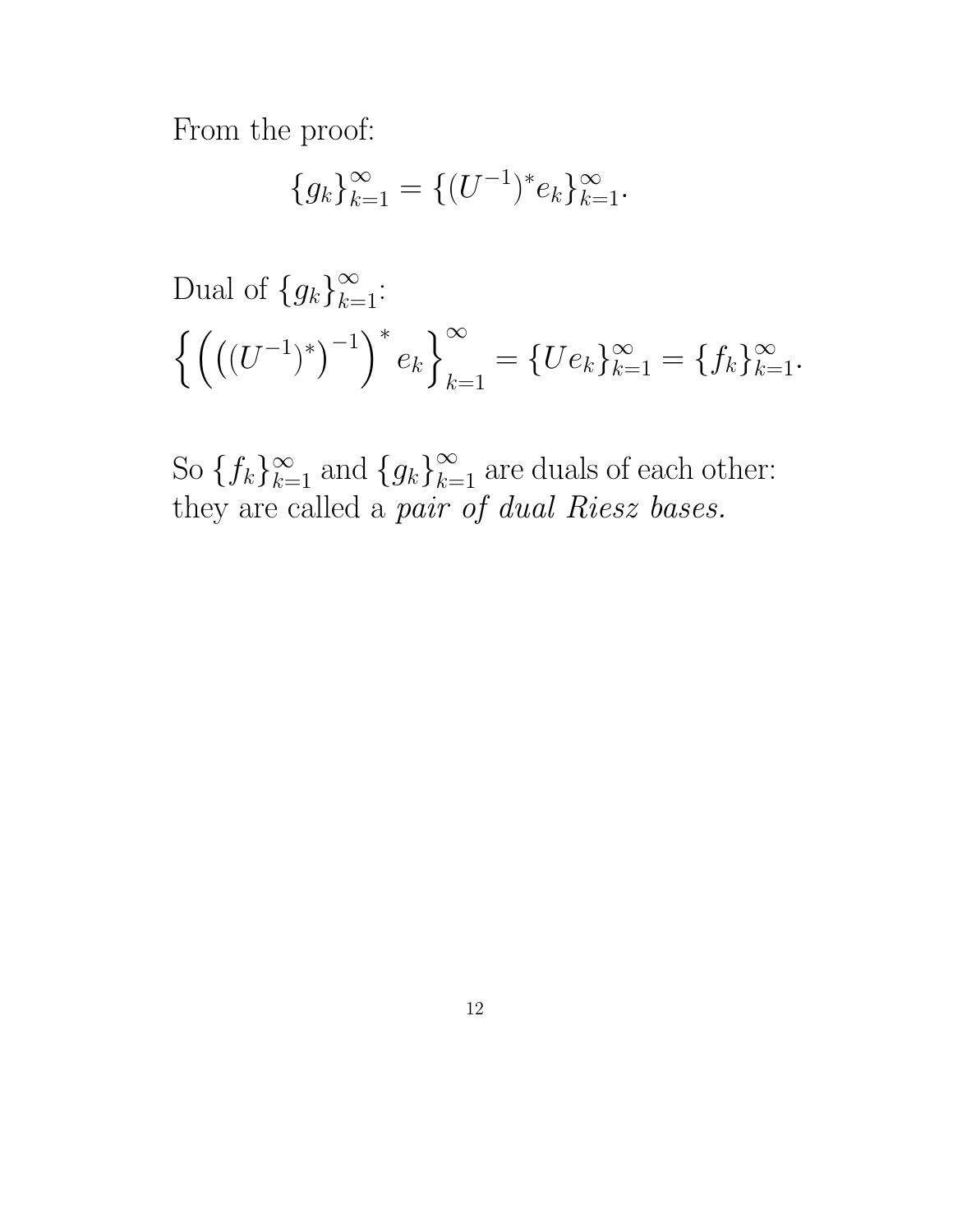From the proof:

$$
\{g_k\}_{k=1}^{\infty} = \{(U^{-1})^* e_k\}_{k=1}^{\infty}.
$$

Dual of 
$$
\{g_k\}_{k=1}^{\infty}
$$
:  

$$
\left\{ \left( ((U^{-1})^*)^{-1} \right)^* e_k \right\}_{k=1}^{\infty} = \{U e_k\}_{k=1}^{\infty} = \{f_k\}_{k=1}^{\infty}.
$$

So  ${f_k}_{k=1}^{\infty}$  and  ${g_k}_{k=1}^{\infty}$  are duals of each other: they are called a pair of dual Riesz bases.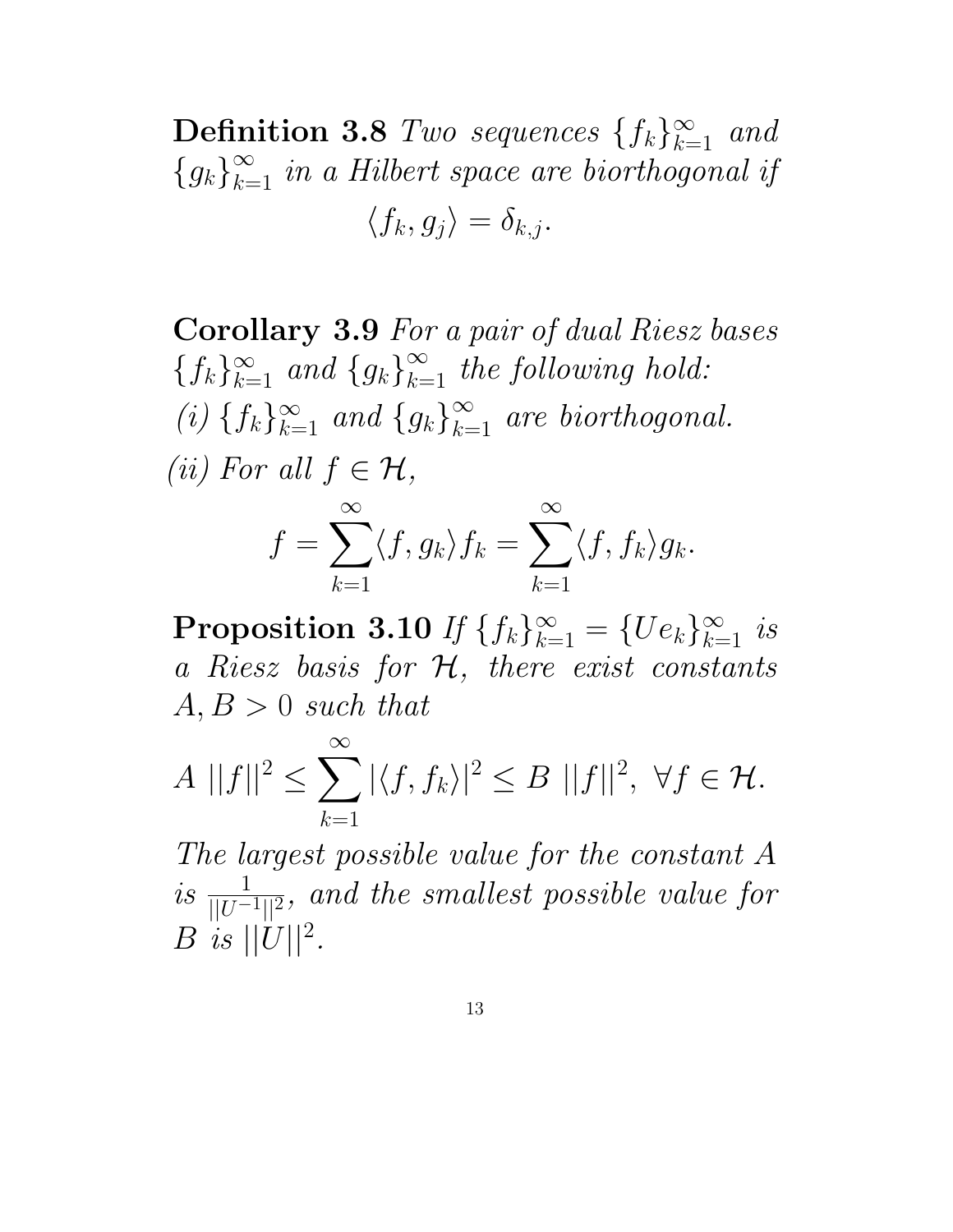**Definition 3.8** Two sequences  $\{f_k\}_{k=1}^{\infty}$  and  ${g_k}_{k=1}^{\infty}$  in a Hilbert space are biorthogonal if

$$
\langle f_k, g_j \rangle = \delta_{k,j}.
$$

Corollary 3.9 For a pair of dual Riesz bases  $\{f_k\}_{k=1}^{\infty}$  and  $\{g_k\}_{k=1}^{\infty}$  the following hold: (i)  $\{f_k\}_{k=1}^{\infty}$  and  $\{g_k\}_{k=1}^{\infty}$  are biorthogonal. (ii) For all  $f \in \mathcal{H}$ ,

$$
f = \sum_{k=1}^{\infty} \langle f, g_k \rangle f_k = \sum_{k=1}^{\infty} \langle f, f_k \rangle g_k.
$$

**Proposition 3.10** If  $\{f_k\}_{k=1}^{\infty} = \{Ue_k\}_{k=1}^{\infty}$  is a Riesz basis for H, there exist constants  $A, B > 0$  such that

$$
A ||f||2 \le \sum_{k=1}^{\infty} |\langle f, f_k \rangle|^2 \le B ||f||^2, \ \forall f \in \mathcal{H}.
$$

The largest possible value for the constant A is  $\frac{1}{\sqrt{11}}$  $\sqrt{|U^{-1}||^2}$ , and the smallest possible value for  $B$  is  $||U||^2$ .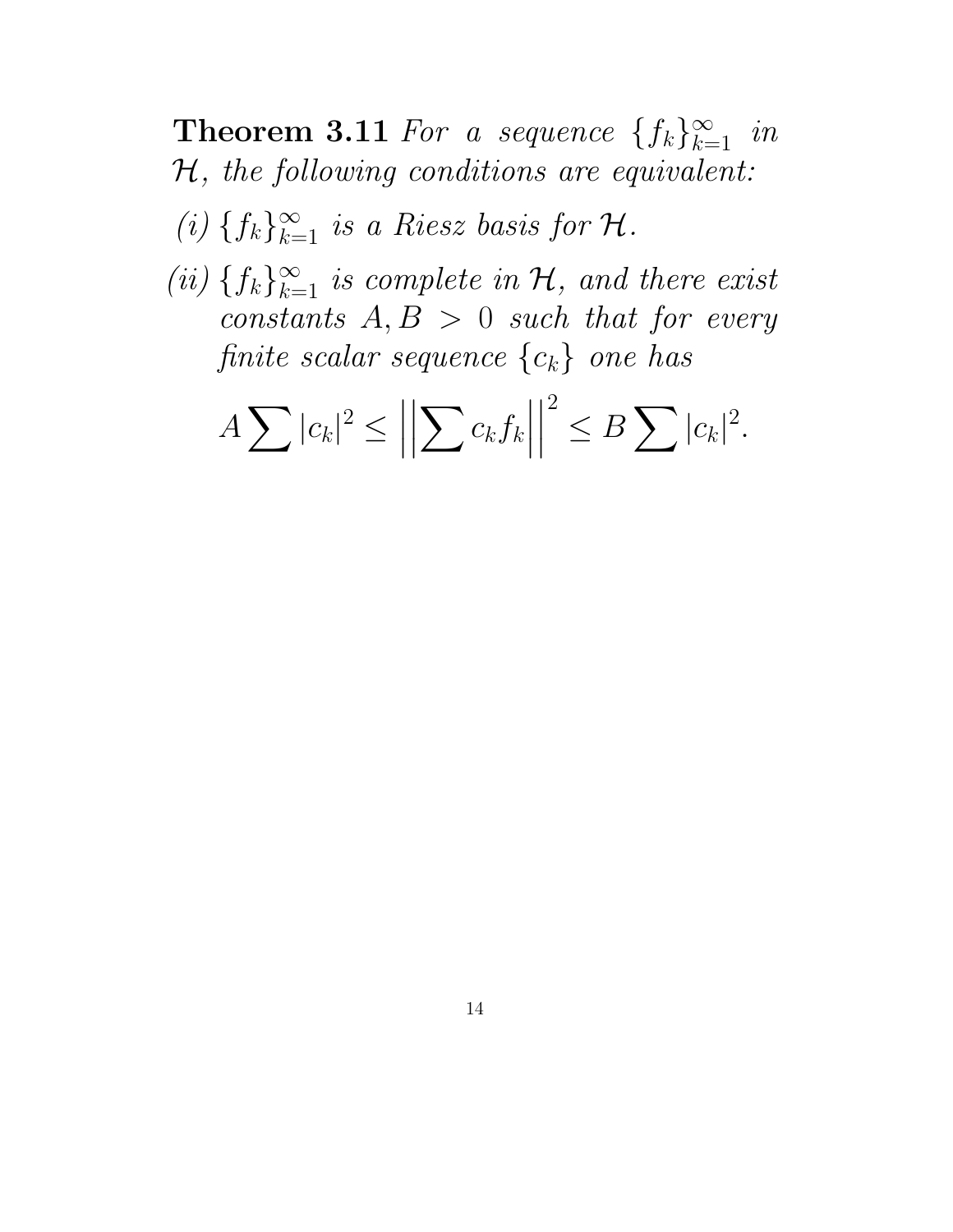**Theorem 3.11** For a sequence  $\{f_k\}_{k=1}^{\infty}$  in H, the following conditions are equivalent:

(i)  $\{f_k\}_{k=1}^{\infty}$  is a Riesz basis for  $\mathcal{H}$ .

(ii)  $\{f_k\}_{k=1}^{\infty}$  is complete in  $\mathcal{H}$ , and there exist constants  $A, B > 0$  such that for every finite scalar sequence  $\{c_k\}$  one has

$$
A\sum |c_k|^2 \le \left\|\sum c_k f_k\right\|^2 \le B\sum |c_k|^2.
$$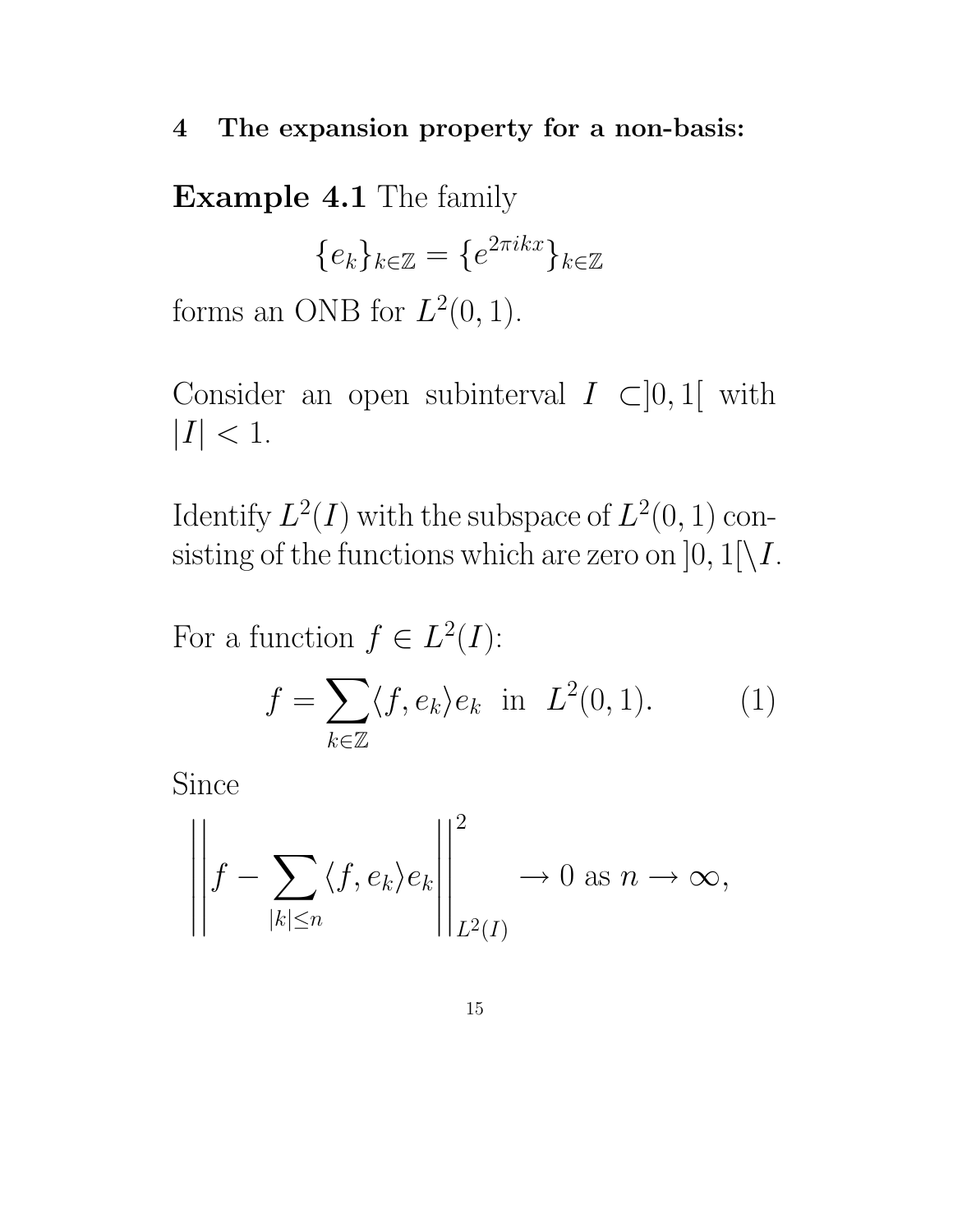#### 4 The expansion property for a non-basis:

Example 4.1 The family

$$
\{e_k\}_{k\in\mathbb{Z}}=\{e^{2\pi ikx}\}_{k\in\mathbb{Z}}
$$

forms an ONB for  $L^2(0,1)$ .

Consider an open subinterval  $I \subset ]0,1[$  with  $|I| < 1.$ 

Identify  $L^2(I)$  with the subspace of  $L^2(0, 1)$  consisting of the functions which are zero on  $]0,1[\setminus I$ .

For a function  $f \in L^2(I)$ :

$$
f = \sum_{k \in \mathbb{Z}} \langle f, e_k \rangle e_k \quad \text{in} \quad L^2(0, 1). \tag{1}
$$

Since

$$
\left\| f - \sum_{|k| \le n} \langle f, e_k \rangle e_k \right\|_{L^2(I)}^2 \to 0 \text{ as } n \to \infty,
$$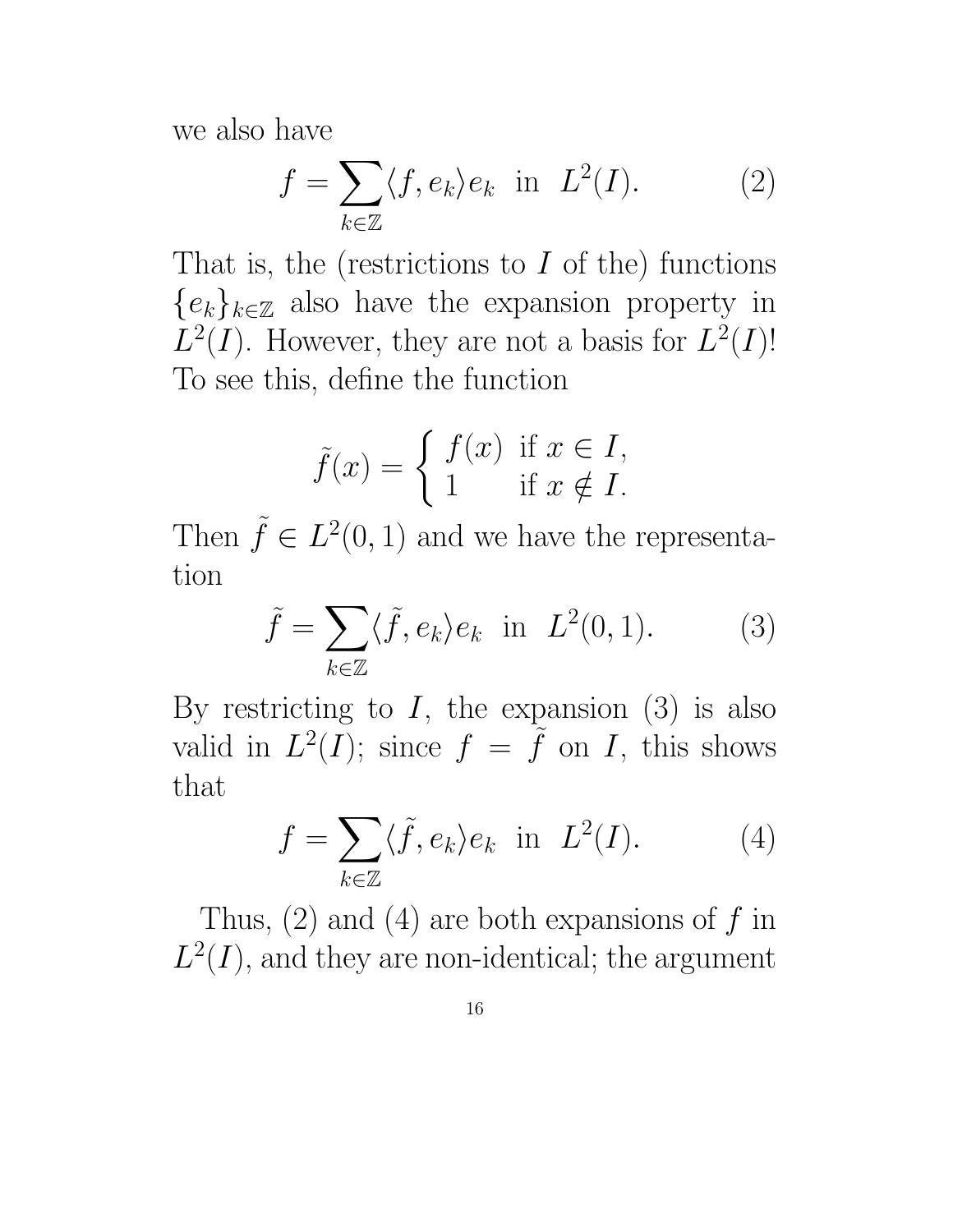we also have

$$
f = \sum_{k \in \mathbb{Z}} \langle f, e_k \rangle e_k \quad \text{in} \quad L^2(I). \tag{2}
$$

That is, the (restrictions to  $I$  of the) functions  ${e_k}_{k \in \mathbb{Z}}$  also have the expansion property in  $L^2(I)$ . However, they are not a basis for  $L^2(I)!$ To see this, define the function

$$
\tilde{f}(x) = \begin{cases} f(x) & \text{if } x \in I, \\ 1 & \text{if } x \notin I. \end{cases}
$$

Then  $\tilde{f} \in L^2(0,1)$  and we have the representation

$$
\tilde{f} = \sum_{k \in \mathbb{Z}} \langle \tilde{f}, e_k \rangle e_k \text{ in } L^2(0, 1). \tag{3}
$$

By restricting to  $I$ , the expansion  $(3)$  is also valid in  $L^2(I)$ ; since  $f = \tilde{f}$  on I, this shows that

$$
f = \sum_{k \in \mathbb{Z}} \langle \tilde{f}, e_k \rangle e_k \text{ in } L^2(I). \tag{4}
$$

Thus,  $(2)$  and  $(4)$  are both expansions of f in  $L^2(I)$ , and they are non-identical; the argument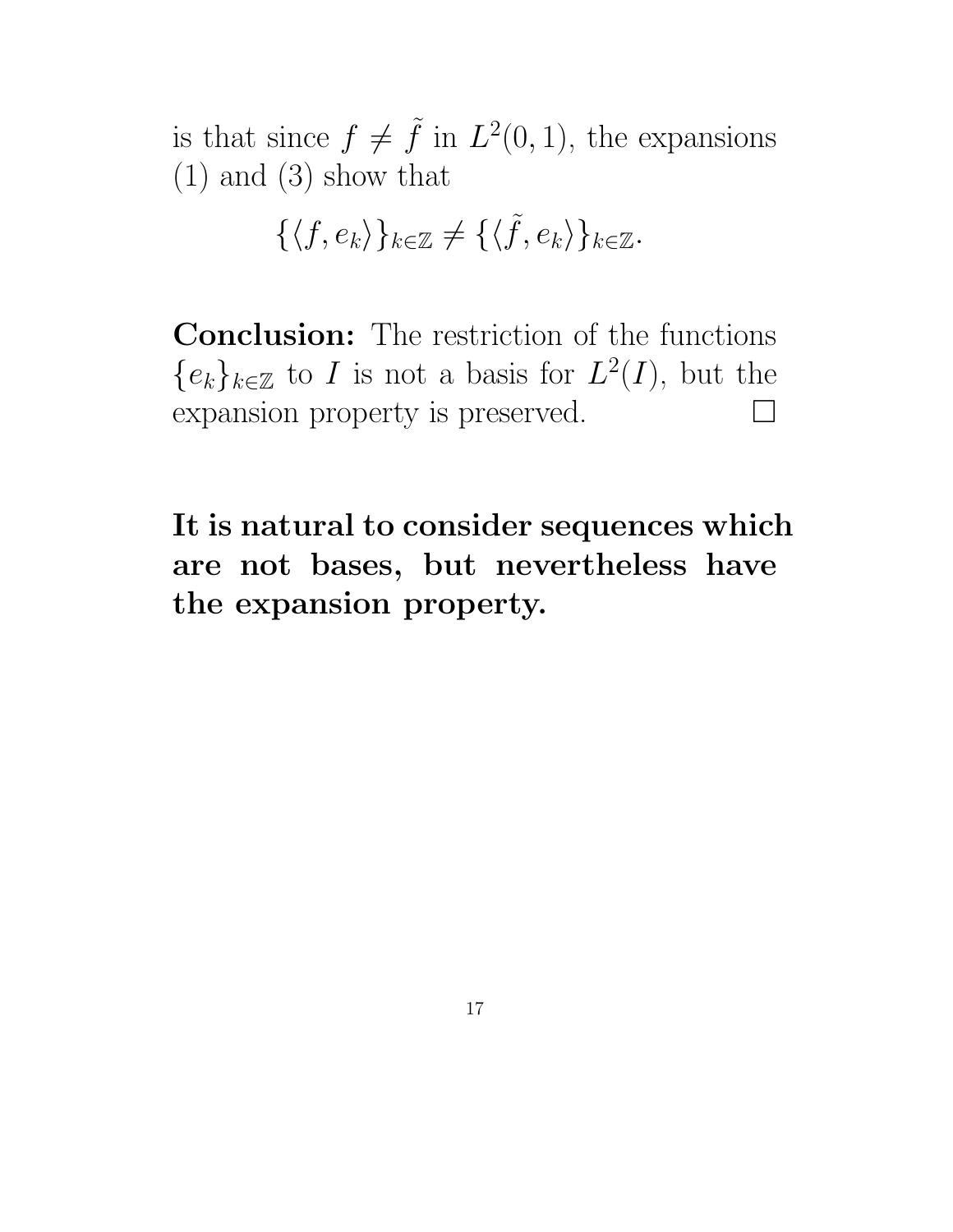is that since  $f \neq \tilde{f}$  in  $L^2(0, 1)$ , the expansions (1) and (3) show that

$$
\{\langle f, e_k \rangle\}_{k \in \mathbb{Z}} \neq \{\langle \tilde{f}, e_k \rangle\}_{k \in \mathbb{Z}}.
$$

Conclusion: The restriction of the functions { $e_k$ }<sub> $k∈\mathbb{Z}$ </sub> to *I* is not a basis for  $L^2(I)$ , but the expansion property is preserved.

It is natural to consider sequences which are not bases, but nevertheless have the expansion property.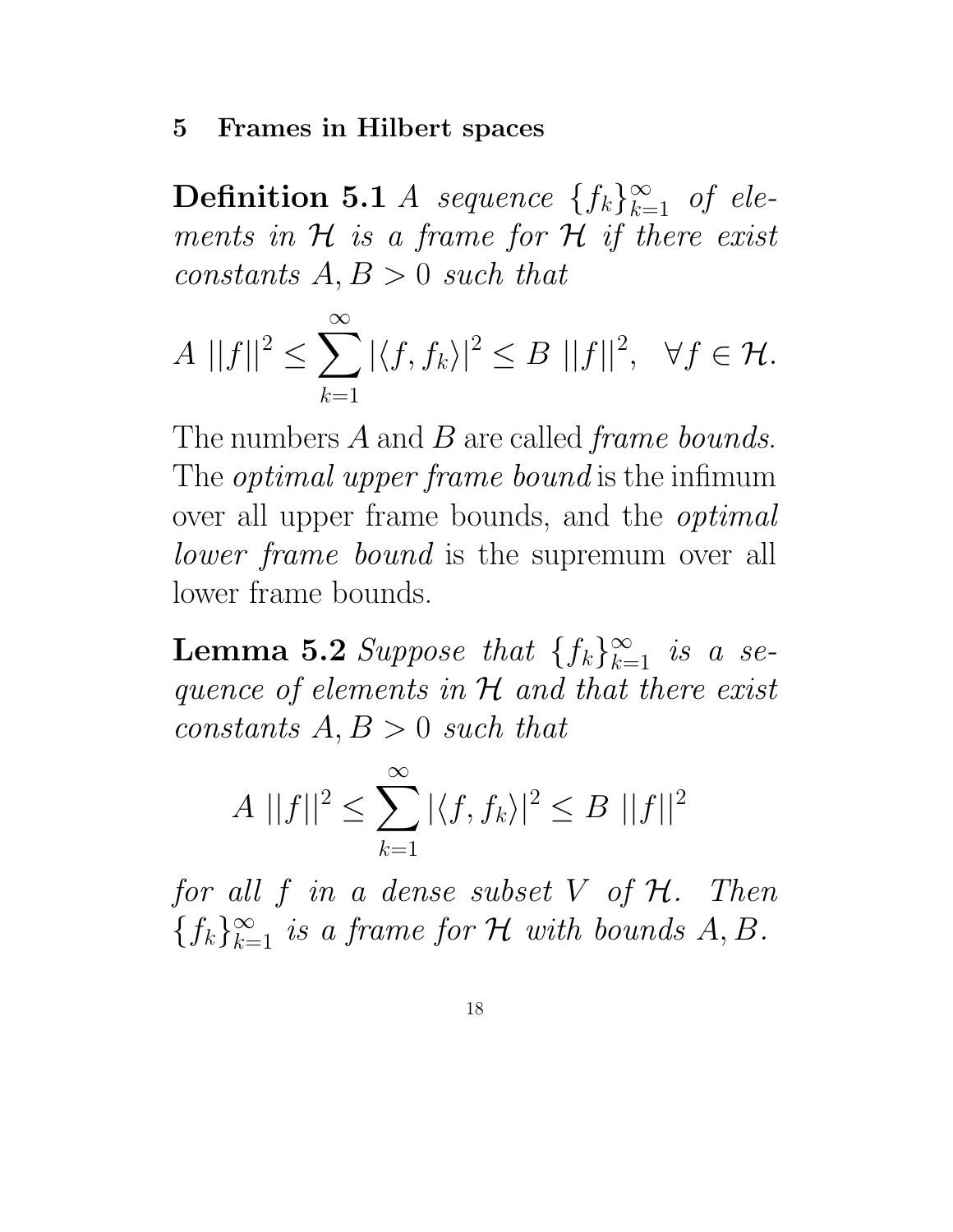#### 5 Frames in Hilbert spaces

**Definition 5.1** *A* sequence  $\{f_k\}_{k=1}^{\infty}$  of elements in  $H$  is a frame for  $H$  if there exist constants  $A, B > 0$  such that

$$
A ||f||2 \le \sum_{k=1}^{\infty} |\langle f, f_k \rangle|^2 \le B ||f||2, \quad \forall f \in \mathcal{H}.
$$

The numbers A and B are called *frame bounds*. The *optimal upper frame bound* is the infimum over all upper frame bounds, and the *optimal lower frame bound* is the supremum over all lower frame bounds.

**Lemma 5.2** Suppose that  $\{f_k\}_{k=1}^{\infty}$  is a sequence of elements in  $H$  and that there exist constants  $A, B > 0$  such that

$$
A ||f||^2 \le \sum_{k=1}^{\infty} |\langle f, f_k \rangle|^2 \le B ||f||^2
$$

for all  $f$  in a dense subset  $V$  of  $H$ . Then  ${f_k}_{k=1}^{\infty}$  is a frame for H with bounds A, B.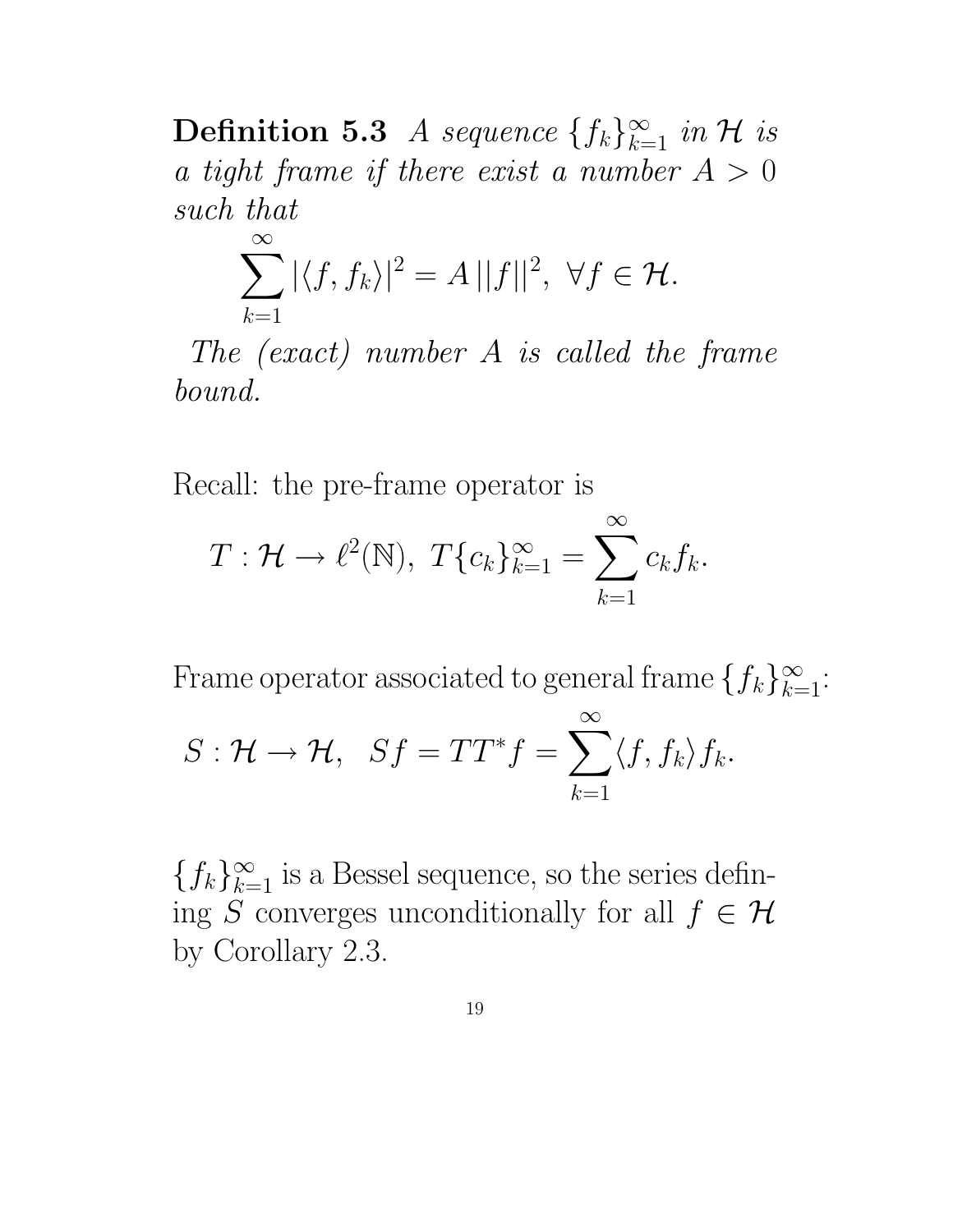**Definition 5.3** A sequence  $\{f_k\}_{k=1}^{\infty}$  in H is a tight frame if there exist a number  $A > 0$ such that

$$
\sum_{k=1}^{\infty} |\langle f, f_k \rangle|^2 = A ||f||^2, \ \forall f \in \mathcal{H}.
$$

The (exact) number A is called the frame bound.

Recall: the pre-frame operator is

 $\infty$ 

$$
T: \mathcal{H} \to \ell^2(\mathbb{N}), \ T\{c_k\}_{k=1}^\infty = \sum_{k=1}^\infty c_k f_k.
$$

Frame operator associated to general frame  $\{f_k\}_{k=1}^\infty$ :  $S: \mathcal{H} \to \mathcal{H}, \ \ Sf = TT^*f =$  $\sum$  $\frac{\infty}{\sqrt{2}}$  $k=1$  $\langle f, f_k \rangle f_k.$ 

 ${f_k}_{k=1}^{\infty}$  is a Bessel sequence, so the series defining S converges unconditionally for all  $f \in \mathcal{H}$ by Corollary 2.3.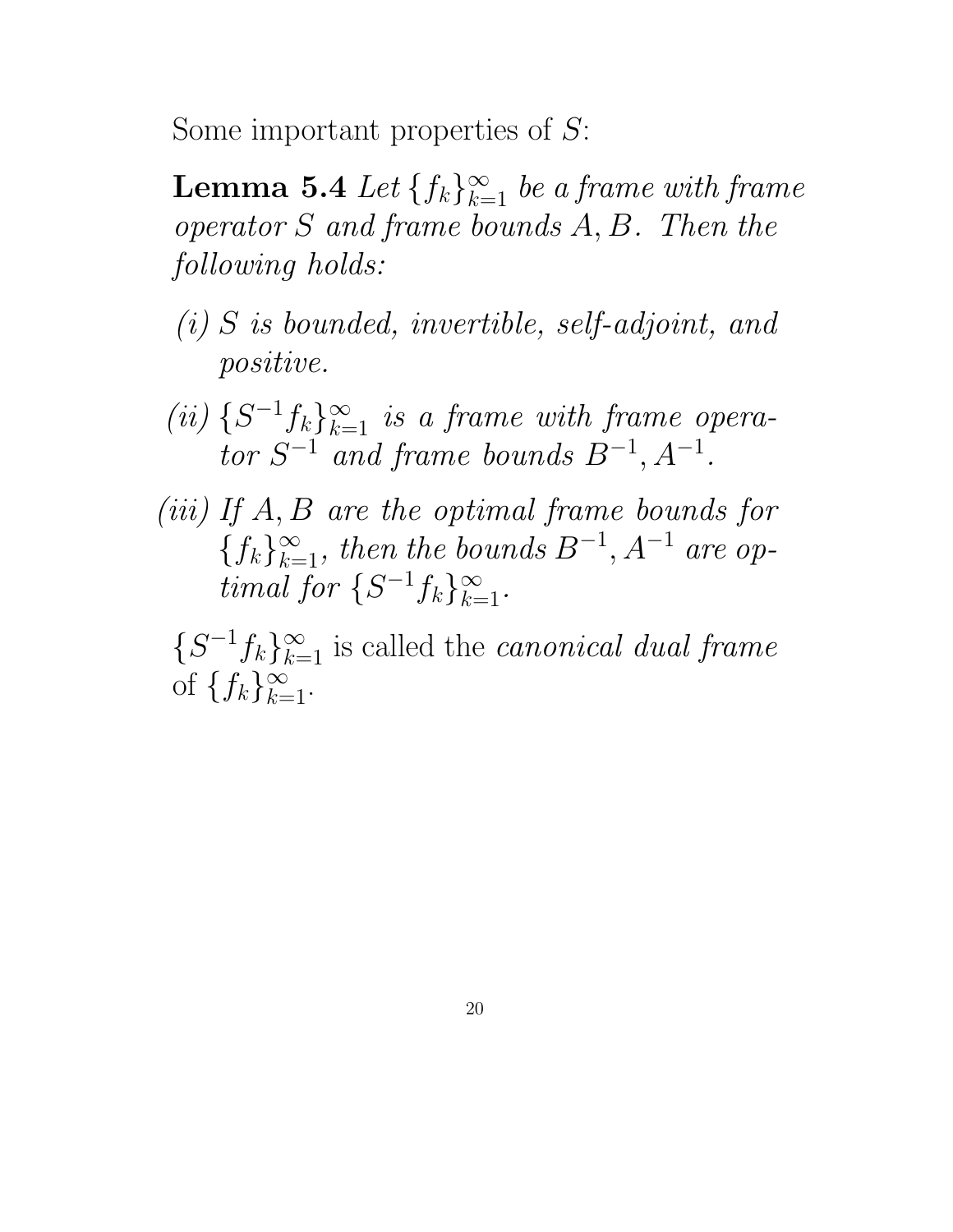Some important properties of S:

**Lemma 5.4** Let  $\{f_k\}_{k=1}^{\infty}$  be a frame with frame operator S and frame bounds A, B. Then the following holds:

- (i) S is bounded, invertible, self-adjoint, and positive.
- (ii)  $\{S^{-1}f_k\}_{k=1}^{\infty}$  is a frame with frame operator  $S^{-1}$  and frame bounds  $B^{-1}$ ,  $A^{-1}$ .
- (iii) If A, B are the optimal frame bounds for  ${f_k}_{k=1}^{\infty}$ , then the bounds  $B^{-1}$ ,  $A^{-1}$  are optimal for  $\{S^{-1}f_k\}_{k=1}^{\infty}$ .

 $\{S^{-1}f_k\}_{k=1}^{\infty}$  is called the *canonical dual frame* of  $\{f_k\}_{k=1}^{\infty}$ .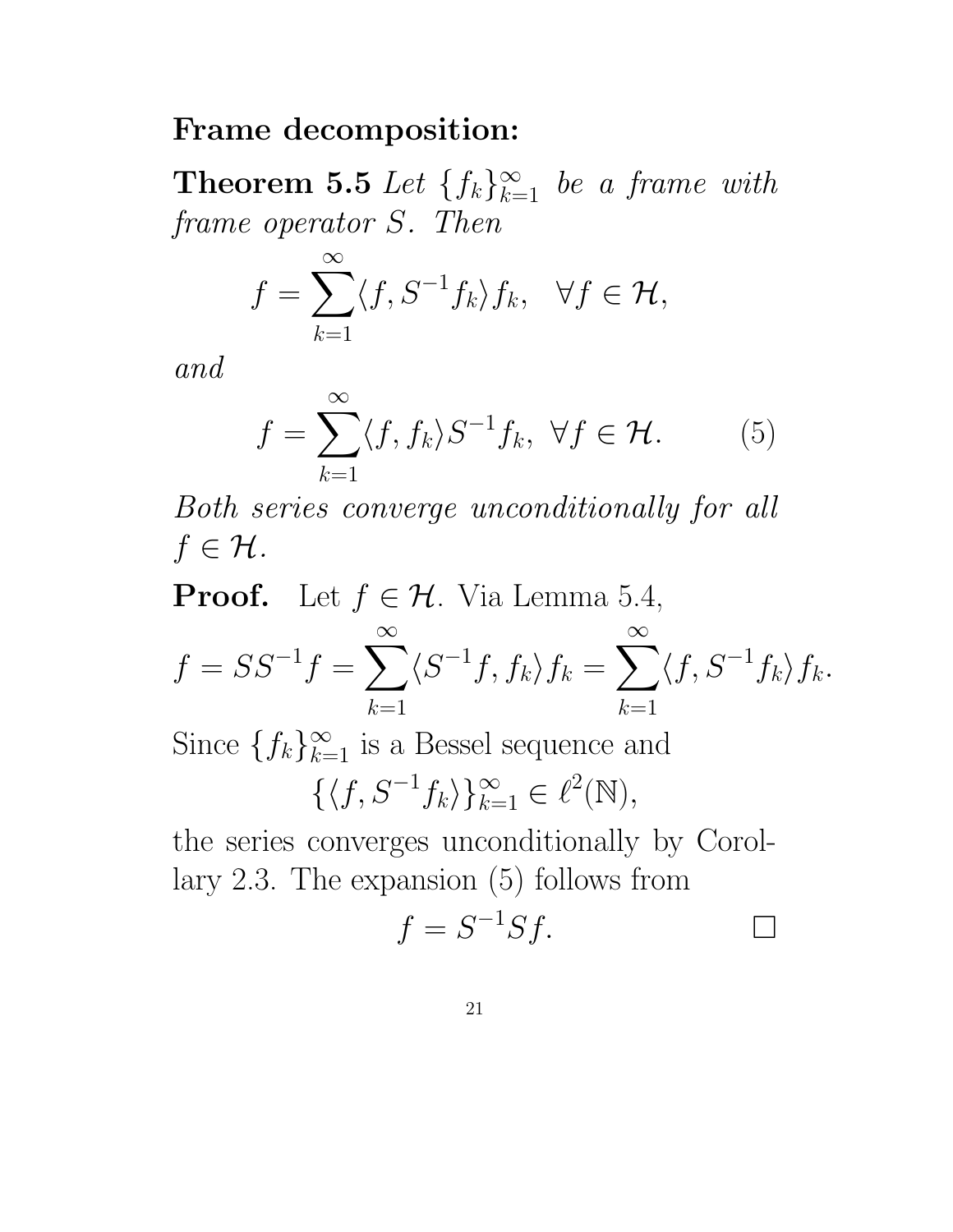#### Frame decomposition:

**Theorem 5.5** Let  $\{f_k\}_{k=1}^{\infty}$  be a frame with frame operator S. Then

$$
f = \sum_{k=1}^{\infty} \langle f, S^{-1} f_k \rangle f_k, \quad \forall f \in \mathcal{H},
$$

and

$$
f = \sum_{k=1}^{\infty} \langle f, f_k \rangle S^{-1} f_k, \ \forall f \in \mathcal{H}.
$$
 (5)

Both series converge unconditionally for all  $f \in \mathcal{H}$ .

**Proof.** Let  $f \in \mathcal{H}$ . Via Lemma 5.4,

$$
f = SS^{-1}f = \sum_{k=1}^{\infty} \langle S^{-1}f, f_k \rangle f_k = \sum_{k=1}^{\infty} \langle f, S^{-1}f_k \rangle f_k.
$$

Since  $\{f_k\}_{k=1}^{\infty}$  is a Bessel sequence and

$$
\{\langle f, S^{-1}f_k \rangle\}_{k=1}^{\infty} \in \ell^2(\mathbb{N}),
$$

the series converges unconditionally by Corollary 2.3. The expansion (5) follows from

$$
f = S^{-1}Sf.
$$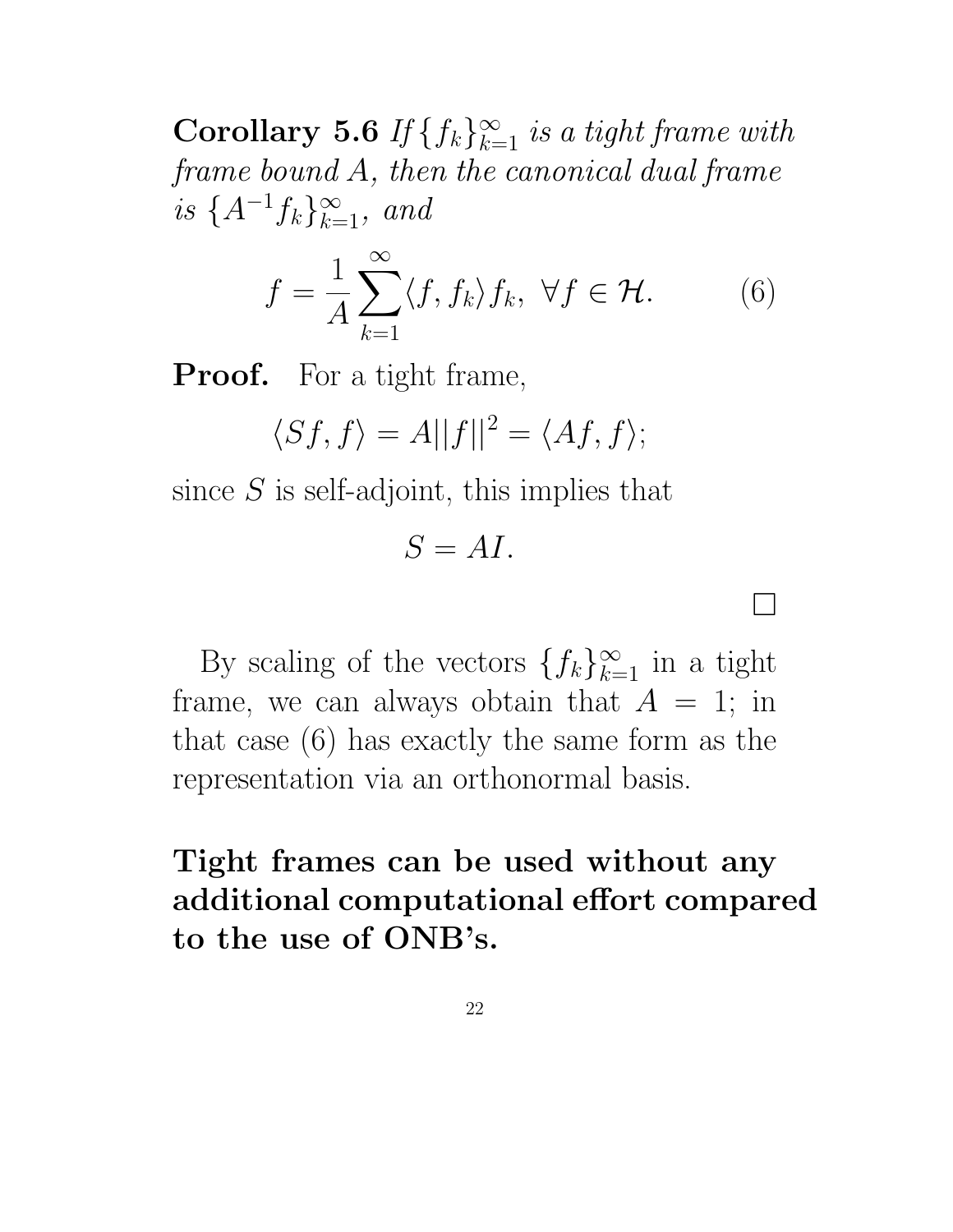**Corollary 5.6** If  $\{f_k\}_{k=1}^{\infty}$  is a tight frame with frame bound A, then the canonical dual frame is  $\{A^{-1}f_k\}_{k=1}^{\infty}$ , and

$$
f = \frac{1}{A} \sum_{k=1}^{\infty} \langle f, f_k \rangle f_k, \ \forall f \in \mathcal{H}.
$$
 (6)

 $\overline{\phantom{0}}$ 

**Proof.** For a tight frame,

$$
\langle Sf, f \rangle = A||f||^2 = \langle Af, f \rangle;
$$

since  $S$  is self-adjoint, this implies that

 $S = AI$ .

By scaling of the vectors  $\{f_k\}_{k=1}^{\infty}$  in a tight frame, we can always obtain that  $A = 1$ ; in that case (6) has exactly the same form as the representation via an orthonormal basis.

# Tight frames can be used without any additional computational effort compared to the use of ONB's.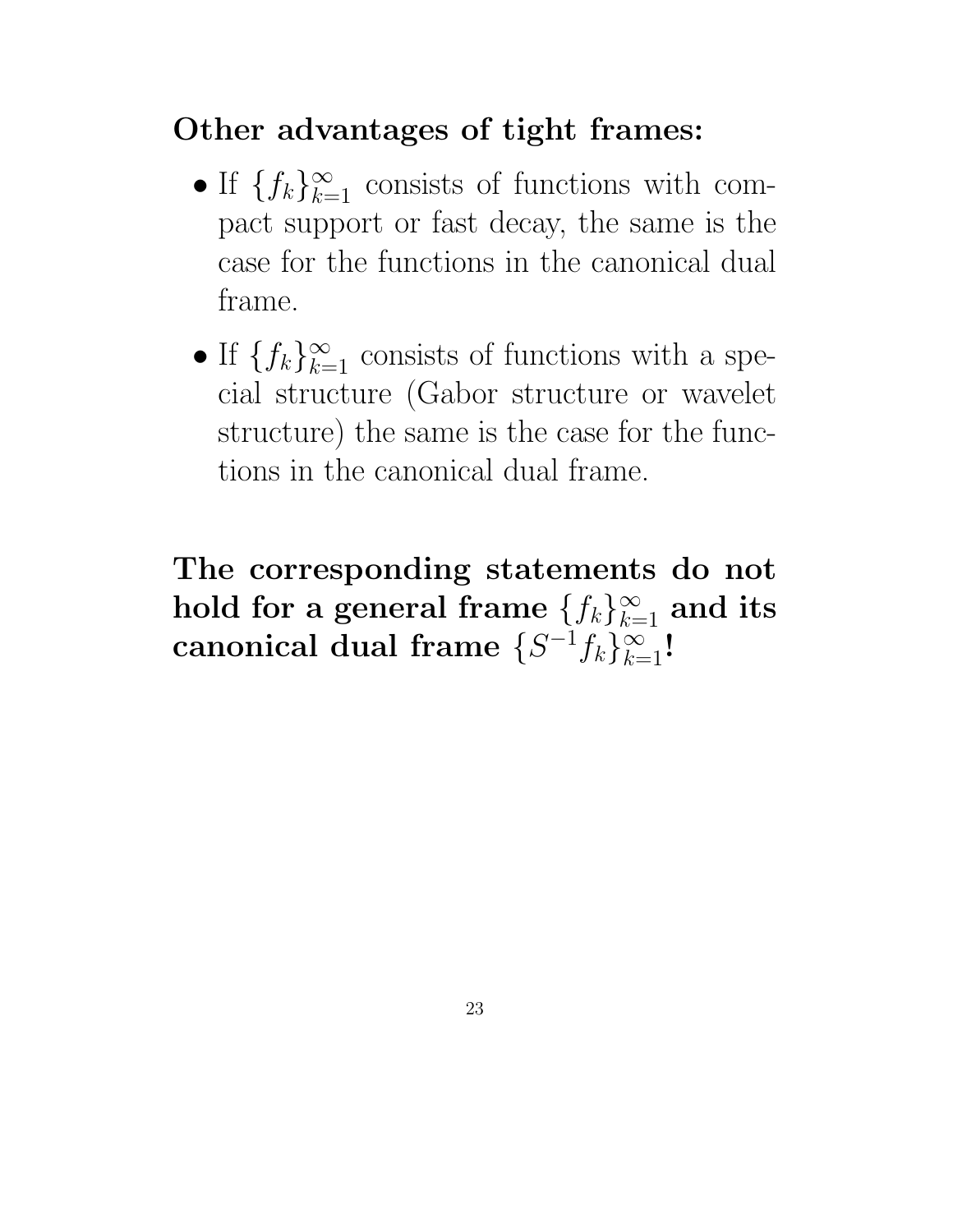## Other advantages of tight frames:

- If  $\{f_k\}_{k=1}^{\infty}$  consists of functions with compact support or fast decay, the same is the case for the functions in the canonical dual frame.
- If  $\{f_k\}_{k=1}^{\infty}$  consists of functions with a special structure (Gabor structure or wavelet structure) the same is the case for the functions in the canonical dual frame.

The corresponding statements do not hold for a general frame  $\{f_k\}_{k=1}^\infty$  and its canonical dual frame  $\{S^{-1}f_k\}_{k=1}^\infty!$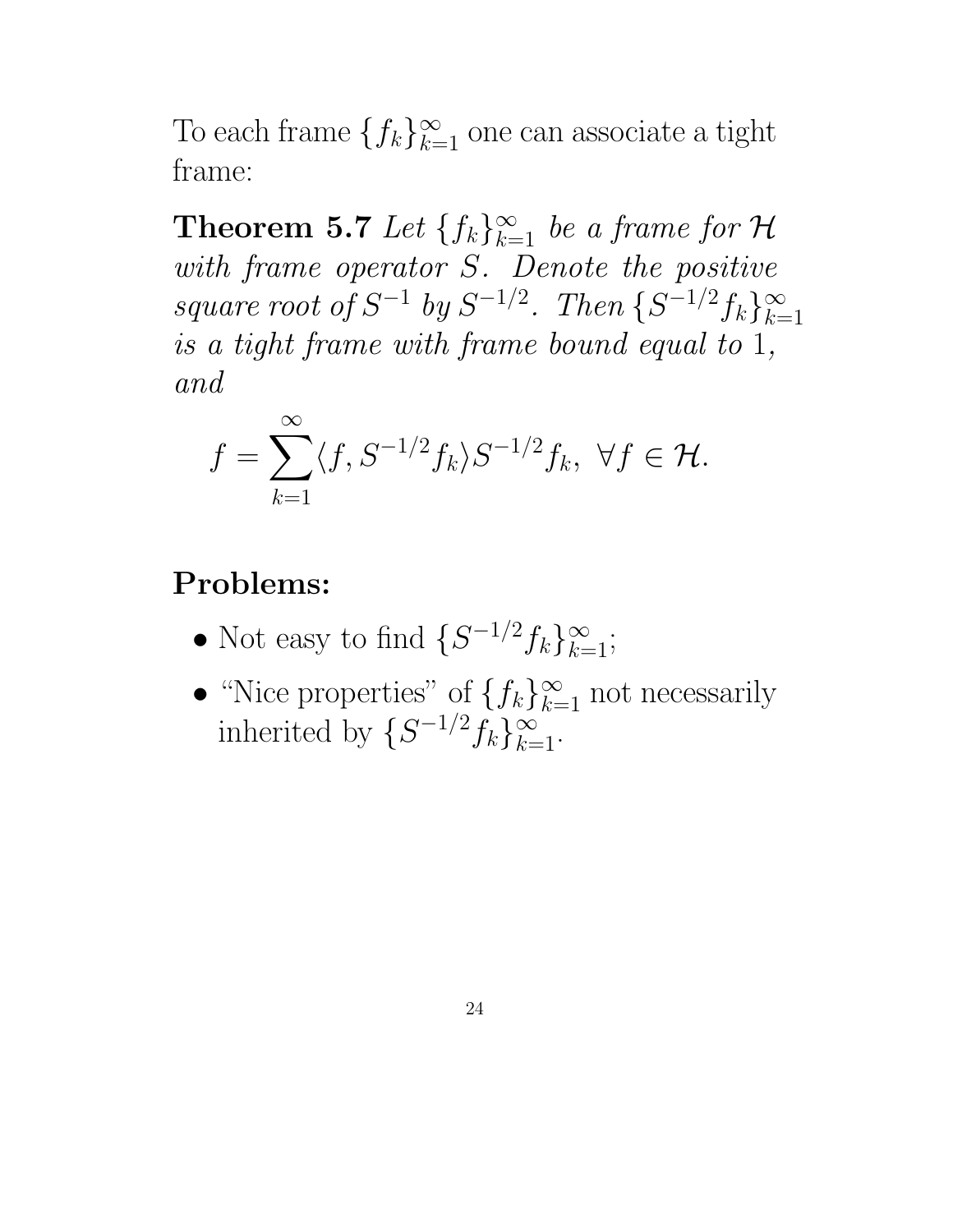To each frame  $\{f_k\}_{k=1}^{\infty}$  one can associate a tight frame:

**Theorem 5.7** Let  $\{f_k\}_{k=1}^{\infty}$  be a frame for H with frame operator S. Denote the positive square root of  $S^{-1}$  by  $S^{-1/2}$ . Then  $\{S^{-1/2}f_k\}_{k=1}^{\infty}$  $k=1$ is a tight frame with frame bound equal to 1, and

$$
f = \sum_{k=1}^{\infty} \langle f, S^{-1/2} f_k \rangle S^{-1/2} f_k, \ \forall f \in \mathcal{H}.
$$

#### Problems:

- Not easy to find  $\{S^{-1/2}f_k\}_{k=1}^{\infty};$
- "Nice properties" of  $\{f_k\}_{k=1}^{\infty}$  not necessarily inherited by  $\{S^{-1/2}f_k\}_{k=1}^{\infty}$ .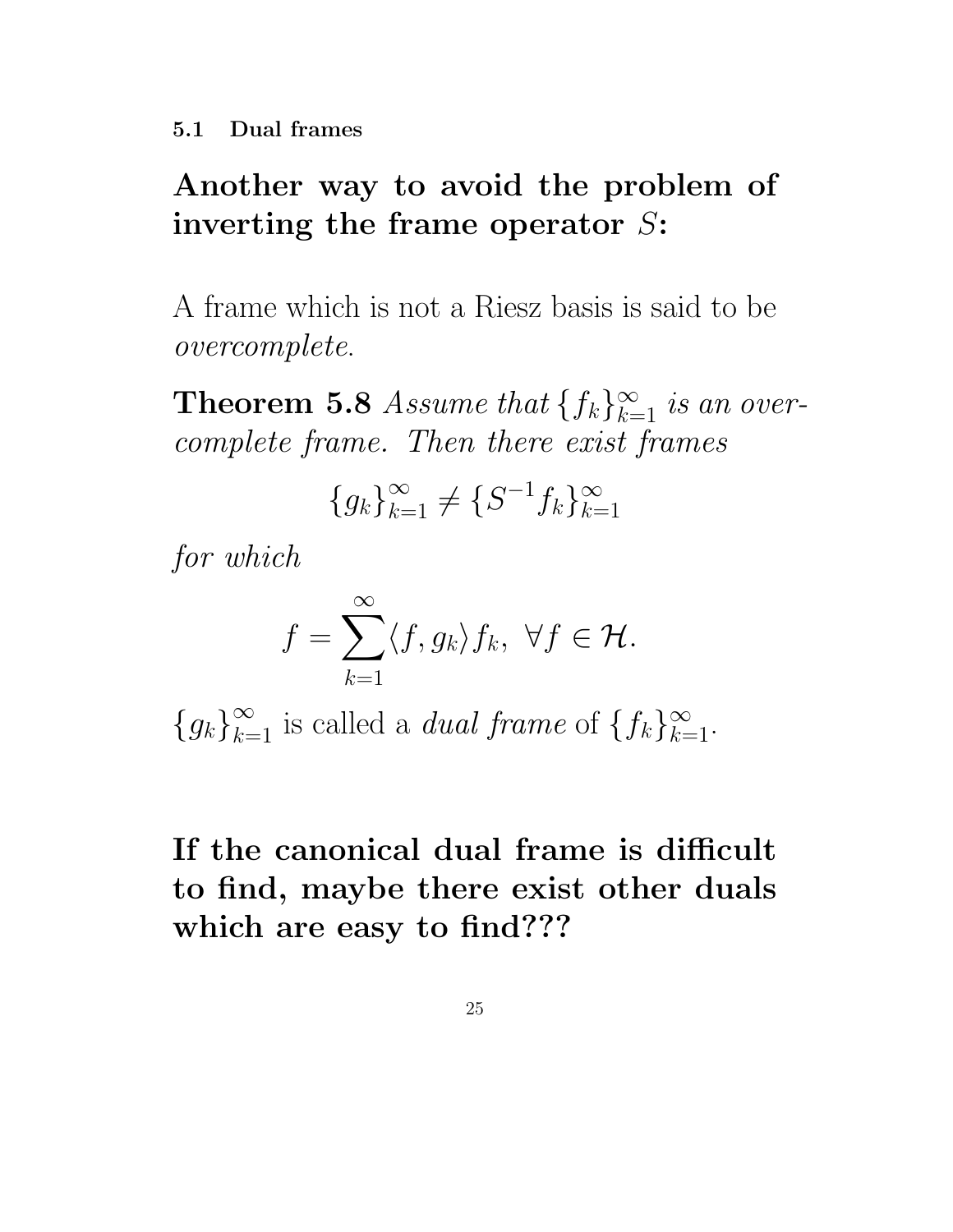# Another way to avoid the problem of inverting the frame operator  $S$ :

A frame which is not a Riesz basis is said to be overcomplete.

**Theorem 5.8** Assume that  $\{f_k\}_{k=1}^{\infty}$  is an overcomplete frame. Then there exist frames

$$
\{g_k\}_{k=1}^{\infty} \neq \{S^{-1}f_k\}_{k=1}^{\infty}
$$

for which

$$
f = \sum_{k=1}^{\infty} \langle f, g_k \rangle f_k, \ \forall f \in \mathcal{H}.
$$

 ${g_k}_{k=1}^{\infty}$  is called a *dual frame* of  ${f_k}_{k=1}^{\infty}$ .

# If the canonical dual frame is difficult to find, maybe there exist other duals which are easy to find???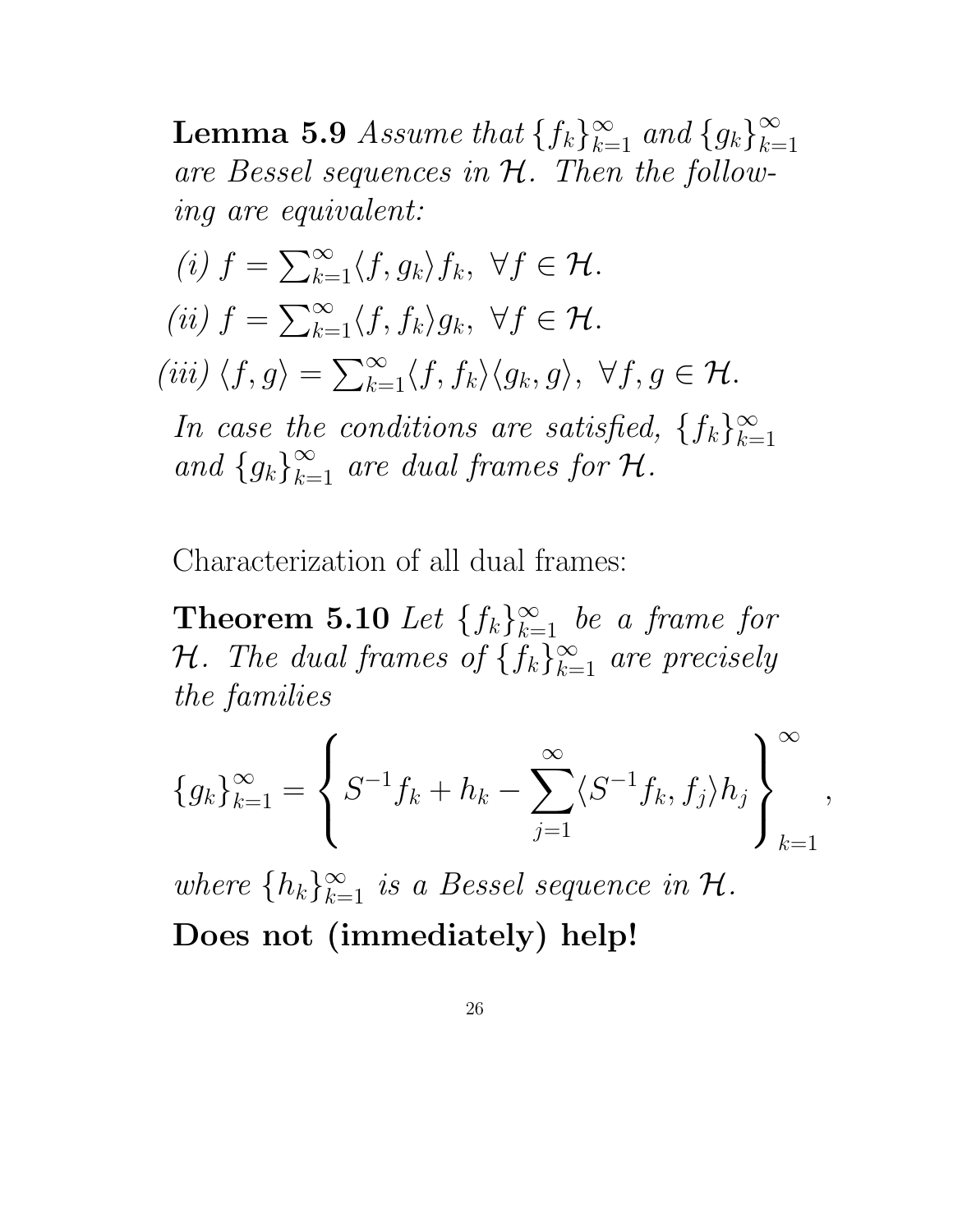**Lemma 5.9** Assume that  $\{f_k\}_{k=1}^{\infty}$  and  $\{g_k\}_{k=1}^{\infty}$  $k=1$ are Bessel sequences in H. Then the following are equivalent:

(i) 
$$
f = \sum_{k=1}^{\infty} \langle f, g_k \rangle f_k, \ \forall f \in \mathcal{H}.
$$
  
\n(ii)  $f = \sum_{k=1}^{\infty} \langle f, f_k \rangle g_k, \ \forall f \in \mathcal{H}.$   
\n(iii)  $\langle f, g \rangle = \sum_{k=1}^{\infty} \langle f, f_k \rangle \langle g_k, g \rangle, \ \forall f, g \in \mathcal{H}.$   
\nIn case the conditions are satisfied,  $\{f_k\}_{k=1}^{\infty}$   
\nand  $\{g_k\}_{k=1}^{\infty}$  are dual frames for  $\mathcal{H}.$ 

Characterization of all dual frames:

**Theorem 5.10** Let  $\{f_k\}_{k=1}^{\infty}$  be a frame for *H*. The dual frames of  $\{f_k\}_{k=1}^{\infty}$  are precisely the families

$$
\{g_k\}_{k=1}^{\infty} = \left\{ S^{-1}f_k + h_k - \sum_{j=1}^{\infty} \langle S^{-1}f_k, f_j \rangle h_j \right\}_{k=1}^{\infty},
$$

where  $\{h_k\}_{k=1}^{\infty}$  is a Bessel sequence in  $\mathcal{H}$ . Does not (immediately) help!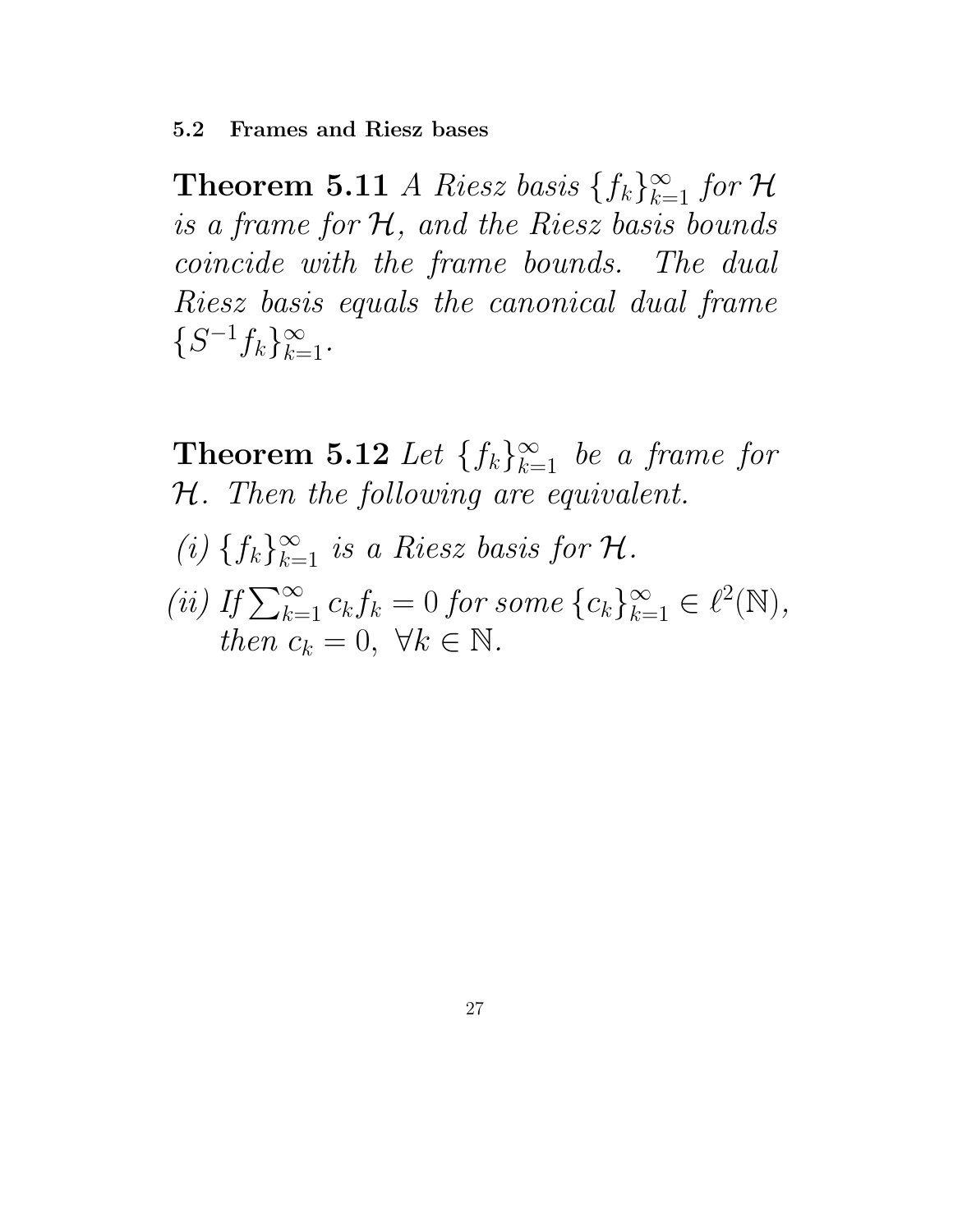**Theorem 5.11** *A Riesz basis*  $\{f_k\}_{k=1}^{\infty}$  for H is a frame for  $H$ , and the Riesz basis bounds coincide with the frame bounds. The dual Riesz basis equals the canonical dual frame  $\{S^{-1}f_k\}_{k=1}^{\infty}$ .

**Theorem 5.12** Let  $\{f_k\}_{k=1}^{\infty}$  be a frame for H. Then the following are equivalent. (i)  $\{f_k\}_{k=1}^{\infty}$  is a Riesz basis for  $\mathcal{H}$ . (ii) If  $\sum_{k=1}^{\infty} c_k f_k = 0$  for some  $\{c_k\}_{k=1}^{\infty} \in \ell^2(\mathbb{N}),$ then  $c_k = 0, \forall k \in \mathbb{N}$ .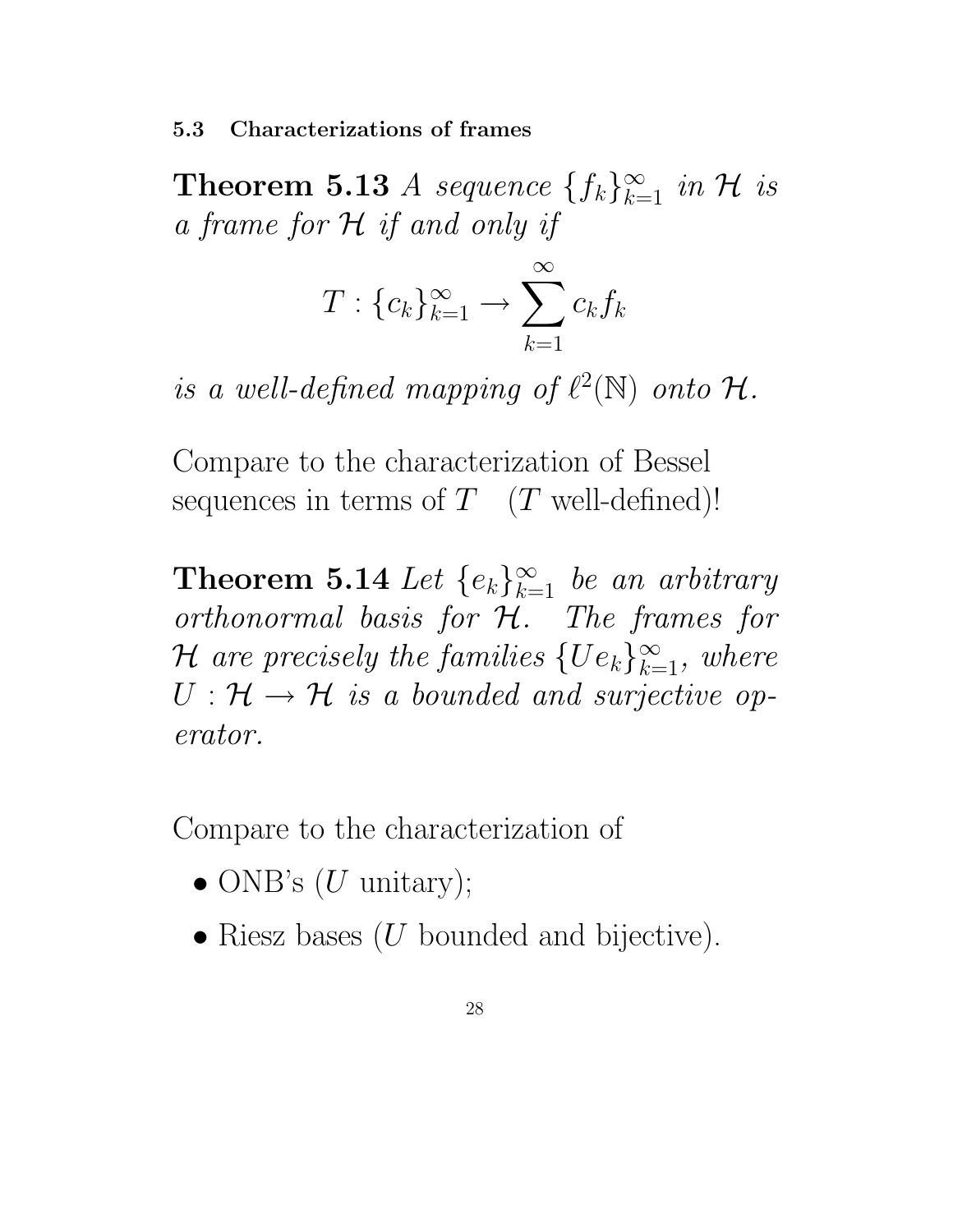5.3 Characterizations of frames

**Theorem 5.13** *A sequence*  $\{f_k\}_{k=1}^{\infty}$  in H is a frame for H if and only if

$$
T: \{c_k\}_{k=1}^{\infty} \to \sum_{k=1}^{\infty} c_k f_k
$$

is a well-defined mapping of  $\ell^2(\mathbb{N})$  onto  $\mathcal{H}$ .

Compare to the characterization of Bessel sequences in terms of  $T$  (T well-defined)!

**Theorem 5.14** Let  $\{e_k\}_{k=1}^{\infty}$  be an arbitrary  $orthonormal$  basis for  $H$ . The frames for  $\mathcal H$  are precisely the families  $\{Ue_k\}_{k=1}^\infty$ , where  $U: \mathcal{H} \to \mathcal{H}$  is a bounded and surjective operator.

Compare to the characterization of

- ONB's  $(U$  unitary);
- Riesz bases  $(U$  bounded and bijective).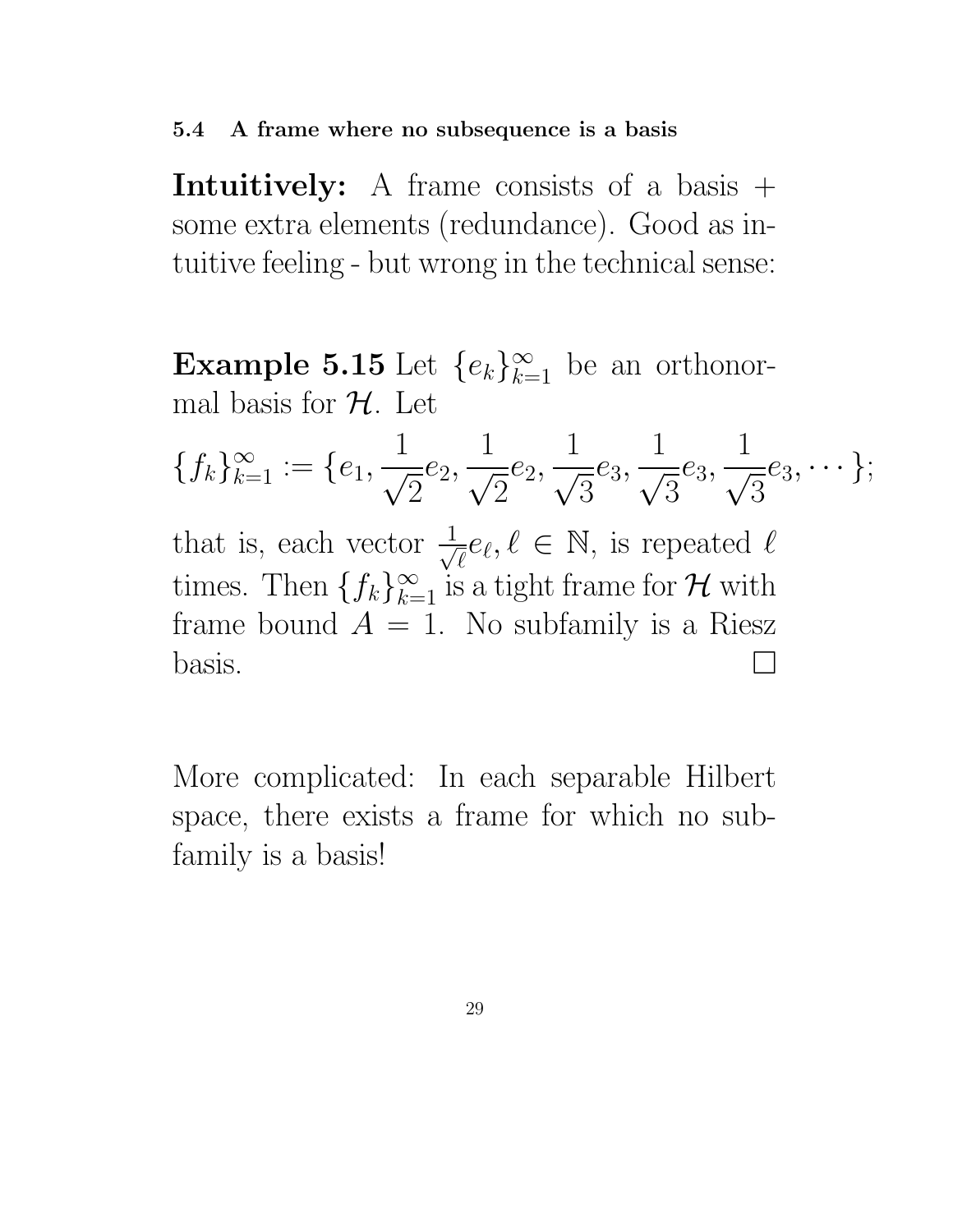#### 5.4 A frame where no subsequence is a basis

**Intuitively:** A frame consists of a basis  $+$ some extra elements (redundance). Good as intuitive feeling - but wrong in the technical sense:

**Example 5.15** Let  $\{e_k\}_{k=1}^{\infty}$  be an orthonormal basis for  $H$ . Let

$$
\{f_k\}_{k=1}^{\infty} := \{e_1, \frac{1}{\sqrt{2}}e_2, \frac{1}{\sqrt{2}}e_2, \frac{1}{\sqrt{3}}e_3, \frac{1}{\sqrt{3}}e_3, \frac{1}{\sqrt{3}}e_3, \cdots\};
$$

that is, each vector  $\frac{1}{\sqrt{2}}$  $\overline{e}e_{\ell}, \ell \in \mathbb{N}$ , is repeated  $\ell$ times. Then  $\{f_k\}_{k=1}^{\infty}$  is a tight frame for  $\mathcal H$  with frame bound  $A = 1$ . No subfamily is a Riesz  $\log$ is.

More complicated: In each separable Hilbert space, there exists a frame for which no subfamily is a basis!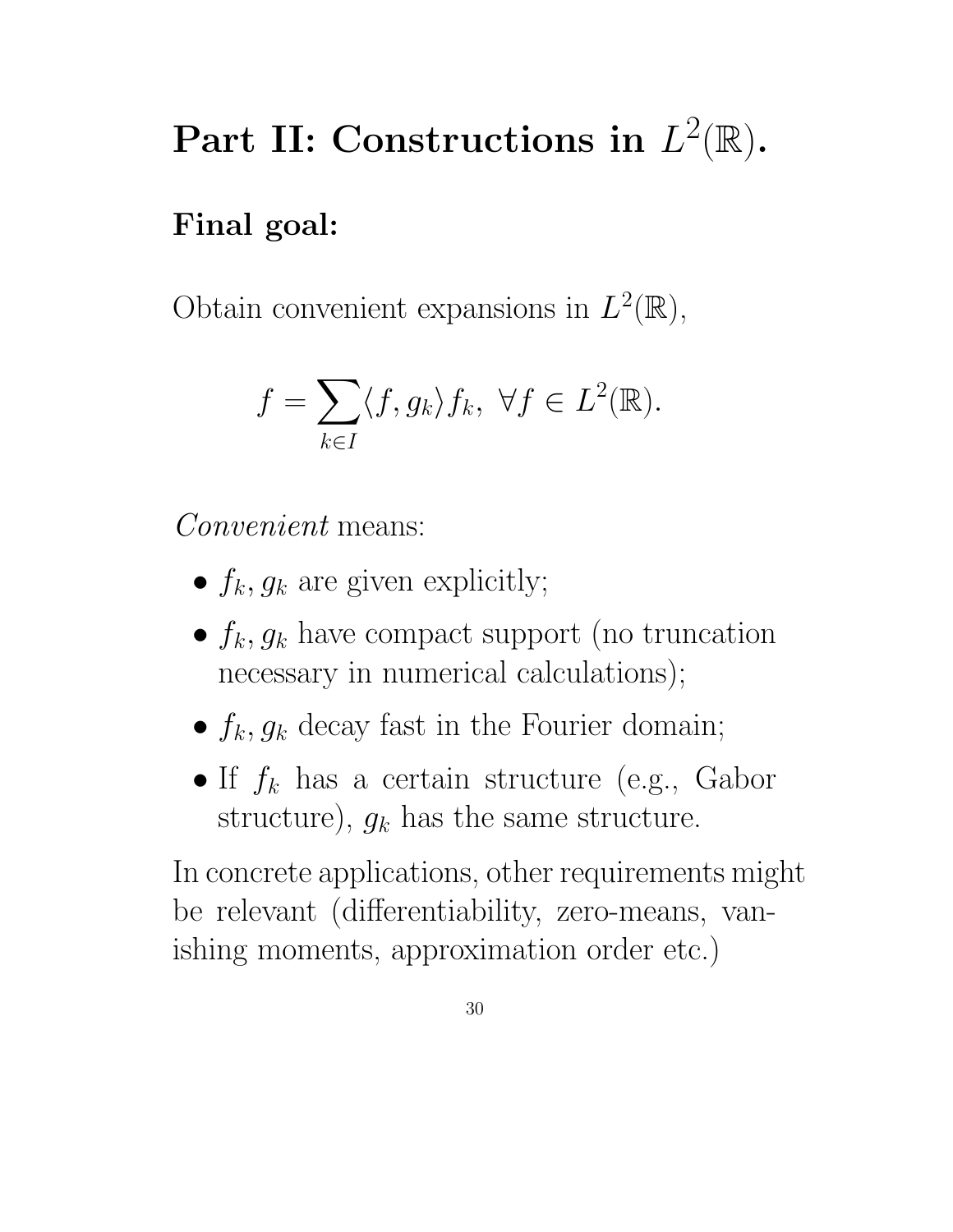# Part II: Constructions in  $L^2(\mathbb{R})$ .

# Final goal:

Obtain convenient expansions in  $L^2(\mathbb{R}),$ 

$$
f = \sum_{k \in I} \langle f, g_k \rangle f_k, \ \forall f \in L^2(\mathbb{R}).
$$

Convenient means:

- $f_k$ ,  $g_k$  are given explicitly;
- $f_k, g_k$  have compact support (no truncation necessary in numerical calculations);
- $f_k, g_k$  decay fast in the Fourier domain;
- If  $f_k$  has a certain structure (e.g., Gabor structure),  $g_k$  has the same structure.

In concrete applications, other requirements might be relevant (differentiability, zero-means, vanishing moments, approximation order etc.)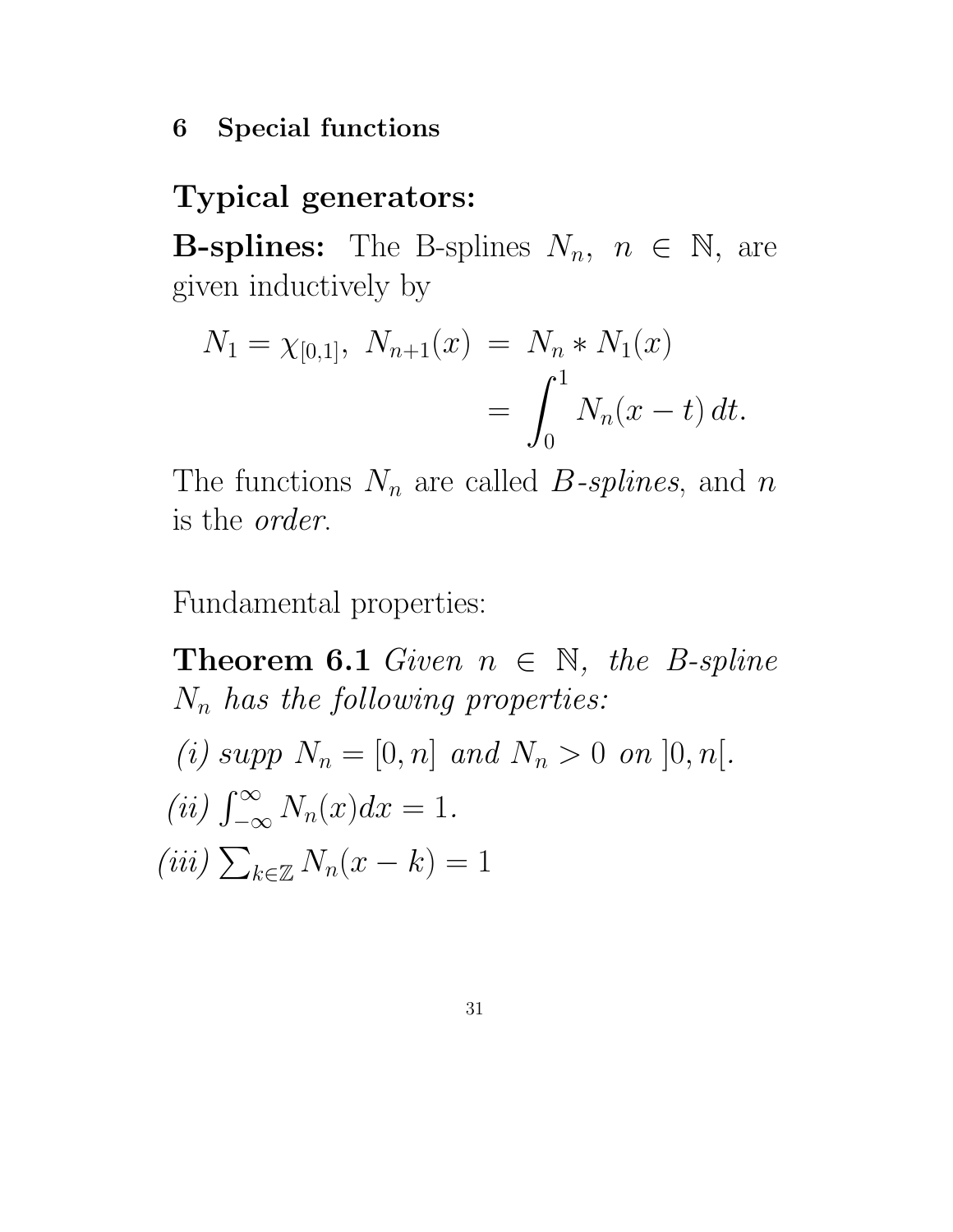#### 6 Special functions

### Typical generators:

**B-splines:** The B-splines  $N_n$ ,  $n \in \mathbb{N}$ , are given inductively by

$$
N_1 = \chi_{[0,1]}, \ N_{n+1}(x) = N_n * N_1(x)
$$
  
= 
$$
\int_0^1 N_n(x-t) dt.
$$

The functions  $N_n$  are called B-splines, and n is the order.

Fundamental properties:

**Theorem 6.1** Given  $n \in \mathbb{N}$ , the B-spline  $N_n$  has the following properties: (i) supp  $N_n = [0, n]$  and  $N_n > 0$  on  $[0, n]$ .  $(ii)$   $\int_{-\infty}^{\infty}$  $-\infty$  $N_n(x)dx=1.$ (iii)  $\sum_{k\in\mathbb{Z}} N_n(x-k) = 1$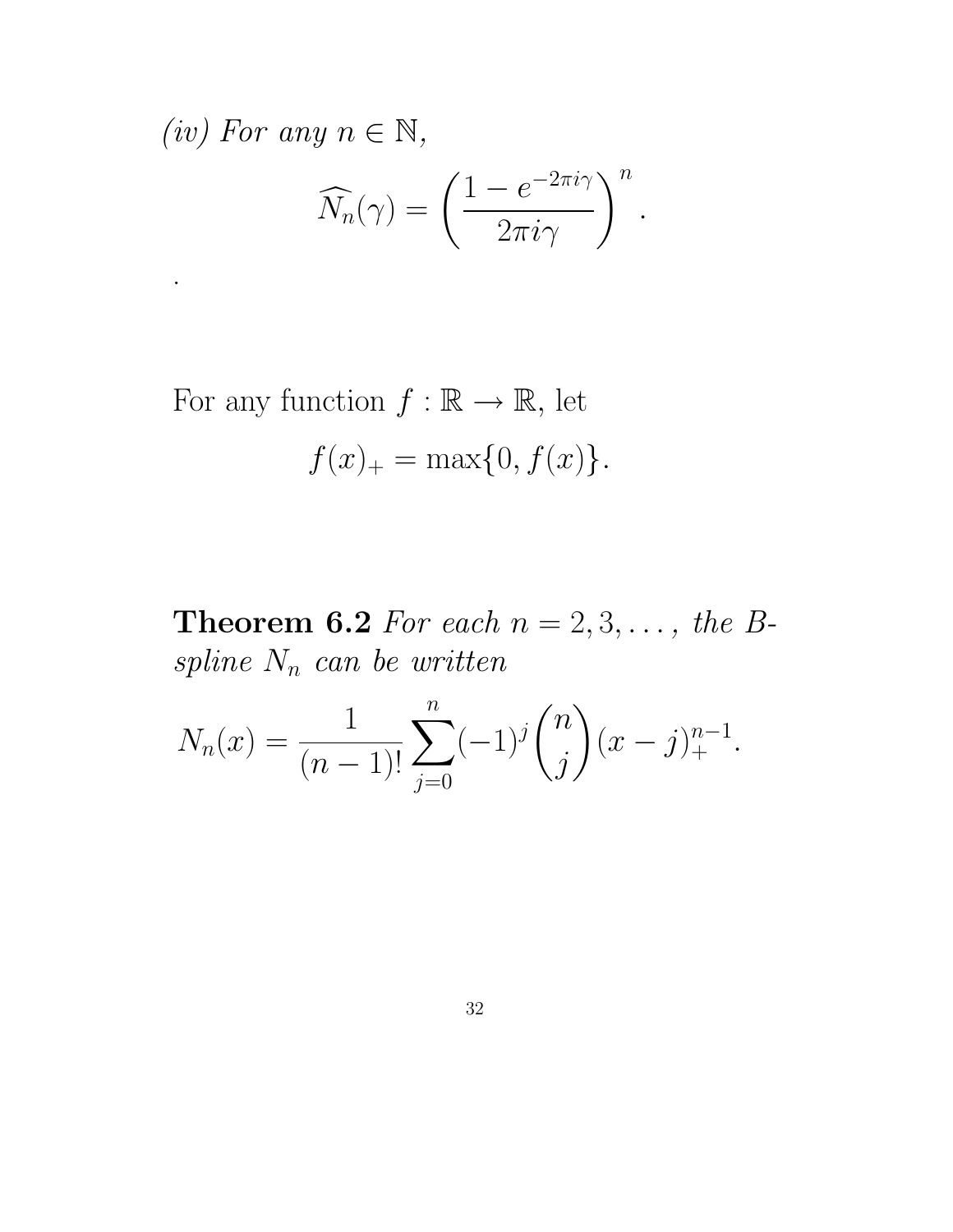(iv) For any  $n \in \mathbb{N}$ ,

.

$$
\widehat{N}_n(\gamma) = \left(\frac{1 - e^{-2\pi i \gamma}}{2\pi i \gamma}\right)^n.
$$

For any function  $f : \mathbb{R} \to \mathbb{R}$ , let  $f(x)_+ = \max\{0, f(x)\}.$ 

**Theorem 6.2** For each  $n = 2, 3, \ldots$ , the B $spline N_n$  can be written

$$
N_n(x) = \frac{1}{(n-1)!} \sum_{j=0}^n (-1)^j \binom{n}{j} (x-j)_+^{n-1}.
$$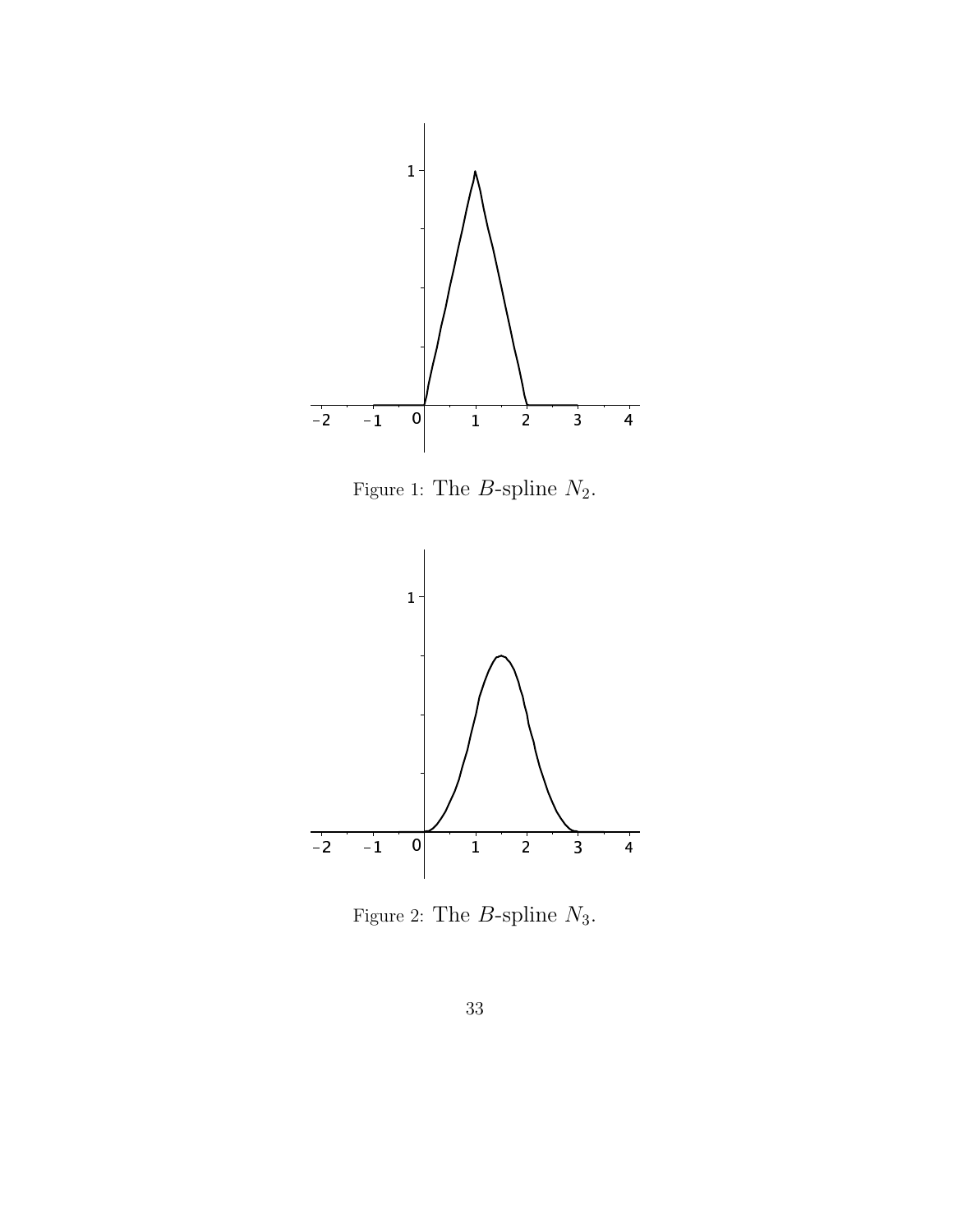

Figure 1: The  $B$ -spline  $N_2$ .



Figure 2: The  $B\operatorname{\!-split}$   $N_3.$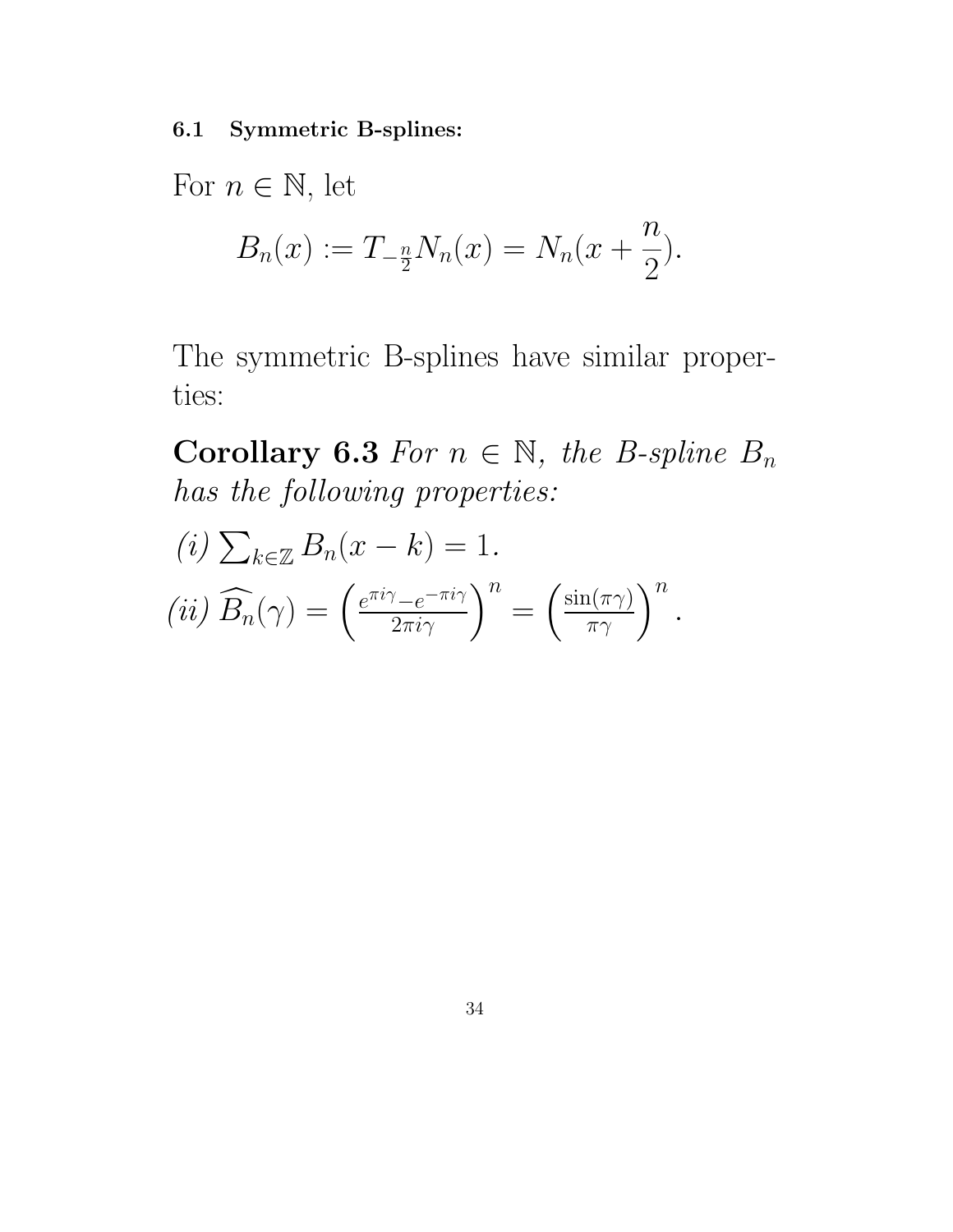6.1 Symmetric B-splines:

For  $n \in \mathbb{N}$ , let

$$
B_n(x) := T_{-\frac{n}{2}} N_n(x) = N_n(x + \frac{n}{2}).
$$

The symmetric B-splines have similar properties:

Corollary 6.3 For  $n \in \mathbb{N}$ , the B-spline  $B_n$ has the following properties:

$$
(i) \sum_{k \in \mathbb{Z}} B_n(x - k) = 1.
$$
  

$$
(ii) \widehat{B_n}(\gamma) = \left(\frac{e^{\pi i \gamma} - e^{-\pi i \gamma}}{2\pi i \gamma}\right)^n = \left(\frac{\sin(\pi \gamma)}{\pi \gamma}\right)^n.
$$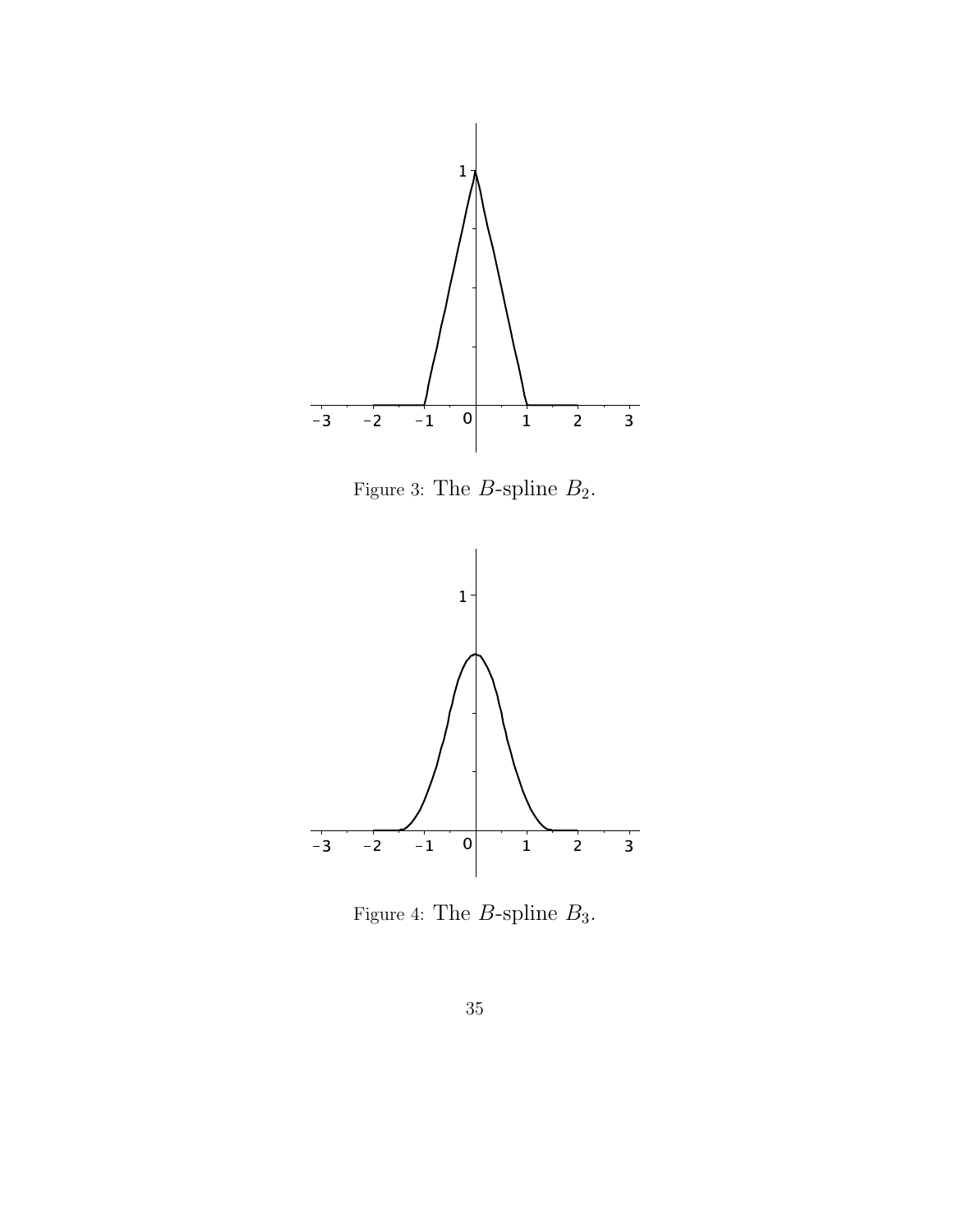

Figure 3: The  $B\mathrm{\textnormal{-}split}$   $B_2.$ 



Figure 4: The  $B\text{-}\mathrm{split}$   $B_3.$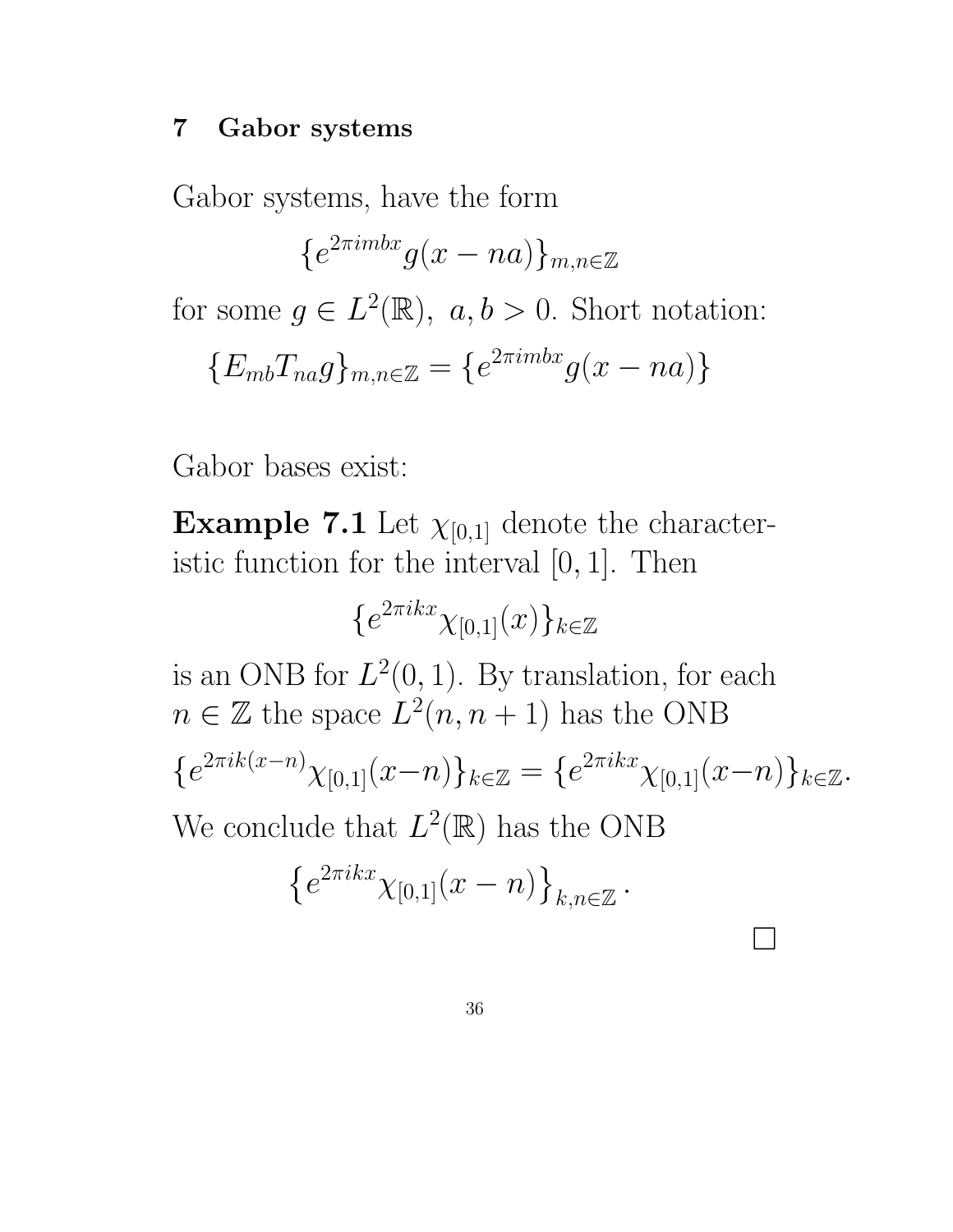#### 7 Gabor systems

Gabor systems, have the form

 ${e^{2\pi imbx}g(x-na)}_{m,n\in\mathbb{Z}}$ 

for some  $g \in L^2(\mathbb{R})$ ,  $a, b > 0$ . Short notation:

$$
\{E_{mb}T_{na}g\}_{m,n\in\mathbb{Z}}=\{e^{2\pi imbx}g(x-na)\}\
$$

Gabor bases exist:

**Example 7.1** Let  $\chi_{[0,1]}$  denote the characteristic function for the interval  $[0, 1]$ . Then

 $\{e^{2\pi i k x}\chi_{[0,1]}(x)\}_{k\in\mathbb{Z}}$ 

is an ONB for  $L^2(0,1)$ . By translation, for each  $n \in \mathbb{Z}$  the space  $L^2(n, n+1)$  has the ONB  ${e^{2\pi i k(x-n)}\chi_{[0,1]}(x-n)}_{k\in\mathbb{Z}}={e^{2\pi i kx}\chi_{[0,1]}(x-n)}_{k\in\mathbb{Z}}.$ We conclude that  $L^2(\mathbb{R})$  has the ONB

 $\Box$ 

$$
\left\{e^{2\pi ikx}\chi_{[0,1]}(x-n)\right\}_{k,n\in\mathbb{Z}}.
$$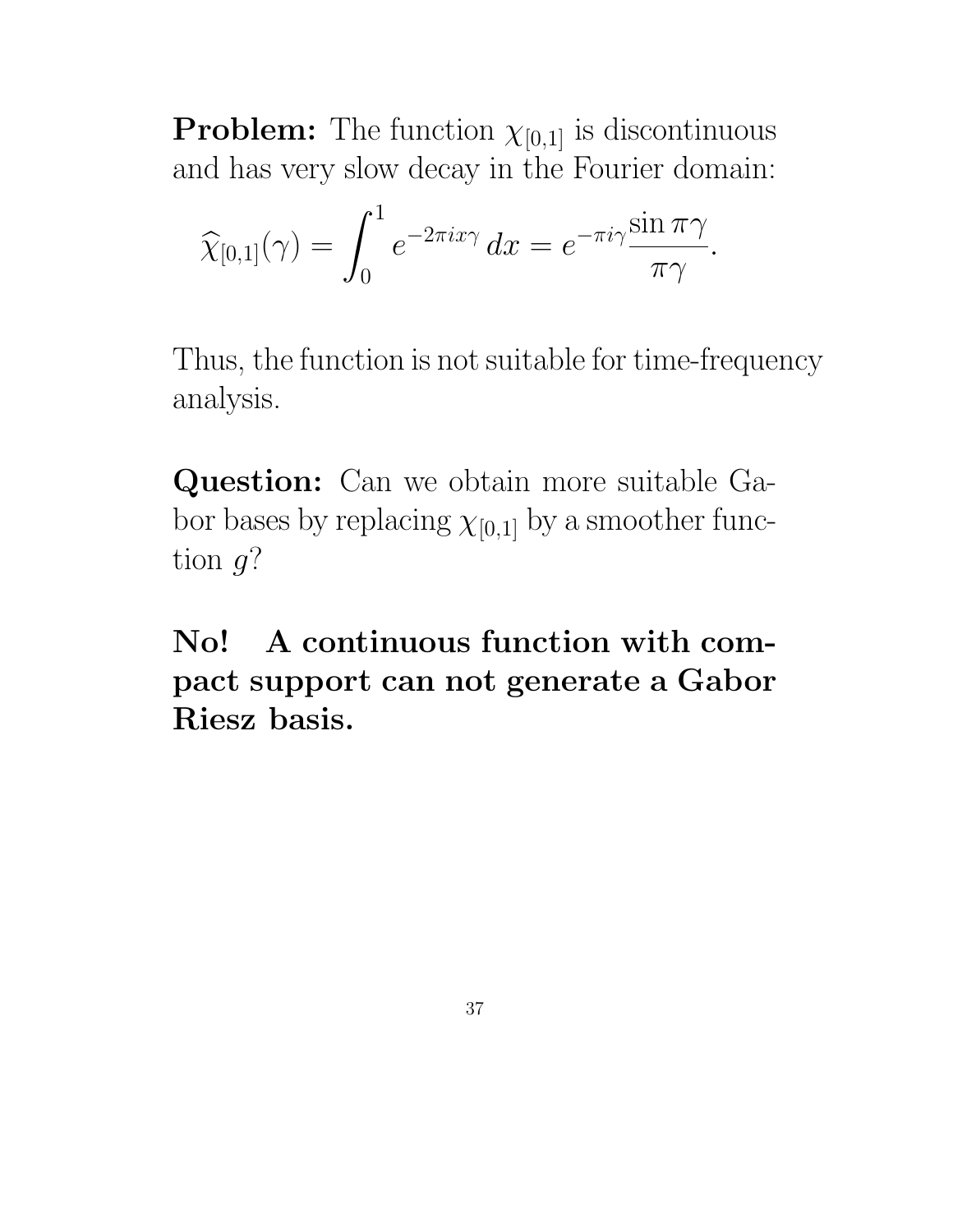**Problem:** The function  $\chi_{[0,1]}$  is discontinuous and has very slow decay in the Fourier domain:

$$
\widehat{\chi}_{[0,1]}(\gamma) = \int_0^1 e^{-2\pi i x \gamma} dx = e^{-\pi i \gamma} \frac{\sin \pi \gamma}{\pi \gamma}.
$$

Thus, the function is not suitable for time-frequency analysis.

Question: Can we obtain more suitable Gabor bases by replacing  $\chi_{[0,1]}$  by a smoother function  $g$ ?

No! A continuous function with compact support can not generate a Gabor Riesz basis.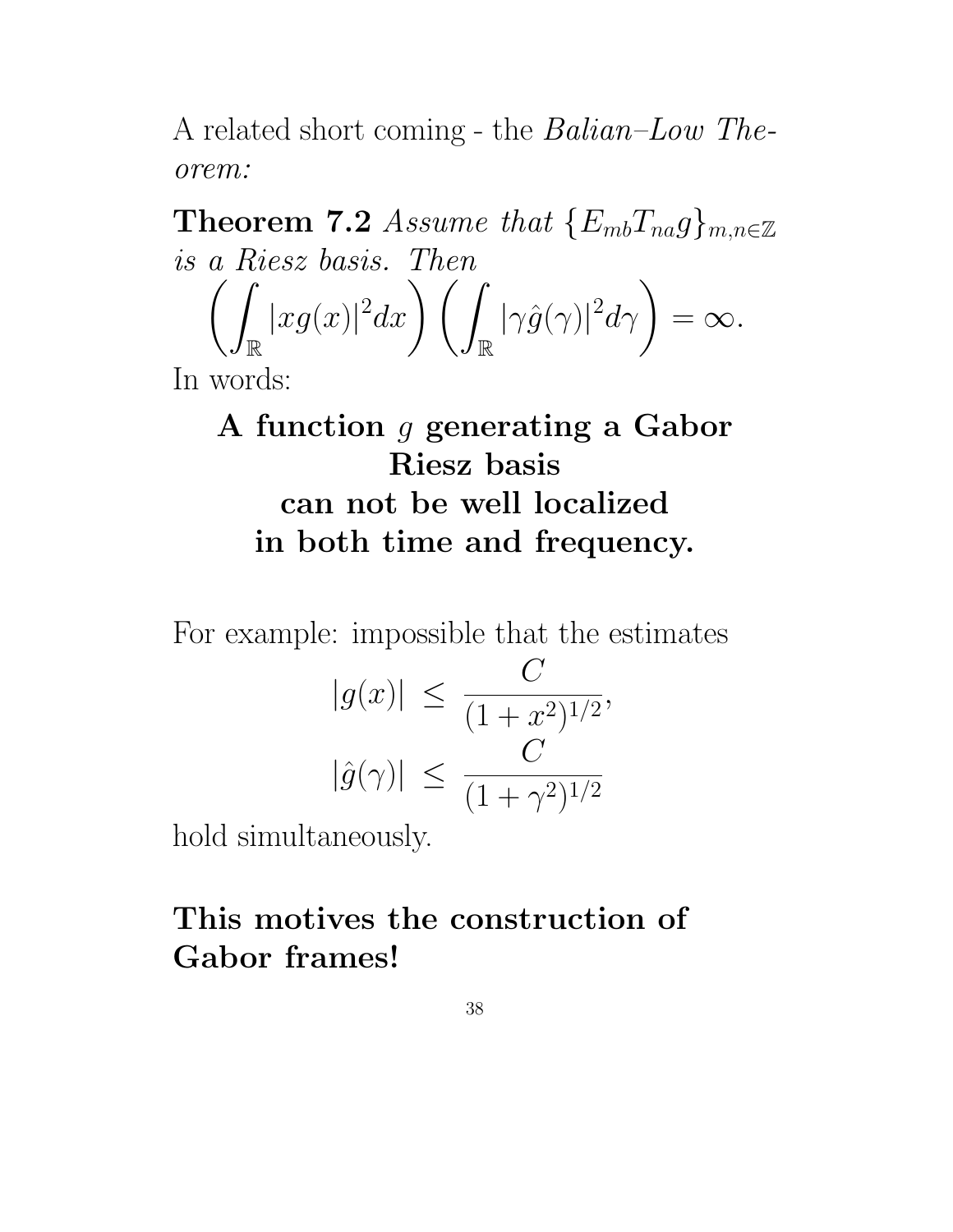A related short coming - the Balian–Low Theorem:

Theorem 7.2 Assume that  $\{E_{mb}T_{na}g\}_{m,n\in\mathbb{Z}}$ is a Riesz basis. Then  $\sqrt{2}$ R  $|xg(x)|^2$  $dx$   $\Big)$   $\Big($ R  $|\gamma \hat{g}(\gamma)|^2$  $d\gamma\bigg) = \infty.$ 

In words:

A function g generating a Gabor Riesz basis can not be well localized in both time and frequency.

For example: impossible that the estimates

$$
|g(x)| \le \frac{C}{(1+x^2)^{1/2}},
$$
  
 $|\hat{g}(\gamma)| \le \frac{C}{(1+\gamma^2)^{1/2}}$ 

hold simultaneously.

# This motives the construction of Gabor frames!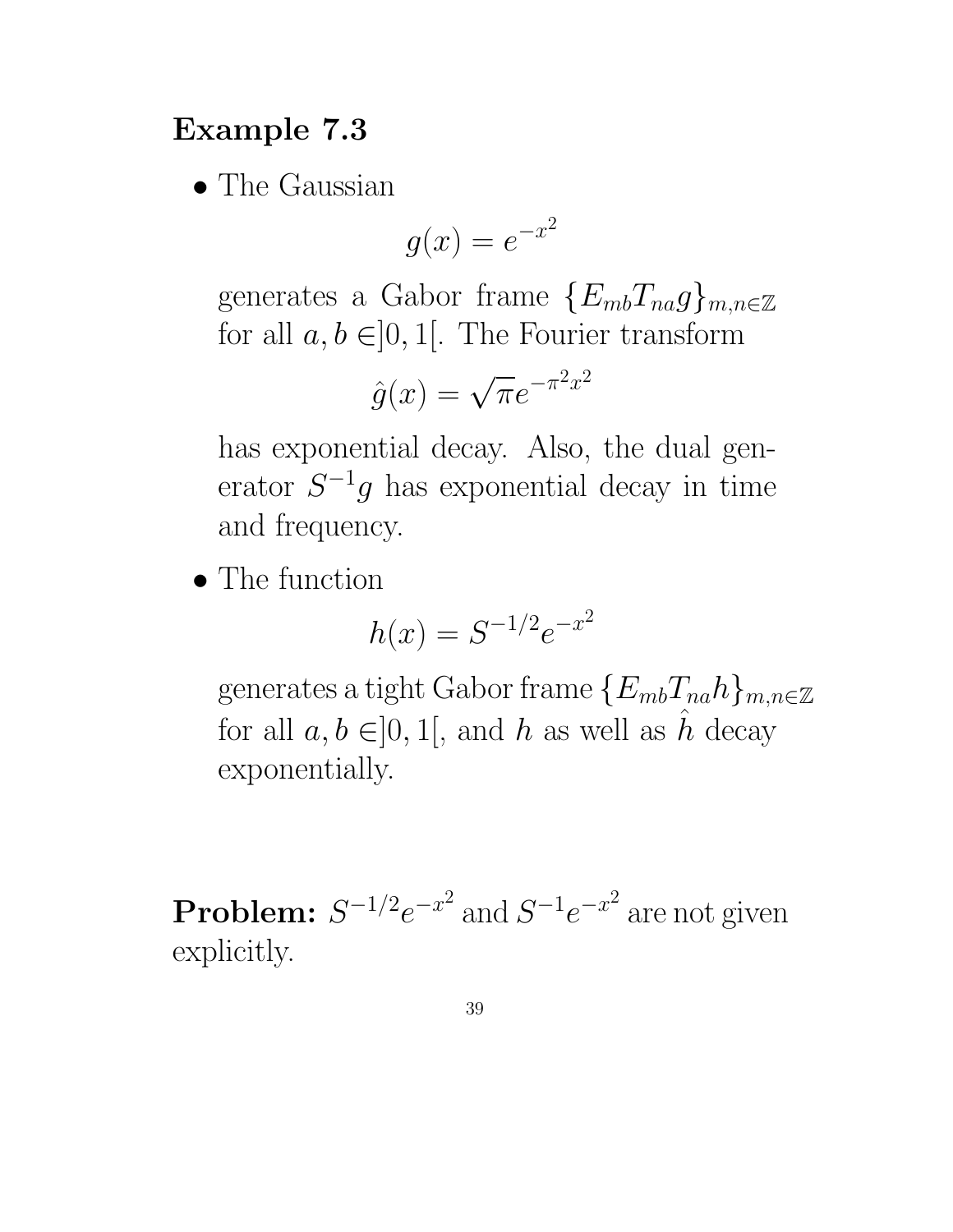# Example 7.3

• The Gaussian

$$
g(x) = e^{-x^2}
$$

generates a Gabor frame  $\{E_{mb}T_{na}g\}_{m,n\in\mathbb{Z}}$ for all  $a, b \in ]0, 1[$ . The Fourier transform

$$
\hat{g}(x) = \sqrt{\pi}e^{-\pi^2 x^2}
$$

has exponential decay. Also, the dual generator  $S^{-1}g$  has exponential decay in time and frequency.

• The function

$$
h(x) = S^{-1/2}e^{-x^2}
$$

generates a tight Gabor frame  $\{E_{mb}T_{na}h\}_{m,n\in\mathbb{Z}}$ for all  $a, b \in ]0,1[$ , and h as well as h decay exponentially.

**Problem:**  $S^{-1/2}e^{-x^2}$  and  $S^{-1}e^{-x^2}$  are not given explicitly.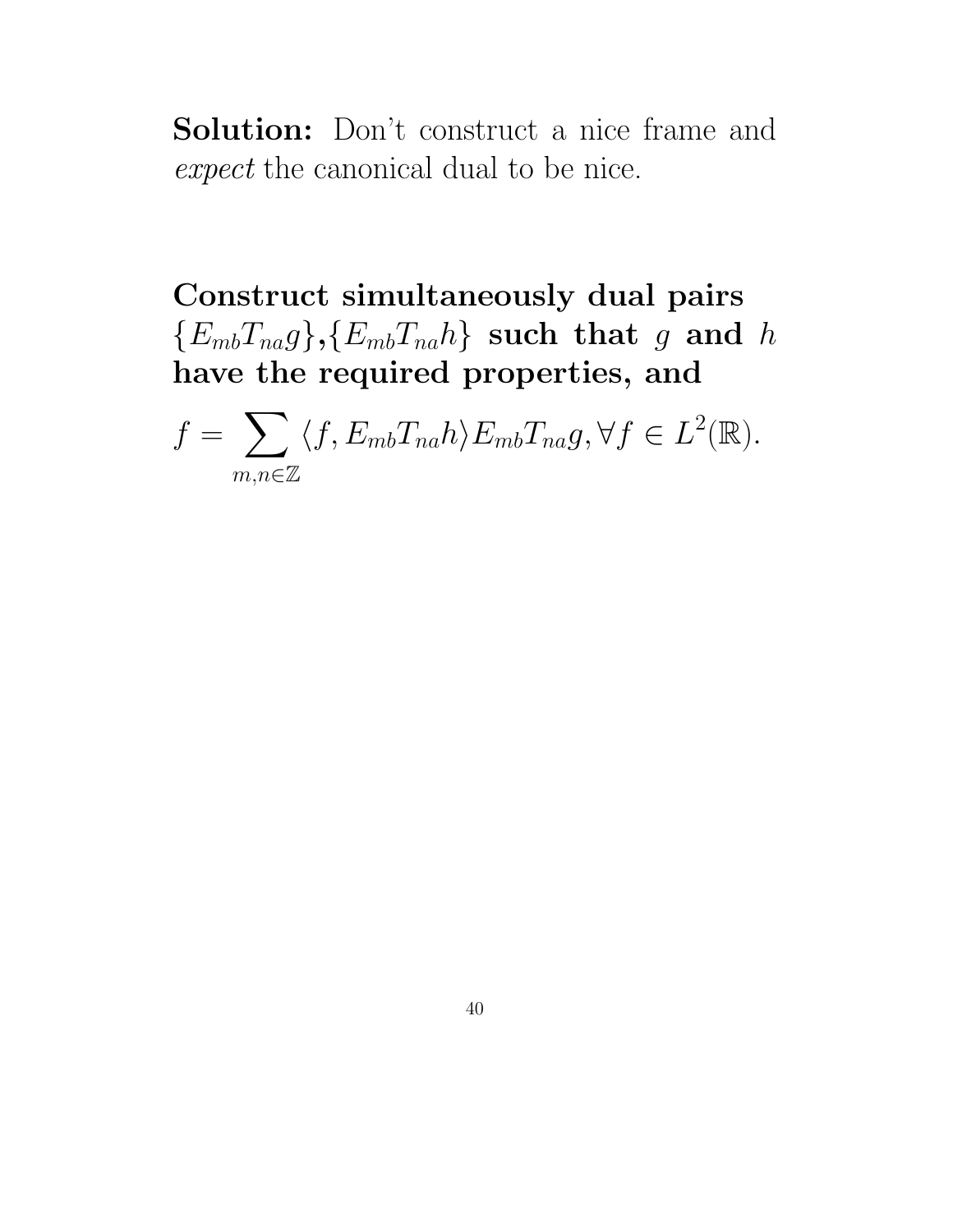Solution: Don't construct a nice frame and expect the canonical dual to be nice.

Construct simultaneously dual pairs  ${E_{mb}}T_{na}g$ ,  ${E_{mb}}T_{na}h$  such that g and h have the required properties, and

 $f =$  $\sum$  $m, n \in \mathbb{Z}$  $\langle f, E_{mb} T_{na} h \rangle E_{mb} T_{na} g, \forall f \in L^2(\mathbb{R}).$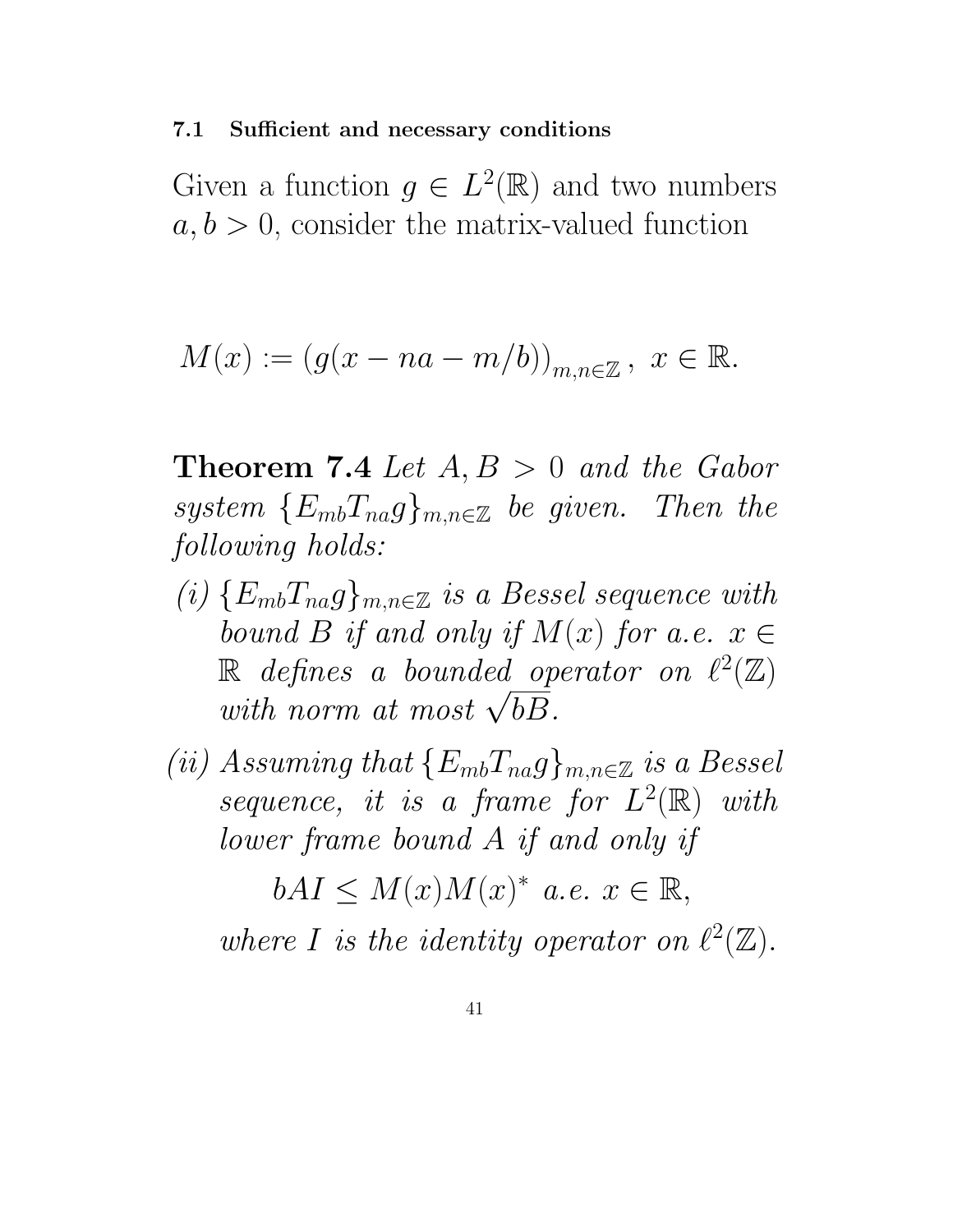#### 7.1 Sufficient and necessary conditions

Given a function  $g \in L^2(\mathbb{R})$  and two numbers  $a, b > 0$ , consider the matrix-valued function

$$
M(x) := (g(x - na - m/b))_{m,n \in \mathbb{Z}}, \ x \in \mathbb{R}.
$$

**Theorem 7.4** Let  $A, B > 0$  and the Gabor system  ${E_{mb}}T_{na}g_{mn\in\mathbb{Z}}$  be given. Then the following holds:

- (i)  ${E_{mb}}T_{na}g$ <sub>m,n∈Z</sub> is a Bessel sequence with bound B if and only if  $M(x)$  for a.e.  $x \in$  $\mathbb R$  defines a bounded operator on  $\ell^2(\mathbb Z)$ with norm at most  $\sqrt{bB}$ .
- (ii) Assuming that  $\{E_{mb}T_{na}g\}_{m,n\in\mathbb{Z}}$  is a Bessel sequence, it is a frame for  $L^2(\mathbb{R})$  with lower frame bound A if and only if

 $bAI \leq M(x)M(x)^{*}$  a.e.  $x \in \mathbb{R},$ where I is the identity operator on  $\ell^2(\mathbb{Z})$ .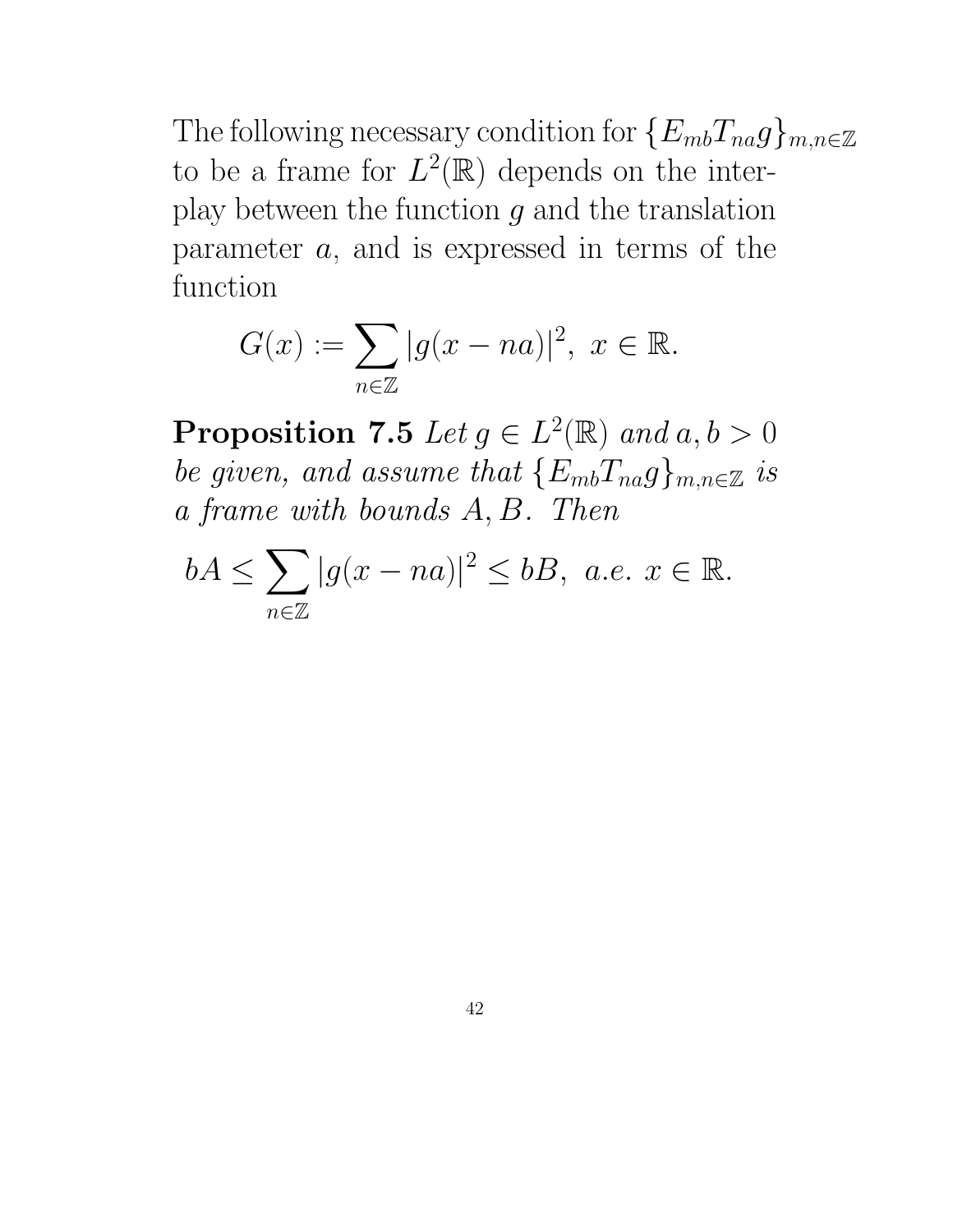The following necessary condition for  $\{E_{mb}T_{na}g\}_{m,n\in\mathbb{Z}}$ to be a frame for  $L^2(\mathbb{R})$  depends on the interplay between the function  $g$  and the translation parameter  $a$ , and is expressed in terms of the function

$$
G(x) := \sum_{n \in \mathbb{Z}} |g(x - na)|^2, \ x \in \mathbb{R}.
$$

**Proposition 7.5** Let  $g \in L^2(\mathbb{R})$  and  $a, b > 0$ be given, and assume that  $\{E_{mb}T_{na}g\}_{m,n\in\mathbb{Z}}$  is a frame with bounds A, B. Then

$$
bA \le \sum_{n \in \mathbb{Z}} |g(x - na)|^2 \le bB, \ a.e. \ x \in \mathbb{R}.
$$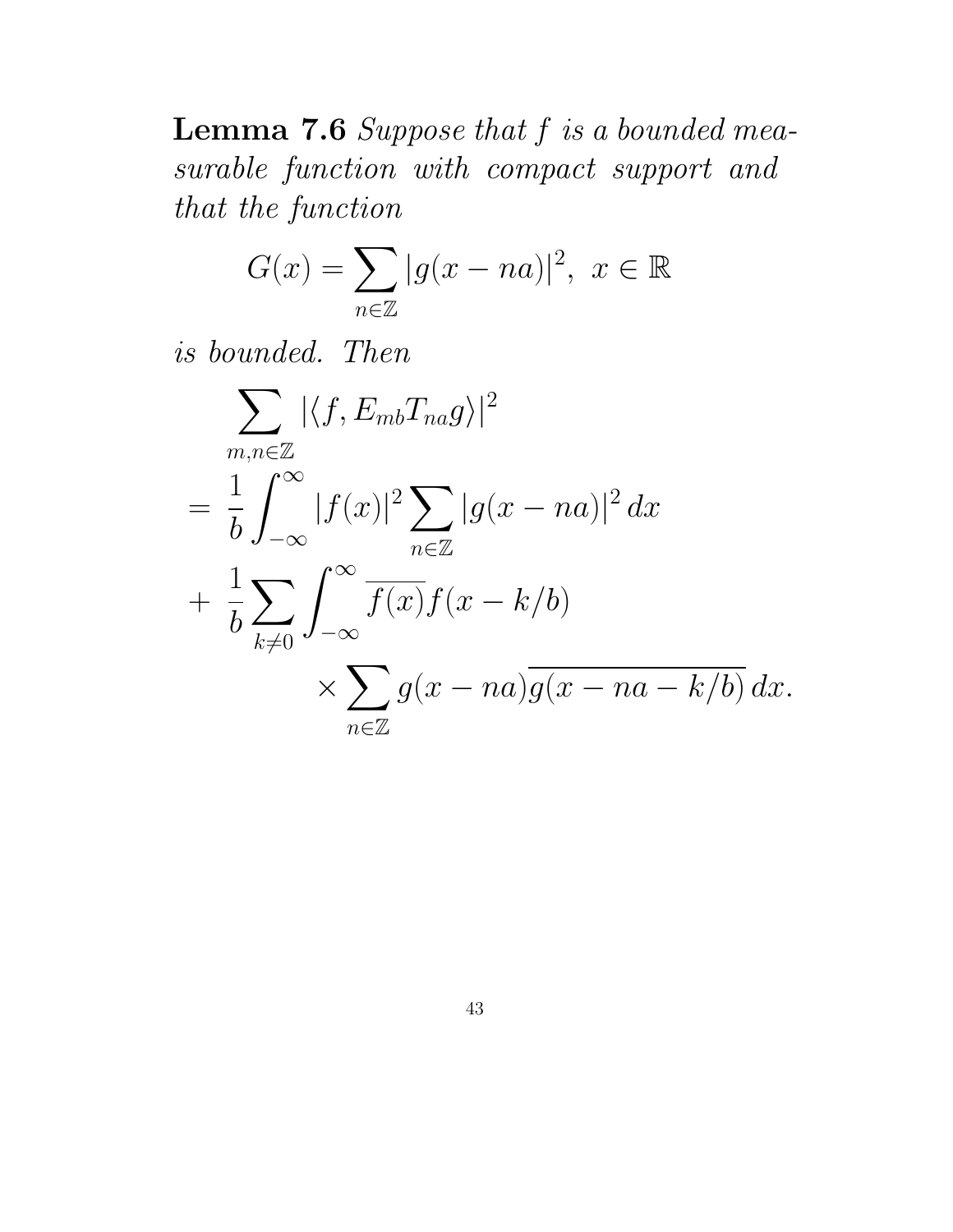**Lemma 7.6** Suppose that  $f$  is a bounded measurable function with compact support and that the function

$$
G(x)=\sum_{n\in\mathbb{Z}}|g(x-na)|^2, \ x\in\mathbb{R}
$$

is bounded. Then

$$
\sum_{m,n\in\mathbb{Z}} |\langle f, E_{mb}T_{na}g \rangle|^2
$$
\n
$$
= \frac{1}{b} \int_{-\infty}^{\infty} |f(x)|^2 \sum_{n\in\mathbb{Z}} |g(x-na)|^2 dx
$$
\n
$$
+ \frac{1}{b} \sum_{k\neq 0} \int_{-\infty}^{\infty} \overline{f(x)} f(x-k/b)
$$
\n
$$
\times \sum_{n\in\mathbb{Z}} g(x-na) \overline{g(x-na-k/b)} dx.
$$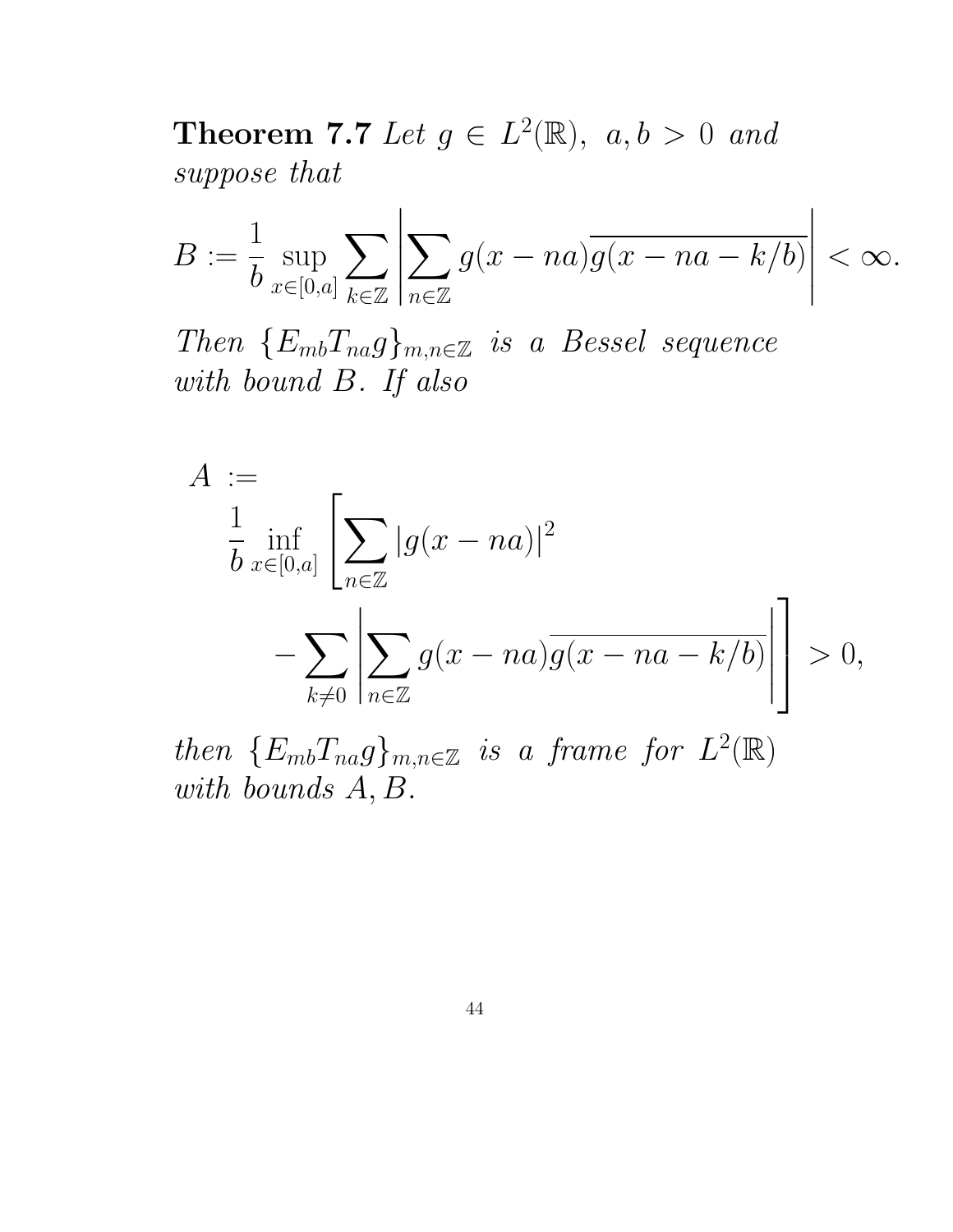**Theorem 7.7** Let  $g \in L^2(\mathbb{R})$ ,  $a, b > 0$  and suppose that

$$
B:=\frac{1}{b}\sup_{x\in[0,a]}\sum_{k\in\mathbb{Z}}\left|\sum_{n\in\mathbb{Z}}g(x-na)\overline{g(x-na-k/b)}\right|<\infty.
$$

Then  ${E_{mb}}_{na}$  $F_{ma}$  $F_{mn}$  $E$  is a Bessel sequence with bound B. If also

$$
A := \frac{1}{b \operatorname{inf}_{x \in [0,a]}} \left[ \sum_{n \in \mathbb{Z}} |g(x - na)|^2 - \sum_{k \neq 0} \left| \sum_{n \in \mathbb{Z}} g(x - na) \overline{g(x - na - k/b)} \right| \right] > 0,
$$

then  ${E_{mb}T_{na}g}_{m,n\in\mathbb{Z}}$  is a frame for  $L^2(\mathbb{R})$ with bounds A, B.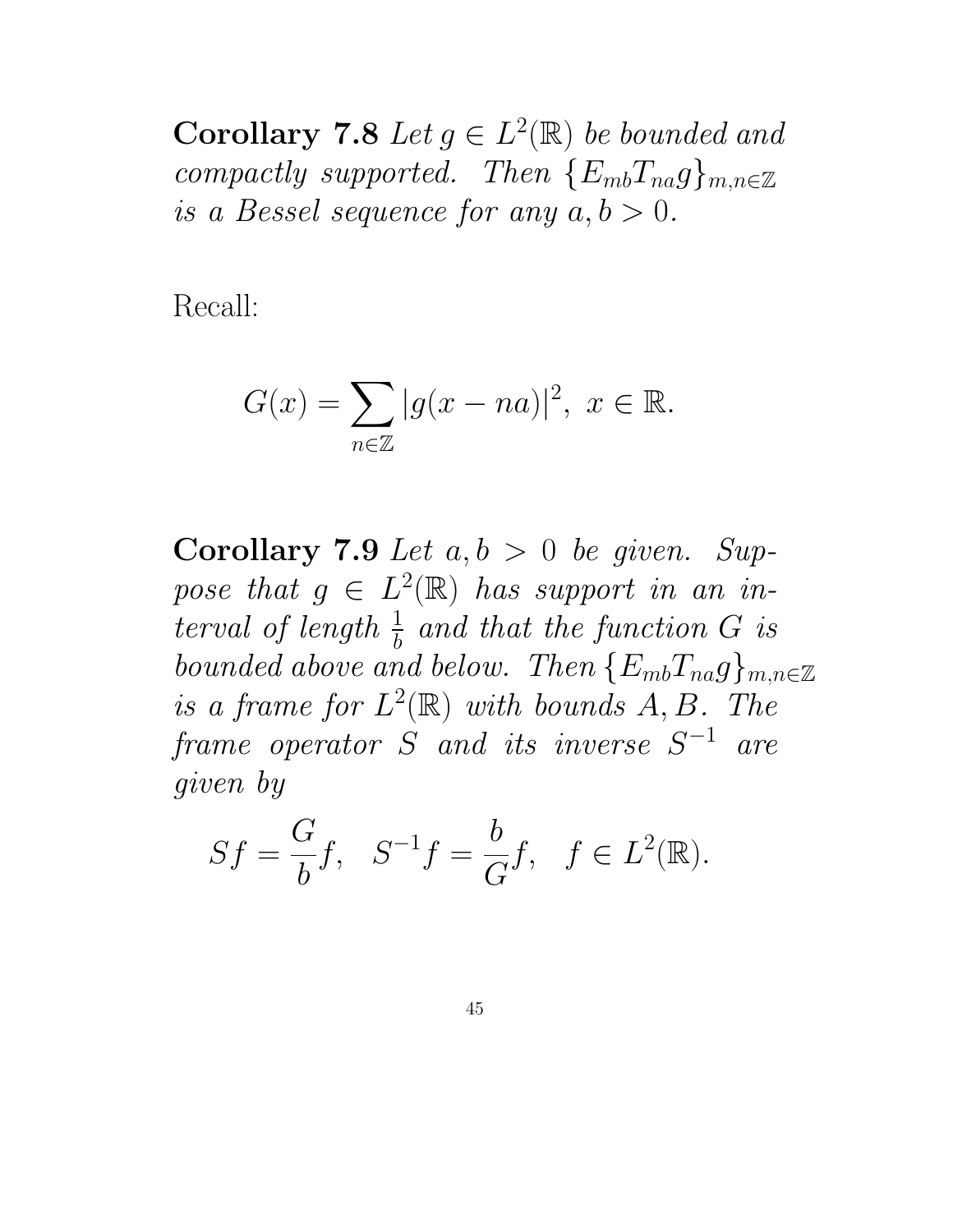Corollary 7.8 Let  $g \in L^2(\mathbb{R})$  be bounded and compactly supported. Then  $\{E_{mb}T_{na}g\}_{m,n\in\mathbb{Z}}$ is a Bessel sequence for any  $a, b > 0$ .

Recall:

$$
G(x)=\sum_{n\in\mathbb{Z}}|g(x-na)|^2, \ x\in\mathbb{R}.
$$

Corollary 7.9 Let  $a, b > 0$  be given. Suppose that  $g \in L^2(\mathbb{R})$  has support in an interval of length  $\frac{1}{b}$  and that the function G is bounded above and below. Then  $\{E_{mb}T_{na}g\}_{m,n\in\mathbb{Z}}$ is a frame for  $L^2(\mathbb{R})$  with bounds  $A, B$ . The  $\emph{frame \,\, operator\,\,}S \;\; \emph{and \,\,its \,\,inverse\,\,}S^{-1} \;\; \emph{are}$ given by

$$
Sf = \frac{G}{b}f, \quad S^{-1}f = \frac{b}{G}f, \quad f \in L^2(\mathbb{R}).
$$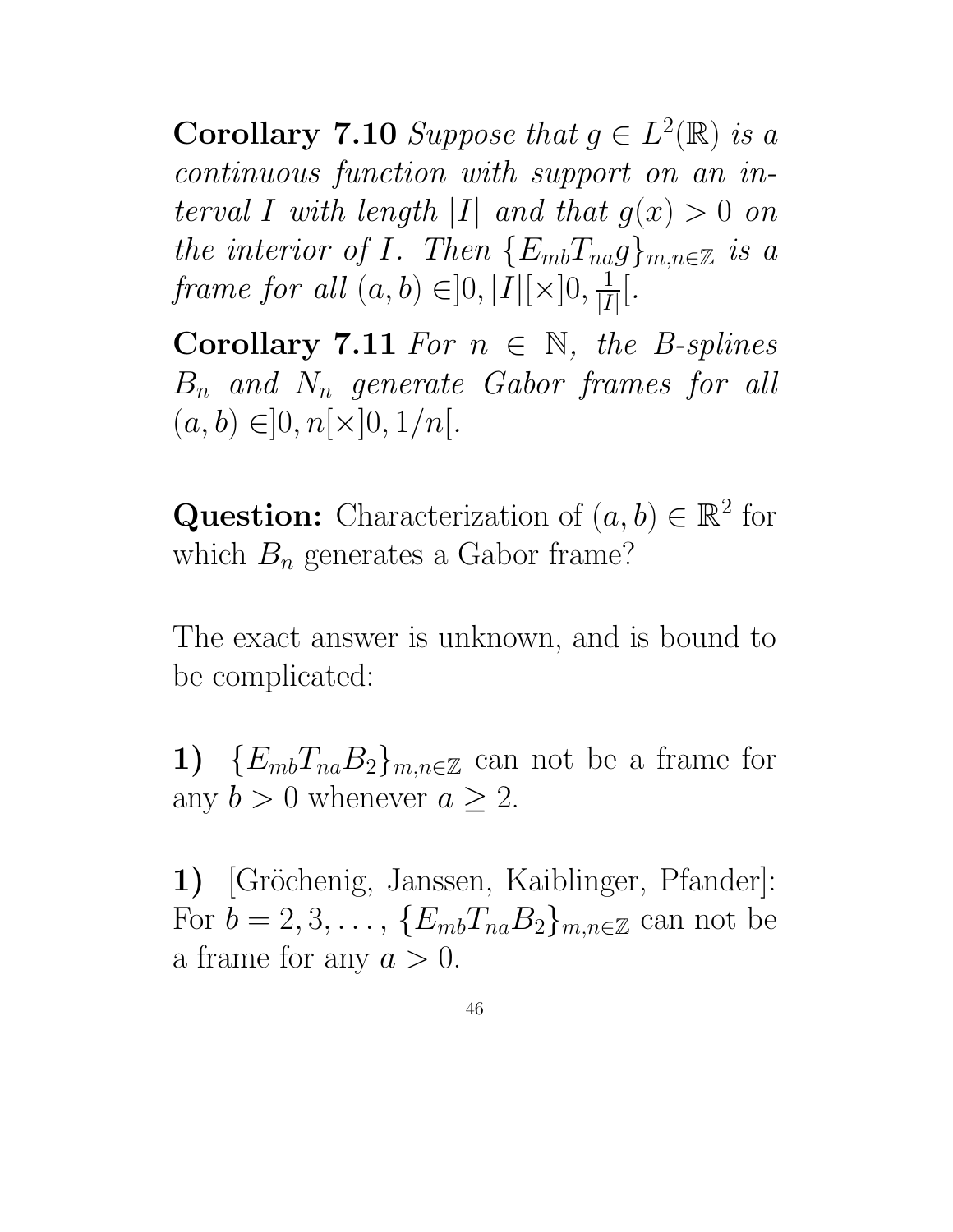**Corollary 7.10** Suppose that  $g \in L^2(\mathbb{R})$  is a continuous function with support on an interval I with length |I| and that  $g(x) > 0$  on the interior of I. Then  $\{E_{mb}T_{na}g\}_{m,n\in\mathbb{Z}}$  is a frame for all  $(a, b) \in ]0, |I|[\times]0, \frac{1}{|I|}$  $|I|$ [.

Corollary 7.11 For  $n \in \mathbb{N}$ , the B-splines  $B_n$  and  $N_n$  generate Gabor frames for all  $(a, b) \in ]0, n[ \times ]0, 1/n[$ .

**Question:** Characterization of  $(a, b) \in \mathbb{R}^2$  for which  $B_n$  generates a Gabor frame?

The exact answer is unknown, and is bound to be complicated:

1)  ${E_{mb}}T_{na}B_2{}_{m,n\in\mathbb{Z}}$  can not be a frame for any  $b > 0$  whenever  $a \geq 2$ .

1) [Gröchenig, Janssen, Kaiblinger, Pfander]: For  $b = 2, 3, \ldots, \{E_{mb}T_{na}B_2\}_{m,n\in\mathbb{Z}}$  can not be a frame for any  $a > 0$ .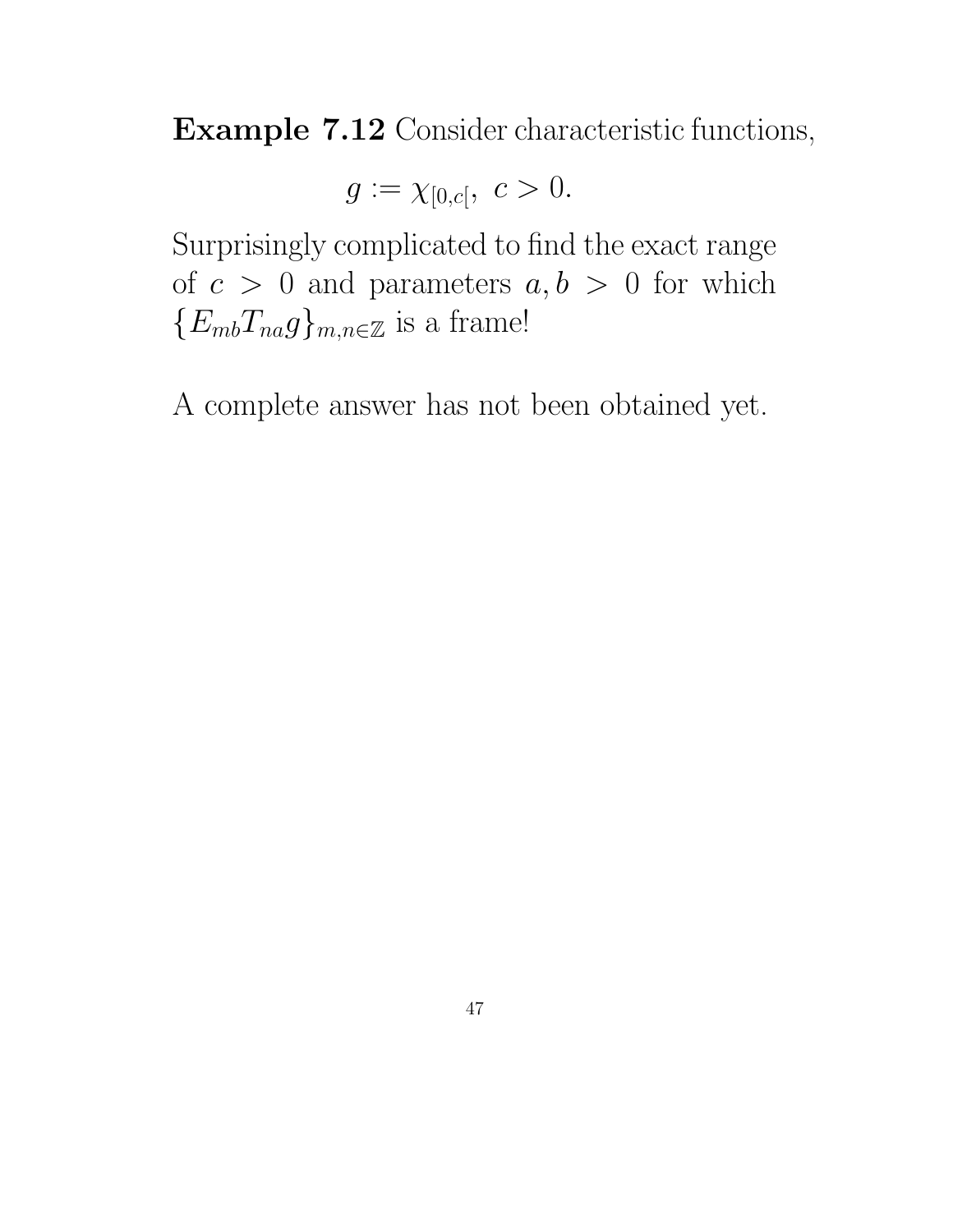Example 7.12 Consider characteristic functions,

$$
g := \chi_{[0,c[}, \ c > 0.
$$

Surprisingly complicated to find the exact range of  $c > 0$  and parameters  $a, b > 0$  for which  ${E_{mb}}T_{na}g_{mn,e\mathbb{Z}}$  is a frame!

A complete answer has not been obtained yet.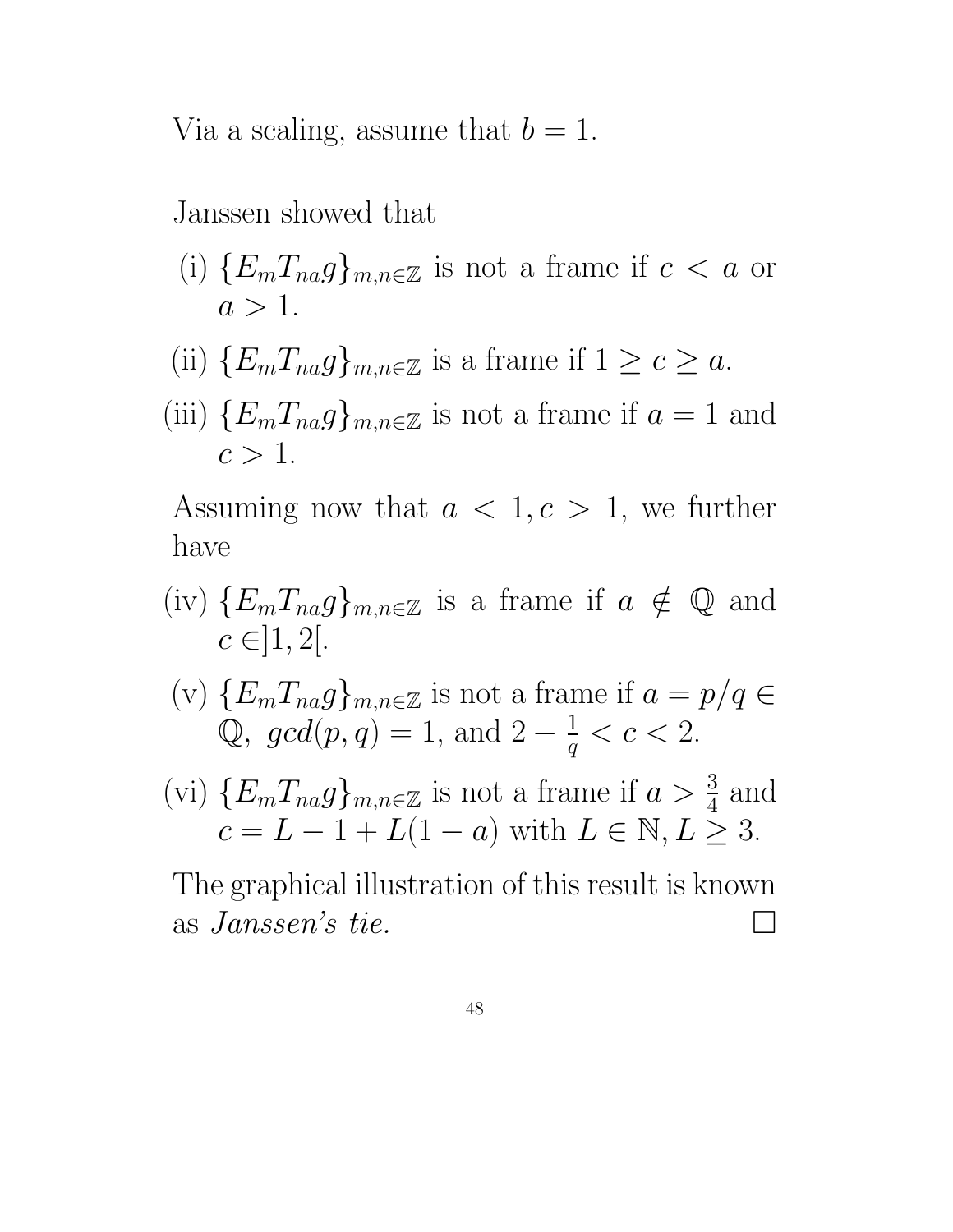Via a scaling, assume that  $b = 1$ .

Janssen showed that

- (i)  $\{E_m T_{na} g\}_{m,n\in\mathbb{Z}}$  is not a frame if  $c < a$  or  $a > 1$ .
- (ii)  ${E_mT_{na}g}_{m,n\in\mathbb{Z}}$  is a frame if  $1 \geq c \geq a$ .
- (iii)  ${E_mT_{na}g}_{m,n\in\mathbb{Z}}$  is not a frame if  $a=1$  and  $c > 1$ .

Assuming now that  $a < 1, c > 1$ , we further have

- (iv)  $\{E_m T_{na} g\}_{m,n\in\mathbb{Z}}$  is a frame if  $a \notin \mathbb{Q}$  and  $c \in ]1, 2[$ .
- (v)  $\{E_m T_{na} g\}_{m,n \in \mathbb{Z}}$  is not a frame if  $a = p/q \in \mathbb{Z}$  $\mathbb{Q}$ ,  $gcd(p, q) = 1$ , and  $2 - \frac{1}{q}$  $\frac{1}{q} < c < 2$ .
- (vi)  $\{E_m T_{na} g\}_{m,n\in\mathbb{Z}}$  is not a frame if  $a > \frac{3}{4}$  $rac{3}{4}$  and  $c = L - 1 + L(1 - a)$  with  $L \in \mathbb{N}, L \geq 3$ .

The graphical illustration of this result is known as Janssen's tie.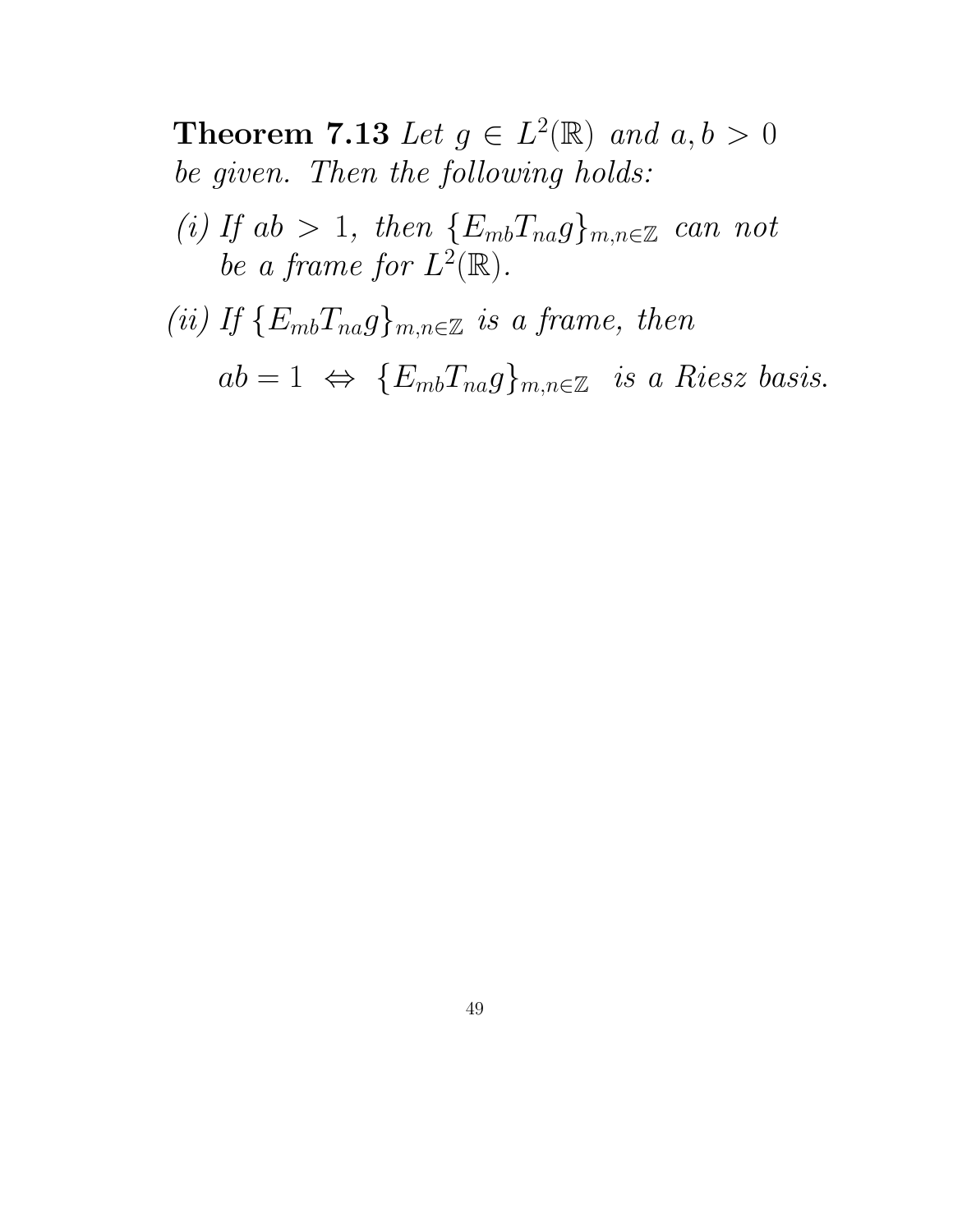**Theorem 7.13** Let  $g \in L^2(\mathbb{R})$  and  $a, b > 0$ be given. Then the following holds:

- (i) If  $ab > 1$ , then  ${E_{mb}}T_{na}g_{mn \in \mathbb{Z}}$  can not be a frame for  $L^2(\mathbb{R})$ .
- (ii) If  ${E_{mb}}T_{na}g_{mn} \in \mathbb{Z}$  is a frame, then

 $ab = 1 \Leftrightarrow \{E_{mb}T_{na}g\}_{m,n\in\mathbb{Z}}$  is a Riesz basis.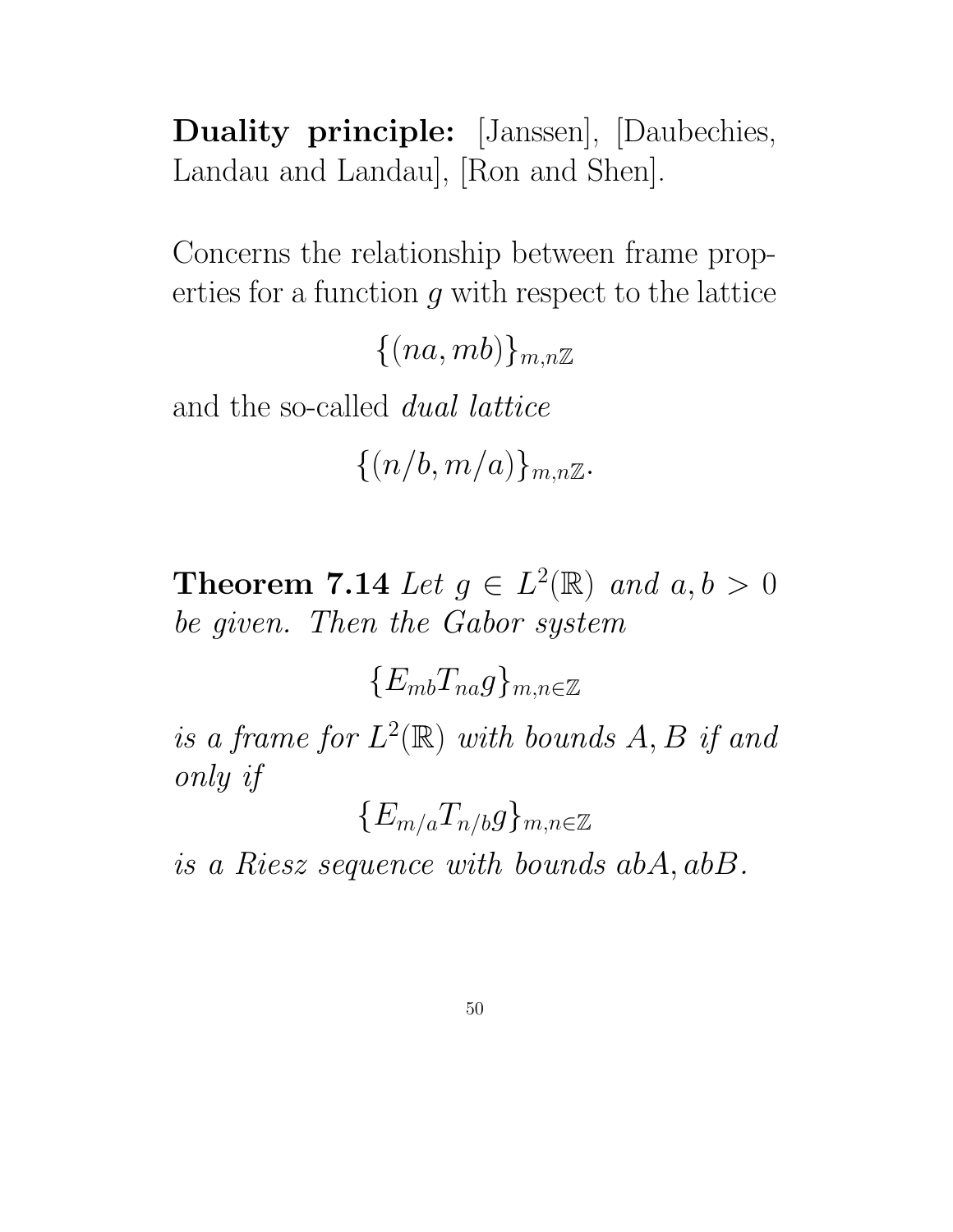Duality principle: [Janssen], [Daubechies, Landau and Landau], [Ron and Shen].

Concerns the relationship between frame properties for a function  $g$  with respect to the lattice

 $\{(na, mb)\}_{m,n\mathbb{Z}}$ 

and the so-called dual lattice

 $\{(n/b, m/a)\}_{m,n\mathbb{Z}}$ .

**Theorem 7.14** Let  $g \in L^2(\mathbb{R})$  and  $a, b > 0$ be given. Then the Gabor system

 ${E_{mb}}T_{na}g_{m,n\in\mathbb{Z}}$ 

is a frame for  $L^2(\mathbb{R})$  with bounds  $A, B$  if and only if

 ${E_{m/a}T_{n/b}g}_{m,n\in\mathbb{Z}}$ 

is a Riesz sequence with bounds abA, abB.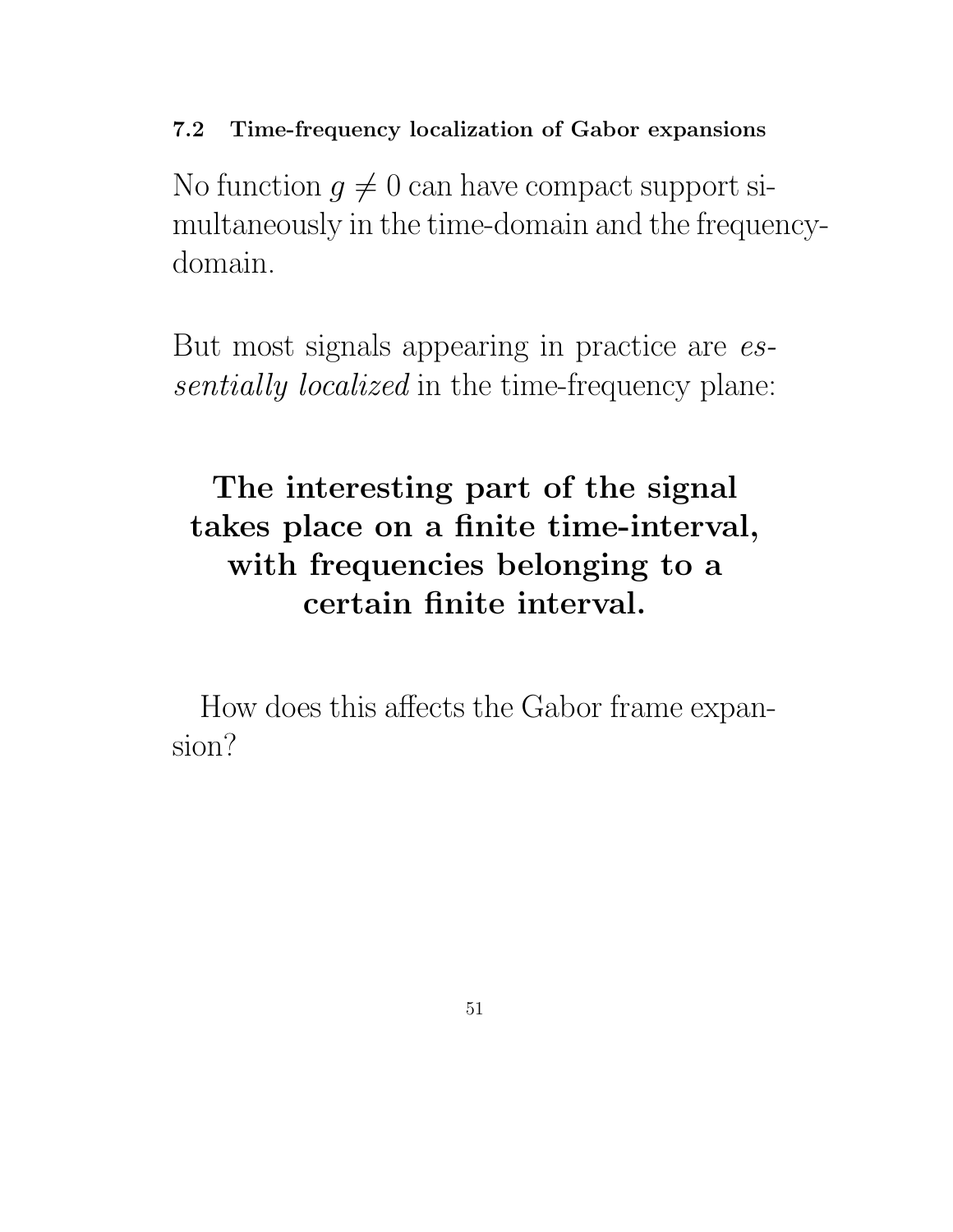7.2 Time-frequency localization of Gabor expansions

No function  $g \neq 0$  can have compact support simultaneously in the time-domain and the frequencydomain.

But most signals appearing in practice are essentially localized in the time-frequency plane:

# The interesting part of the signal takes place on a finite time-interval, with frequencies belonging to a certain finite interval.

How does this affects the Gabor frame expansion?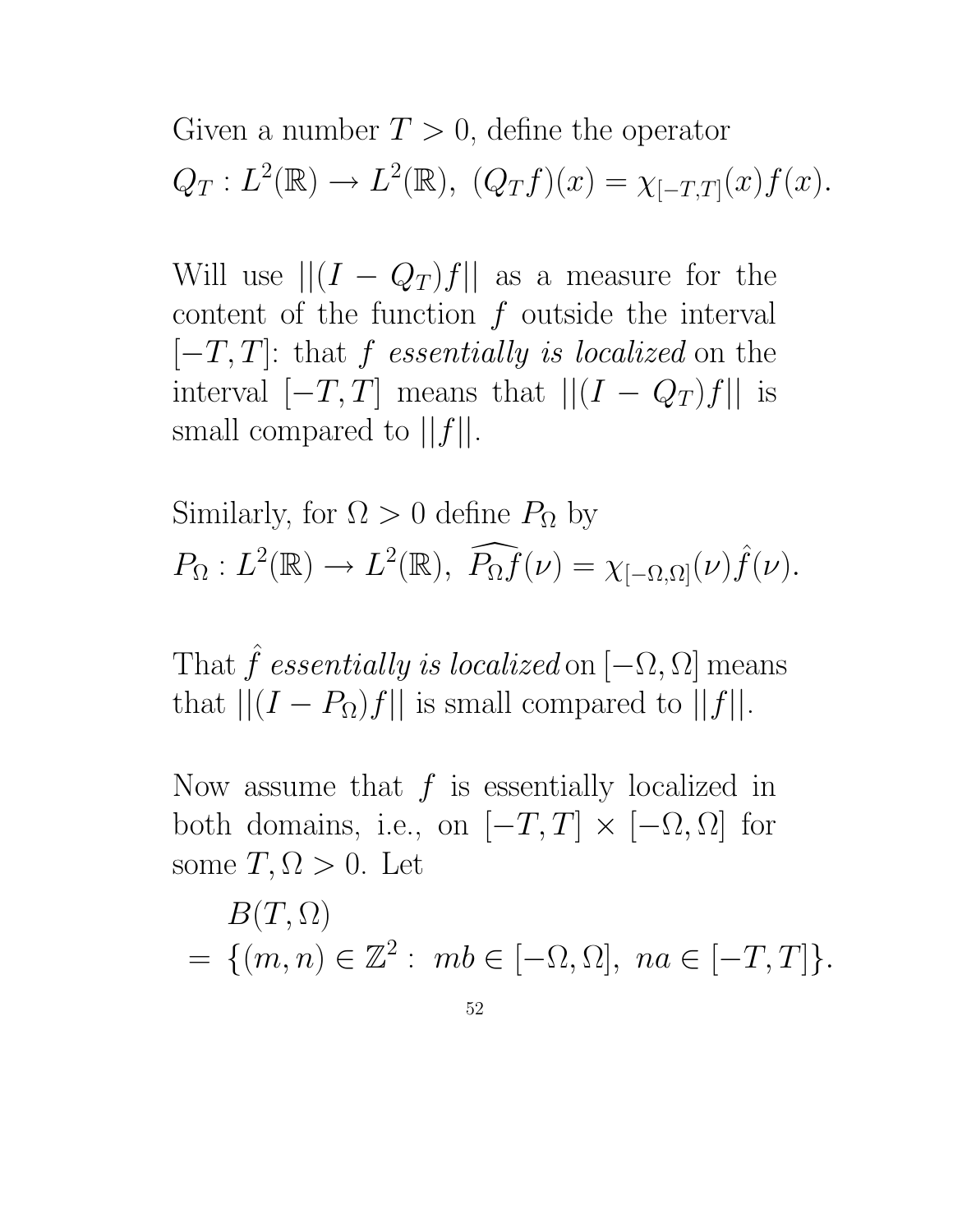Given a number  $T > 0$ , define the operator  $Q_T: L^2(\mathbb{R}) \to L^2(\mathbb{R}), (Q_T f)(x) = \chi_{[-T,T]}(x) f(x).$ 

Will use  $||(I - Q_T)f||$  as a measure for the content of the function  $f$  outside the interval  $[-T, T]$ : that f essentially is localized on the interval  $[-T, T]$  means that  $||(I - Q_T)f||$  is small compared to  $||f||$ .

Similarly, for 
$$
\Omega > 0
$$
 define  $P_{\Omega}$  by  
\n $P_{\Omega}: L^2(\mathbb{R}) \to L^2(\mathbb{R}), \widehat{P_{\Omega}f}(\nu) = \chi_{[-\Omega,\Omega]}(\nu)\widehat{f}(\nu).$ 

That  $\hat{f}$  essentially is localized on  $[-\Omega, \Omega]$  means that  $||(I - P_{\Omega})f||$  is small compared to  $||f||$ .

Now assume that  $f$  is essentially localized in both domains, i.e., on  $[-T, T] \times [-\Omega, \Omega]$  for some  $T, \Omega > 0$ . Let

$$
B(T, \Omega)
$$
  
= {(m, n)  $\in \mathbb{Z}^2$  : mb  $\in [-\Omega, \Omega]$ , na  $\in [-T, T]$  }.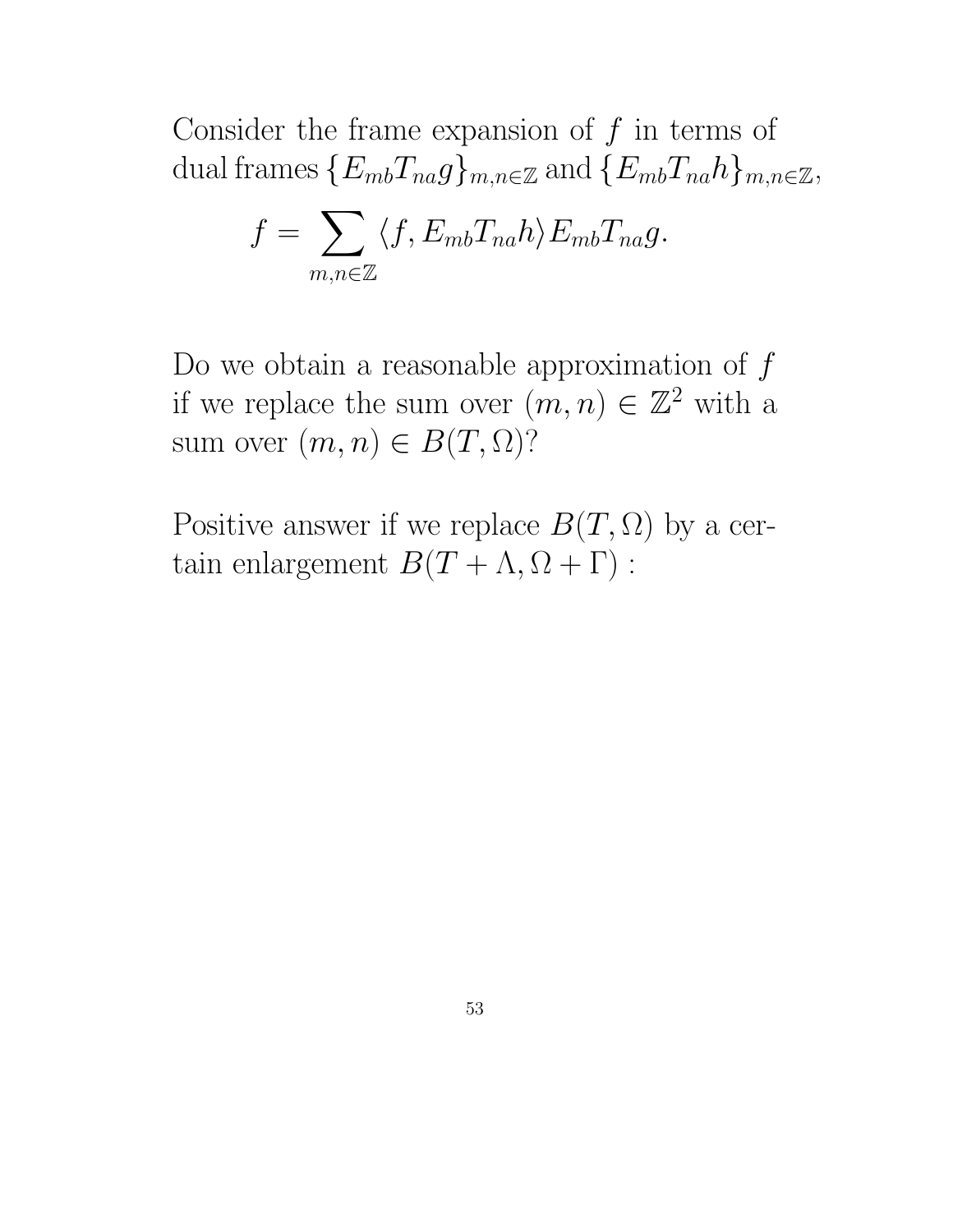Consider the frame expansion of  $f$  in terms of dual frames  $\{E_{mb}T_{na}g\}_{m,n\in\mathbb{Z}}$  and  $\{E_{mb}T_{na}h\}_{m,n\in\mathbb{Z}}$ ,

$$
f = \sum_{m,n \in \mathbb{Z}} \langle f, E_{mb} T_{na} h \rangle E_{mb} T_{na} g.
$$

Do we obtain a reasonable approximation of  $f$ if we replace the sum over  $(m, n) \in \mathbb{Z}^2$  with a sum over  $(m, n) \in B(T, \Omega)$ ?

Positive answer if we replace  $B(T, \Omega)$  by a certain enlargement  $B(T + \Lambda, \Omega + \Gamma)$ :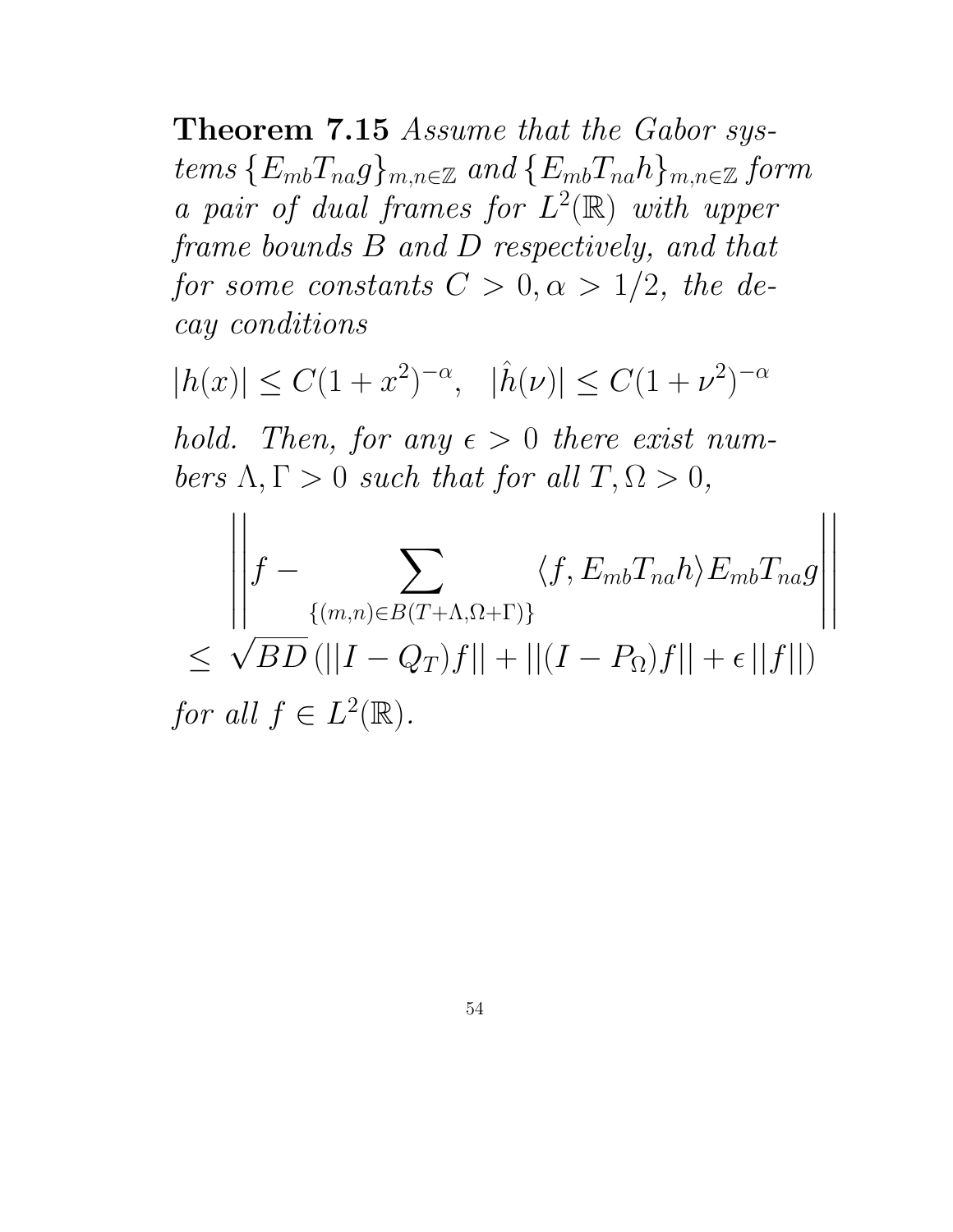Theorem 7.15 Assume that the Gabor systems  ${E_{mb}}T_{na}g$ <sub>m,n∈Z</sub> and  ${E_{mb}}T_{na}h$ <sub>m,n∈Z</sub> form a pair of dual frames for  $L^2(\mathbb{R})$  with upper frame bounds B and D respectively, and that for some constants  $C > 0, \alpha > 1/2$ , the decay conditions

 $|h(x)| \le C(1+x^2)^{-\alpha}, \quad |\hat{h}(\nu)| \le C(1+\nu^2)^{-\alpha}$ hold. Then, for any  $\epsilon > 0$  there exist numbers  $\Lambda, \Gamma > 0$  such that for all  $T, \Omega > 0$ ,  $\begin{array}{c} \hline \end{array}$  $\overline{\phantom{a}}$  $\overline{\phantom{a}}$  $\overline{\phantom{a}}$  $\overline{\phantom{a}}$  $\overline{\phantom{a}}$  $\overline{\phantom{a}}$  $\overline{\phantom{a}}$  $f \sum$  $\langle f, E_{mb} T_{na} h \rangle E_{mb} T_{na} g$ 

 $\overline{\phantom{a}}$  $\overline{\phantom{a}}$  $\overline{\phantom{a}}$ 

 $\overline{\mathbf{r}}$  $\Big\}$  $\Big\}$ 

$$
\left\| \int - \sum_{\{(m,n)\in B(T+\Lambda,\Omega+\Gamma)\}} \langle f, E_{mb} I_{na} h \rangle E_{mb} I_{na} g \right\|
$$
  
\n
$$
\leq \sqrt{BD} \left( ||I - Q_T)f|| + ||(I - P_\Omega)f|| + \epsilon ||f|| \right)
$$
  
\nfor all  $f \in L^2(\mathbb{R})$ .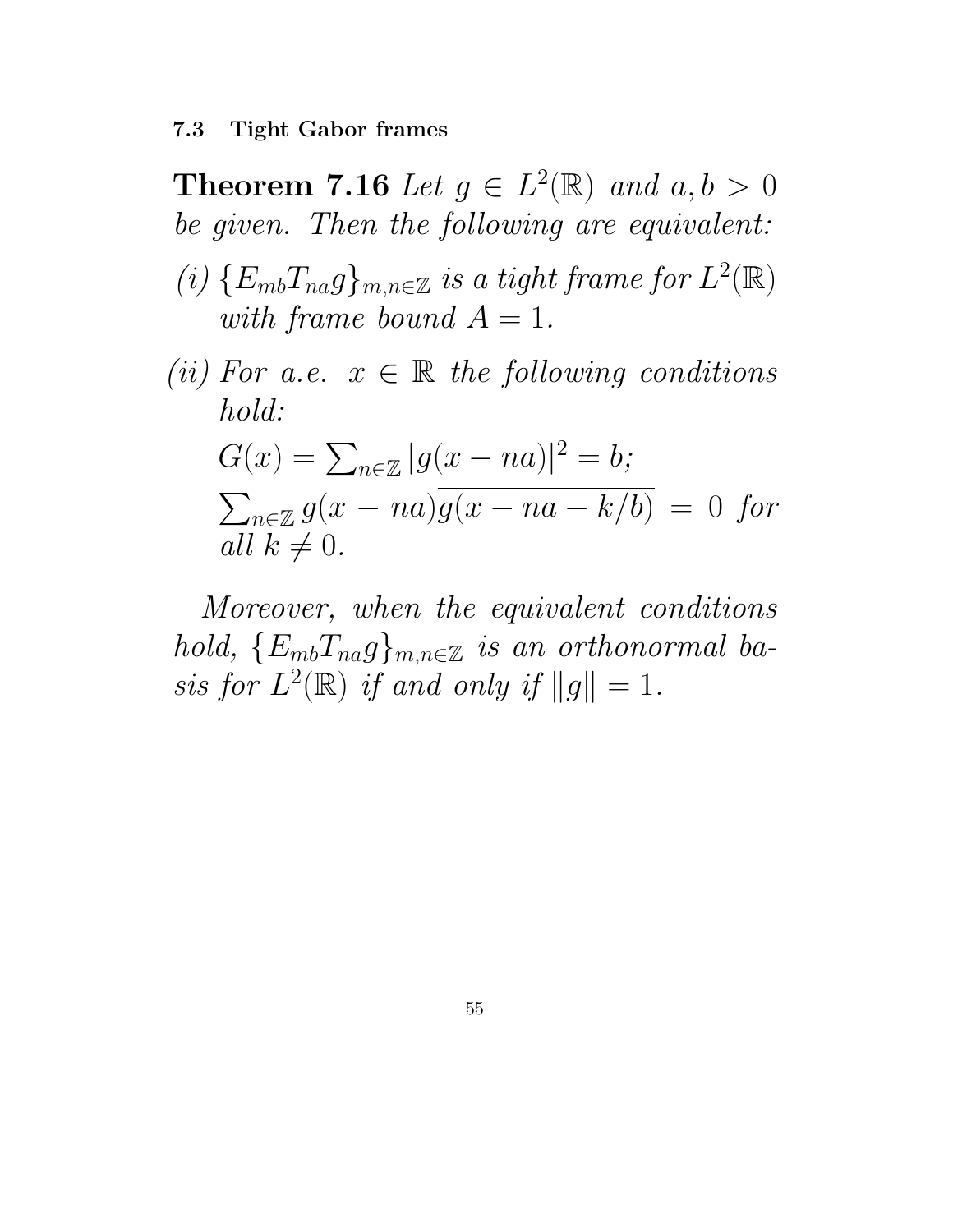**Theorem 7.16** Let  $g \in L^2(\mathbb{R})$  and  $a, b > 0$ be given. Then the following are equivalent:

- (i)  $\{E_{mb}T_{na}g\}_{m,n\in\mathbb{Z}}$  is a tight frame for  $L^2(\mathbb{R})$ with frame bound  $A = 1$ .
- (ii) For a.e.  $x \in \mathbb{R}$  the following conditions hold:

$$
G(x) = \sum_{n \in \mathbb{Z}} |g(x - na)|^2 = b;
$$
  

$$
\sum_{n \in \mathbb{Z}} g(x - na) \overline{g(x - na - k/b)} = 0 \text{ for}
$$
  
all  $k \neq 0$ .

Moreover, when the equivalent conditions hold,  ${E_{mb}}T_{na}g_{mn} \in \mathbb{Z}$  is an orthonormal basis for  $L^2(\mathbb{R})$  if and only if  $||g|| = 1$ .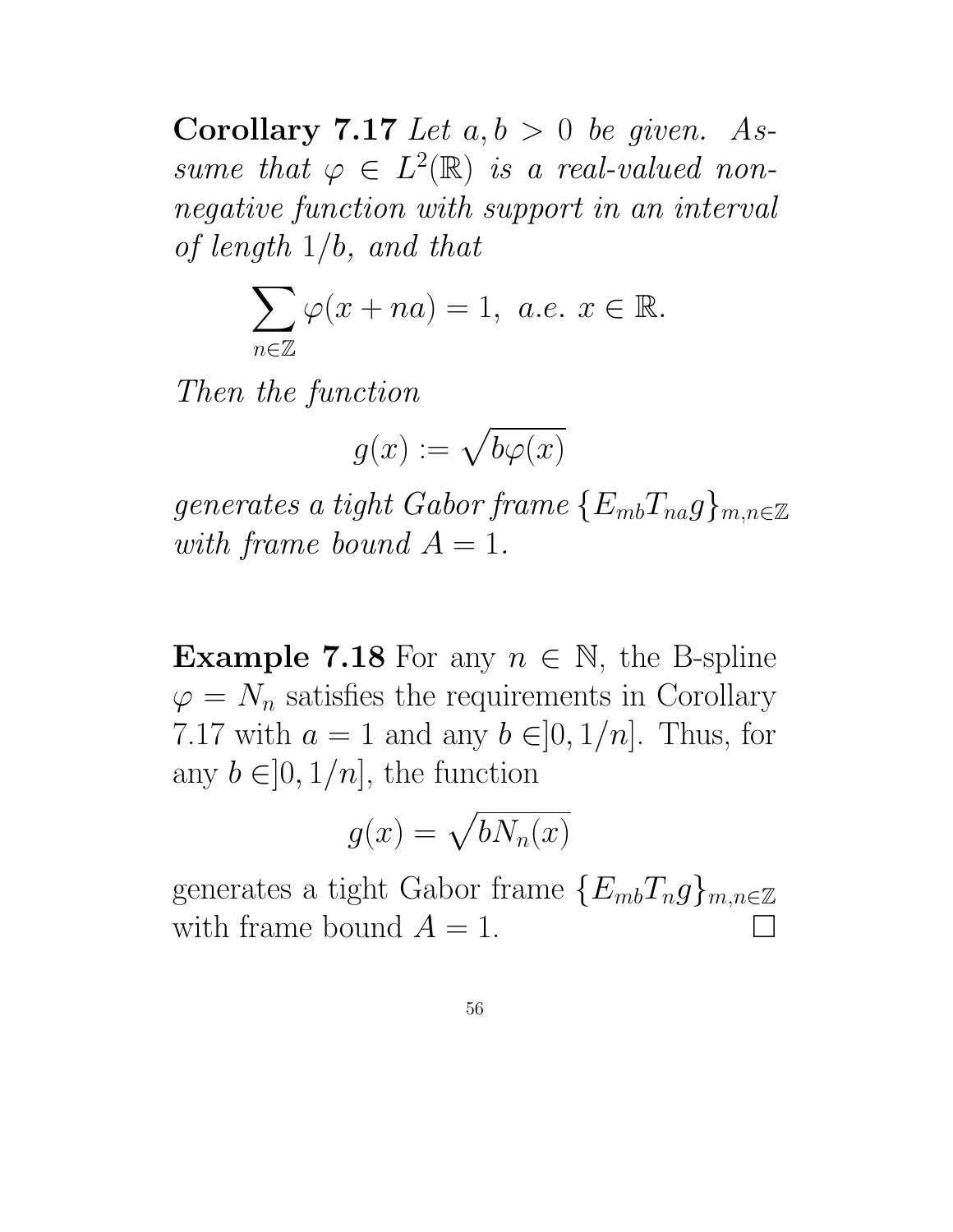Corollary 7.17 Let  $a, b > 0$  be given. Assume that  $\varphi \in L^2(\mathbb{R})$  is a real-valued nonnegative function with support in an interval of length 1/b, and that

$$
\sum_{n\in\mathbb{Z}}\varphi(x+na)=1,\ a.e.\ x\in\mathbb{R}.
$$

Then the function

$$
g(x):=\sqrt{b\varphi(x)}
$$

generates a tight Gabor frame  $\{E_{mb}T_{na}g\}_{m,n\in\mathbb{Z}}$ with frame bound  $A = 1$ .

**Example 7.18** For any  $n \in \mathbb{N}$ , the B-spline  $\varphi = N_n$  satisfies the requirements in Corollary 7.17 with  $a = 1$  and any  $b \in ]0, 1/n]$ . Thus, for any  $b \in ]0, 1/n]$ , the function

$$
g(x) = \sqrt{bN_n(x)}
$$

generates a tight Gabor frame  ${E_{mb}}T_{ng}$ <sub>m,n∈Z</sub> with frame bound  $A = 1$ .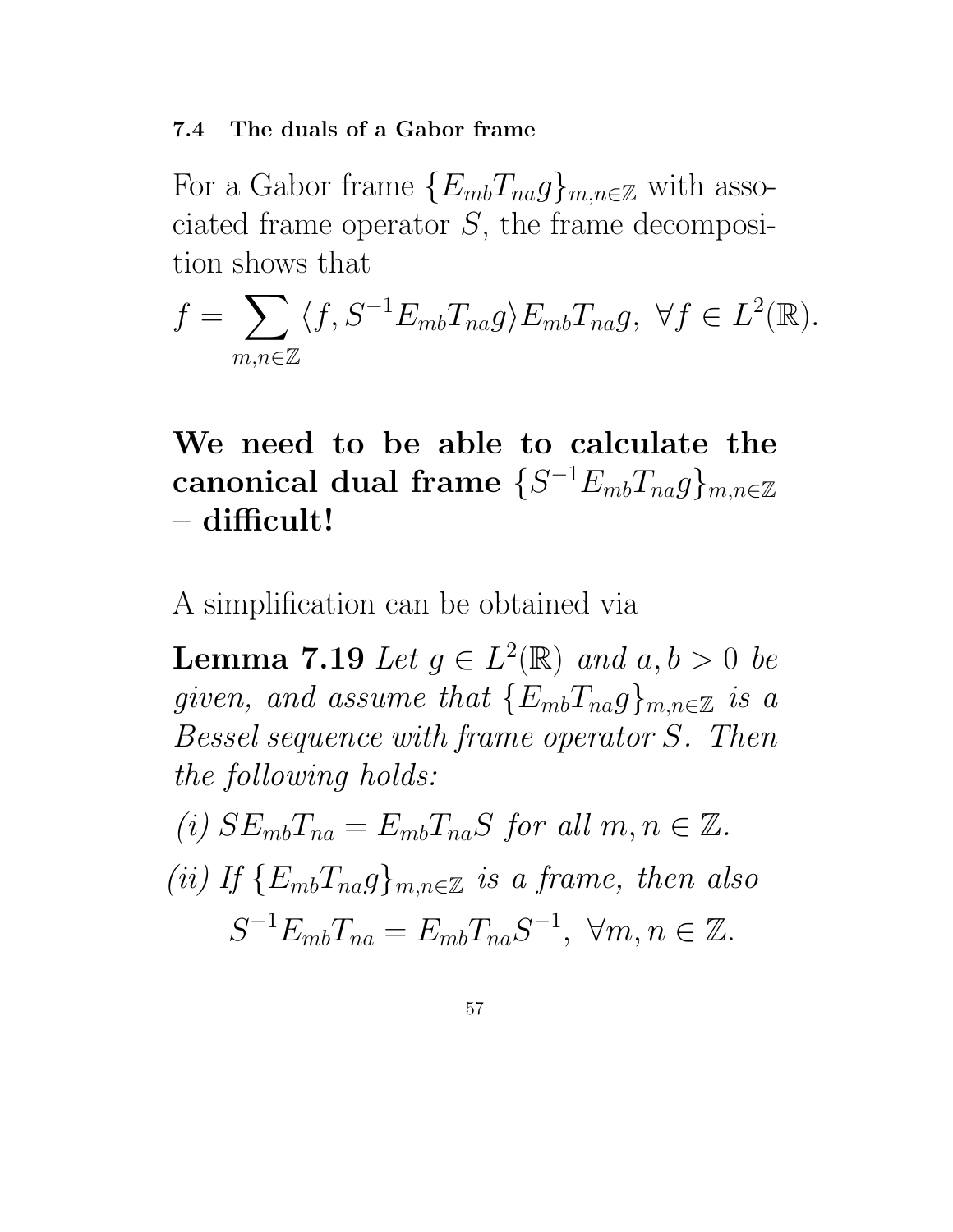#### 7.4 The duals of a Gabor frame

For a Gabor frame  ${E_{mb}}T_{na}g_{mn\in\mathbb{Z}}$  with associated frame operator  $S$ , the frame decomposition shows that

 $f =$  $\sum$  $m, n \in \mathbb{Z}$  $\langle f, S^{-1}E_{mb}T_{na}g \rangle E_{mb}T_{na}g, \ \forall f \in L^2(\mathbb{R}).$ 

# We need to be able to calculate the  $\textbf{canonical dual frame} \,\, \{S^{-1} E_{mb} T_{na} g\}_{m,n \in \mathbb{Z}}$ – difficult!

A simplification can be obtained via

**Lemma 7.19** Let  $g \in L^2(\mathbb{R})$  and  $a, b > 0$  be given, and assume that  $\{E_{mb}T_{na}g\}_{m,n\in\mathbb{Z}}$  is a Bessel sequence with frame operator S. Then the following holds:

(i)  $SE_{mb}T_{na} = E_{mb}T_{na}S$  for all  $m, n \in \mathbb{Z}$ . (ii) If  ${E_{mb}}T_{na}g_{mn\in\mathbb{Z}}$  is a frame, then also  $S^{-1}E_{mb}T_{na} = E_{mb}T_{na}S^{-1}, \forall m, n \in \mathbb{Z}.$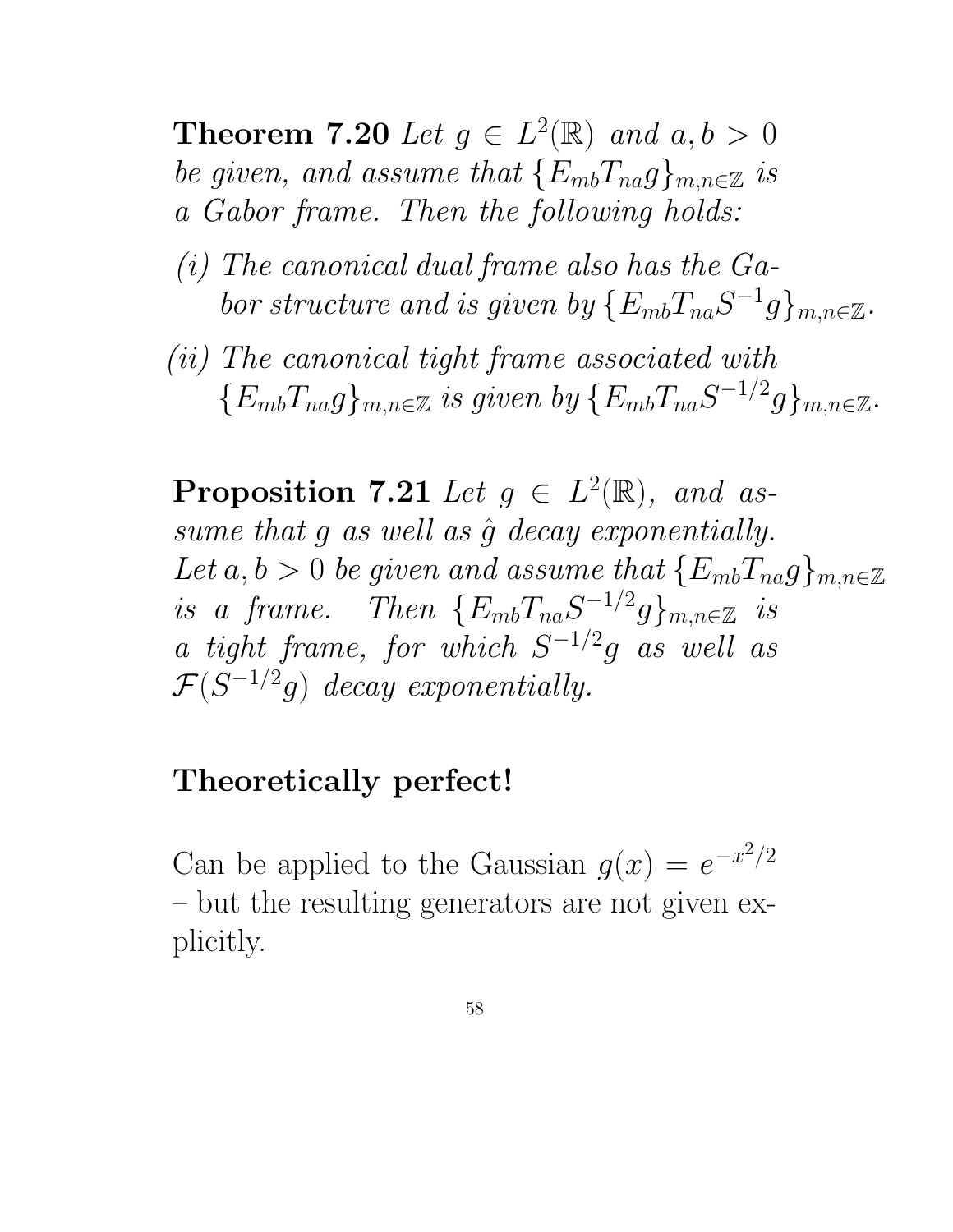**Theorem 7.20** Let  $g \in L^2(\mathbb{R})$  and  $a, b > 0$ be given, and assume that  $\{E_{mb}T_{na}g\}_{m,n\in\mathbb{Z}}$  is a Gabor frame. Then the following holds:

- (i) The canonical dual frame also has the Gabor structure and is given by  $\{E_{mb}T_{na}S^{-1}g\}_{m,n\in\mathbb{Z}}$ .
- (ii) The canonical tight frame associated with  ${E_{mb}}T_{na}g\}_{m,n\in\mathbb{Z}}$  is given by  ${E_{mb}}T_{na}S^{-1/2}g\}_{m,n\in\mathbb{Z}}$ .

**Proposition 7.21** Let  $g \in L^2(\mathbb{R})$ , and assume that  $g$  as well as  $\hat{g}$  decay exponentially. Let  $a, b > 0$  be given and assume that  $\{E_{mb}T_{na}g\}_{m,n\in\mathbb{Z}}$ is a frame. Then  $\{E_{mb}T_{na}S^{-1/2}g\}_{m,n\in\mathbb{Z}}$  is a tight frame, for which  $S^{-1/2}g$  as well as  $\mathcal{F}(S^{-1/2}g)$  decay exponentially.

### Theoretically perfect!

Can be applied to the Gaussian  $g(x) = e^{-x^2/2}$ – but the resulting generators are not given explicitly.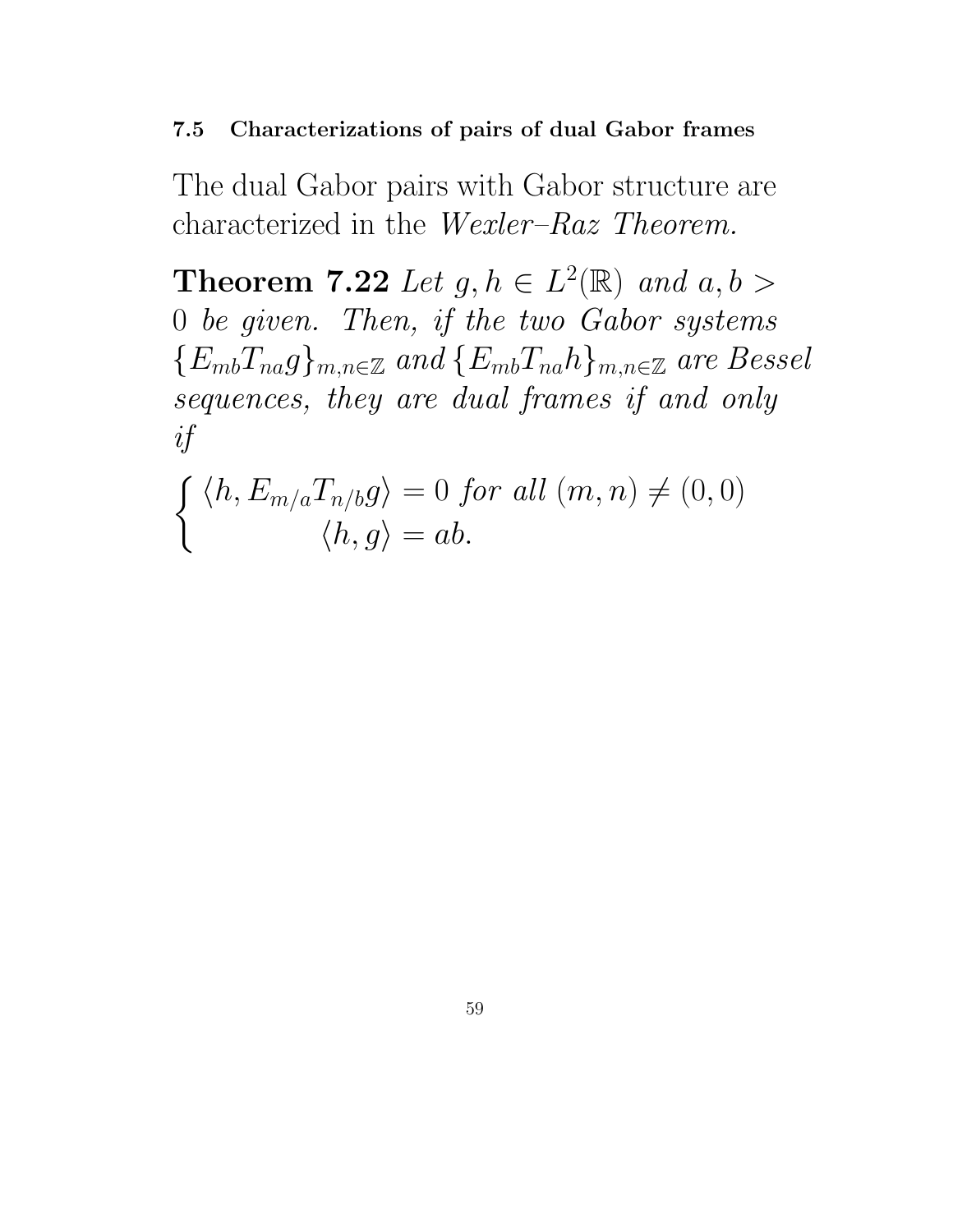#### 7.5 Characterizations of pairs of dual Gabor frames

The dual Gabor pairs with Gabor structure are characterized in the Wexler–Raz Theorem.

**Theorem 7.22** Let  $g, h \in L^2(\mathbb{R})$  and  $a, b >$ 0 be given. Then, if the two Gabor systems  ${E_{mb}}T_{na}g_{mn} \in \mathbb{Z}$  and  ${E_{mb}}T_{na}h_{mn} \in \mathbb{Z}$  are Bessel sequences, they are dual frames if and only if

$$
\begin{cases} \langle h, E_{m/a} T_{n/b} g \rangle = 0 \text{ for all } (m, n) \neq (0, 0) \\ \langle h, g \rangle = ab. \end{cases}
$$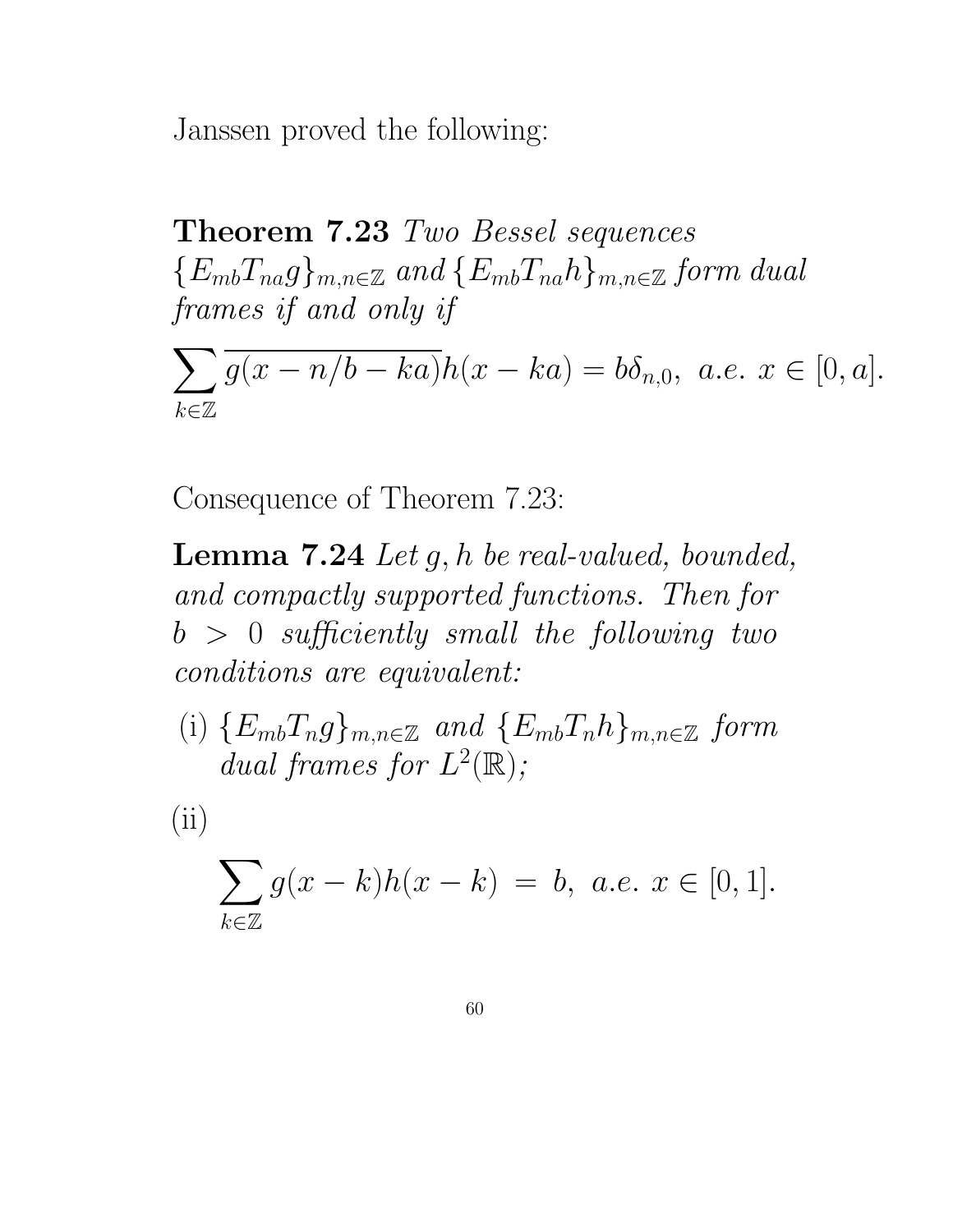Janssen proved the following:

Theorem 7.23 Two Bessel sequences  ${E_{mb}}T_{na}g_{mn} \in \mathbb{Z}$  and  ${E_{mb}}T_{na}h_{mn} \in \mathbb{Z}$  form dual frames if and only if

 $\sum$  $k \in \mathbb{Z}$  $g(x - n/b - ka)h(x - ka) = b\delta_{n,0}, \ a.e. \ x \in [0, a].$ 

Consequence of Theorem 7.23:

**Lemma 7.24** Let  $g, h$  be real-valued, bounded, and compactly supported functions. Then for  $b > 0$  sufficiently small the following two conditions are equivalent:

(i)  ${E_{mb}}T_n g_{m,n \in \mathbb{Z}}$  and  ${E_{mb}}T_n h_{m,n \in \mathbb{Z}}$  form dual frames for  $L^2(\mathbb{R})$ ;

 $(ii)$ 

$$
\sum_{k \in \mathbb{Z}} g(x - k)h(x - k) = b, \ a.e. \ x \in [0, 1].
$$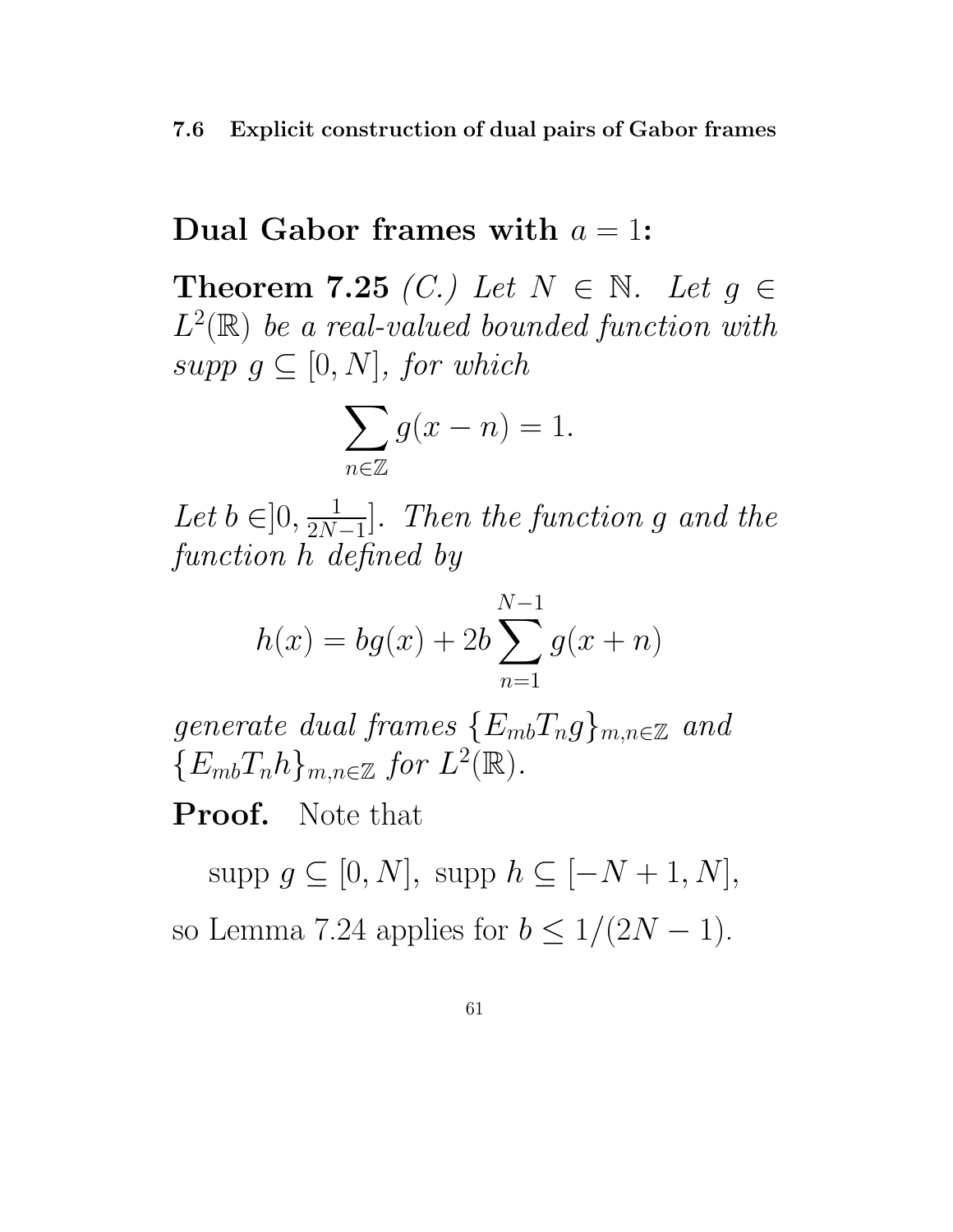#### 7.6 Explicit construction of dual pairs of Gabor frames

### Dual Gabor frames with  $a = 1$ :

Theorem 7.25 (C.) Let  $N \in \mathbb{N}$ . Let  $g \in$  $L^2(\mathbb{R})$  be a real-valued bounded function with supp  $g \subseteq [0, N]$ , for which

$$
\sum_{n \in \mathbb{Z}} g(x - n) = 1.
$$

Let  $b \in ]0, \frac{1}{2N}$  $\frac{2N-1}{1}$ ]. Then the function g and the function h defined by

$$
h(x) = bg(x) + 2b \sum_{n=1}^{N-1} g(x+n)
$$

generate dual frames  $\{E_{mb}T_ng\}_{m,n\in\mathbb{Z}}$  and  ${E_{mb}}T_nh}_{m,n\in\mathbb{Z}}$  for  $L^2(\mathbb{R})$ .

Proof. Note that

supp  $g \subseteq [0, N]$ , supp  $h \subseteq [-N + 1, N]$ , so Lemma 7.24 applies for  $b \leq 1/(2N-1)$ .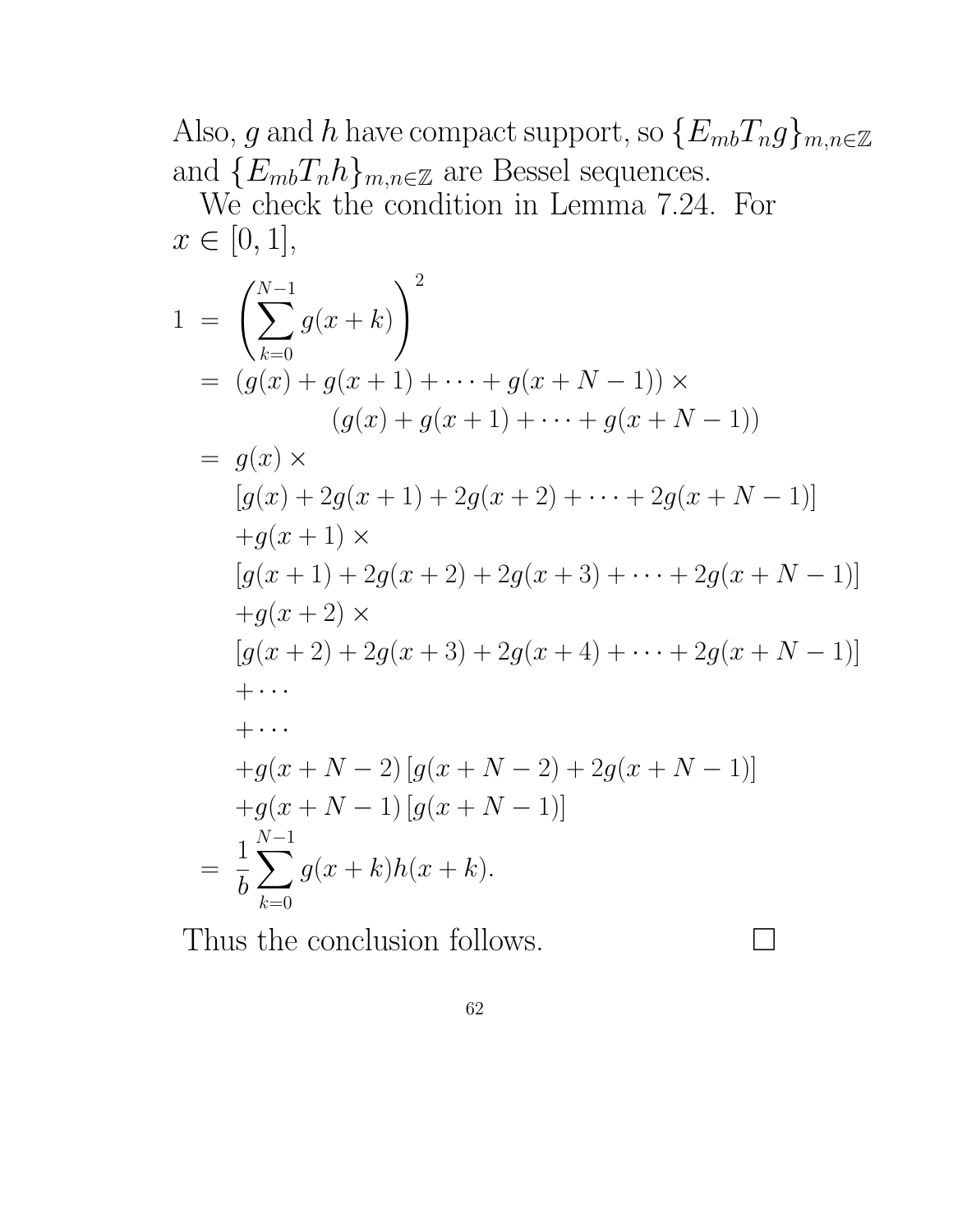Also, g and h have compact support, so  $\{E_{mb}T_ng\}_{m,n\in\mathbb{Z}}$ and  ${E_{mb}}T_nh_{m,n\in\mathbb{Z}}$  are Bessel sequences.

We check the condition in Lemma 7.24. For  $x \in [0, 1],$ 

$$
1 = \left(\sum_{k=0}^{N-1} g(x+k)\right)^2
$$
  
\n
$$
= (g(x) + g(x+1) + \dots + g(x+N-1)) \times
$$
  
\n
$$
(g(x) + g(x+1) + \dots + g(x+N-1))
$$
  
\n
$$
= g(x) \times
$$
  
\n
$$
[g(x) + 2g(x+1) + 2g(x+2) + \dots + 2g(x+N-1)]
$$
  
\n
$$
+ g(x+1) \times
$$
  
\n
$$
[g(x+1) + 2g(x+2) + 2g(x+3) + \dots + 2g(x+N-1)]
$$
  
\n
$$
+ g(x+2) \times
$$
  
\n
$$
[g(x+2) + 2g(x+3) + 2g(x+4) + \dots + 2g(x+N-1)]
$$
  
\n
$$
+ \dots
$$
  
\n
$$
+ g(x+N-2) [g(x+N-2) + 2g(x+N-1)]
$$
  
\n
$$
+ g(x+N-1) [g(x+N-1)]
$$
  
\n
$$
= \frac{1}{b} \sum_{k=0}^{N-1} g(x+k)h(x+k).
$$

Thus the conclusion follows.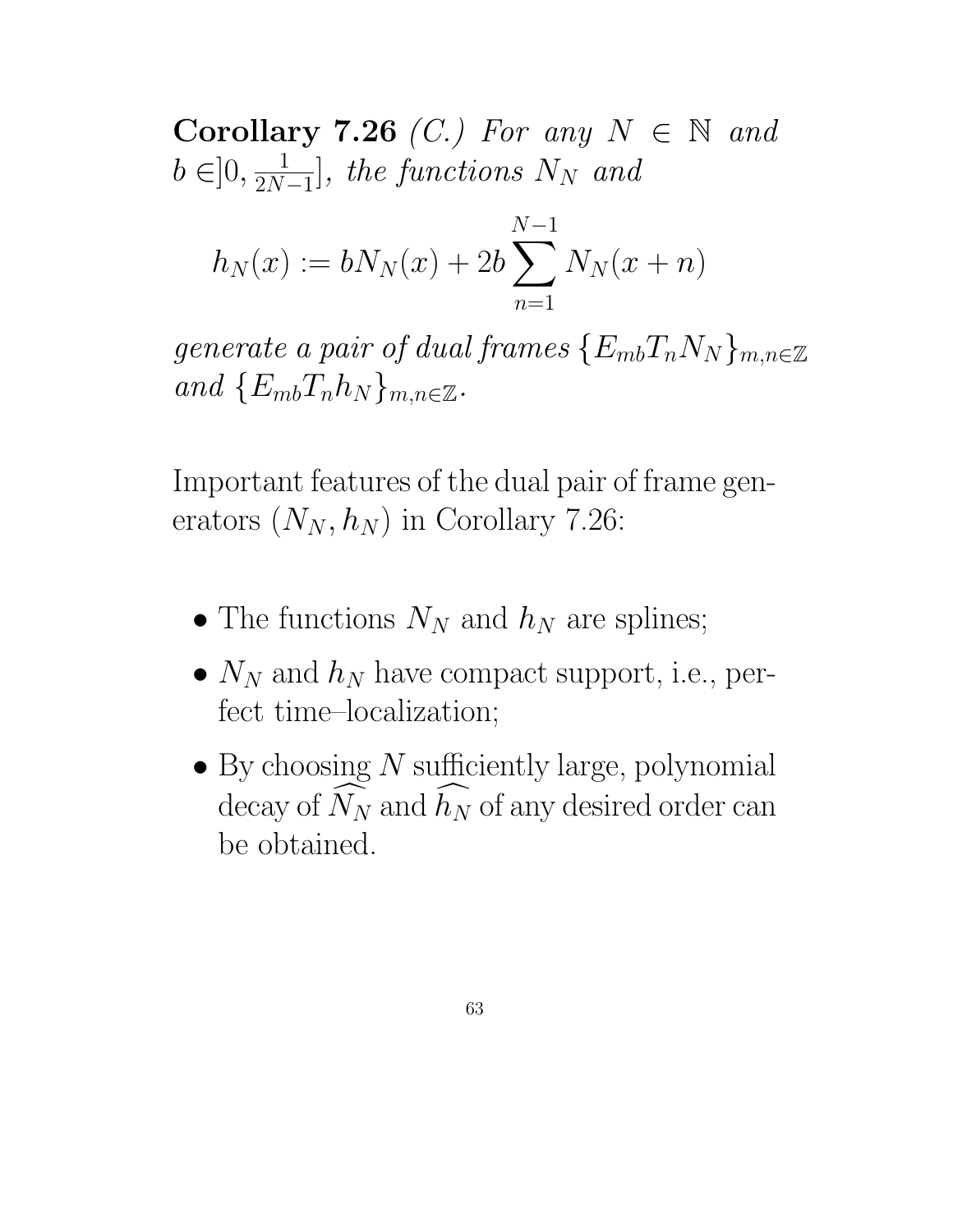Corollary 7.26 (C.) For any  $N \in \mathbb{N}$  and  $b \in ]0, \frac{1}{2N}$  $2N-1$ ], the functions  $N_N$  and

$$
h_N(x) := bN_N(x) + 2b \sum_{n=1}^{N-1} N_N(x+n)
$$

generate a pair of dual frames  $\{E_{mb}T_nN_N\}_{m,n\in\mathbb{Z}}$ and  $\{E_{mb}T_nh_N\}_{m,n\in\mathbb{Z}}$ .

Important features of the dual pair of frame generators  $(N_N, h_N)$  in Corollary 7.26:

- The functions  $N_N$  and  $h_N$  are splines;
- $N_N$  and  $h_N$  have compact support, i.e., perfect time–localization;
- By choosing  $N$  sufficiently large, polynomial decay of  $N_N$  and  $h_N$  of any desired order can be obtained.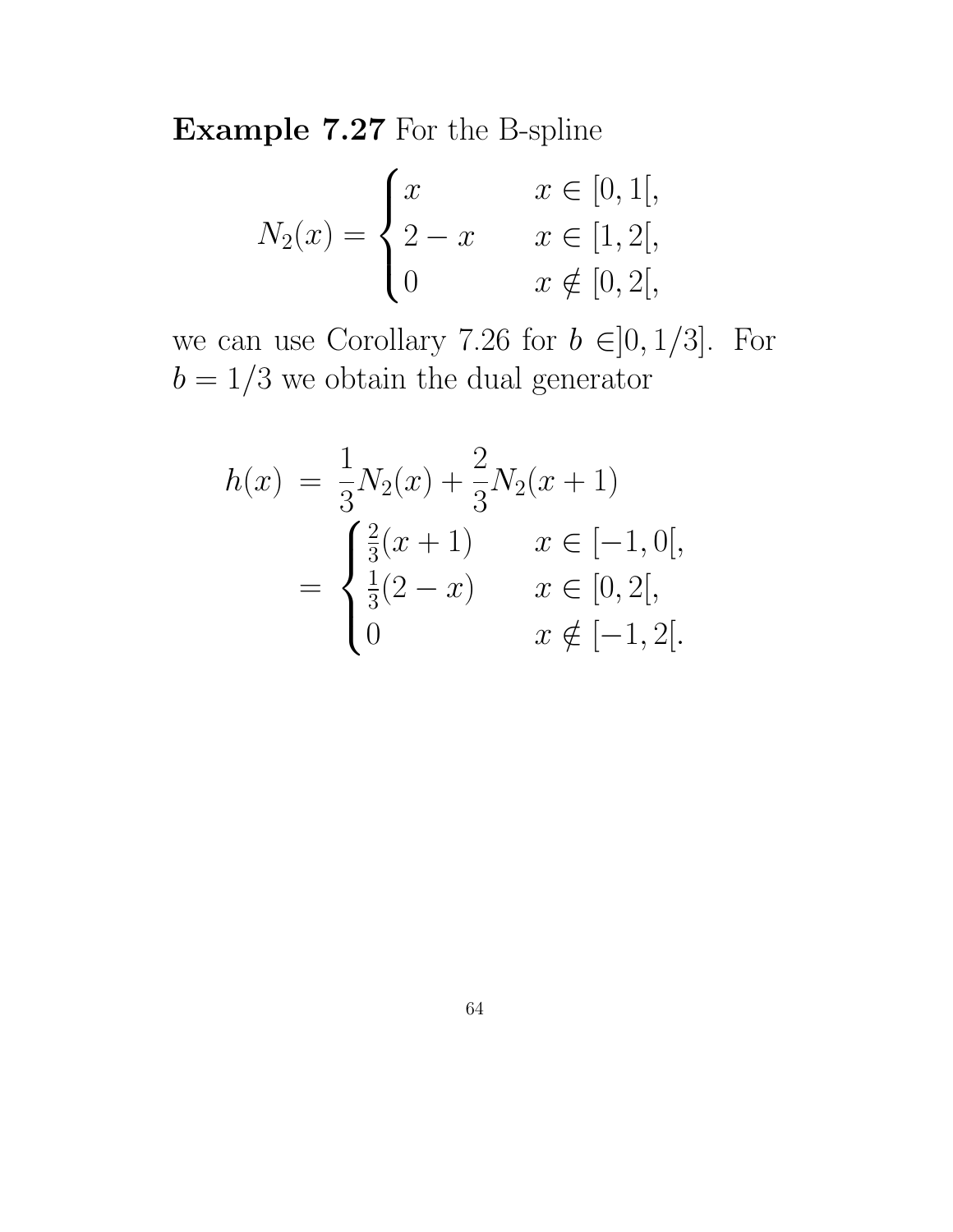Example 7.27 For the B-spline

$$
N_2(x) = \begin{cases} x & x \in [0, 1[, \\ 2 - x & x \in [1, 2[, \\ 0 & x \notin [0, 2[, \end{cases}
$$

we can use Corollary 7.26 for  $b \in ]0,1/3]$ . For  $b=1/3$  we obtain the dual generator

$$
h(x) = \frac{1}{3}N_2(x) + \frac{2}{3}N_2(x+1)
$$
  
= 
$$
\begin{cases} \frac{2}{3}(x+1) & x \in [-1,0[,\\ \frac{1}{3}(2-x) & x \in [0,2[,\\ 0 & x \notin [-1,2[. \end{cases}
$$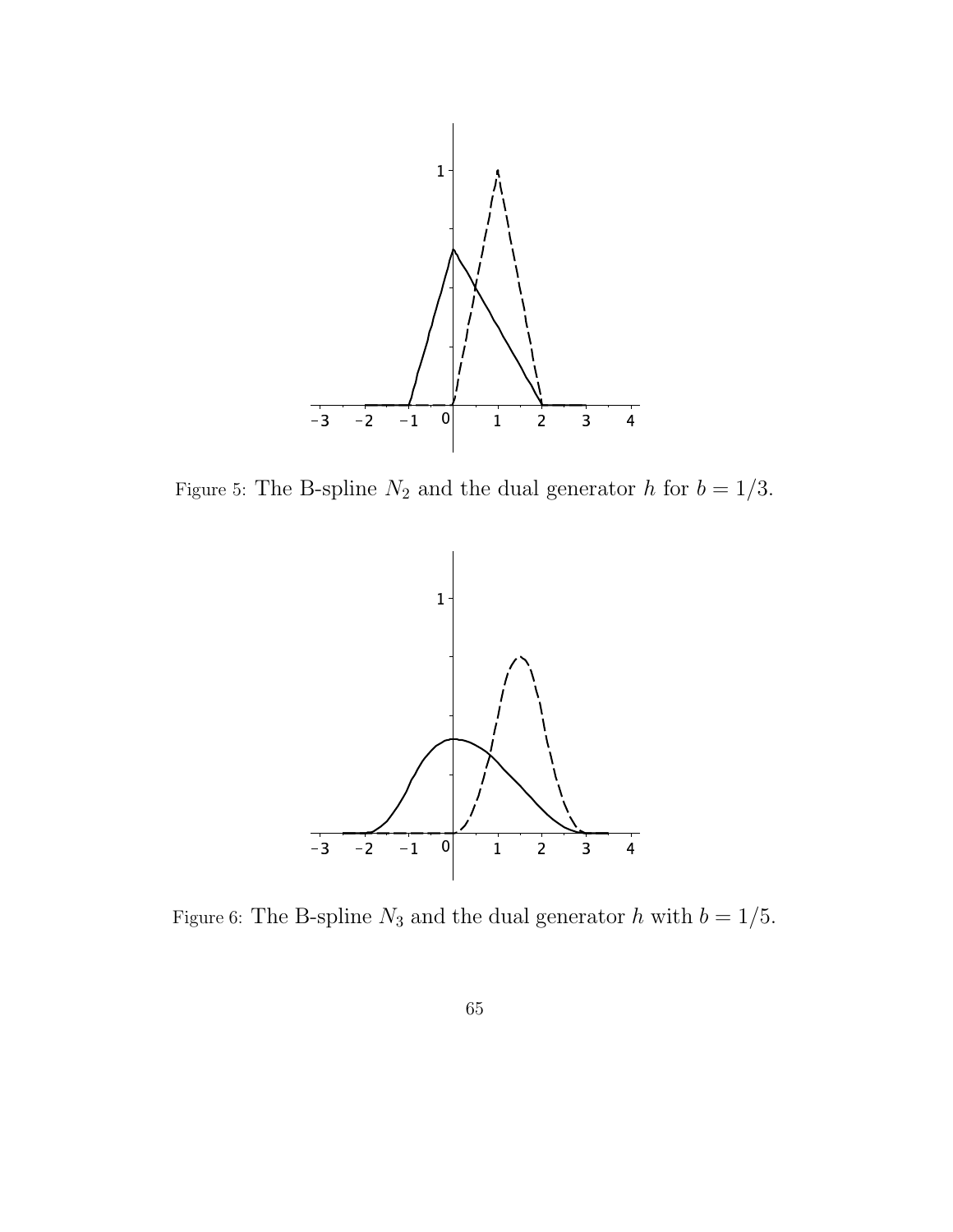

Figure 5: The B-spline  $N_2$  and the dual generator h for  $b = 1/3$ .



Figure 6: The B-spline  $N_3$  and the dual generator h with  $b = 1/5$ .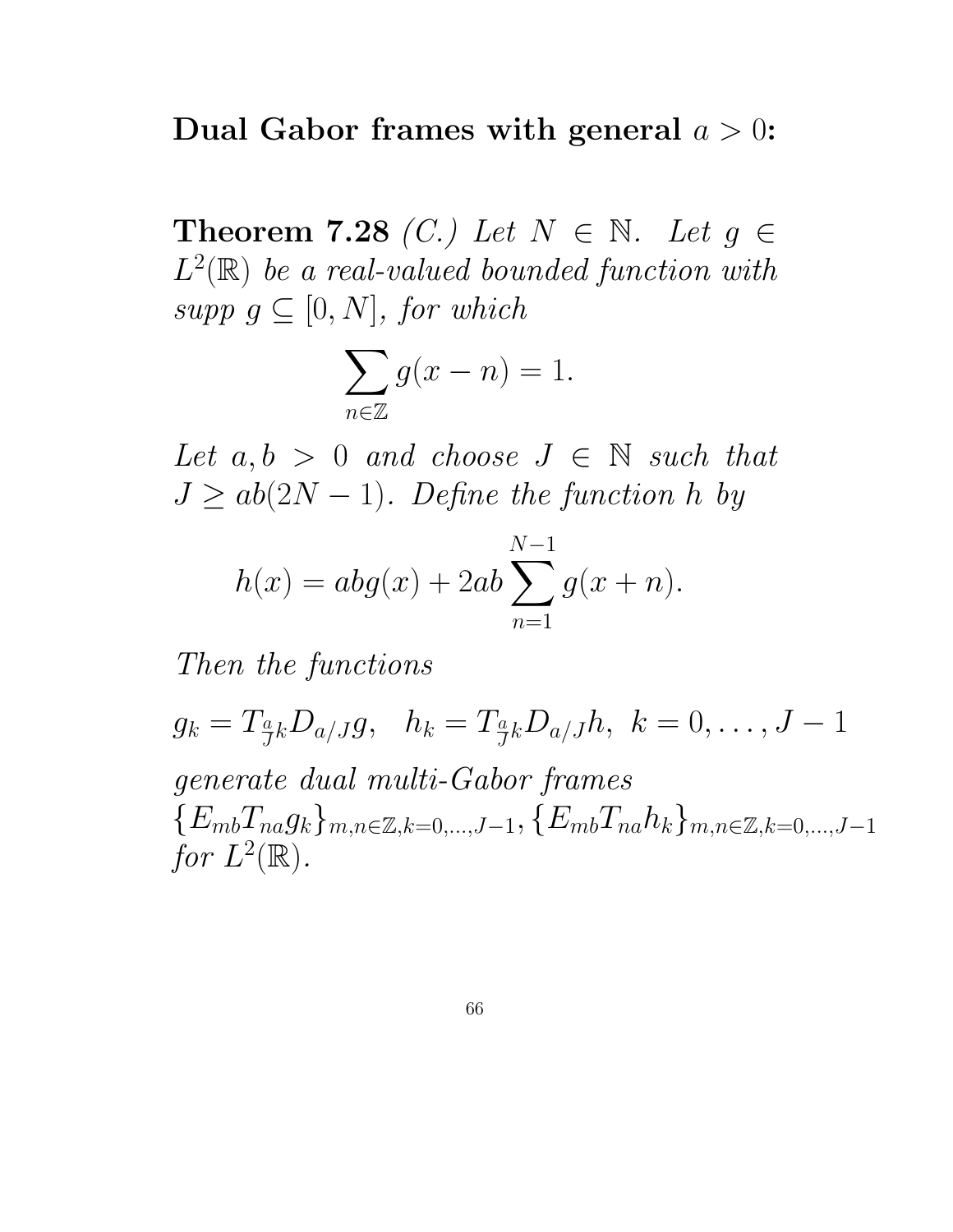### Dual Gabor frames with general  $a > 0$ :

Theorem 7.28 (C.) Let  $N \in \mathbb{N}$ . Let  $g \in$  $L^2(\mathbb{R})$  be a real-valued bounded function with supp  $g \subseteq [0, N]$ , for which

$$
\sum_{n\in\mathbb{Z}}g(x-n)=1.
$$

Let  $a, b > 0$  and choose  $J \in \mathbb{N}$  such that  $J \ge ab(2N-1)$ . Define the function h by

$$
h(x) = abg(x) + 2ab \sum_{n=1}^{N-1} g(x+n).
$$

Then the functions

 $g_k = T_{\frac{a}{J}k}D_{a/J}g, \;\;\; h_k = T_{\frac{a}{J}k}D_{a/J}h, \;\, k = 0, \ldots, J-1$ generate dual multi-Gabor frames  ${E_{mb}}T_{na}g_k{m,n \in \mathbb{Z},k=0,...,J-1, \{E_{mb}}T_{na}h_k\}_{m,n \in \mathbb{Z},k=0,...,J-1}$ for  $L^2(\mathbb{R})$ .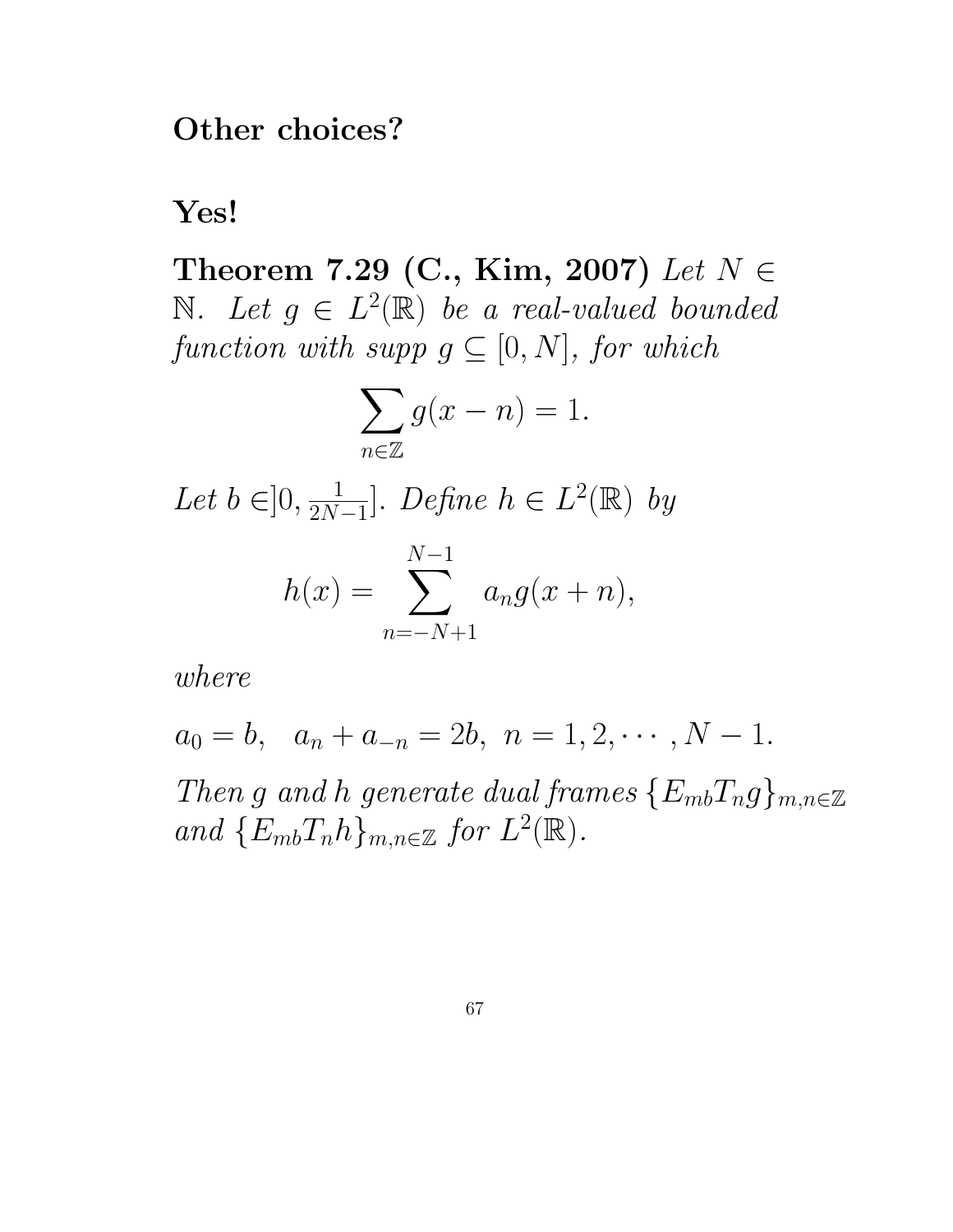Other choices?

Yes!

Theorem 7.29 (C., Kim, 2007) Let  $N \in$  $\mathbb{N}.$  Let  $g \in L^2(\mathbb{R})$  be a real-valued bounded function with supp  $g \subseteq [0, N]$ , for which

$$
\sum_{n\in\mathbb{Z}}g(x-n)=1.
$$

Let  $b \in ]0, \frac{1}{2N}$  $\frac{1}{2N-1}$ . Define  $h \in L^2(\mathbb{R})$  by

$$
h(x) = \sum_{n=-N+1}^{N-1} a_n g(x+n),
$$

where

 $a_0 = b$ ,  $a_n + a_{-n} = 2b$ ,  $n = 1, 2, \cdots, N - 1$ .

Then g and h generate dual frames  $\{E_{mb}T_{n}g\}_{m,n\in\mathbb{Z}}$ and  $\{E_{mb}T_nh\}_{m,n\in\mathbb{Z}}$  for  $L^2(\mathbb{R})$ .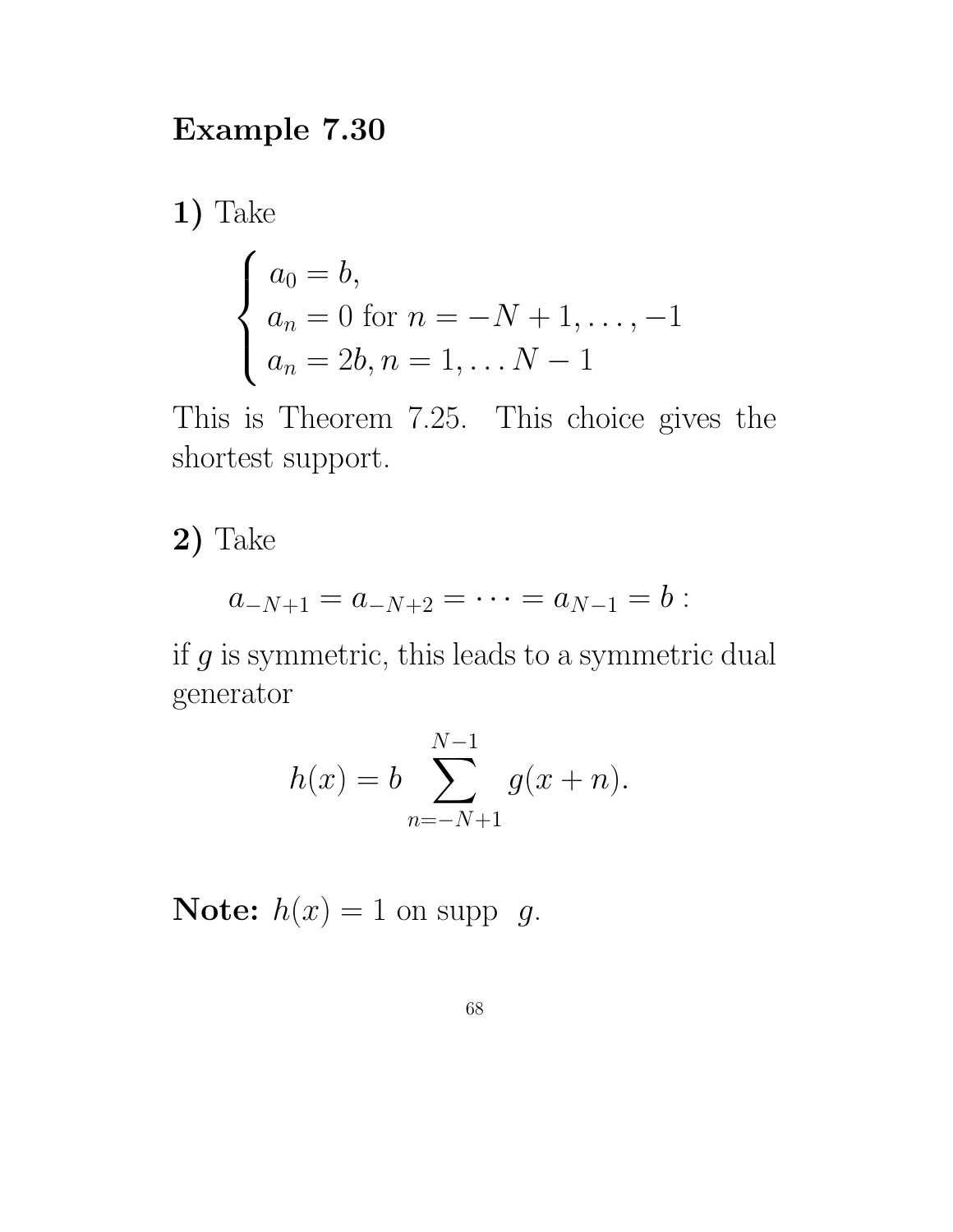## Example 7.30

1) Take

$$
\begin{cases}\na_0 = b, \\
a_n = 0 \text{ for } n = -N + 1, ..., -1 \\
a_n = 2b, n = 1, ..., N - 1\n\end{cases}
$$

This is Theorem 7.25. This choice gives the shortest support.

2) Take

$$
a_{-N+1} = a_{-N+2} = \cdots = a_{N-1} = b:
$$

if  $g$  is symmetric, this leads to a symmetric dual generator

$$
h(x) = b \sum_{n=-N+1}^{N-1} g(x+n).
$$

**Note:**  $h(x) = 1$  on supp g.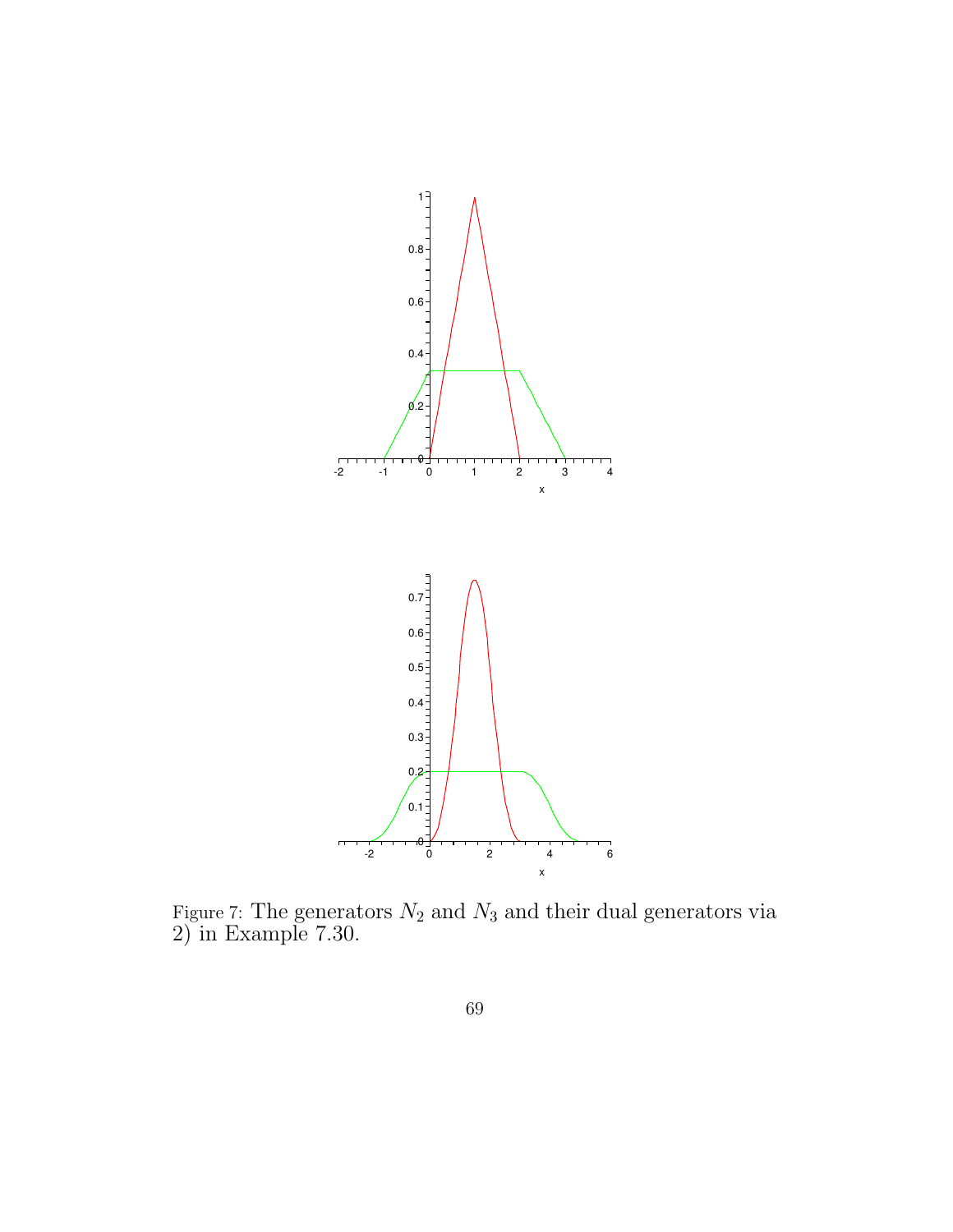

Figure 7: The generators  $N_2$  and  $N_3$  and their dual generators via 2) in Example 7.30.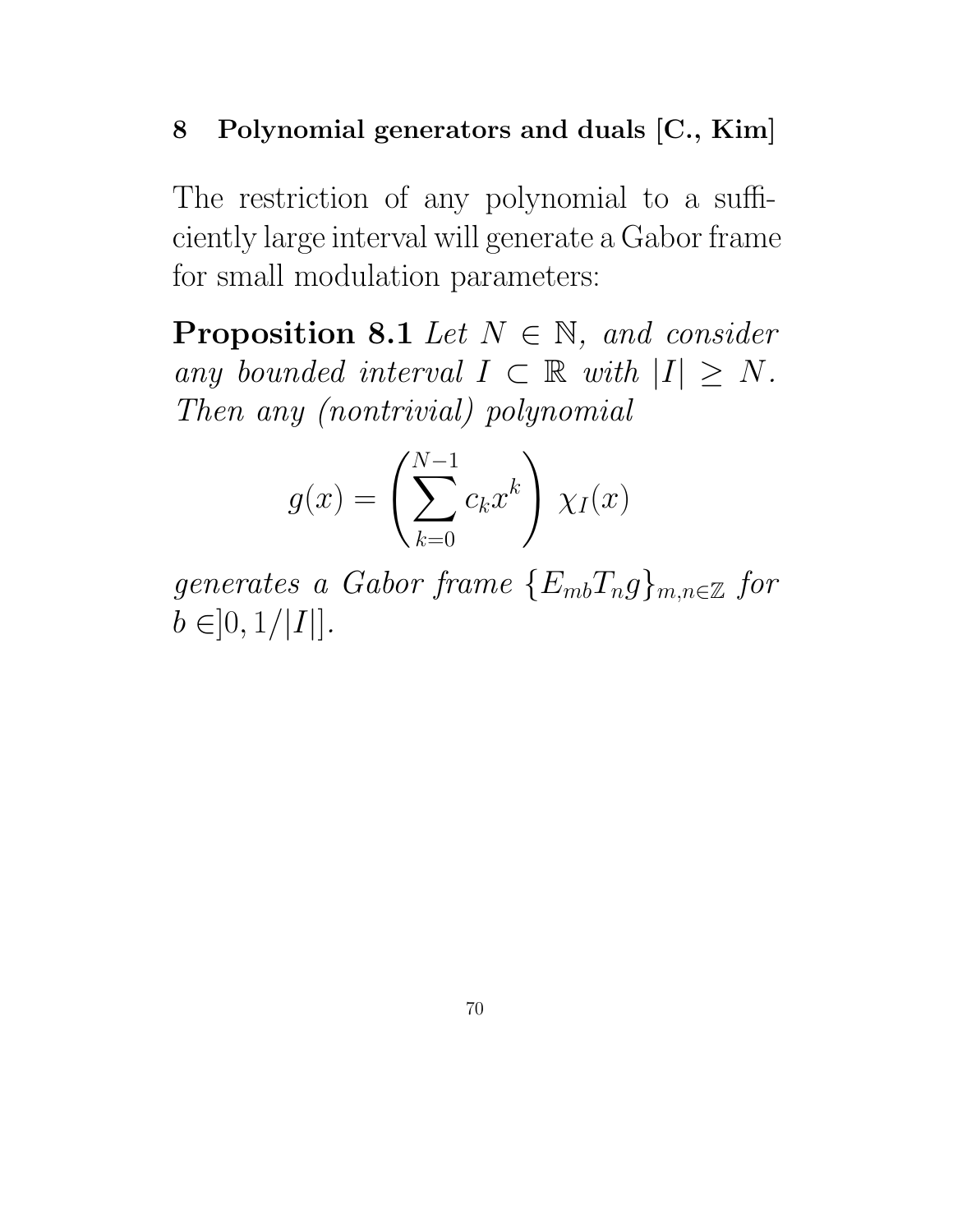## 8 Polynomial generators and duals [C., Kim]

The restriction of any polynomial to a sufficiently large interval will generate a Gabor frame for small modulation parameters:

**Proposition 8.1** Let  $N \in \mathbb{N}$ , and consider any bounded interval  $I \subset \mathbb{R}$  with  $|I| \geq N$ . Then any (nontrivial) polynomial

$$
g(x) = \left(\sum_{k=0}^{N-1} c_k x^k\right) \chi_I(x)
$$

generates a Gabor frame  ${E_{mb}}T_{n}g_{m,n\in\mathbb{Z}}$  for  $b \in ]0,1/|I|].$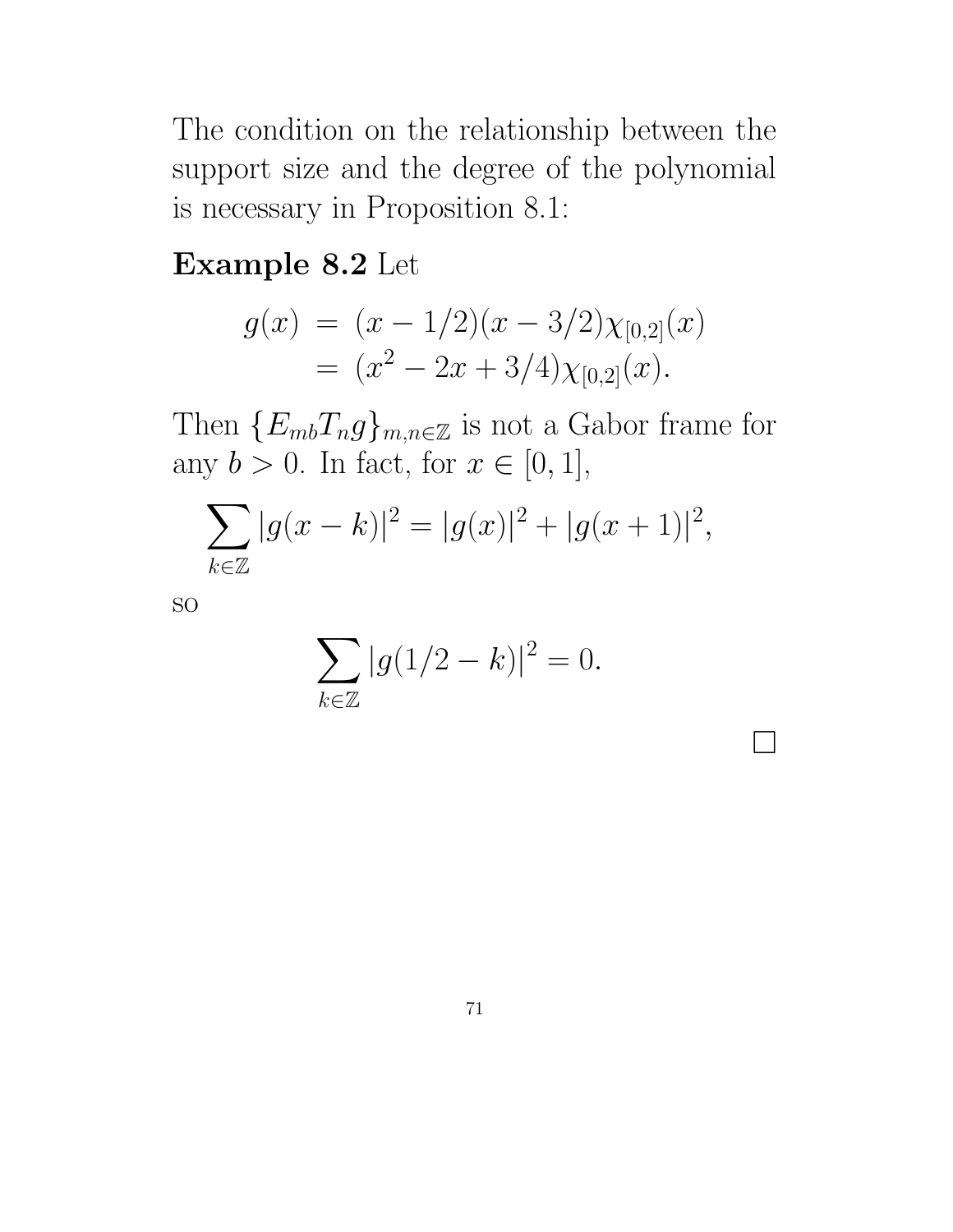The condition on the relationship between the support size and the degree of the polynomial is necessary in Proposition 8.1:

## Example 8.2 Let

$$
g(x) = (x - 1/2)(x - 3/2)\chi_{[0,2]}(x)
$$
  
=  $(x^2 - 2x + 3/4)\chi_{[0,2]}(x)$ .

Then  ${E_{mb}}T_n g_{m,n\in\mathbb{Z}}$  is not a Gabor frame for any  $b > 0$ . In fact, for  $x \in [0, 1]$ ,

$$
\sum_{k \in \mathbb{Z}} |g(x - k)|^2 = |g(x)|^2 + |g(x + 1)|^2,
$$

so

$$
\sum_{k \in \mathbb{Z}} |g(1/2 - k)|^2 = 0.
$$

 $\Box$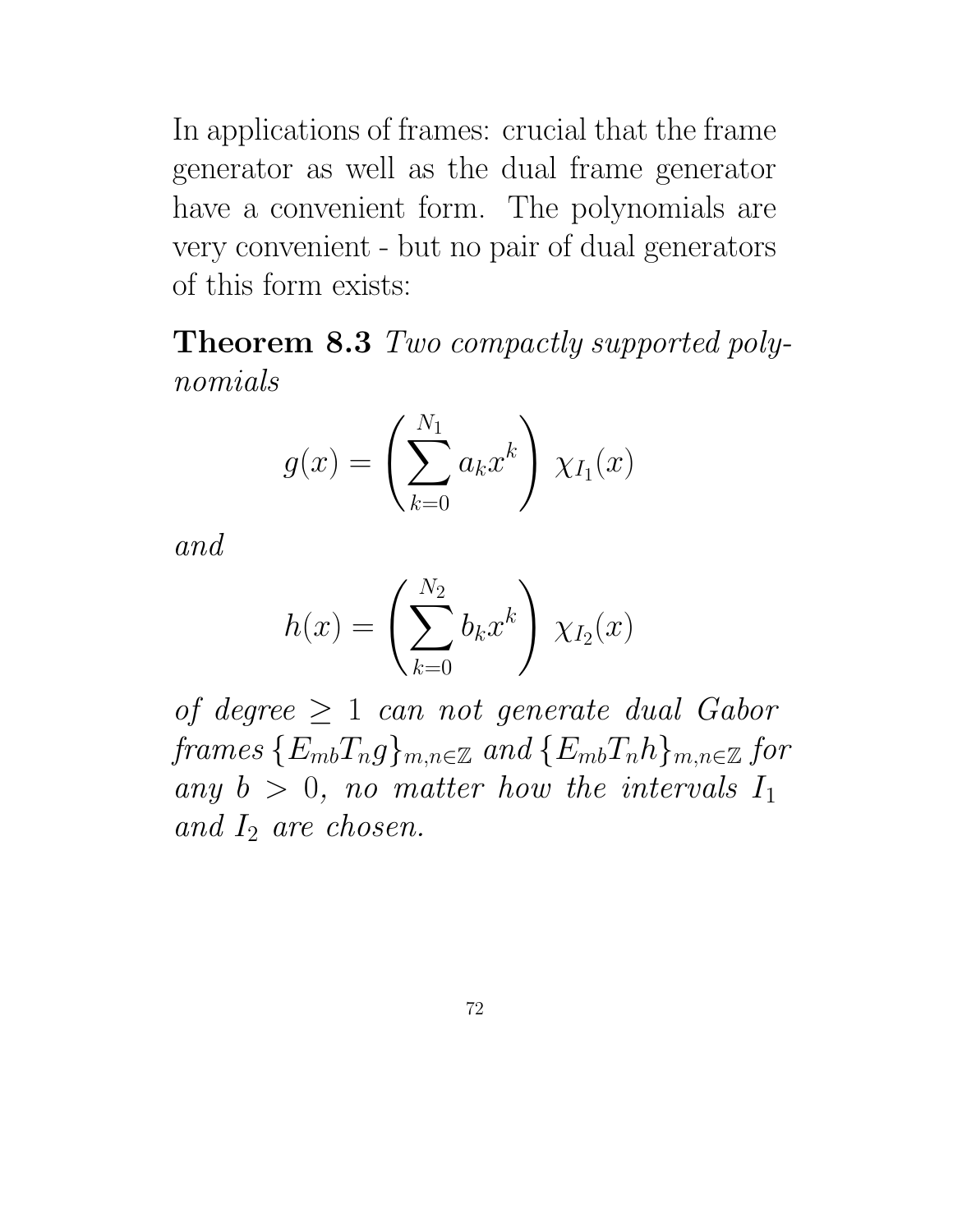In applications of frames: crucial that the frame generator as well as the dual frame generator have a convenient form. The polynomials are very convenient - but no pair of dual generators of this form exists:

Theorem 8.3 Two compactly supported polynomials

$$
g(x) = \left(\sum_{k=0}^{N_1} a_k x^k\right) \chi_{I_1}(x)
$$

and

$$
h(x)=\left(\sum_{k=0}^{N_2}b_kx^k\right)\,\chi_{I_2}(x)
$$

of degree  $\geq 1$  can not generate dual Gabor frames  ${E_{mb}}T_{n}g_{m,n\in\mathbb{Z}}$  and  ${E_{mb}}T_{n}h_{m,n\in\mathbb{Z}}$  for any  $b > 0$ , no matter how the intervals  $I_1$ and  $I_2$  are chosen.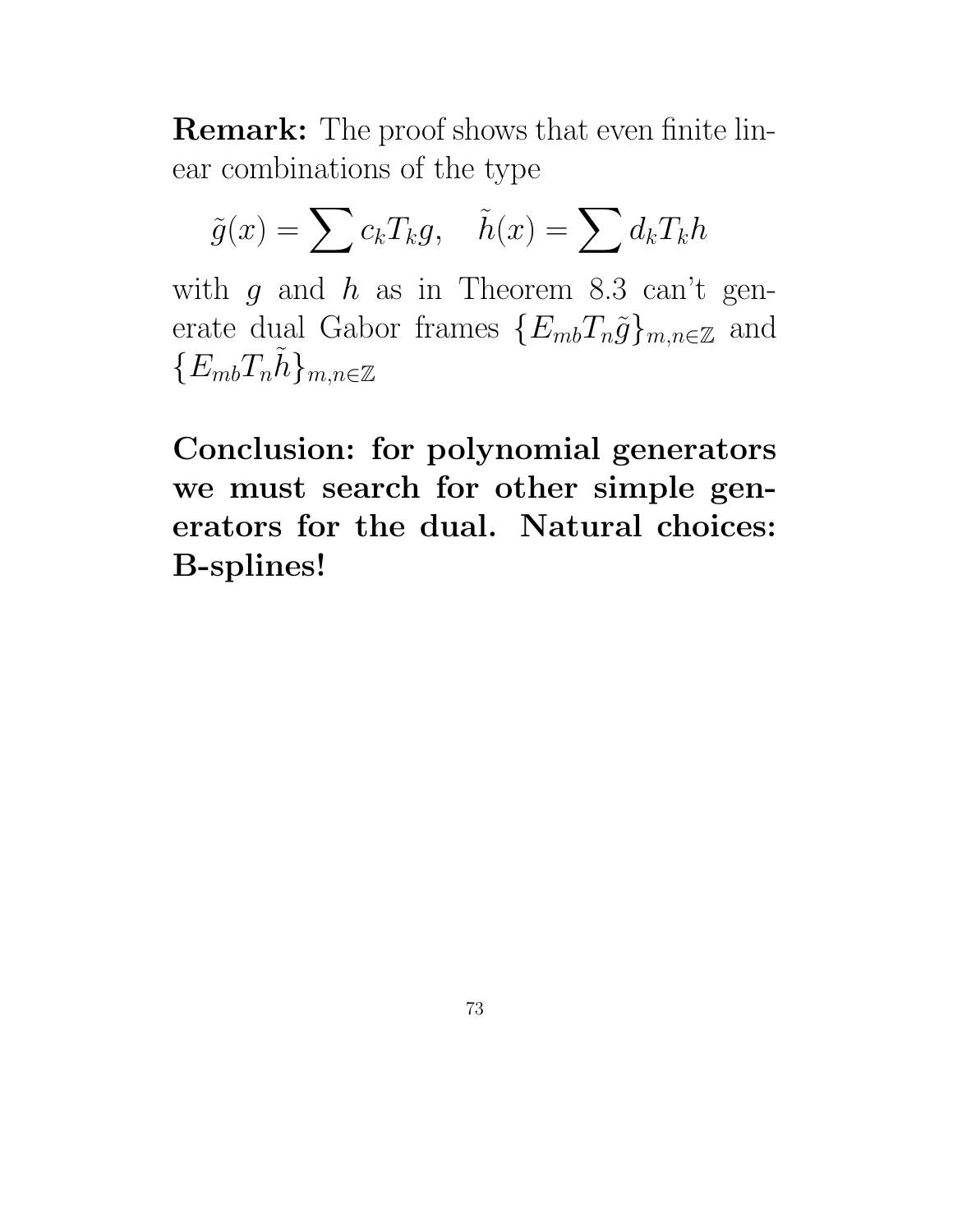Remark: The proof shows that even finite linear combinations of the type

$$
\tilde{g}(x) = \sum c_k T_k g, \quad \tilde{h}(x) = \sum d_k T_k h
$$

with  $g$  and  $h$  as in Theorem 8.3 can't generate dual Gabor frames  $\{E_{mb}T_n\tilde{g}\}_{m,n\in\mathbb{Z}}$  and  ${E_{mb}}T_n\tilde{h}$ <sub>m,n∈Z</sub>

Conclusion: for polynomial generators we must search for other simple generators for the dual. Natural choices: B-splines!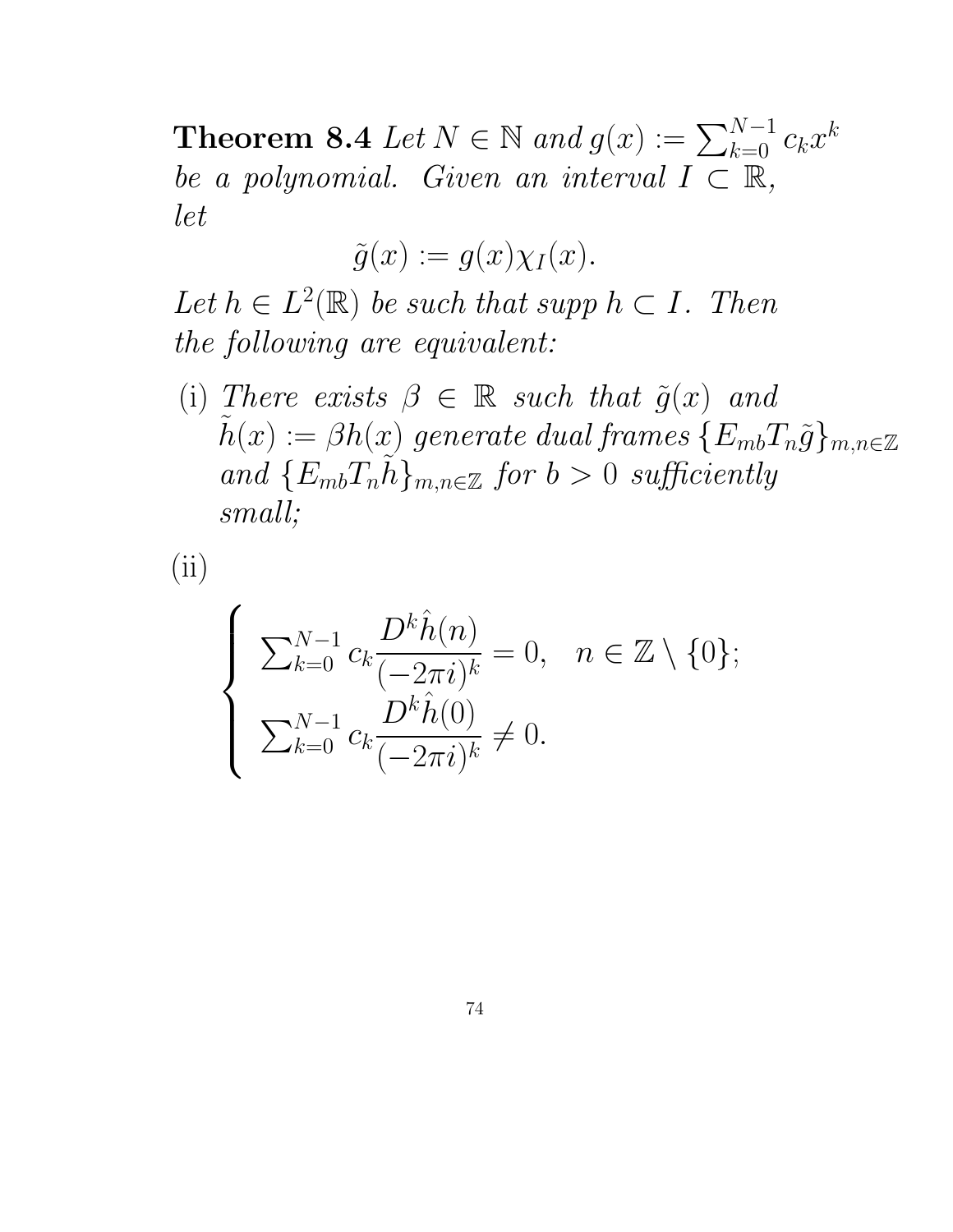**Theorem 8.4** Let  $N \in \mathbb{N}$  and  $g(x) := \sum_{k=0}^{N-1} c_k x^k$ be a polynomial. Given an interval  $I \subset \mathbb{R}$ , let

$$
\tilde{g}(x):=g(x)\chi_I(x).
$$

Let  $h \in L^2(\mathbb{R})$  be such that supp  $h \subset I$ . Then the following are equivalent:

(i) There exists  $\beta \in \mathbb{R}$  such that  $\tilde{g}(x)$  and  $h(x) := \beta h(x)$  generate dual frames  $\{E_{mb}T_n\tilde{g}\}_{m,n\in\mathbb{Z}}$ and  ${E_{mb}}T_n h_{m,n \in \mathbb{Z}}$  for  $b > 0$  sufficiently small;

(ii)

$$
\begin{cases}\n\sum_{k=0}^{N-1} c_k \frac{D^k \hat{h}(n)}{(-2\pi i)^k} = 0, & n \in \mathbb{Z} \setminus \{0\}; \\
\sum_{k=0}^{N-1} c_k \frac{D^k \hat{h}(0)}{(-2\pi i)^k} \neq 0.\n\end{cases}
$$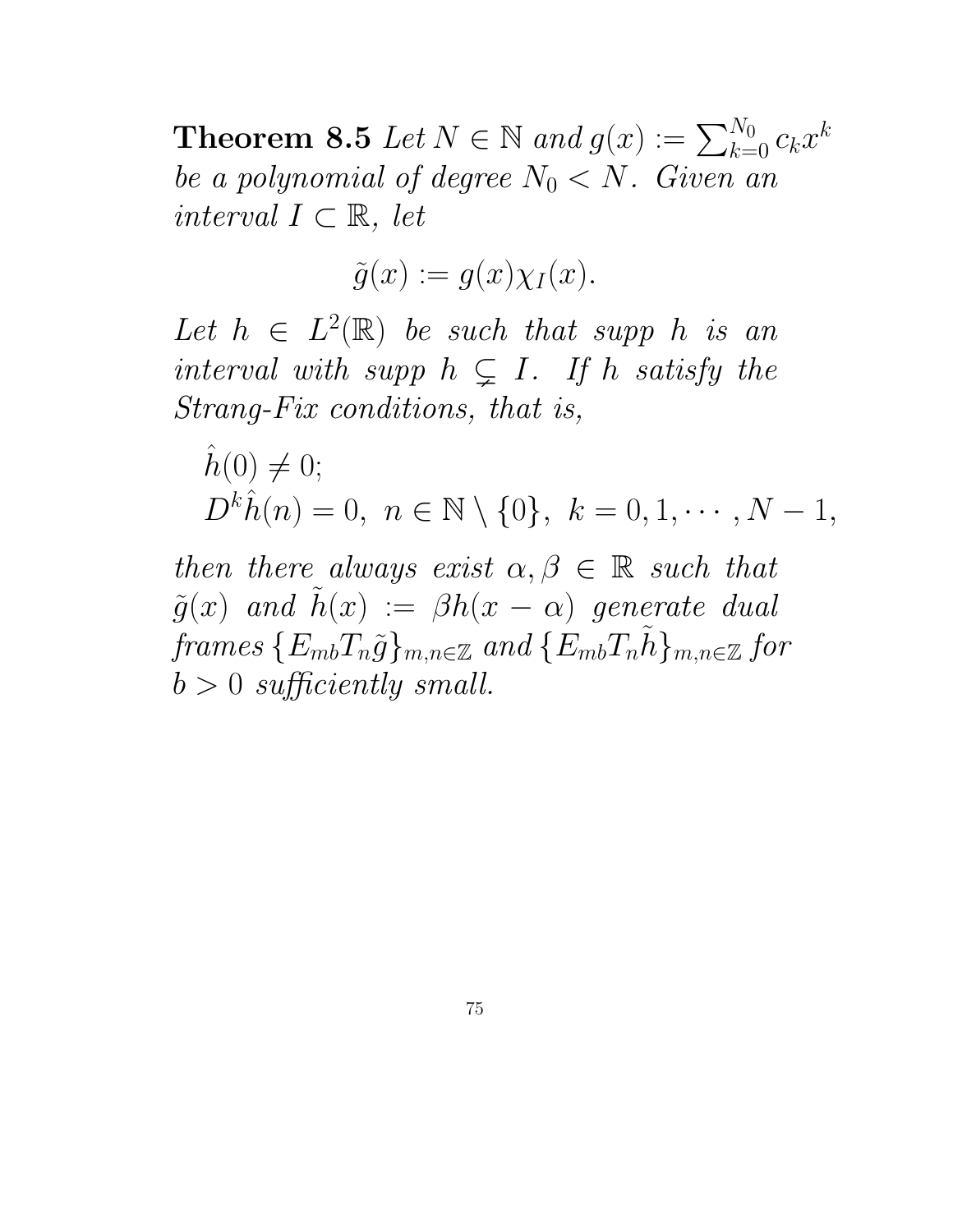**Theorem 8.5** Let  $N \in \mathbb{N}$  and  $g(x) := \sum_{k=0}^{N_0} c_k x^k$ be a polynomial of degree  $N_0 < N$ . Given an interval  $I \subset \mathbb{R}$ , let

$$
\tilde{g}(x) := g(x) \chi_I(x).
$$

Let  $h \in L^2(\mathbb{R})$  be such that supp h is an interval with supp  $h \subseteq I$ . If h satisfy the Strang-Fix conditions, that is,

 $\hat{h}(0) \neq 0;$  $D^k \hat{h}(n) = 0, \ n \in \mathbb{N} \setminus \{0\}, \ k = 0, 1, \cdots, N - 1,$ 

then there always exist  $\alpha, \beta \in \mathbb{R}$  such that  $\tilde{g}(x)$  and  $\tilde{h}(x) := \beta h(x - \alpha)$  generate dual frames  $\{E_{mb}T_n\tilde{g}\}_{m,n\in\mathbb{Z}}$  and  $\{E_{mb}T_nh\}_{m,n\in\mathbb{Z}}$  for  $b > 0$  sufficiently small.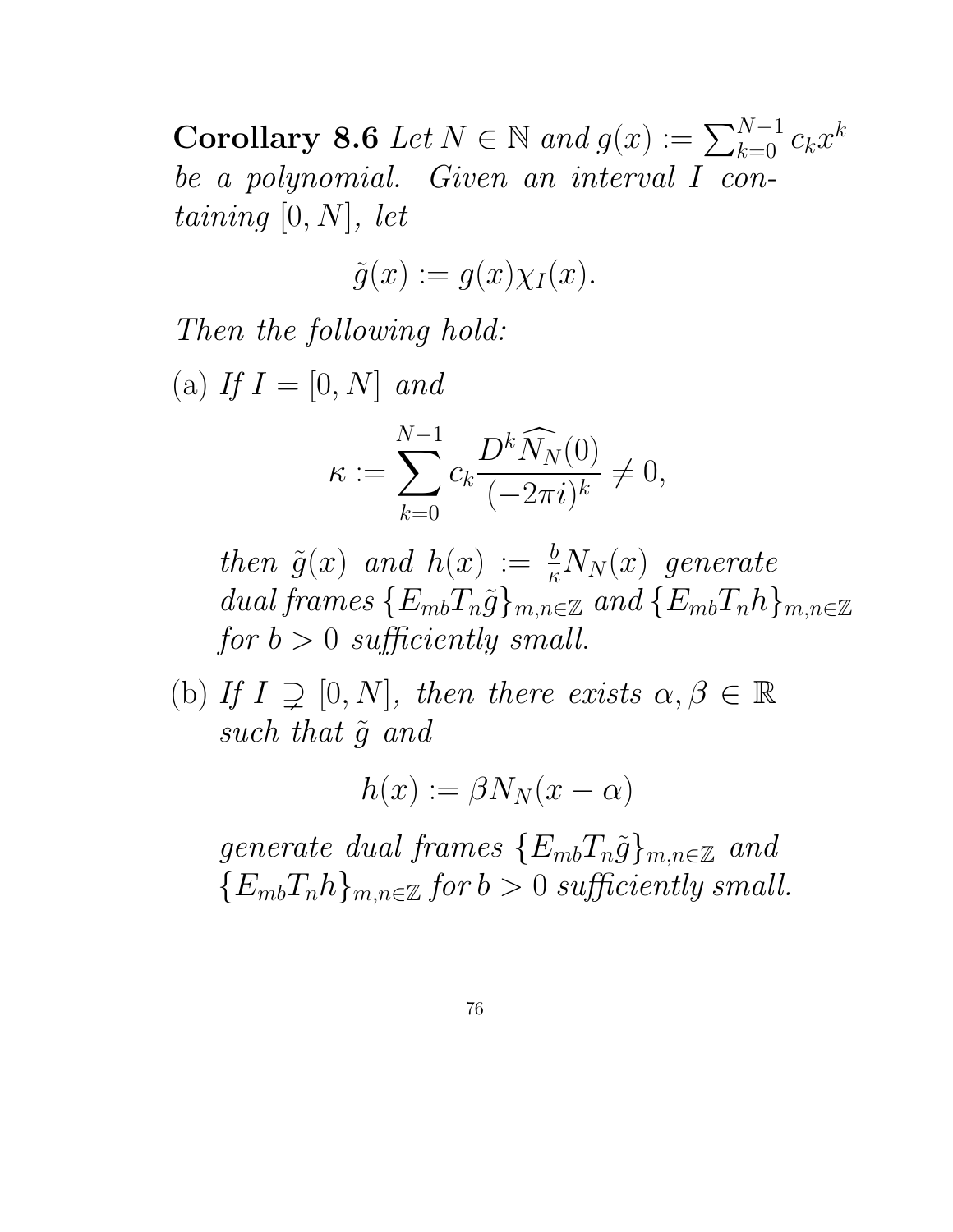Corollary 8.6 Let  $N \in \mathbb{N}$  and  $g(x) := \sum_{k=0}^{N-1} c_k x^k$ be a polynomial. Given an interval I containing  $[0, N]$ , let

$$
\tilde{g}(x) := g(x) \chi_I(x).
$$

Then the following hold:

(a) If  $I = [0, N]$  and

$$
\kappa := \sum_{k=0}^{N-1} c_k \frac{D^k \widehat{N}_N(0)}{(-2\pi i)^k} \neq 0,
$$

then  $\tilde{g}(x)$  and  $h(x) := \frac{b}{\kappa} N_N(x)$  generate dual frames  ${E_{mb}}T_n\tilde{g}$ <sub>m,n∈Z</sub> and  ${E_{mb}}T_nh$ <sub>m,n∈Z</sub> for  $b > 0$  sufficiently small.

(b) If  $I \supsetneq [0, N]$ , then there exists  $\alpha, \beta \in \mathbb{R}$ such that  $\tilde{q}$  and

$$
h(x) := \beta N_N(x - \alpha)
$$

generate dual frames  $\{E_{mb}T_n\tilde{g}\}_{m,n\in\mathbb{Z}}$  and  ${E_{mb}}T_nh_{mn\in\mathbb{Z}}$  for  $b>0$  sufficiently small.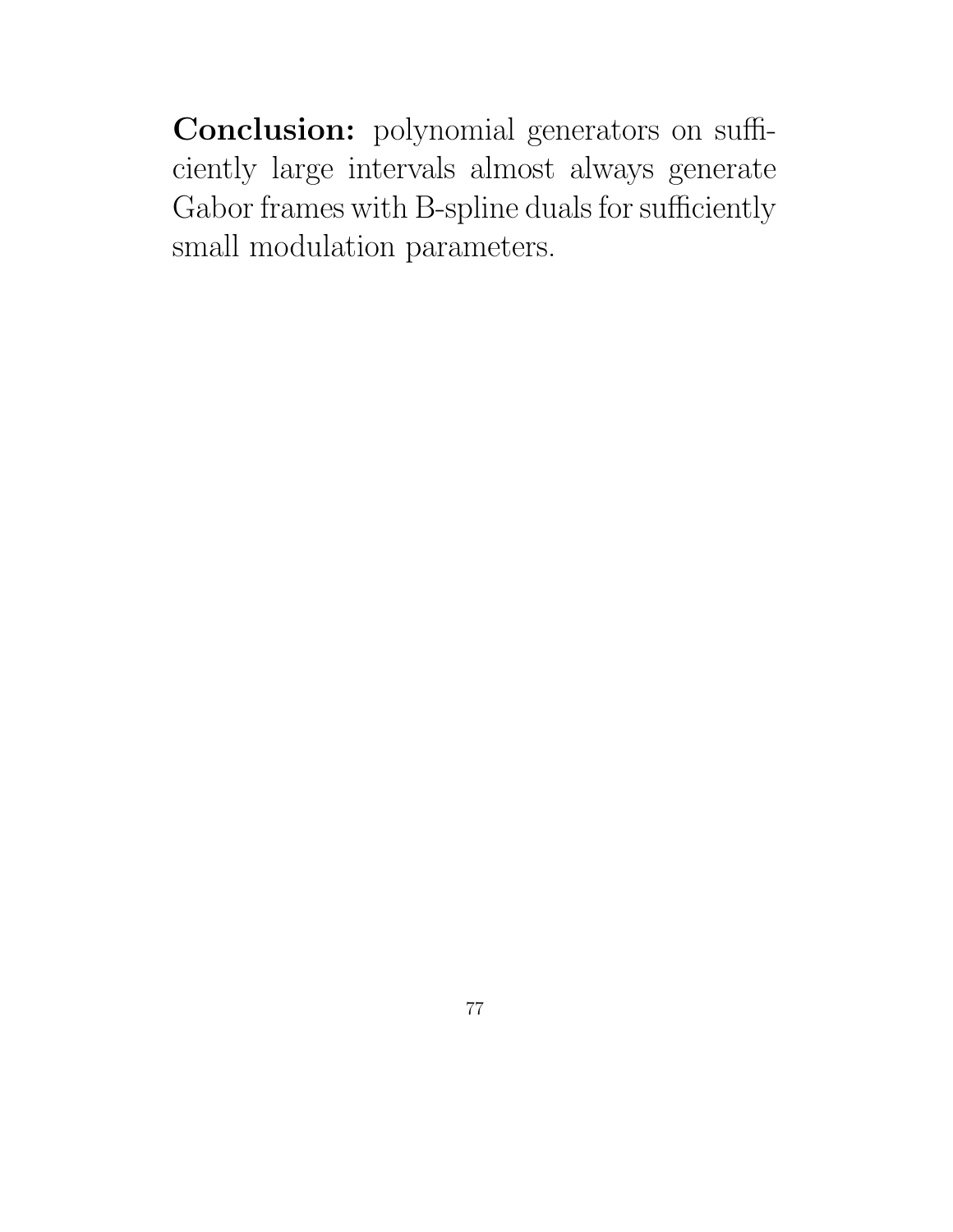Conclusion: polynomial generators on sufficiently large intervals almost always generate Gabor frames with B-spline duals for sufficiently small modulation parameters.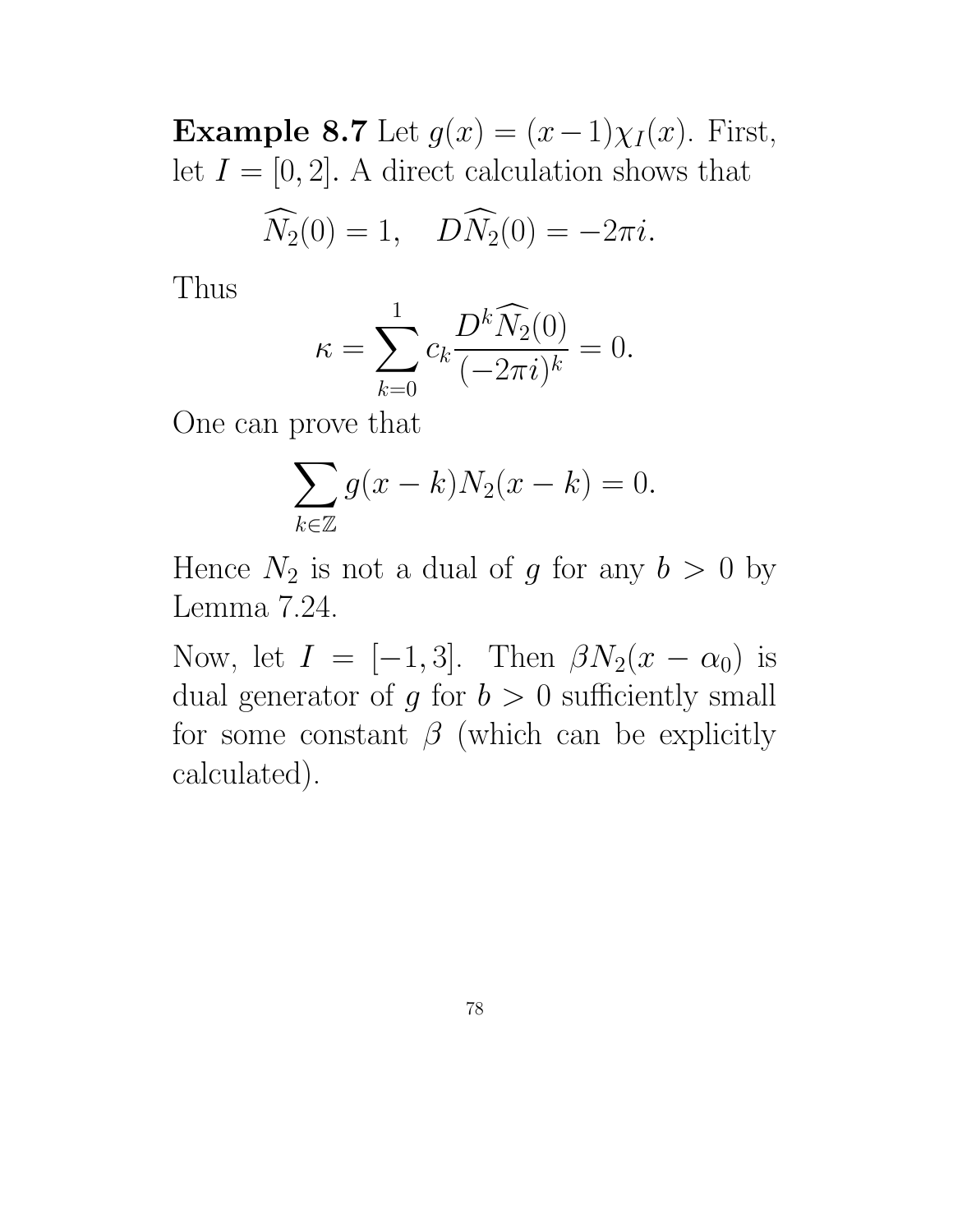Example 8.7 Let  $g(x) = (x-1)\chi_I(x)$ . First, let  $I = [0, 2]$ . A direct calculation shows that

$$
\widehat{N}_2(0) = 1, \quad D\widehat{N}_2(0) = -2\pi i.
$$

Thus

$$
\kappa = \sum_{k=0}^{1} c_k \frac{D^k \widehat{N}_2(0)}{(-2\pi i)^k} = 0.
$$

One can prove that

$$
\sum_{k \in \mathbb{Z}} g(x - k) N_2(x - k) = 0.
$$

Hence  $N_2$  is not a dual of g for any  $b > 0$  by Lemma 7.24.

Now, let  $I = [-1, 3]$ . Then  $\beta N_2(x - \alpha_0)$  is dual generator of  $g$  for  $b > 0$  sufficiently small for some constant  $\beta$  (which can be explicitly calculated).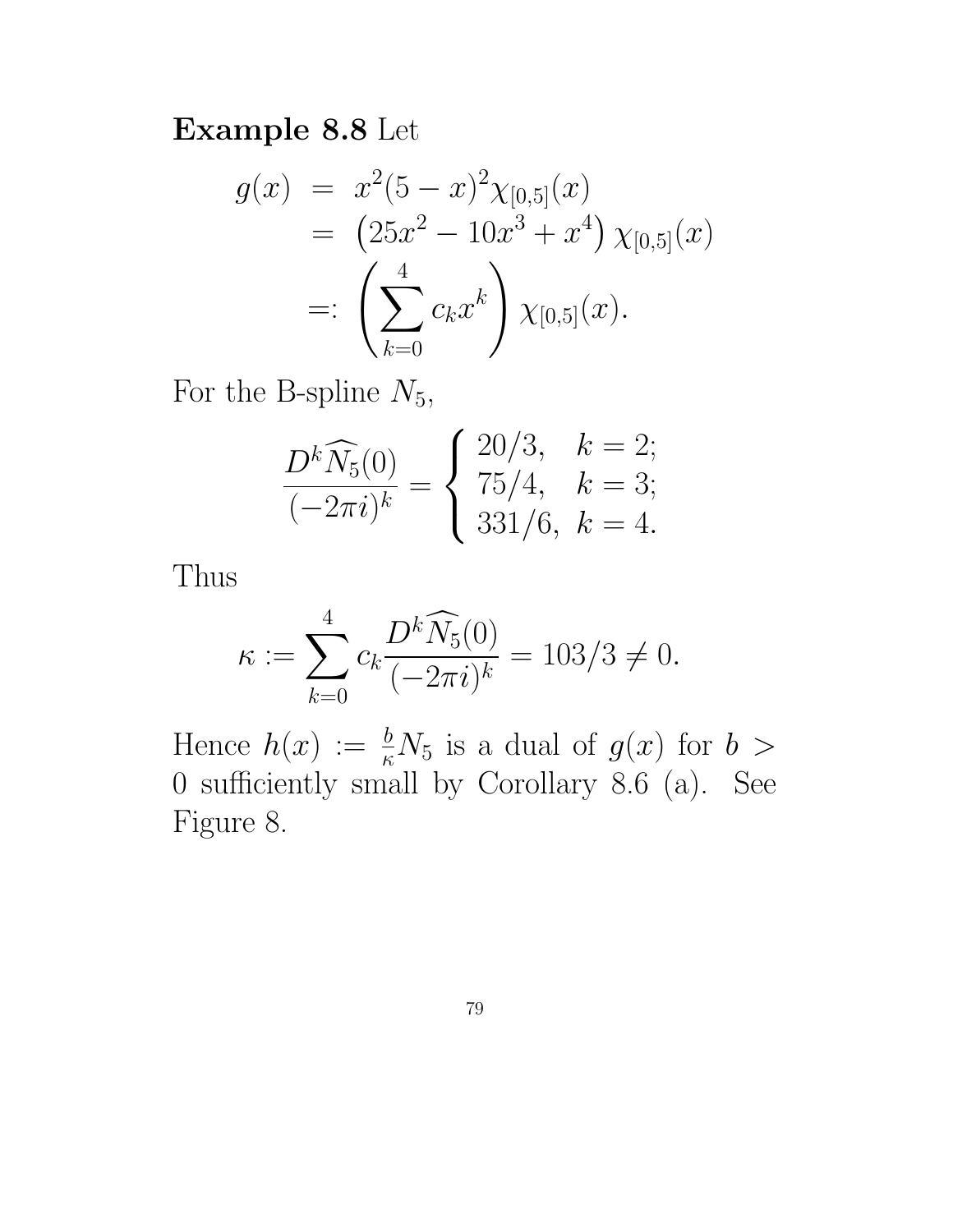#### Example 8.8 Let

$$
g(x) = x^{2}(5-x)^{2}\chi_{[0,5]}(x)
$$
  
=  $(25x^{2} - 10x^{3} + x^{4}) \chi_{[0,5]}(x)$   
=:  $\left(\sum_{k=0}^{4} c_{k}x^{k}\right) \chi_{[0,5]}(x).$ 

For the B-spline  $N_5$ ,

$$
\frac{D^k \widehat{N}_5(0)}{(-2\pi i)^k} = \begin{cases} 20/3, & k = 2; \\ 75/4, & k = 3; \\ 331/6, & k = 4. \end{cases}
$$

Thus

$$
\kappa := \sum_{k=0}^{4} c_k \frac{D^k \widehat{N}_5(0)}{(-2\pi i)^k} = 103/3 \neq 0.
$$

Hence  $h(x) := \frac{b}{\kappa} N_5$  is a dual of  $g(x)$  for  $b >$ 0 sufficiently small by Corollary 8.6 (a). See Figure 8.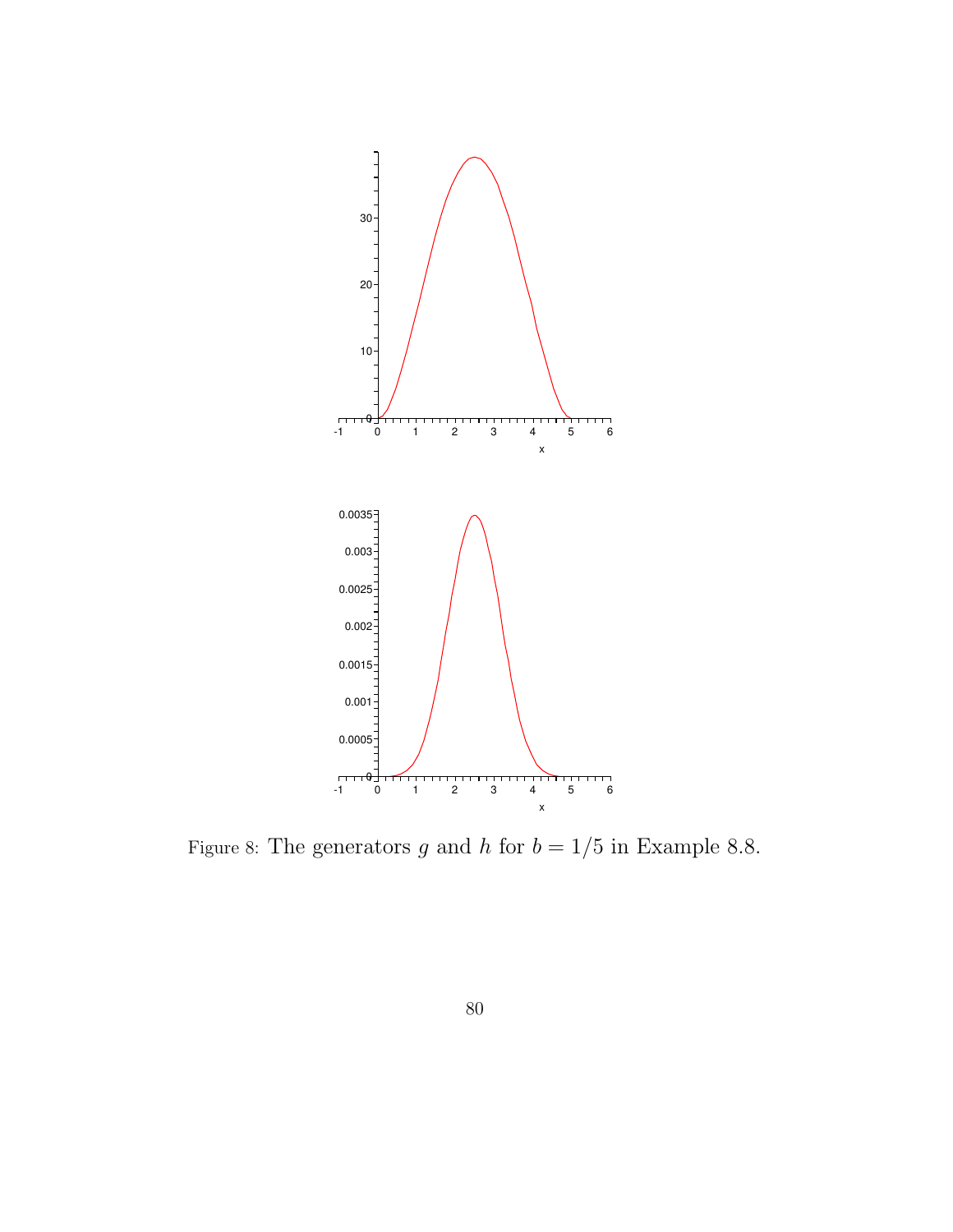

Figure 8: The generators  $g$  and  $h$  for  $b=1/5$  in Example 8.8.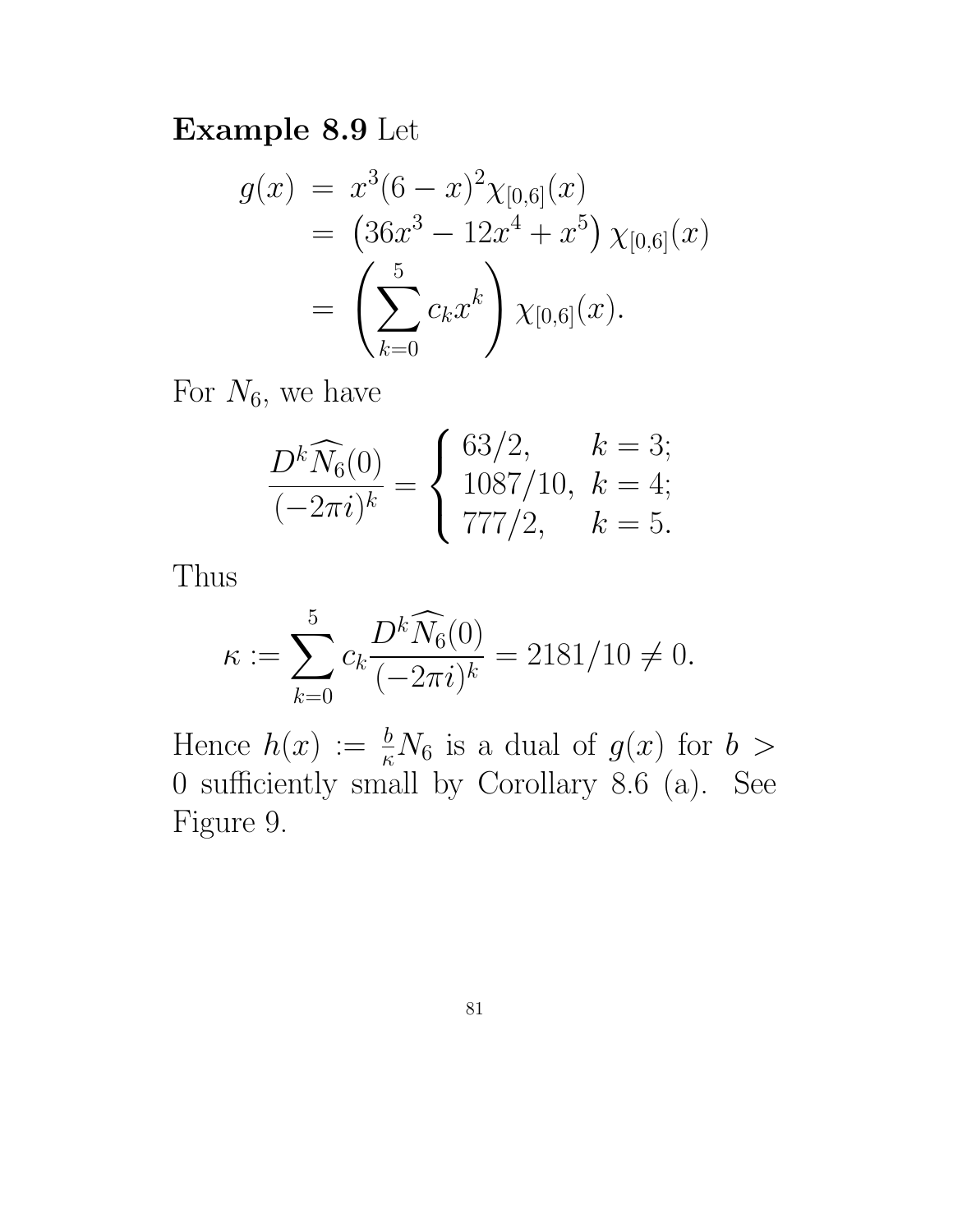### Example 8.9 Let

$$
g(x) = x^{3}(6-x)^{2}\chi_{[0,6]}(x)
$$
  
=  $(36x^{3} - 12x^{4} + x^{5}) \chi_{[0,6]}(x)$   
=  $\left(\sum_{k=0}^{5} c_{k}x^{k}\right) \chi_{[0,6]}(x).$ 

For  $N_6$ , we have

$$
\frac{D^k \widehat{N}_6(0)}{(-2\pi i)^k} = \begin{cases} 63/2, & k = 3; \\ 1087/10, & k = 4; \\ 777/2, & k = 5. \end{cases}
$$

Thus

$$
\kappa := \sum_{k=0}^{5} c_k \frac{D^k \widehat{N}_6(0)}{(-2\pi i)^k} = 2181/10 \neq 0.
$$

Hence  $h(x) := \frac{b}{\kappa} N_6$  is a dual of  $g(x)$  for  $b >$ 0 sufficiently small by Corollary 8.6 (a). See Figure 9.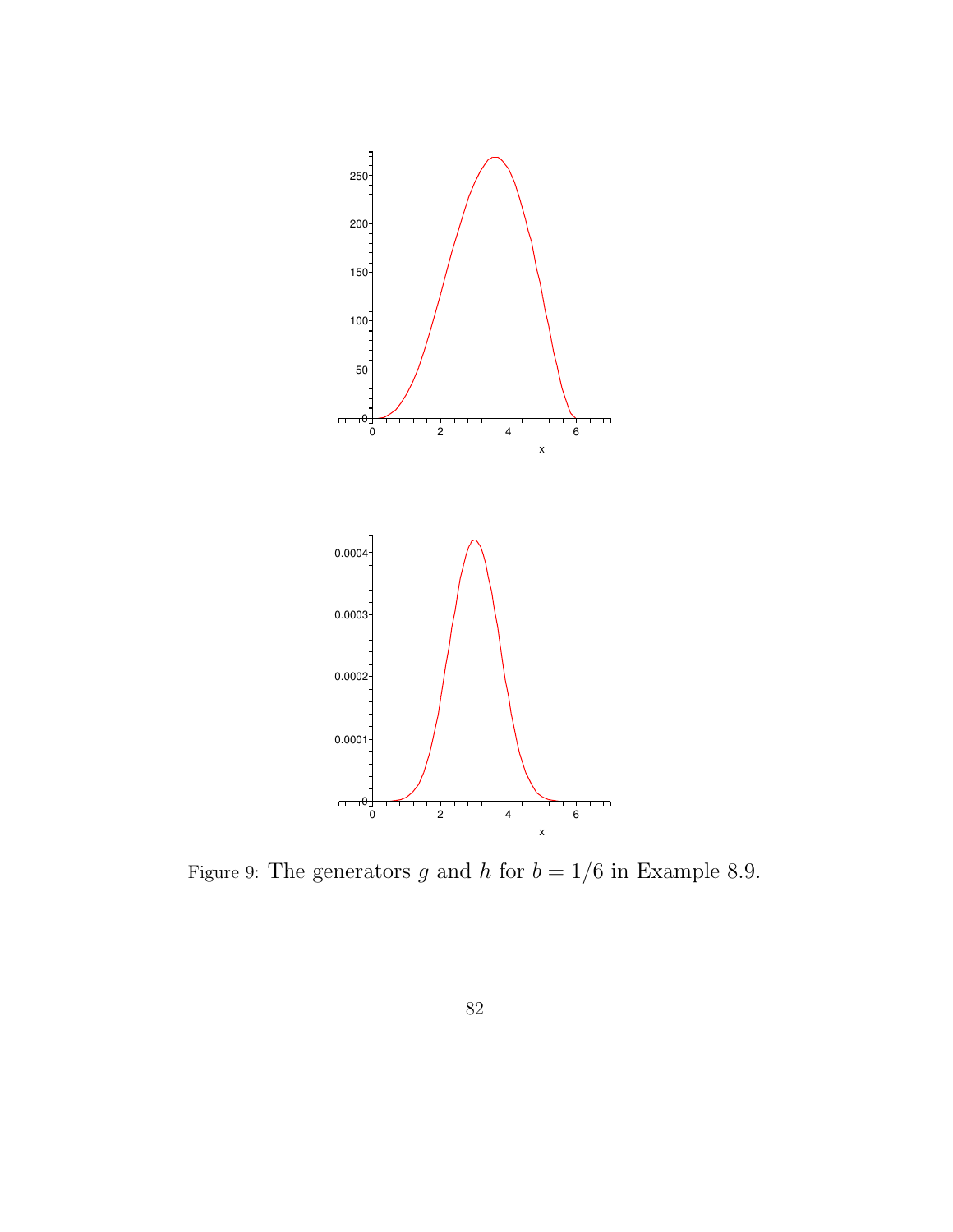

Figure 9: The generators  $g$  and  $h$  for  $b=1/6$  in Example 8.9.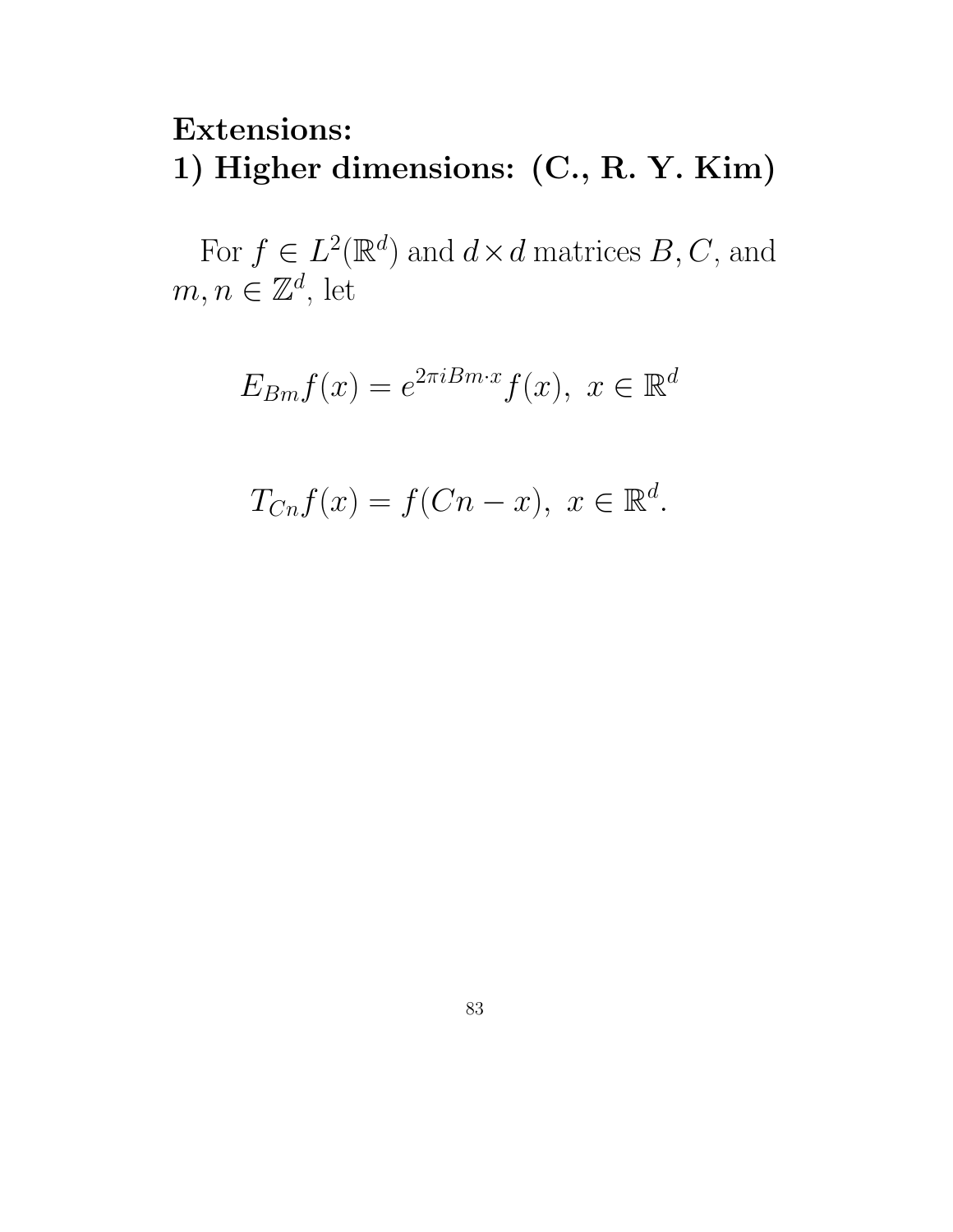# Extensions: 1) Higher dimensions: (C., R. Y. Kim)

For  $f \in L^2(\mathbb{R}^d)$  and  $d \times d$  matrices  $B, C$ , and  $m, n \in \mathbb{Z}^d$ , let

$$
E_{Bm}f(x) = e^{2\pi i Bm \cdot x} f(x), \ x \in \mathbb{R}^d
$$

$$
T_{Cn}f(x) = f(Cn - x), \ x \in \mathbb{R}^d.
$$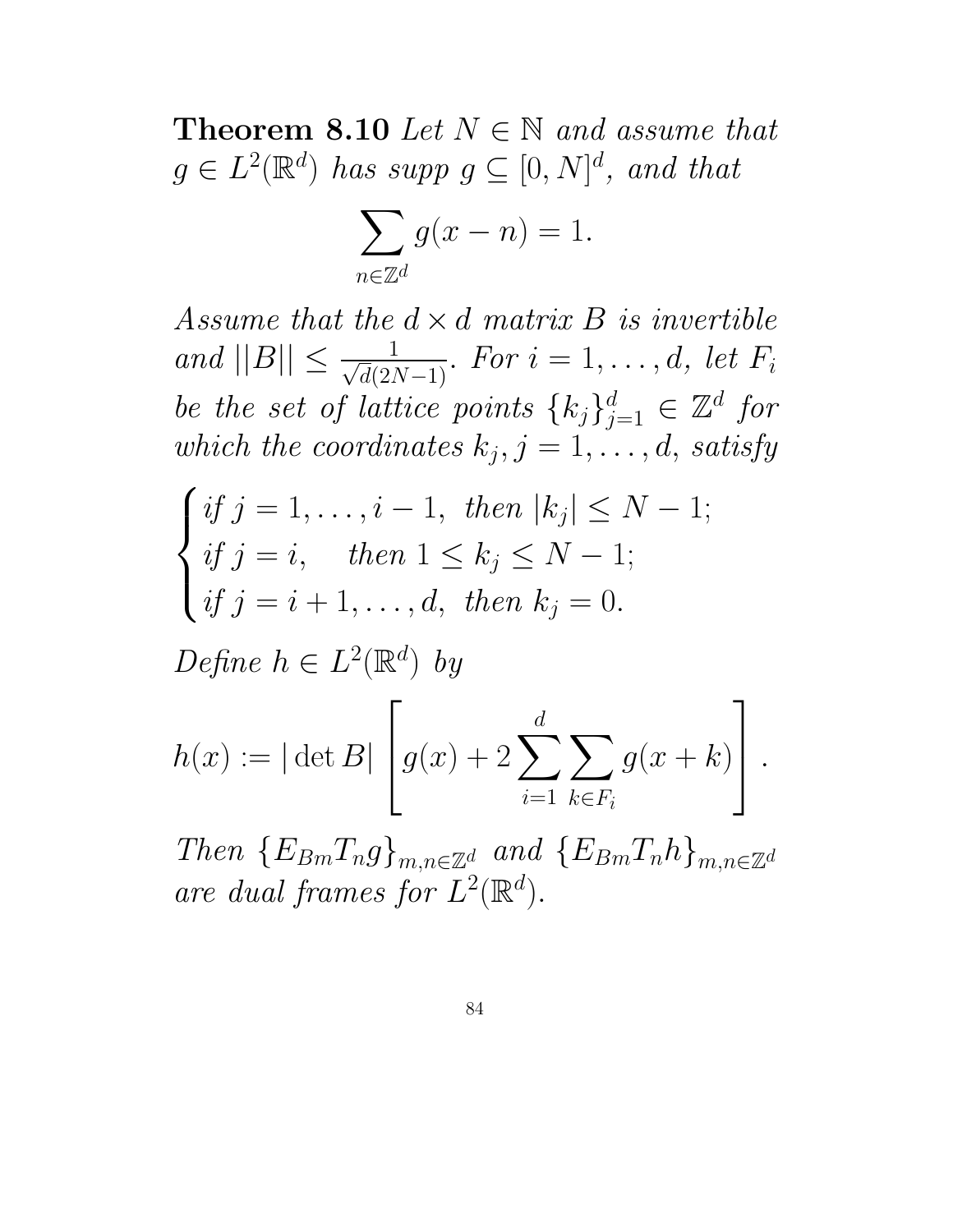Theorem 8.10 Let  $N \in \mathbb{N}$  and assume that  $g \in L^2(\mathbb{R}^d)$  has supp  $g \subseteq [0, N]^d$ , and that

$$
\sum_{n \in \mathbb{Z}^d} g(x - n) = 1.
$$

Assume that the  $d \times d$  matrix B is invertible and  $||B|| \le \frac{1}{\sqrt{d}(2N-1)}$ . For  $i = 1, ..., d$ , let  $F_i$ be the set of lattice points  $\{k_j\}_{j=1}^d \in \mathbb{Z}^d$  for which the coordinates  $k_j, j = 1, \ldots, d$ , satisfy

$$
\begin{cases} if \ j = 1, \dots, i-1, \ then \ |k_j| \le N-1; \\ if \ j = i, \quad then \ 1 \le k_j \le N-1; \\ if \ j = i+1, \dots, d, \ then \ k_j = 0. \end{cases}
$$

Define  $h \in L^2(\mathbb{R}^d)$  by

$$
h(x) := |\det B| \left[ g(x) + 2 \sum_{i=1}^{d} \sum_{k \in F_i} g(x + k) \right].
$$

Then  ${E_{Bm}}T_n g_{m,n \in \mathbb{Z}^d}$  and  ${E_{Bm}}T_n h_{m,n \in \mathbb{Z}^d}$ are dual frames for  $L^2(\mathbb{R}^d)$ .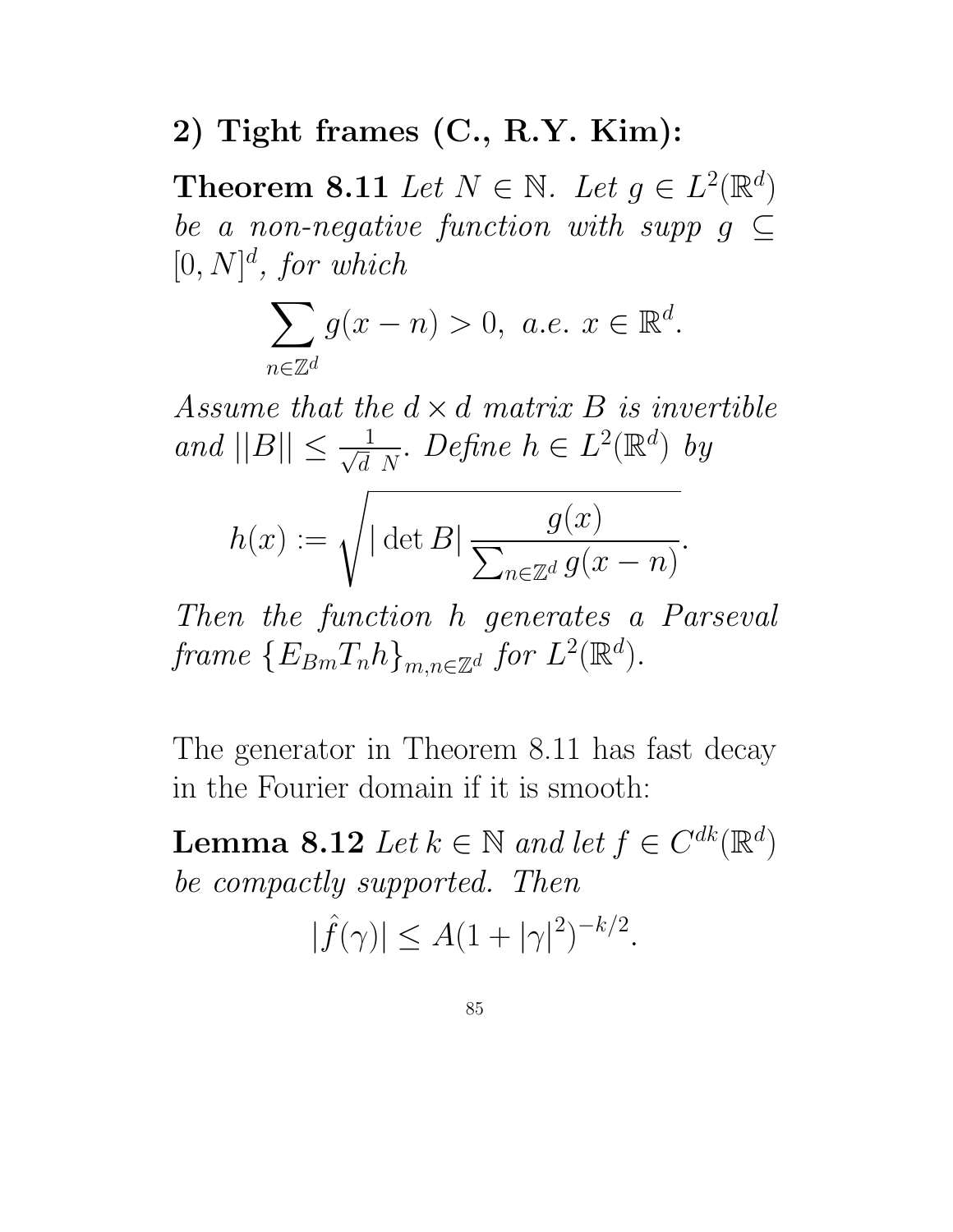## 2) Tight frames (C., R.Y. Kim):

Theorem 8.11 Let  $N \in \mathbb{N}$ . Let  $g \in L^2(\mathbb{R}^d)$ be a non-negative function with supp  $g \subseteq$  $[0, N]^d$ , for which

$$
\sum_{n\in\mathbb{Z}^d} g(x-n) > 0, \ a.e. \ x \in \mathbb{R}^d.
$$

Assume that the  $d \times d$  matrix B is invertible and  $||B|| \leq \frac{1}{\sqrt{d}}$  $\frac{1}{d} N$ . Define  $h \in L^2(\mathbb{R}^d)$  by

$$
h(x) := \sqrt{|\det B| \frac{g(x)}{\sum_{n \in \mathbb{Z}^d} g(x - n)}}.
$$

Then the function h generates a Parseval frame  $\{E_{Bm}T_nh\}_{m,n\in\mathbb{Z}^d}$  for  $L^2(\mathbb{R}^d)$ .

The generator in Theorem 8.11 has fast decay in the Fourier domain if it is smooth:

**Lemma 8.12** Let  $k \in \mathbb{N}$  and let  $f \in C^{dk}(\mathbb{R}^d)$ be compactly supported. Then

 $|\hat{f}(\gamma)| \leq A(1+|\gamma|^2)^{-k/2}.$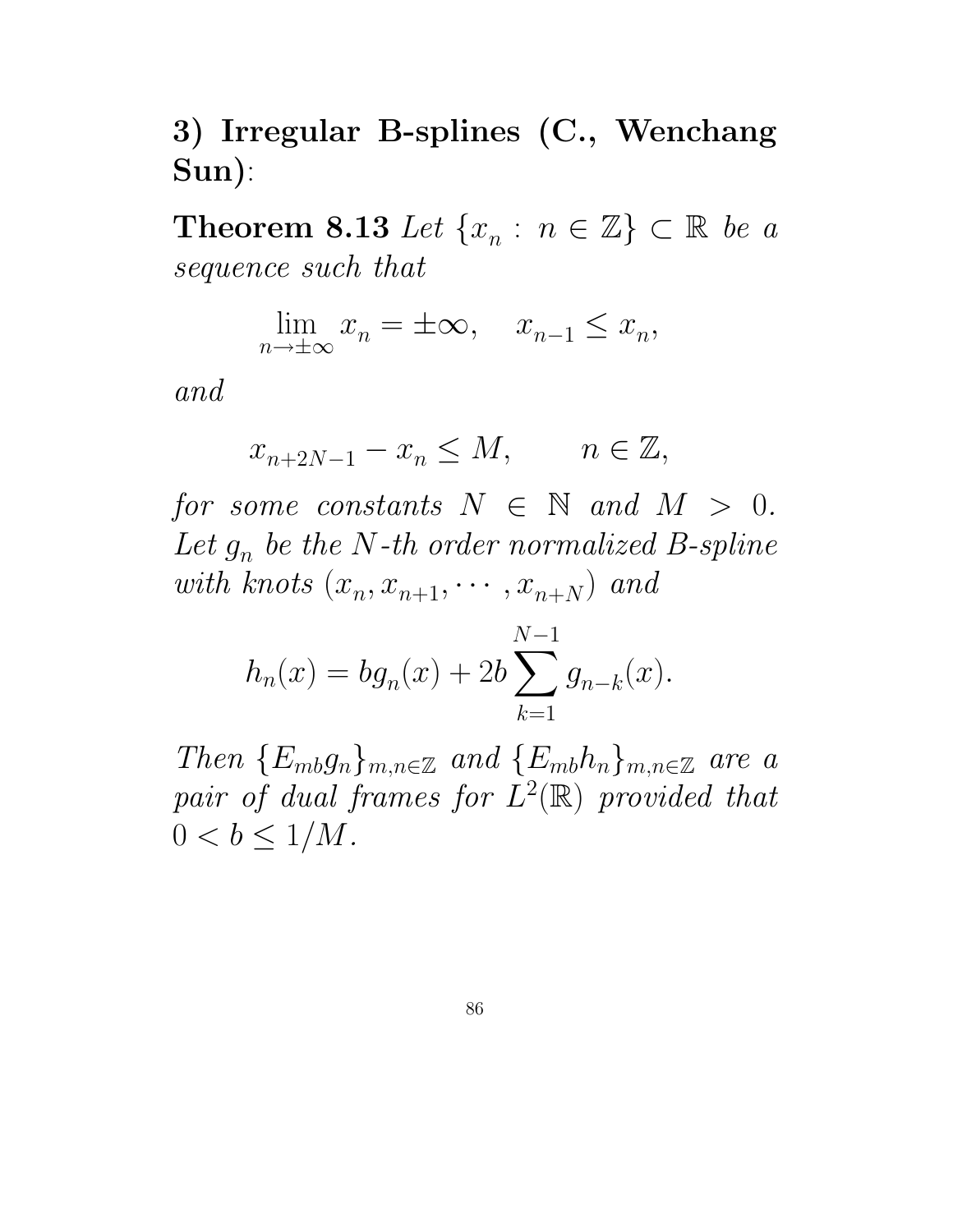3) Irregular B-splines (C., Wenchang Sun):

Theorem 8.13 Let  $\{x_n : n \in \mathbb{Z}\} \subset \mathbb{R}$  be a sequence such that

$$
\lim_{n \to \pm \infty} x_n = \pm \infty, \quad x_{n-1} \le x_n,
$$

and

$$
x_{n+2N-1} - x_n \le M, \qquad n \in \mathbb{Z},
$$

for some constants  $N \in \mathbb{N}$  and  $M > 0$ . Let  $g_n$  be the N-th order normalized B-spline with knots  $(x_n, x_{n+1}, \dots, x_{n+N})$  and

$$
h_n(x) = bg_n(x) + 2b \sum_{k=1}^{N-1} g_{n-k}(x).
$$

Then  ${E_{mb}}g_n$ <sub>m,n∈Z</sub> and  ${E_{mb}}h_n$ <sub>m,n∈Z</sub> are a pair of dual frames for  $L^2(\mathbb{R})$  provided that  $0 < b \leq 1/M$ .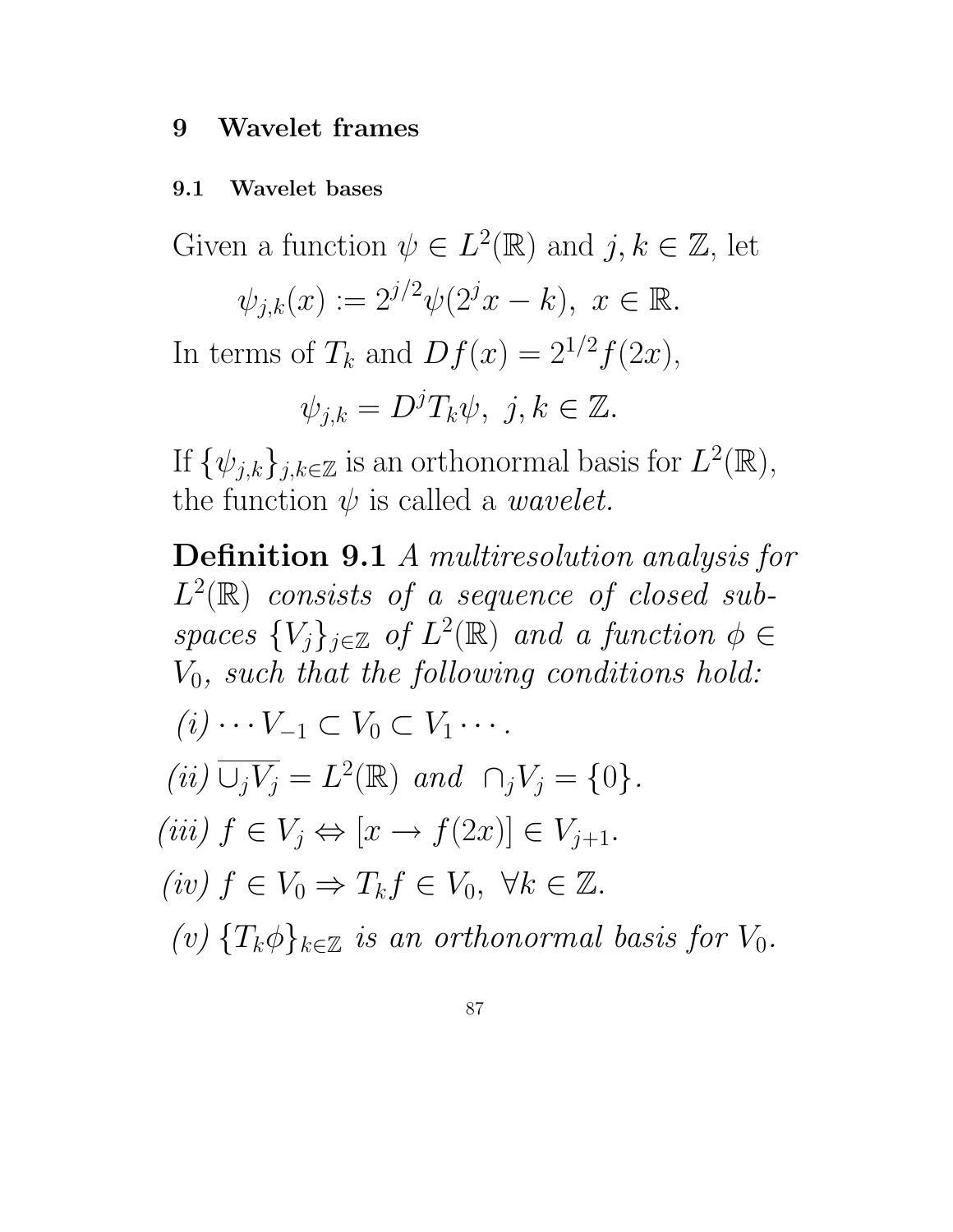#### 9 Wavelet frames

#### 9.1 Wavelet bases

Given a function  $\psi \in L^2(\mathbb{R})$  and  $j, k \in \mathbb{Z}$ , let

$$
\psi_{j,k}(x) := 2^{j/2} \psi(2^j x - k), \ x \in \mathbb{R}.
$$

In terms of  $T_k$  and  $Df(x) = 2^{1/2}f(2x)$ ,

$$
\psi_{j,k} = D^j T_k \psi, \ j,k \in \mathbb{Z}.
$$

If  $\{\psi_{j,k}\}_{j,k\in\mathbb{Z}}$  is an orthonormal basis for  $L^2(\mathbb{R}),$ the function  $\psi$  is called a *wavelet*.

Definition 9.1 A multiresolution analysis for  $L^2(\mathbb{R})$  consists of a sequence of closed subspaces  ${V_j}_{j \in \mathbb{Z}}$  of  $L^2(\mathbb{R})$  and a function  $\phi \in$  $V_0$ , such that the following conditions hold:  $(i) \cdots V_{-1} \subset V_0 \subset V_1 \cdots$ . (ii)  $\overline{\cup_j V_j} = L^2(\mathbb{R})$  and  $\cap_j V_j = \{0\}.$ (iii)  $f \in V_i \Leftrightarrow [x \rightarrow f(2x)] \in V_{i+1}.$ (iv)  $f \in V_0 \Rightarrow T_k f \in V_0$ ,  $\forall k \in \mathbb{Z}$ . (v)  $\{T_k\phi\}_{k\in\mathbb{Z}}$  is an orthonormal basis for  $V_0$ .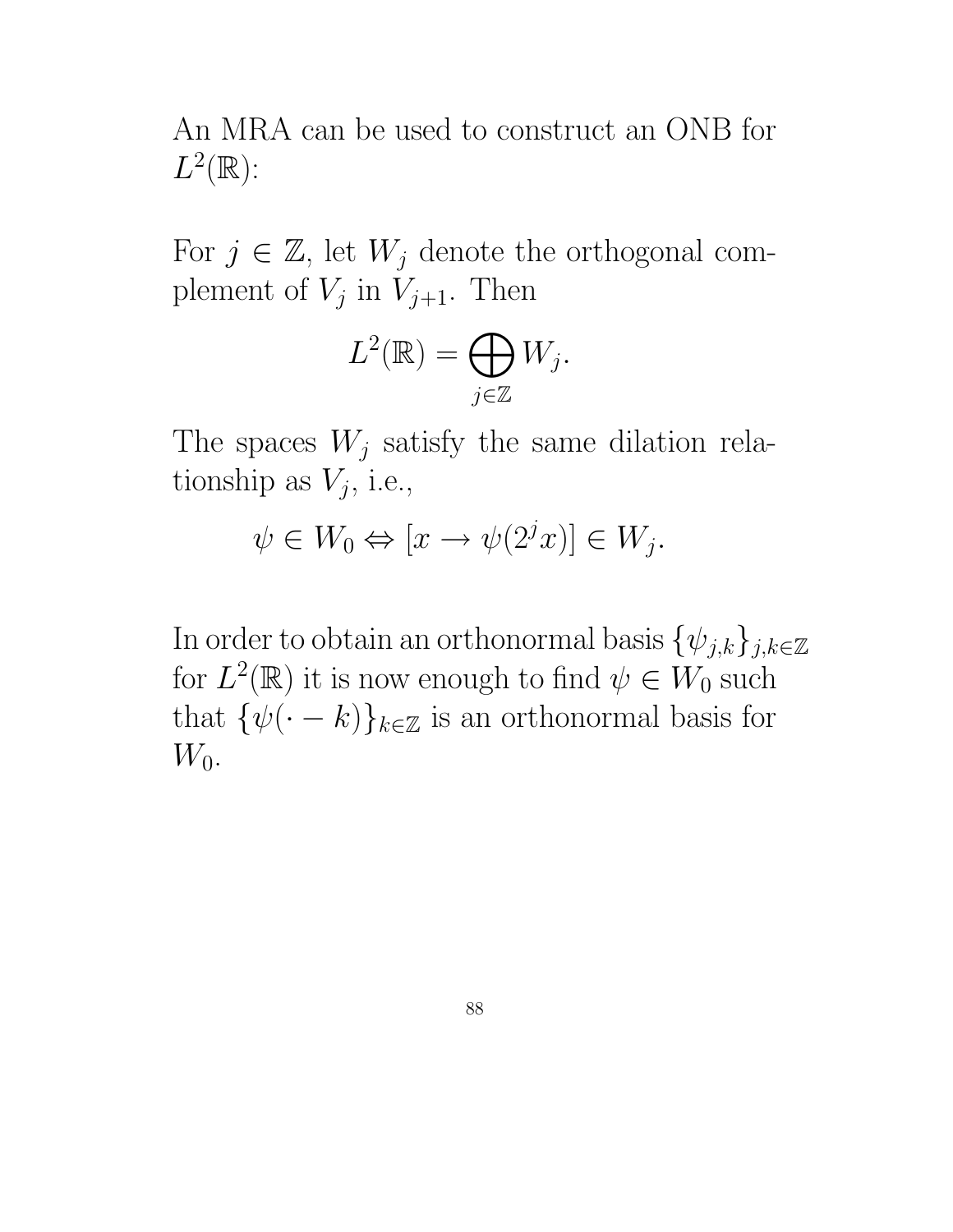An MRA can be used to construct an ONB for  $L^2(\mathbb{R})$ :

For  $j \in \mathbb{Z}$ , let  $W_j$  denote the orthogonal complement of  $V_j$  in  $V_{j+1}$ . Then

$$
L^2(\mathbb{R}) = \bigoplus_{j \in \mathbb{Z}} W_j.
$$

The spaces  $W_j$  satisfy the same dilation relationship as  $V_j$ , i.e.,

$$
\psi \in W_0 \Leftrightarrow [x \to \psi(2^j x)] \in W_j.
$$

In order to obtain an orthonormal basis  $\{\psi_{j,k}\}_{j,k\in\mathbb{Z}}$ for  $L^2(\mathbb{R})$  it is now enough to find  $\psi \in W_0$  such that  $\{\psi(\cdot - k)\}_{k \in \mathbb{Z}}$  is an orthonormal basis for  $W_0$ .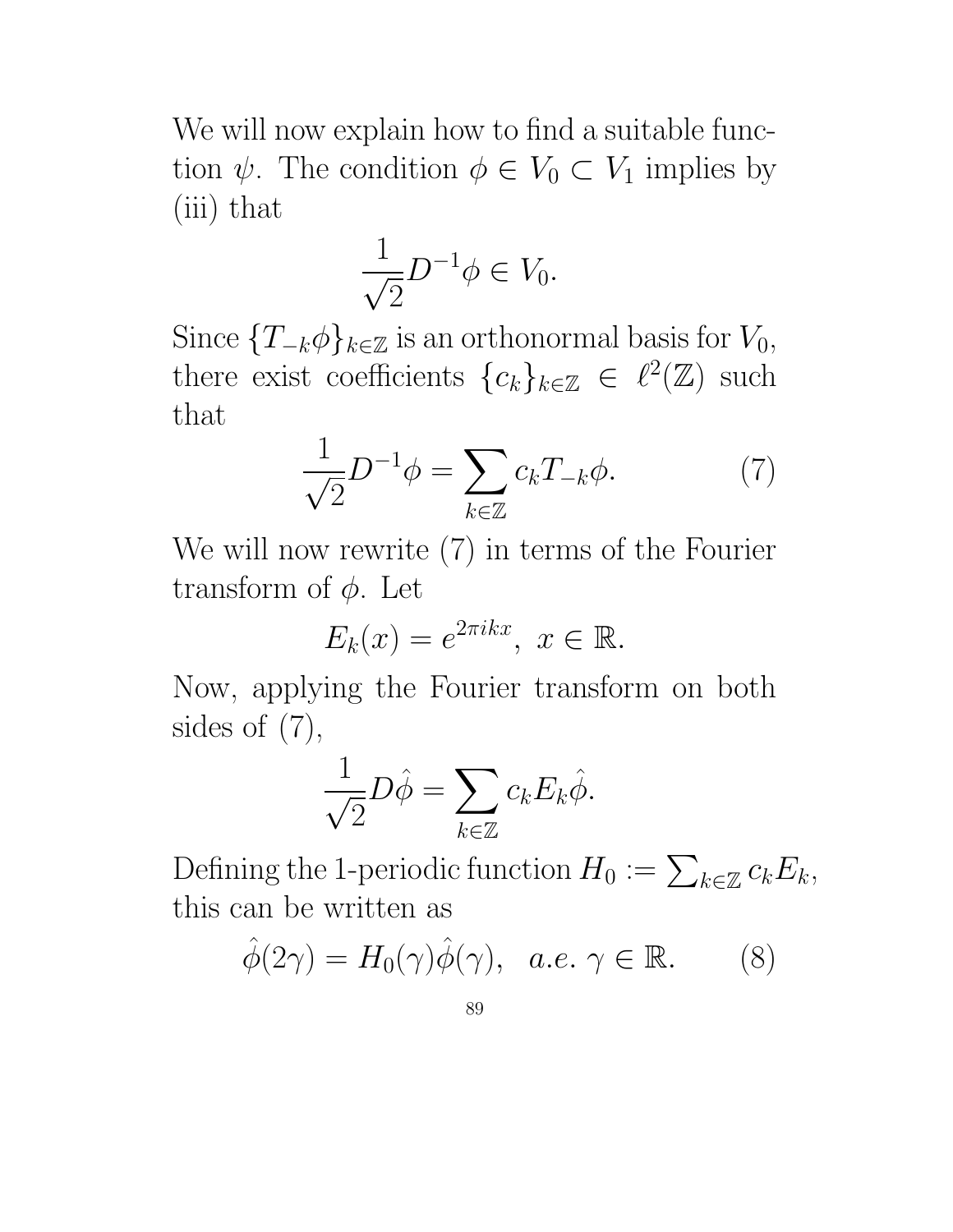We will now explain how to find a suitable function  $\psi$ . The condition  $\phi \in V_0 \subset V_1$  implies by (iii) that

$$
\frac{1}{\sqrt{2}}D^{-1}\phi \in V_0.
$$

Since  $\{T_{-k}\phi\}_{k\in\mathbb{Z}}$  is an orthonormal basis for  $V_0$ , there exist coefficients  ${c_k}_{k \in \mathbb{Z}} \in \ell^2(\mathbb{Z})$  such that

$$
\frac{1}{\sqrt{2}}D^{-1}\phi = \sum_{k \in \mathbb{Z}} c_k T_{-k}\phi.
$$
 (7)

We will now rewrite (7) in terms of the Fourier transform of  $\phi$ . Let

$$
E_k(x) = e^{2\pi i kx}, \ x \in \mathbb{R}.
$$

Now, applying the Fourier transform on both sides of  $(7)$ ,

$$
\frac{1}{\sqrt{2}}D\hat{\phi} = \sum_{k \in \mathbb{Z}} c_k E_k \hat{\phi}.
$$

Defining the 1-periodic function  $H_0 := \sum_{k \in \mathbb{Z}} c_k E_k$ , this can be written as

$$
\hat{\phi}(2\gamma) = H_0(\gamma)\hat{\phi}(\gamma), \quad a.e. \ \gamma \in \mathbb{R}.\tag{8}
$$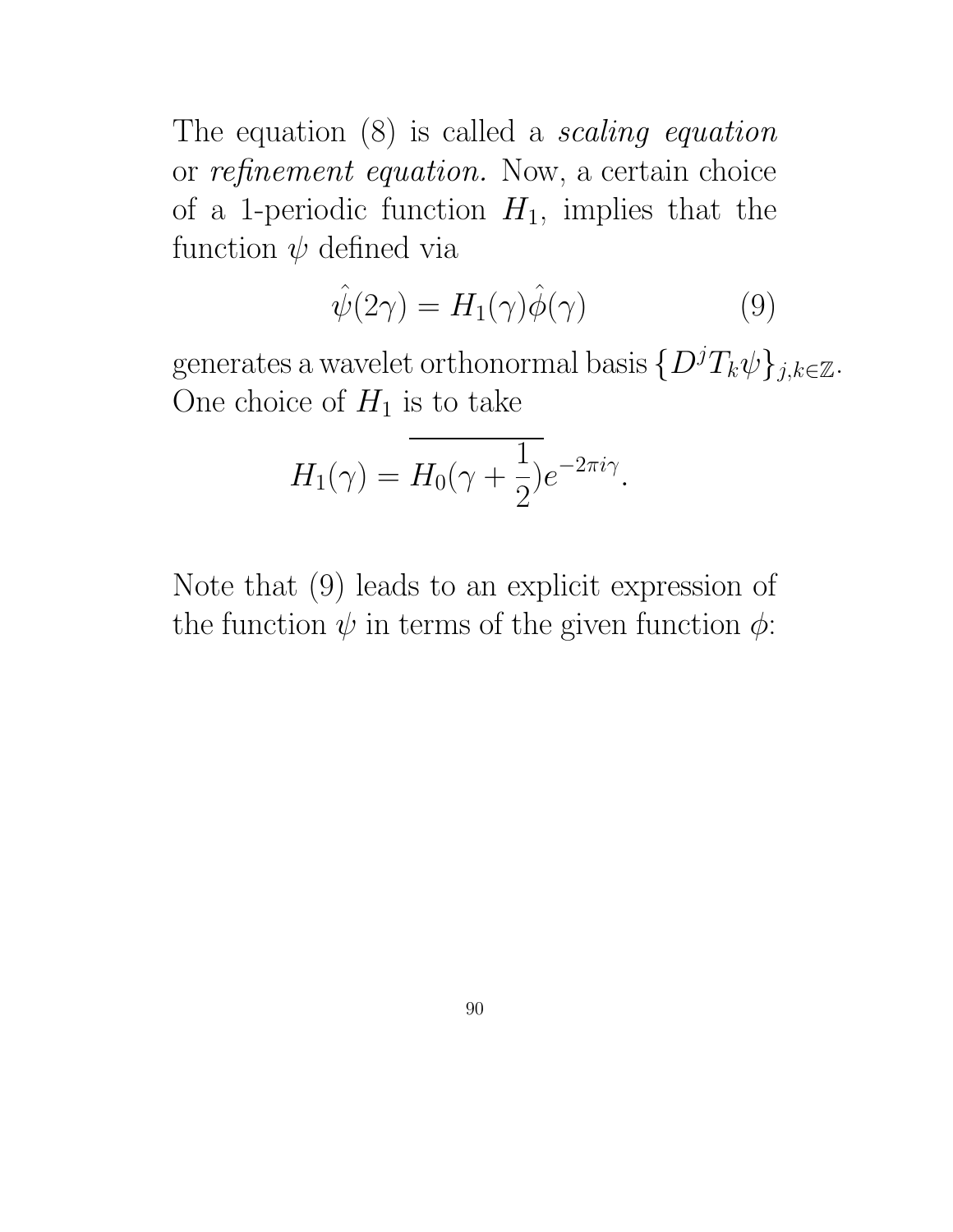The equation  $(8)$  is called a *scaling equation* or refinement equation. Now, a certain choice of a 1-periodic function  $H_1$ , implies that the function  $\psi$  defined via

$$
\hat{\psi}(2\gamma) = H_1(\gamma)\hat{\phi}(\gamma) \tag{9}
$$

generates a wavelet orthonormal basis  $\{D^jT_k\psi\}_{j,k\in\mathbb{Z}}$ . One choice of  $H_1$  is to take

$$
H_1(\gamma) = \overline{H_0(\gamma + \frac{1}{2})}e^{-2\pi i \gamma}.
$$

Note that (9) leads to an explicit expression of the function  $\psi$  in terms of the given function  $\phi$ :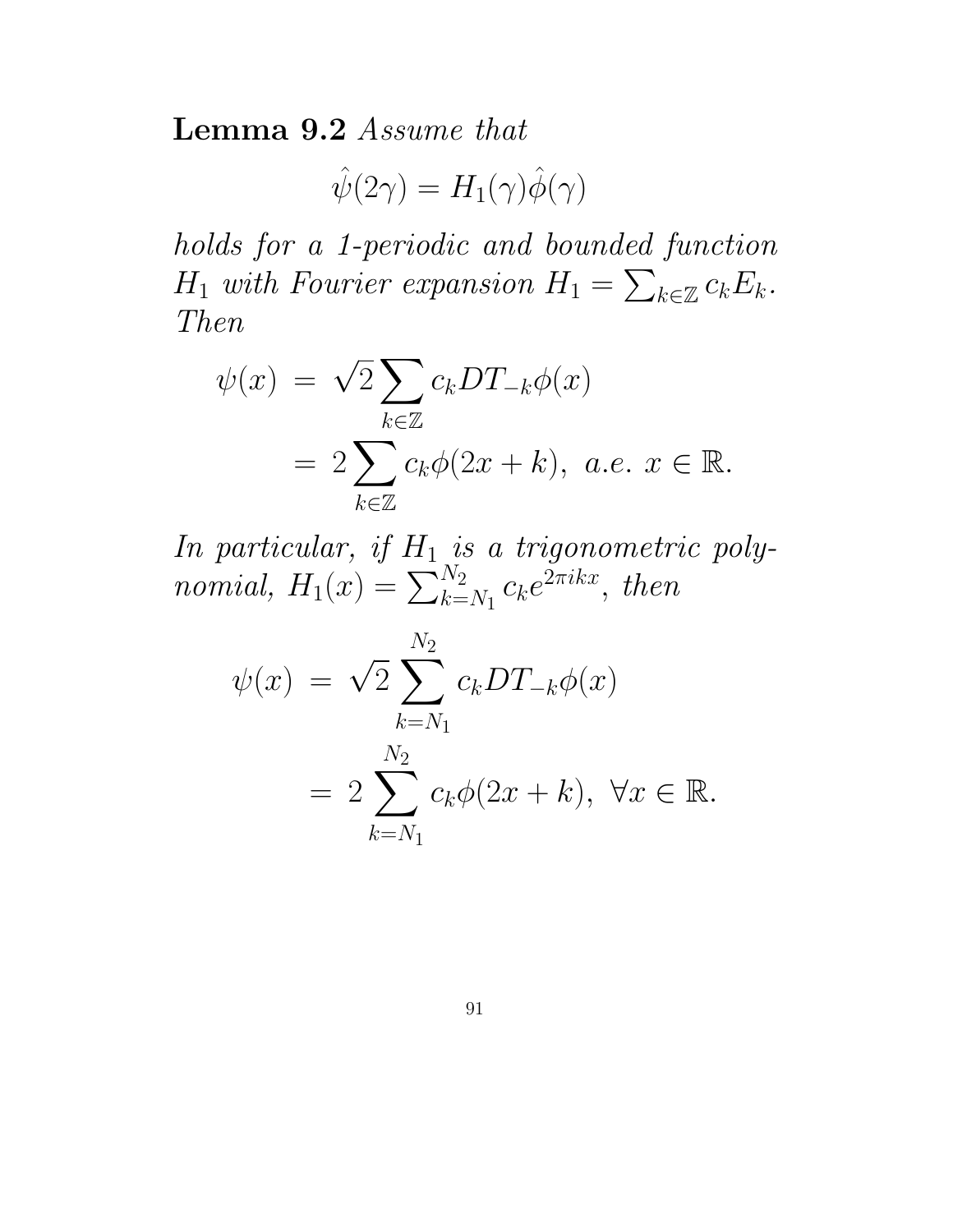Lemma 9.2 Assume that

 $\hat{\psi}(2\gamma) = H_1(\gamma)\hat{\phi}(\gamma)$ 

holds for a 1-periodic and bounded function  $H_1$  with Fourier expansion  $H_1 = \sum$  $_{k\in\mathbb{Z}}$   $c_kE_k.$ Then

$$
\psi(x) = \sqrt{2} \sum_{k \in \mathbb{Z}} c_k DT_{-k} \phi(x)
$$
  
=  $2 \sum_{k \in \mathbb{Z}} c_k \phi(2x + k), \ a.e. \ x \in \mathbb{R}.$ 

In particular, if  $H_1$  is a trigonometric polynomial,  $H_1(x) = \sum_{k=1}^{N_2}$  $\frac{N_2}{k=N_1}c_ke^{2\pi ikx},\ then$ 

$$
\psi(x) = \sqrt{2} \sum_{k=N_1}^{N_2} c_k DT_{-k}\phi(x)
$$
  
= 
$$
2 \sum_{k=N_1}^{N_2} c_k \phi(2x+k), \ \forall x \in \mathbb{R}.
$$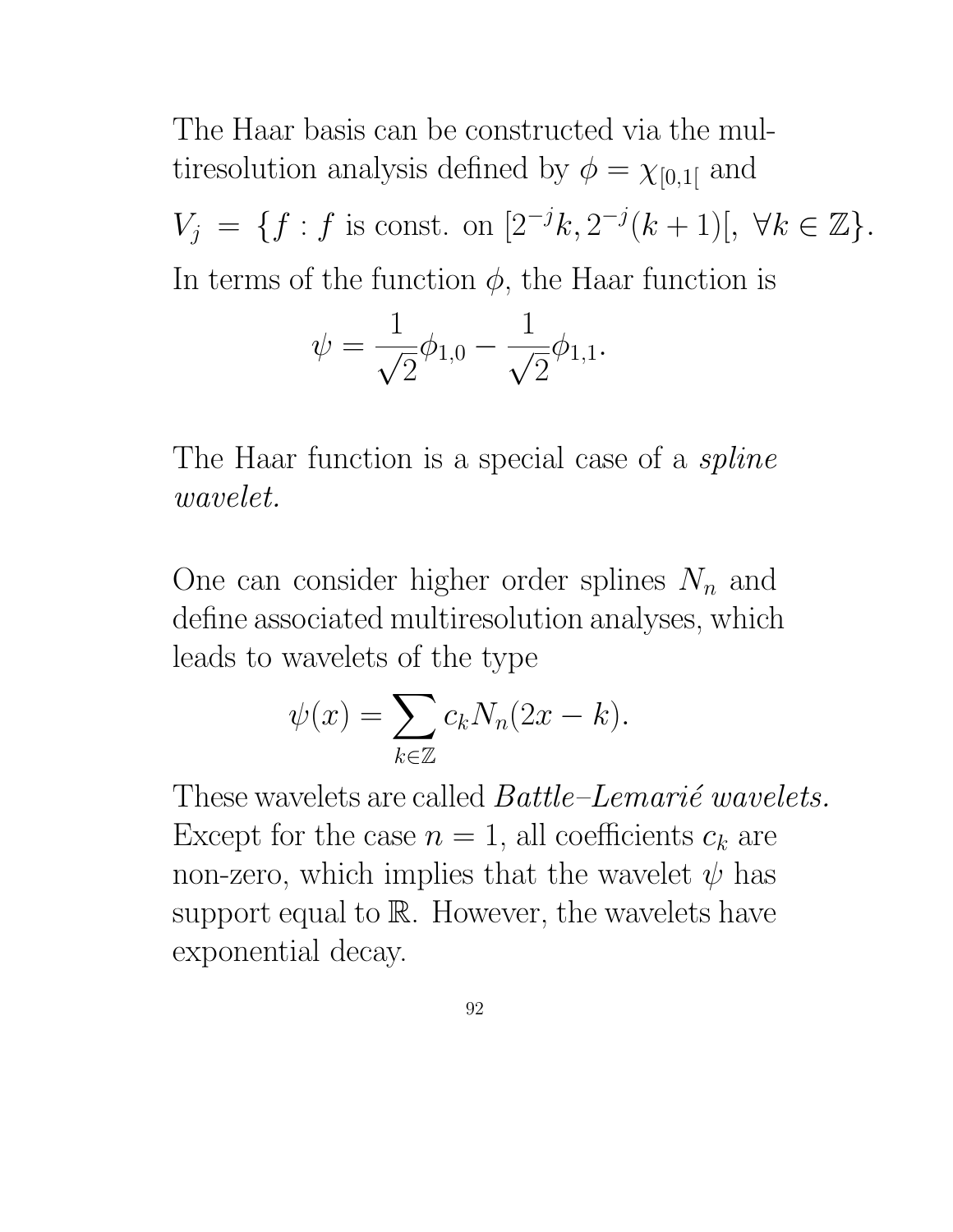The Haar basis can be constructed via the multiresolution analysis defined by  $\phi = \chi_{[0,1]}$  and  $V_j = \{f : f \text{ is const. on } [2^{-j}k, 2^{-j}(k+1)], \ \forall k \in \mathbb{Z}\}.$ In terms of the function  $\phi$ , the Haar function is

$$
\psi = \frac{1}{\sqrt{2}} \phi_{1,0} - \frac{1}{\sqrt{2}} \phi_{1,1}.
$$

The Haar function is a special case of a *spline* wavelet.

One can consider higher order splines  $N_n$  and define associated multiresolution analyses, which leads to wavelets of the type

$$
\psi(x) = \sum_{k \in \mathbb{Z}} c_k N_n(2x - k).
$$

These wavelets are called  $Battle-Lemari\acute{e} wavelets$ . Except for the case  $n = 1$ , all coefficients  $c_k$  are non-zero, which implies that the wavelet  $\psi$  has support equal to  $\mathbb R$ . However, the wavelets have exponential decay.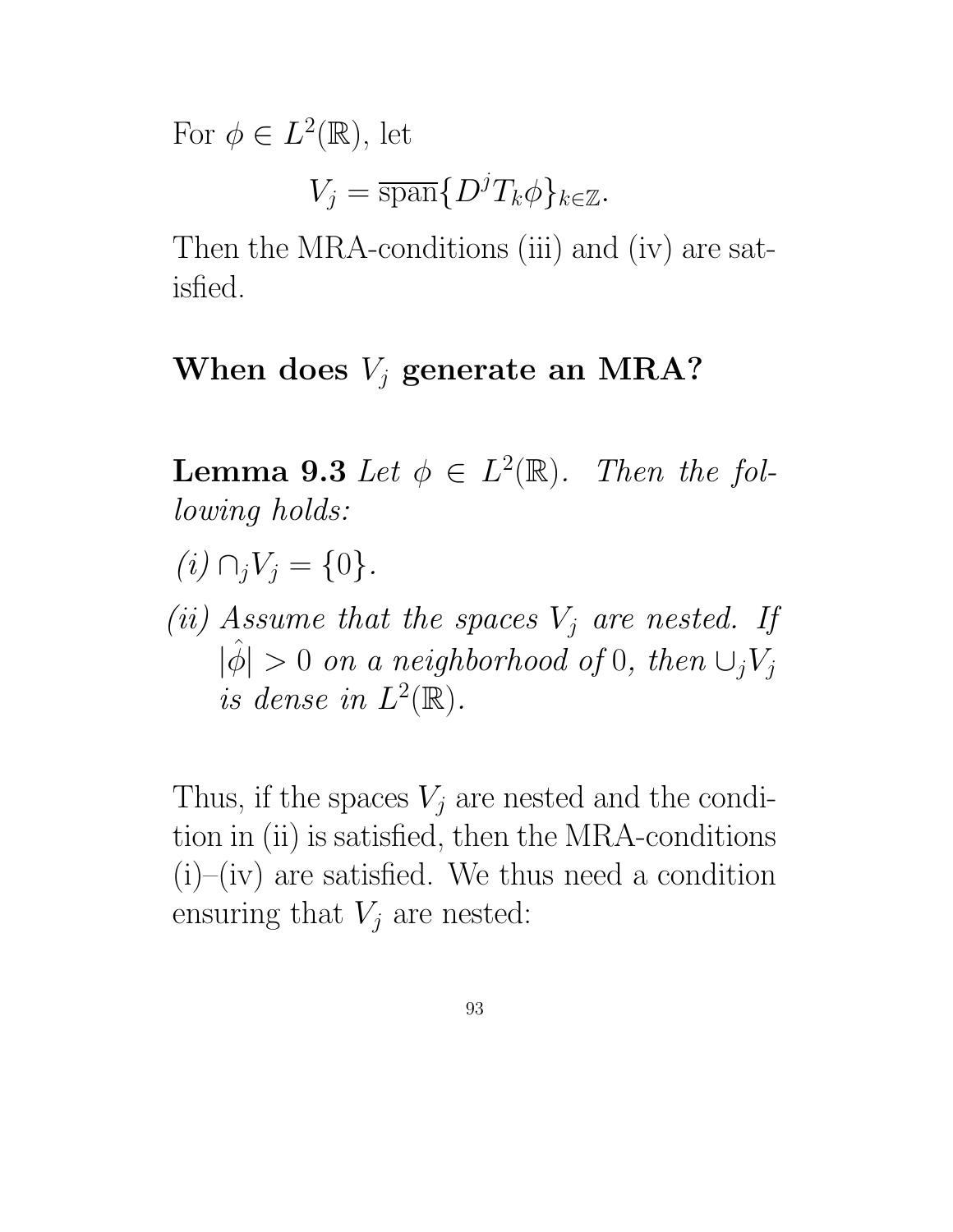For  $\phi \in L^2(\mathbb{R})$ , let

$$
V_j = \overline{\operatorname{span}} \{ D^j T_k \phi \}_{k \in \mathbb{Z}}.
$$

Then the MRA-conditions (iii) and (iv) are satisfied.

#### When does  $V_i$  generate an MRA?

**Lemma 9.3** Let  $\phi \in L^2(\mathbb{R})$ . Then the following holds:

- $(i) \cap_i V_j = \{0\}.$
- (ii) Assume that the spaces  $V_j$  are nested. If  $|\hat{\phi}| > 0$  on a neighborhood of 0, then  $\cup_j V_j$ is dense in  $L^2(\mathbb{R})$ .

Thus, if the spaces  $V_i$  are nested and the condition in (ii) is satisfied, then the MRA-conditions  $(i)$ – $(iv)$  are satisfied. We thus need a condition ensuring that  $V_j$  are nested: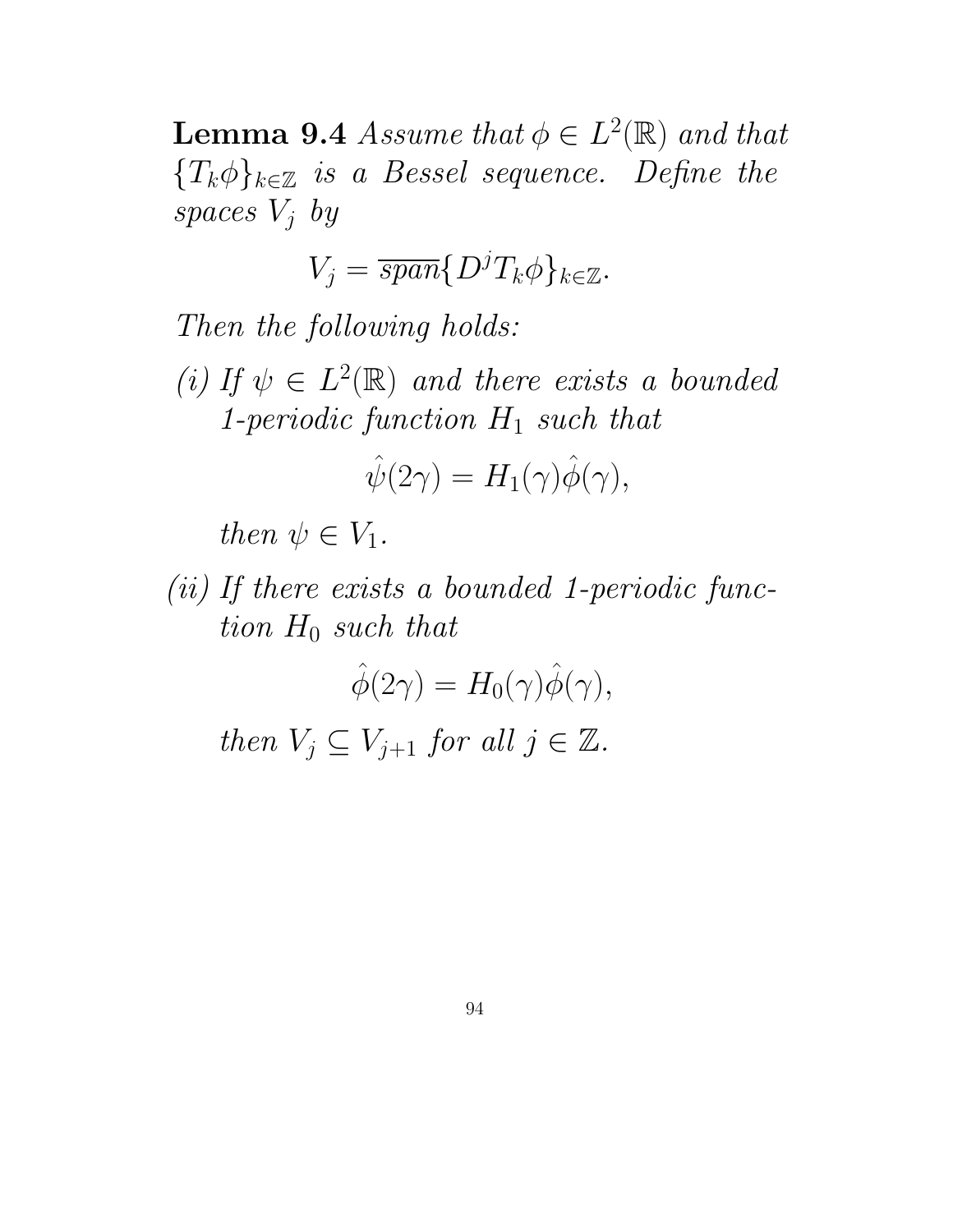**Lemma 9.4** Assume that  $\phi \in L^2(\mathbb{R})$  and that  ${T_k \phi}_{k \in \mathbb{Z}}$  is a Bessel sequence. Define the spaces  $V_i$  by

$$
V_j = \overline{span}\{D^j T_k \phi\}_{k \in \mathbb{Z}}.
$$

Then the following holds:

(i) If  $\psi \in L^2(\mathbb{R})$  and there exists a bounded 1-periodic function  $H_1$  such that

$$
\hat{\psi}(2\gamma) = H_1(\gamma)\hat{\phi}(\gamma),
$$

then  $\psi \in V_1$ .

(ii) If there exists a bounded 1-periodic function  $H_0$  such that

$$
\hat{\phi}(2\gamma) = H_0(\gamma)\hat{\phi}(\gamma),
$$
  
then  $V_j \subseteq V_{j+1}$  for all  $j \in \mathbb{Z}$ .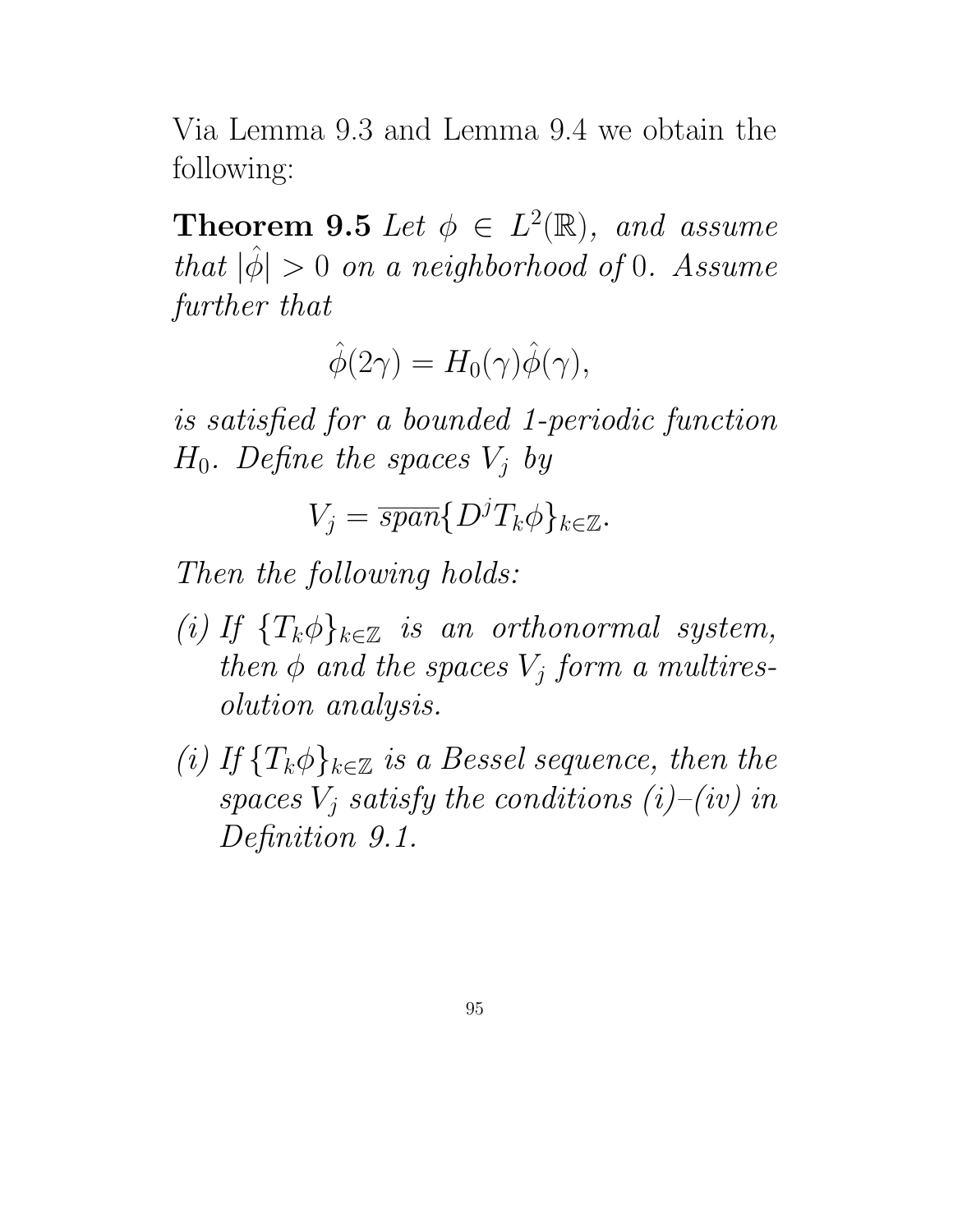Via Lemma 9.3 and Lemma 9.4 we obtain the following:

**Theorem 9.5** Let  $\phi \in L^2(\mathbb{R})$ , and assume that  $|\hat{\phi}| > 0$  on a neighborhood of 0. Assume further that

 $\hat{\phi}(2\gamma) = H_0(\gamma)\hat{\phi}(\gamma),$ 

is satisfied for a bounded 1-periodic function  $H_0$ . Define the spaces  $V_i$  by

$$
V_j = \overline{span}\{D^j T_k \phi\}_{k \in \mathbb{Z}}.
$$

Then the following holds:

- (i) If  $\{T_k\phi\}_{k\in\mathbb{Z}}$  is an orthonormal system, then  $\phi$  and the spaces  $V_i$  form a multiresolution analysis.
- (i) If  $\{T_k\phi\}_{k\in\mathbb{Z}}$  is a Bessel sequence, then the spaces  $V_i$  satisfy the conditions  $(i)-(iv)$  in Definition 9.1.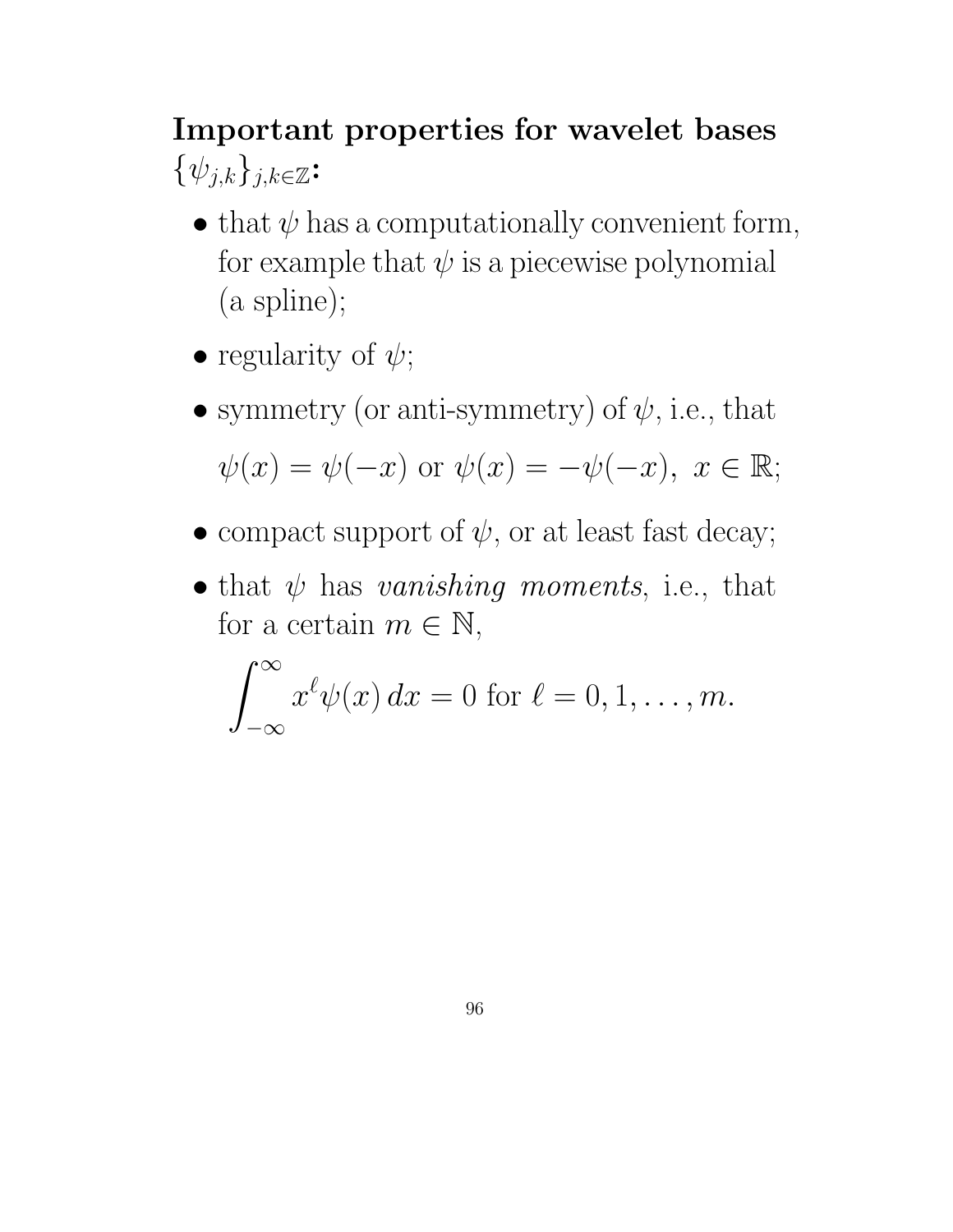# Important properties for wavelet bases  $\{\psi_{j,k}\}_{j,k\in\mathbb{Z}}$ :

- that  $\psi$  has a computationally convenient form, for example that  $\psi$  is a piecewise polynomial (a spline);
- regularity of  $\psi$ ;
- symmetry (or anti-symmetry) of  $\psi$ , i.e., that  $\psi(x) = \psi(-x)$  or  $\psi(x) = -\psi(-x), x \in \mathbb{R}$ ;
- compact support of  $\psi$ , or at least fast decay;
- that  $\psi$  has vanishing moments, i.e., that for a certain  $m \in \mathbb{N}$ ,

$$
\int_{-\infty}^{\infty} x^{\ell} \psi(x) dx = 0 \text{ for } \ell = 0, 1, \dots, m.
$$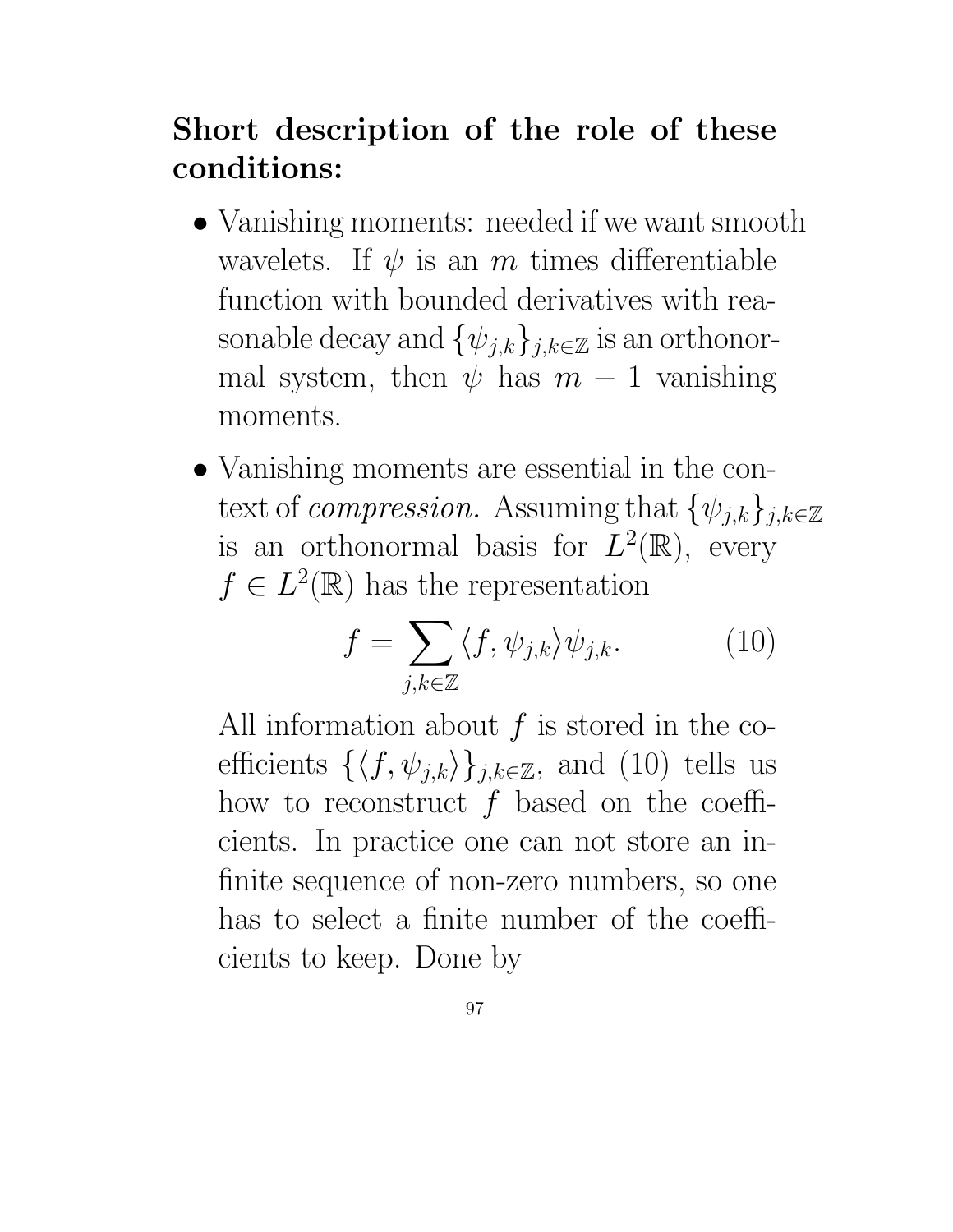# Short description of the role of these conditions:

- Vanishing moments: needed if we want smooth wavelets. If  $\psi$  is an m times differentiable function with bounded derivatives with reasonable decay and  $\{\psi_{j,k}\}_{j,k\in\mathbb{Z}}$  is an orthonormal system, then  $\psi$  has  $m-1$  vanishing moments.
- Vanishing moments are essential in the context of *compression*. Assuming that  $\{\psi_{j,k}\}_{j,k\in\mathbb{Z}}$ is an orthonormal basis for  $L^2(\mathbb{R})$ , every  $f \in L^2(\mathbb{R})$  has the representation

$$
f = \sum_{j,k \in \mathbb{Z}} \langle f, \psi_{j,k} \rangle \psi_{j,k}.
$$
 (10)

All information about  $f$  is stored in the coefficients  $\{\langle f, \psi_{j,k}\rangle\}_{j,k\in\mathbb{Z}}$ , and (10) tells us how to reconstruct  $f$  based on the coefficients. In practice one can not store an infinite sequence of non-zero numbers, so one has to select a finite number of the coefficients to keep. Done by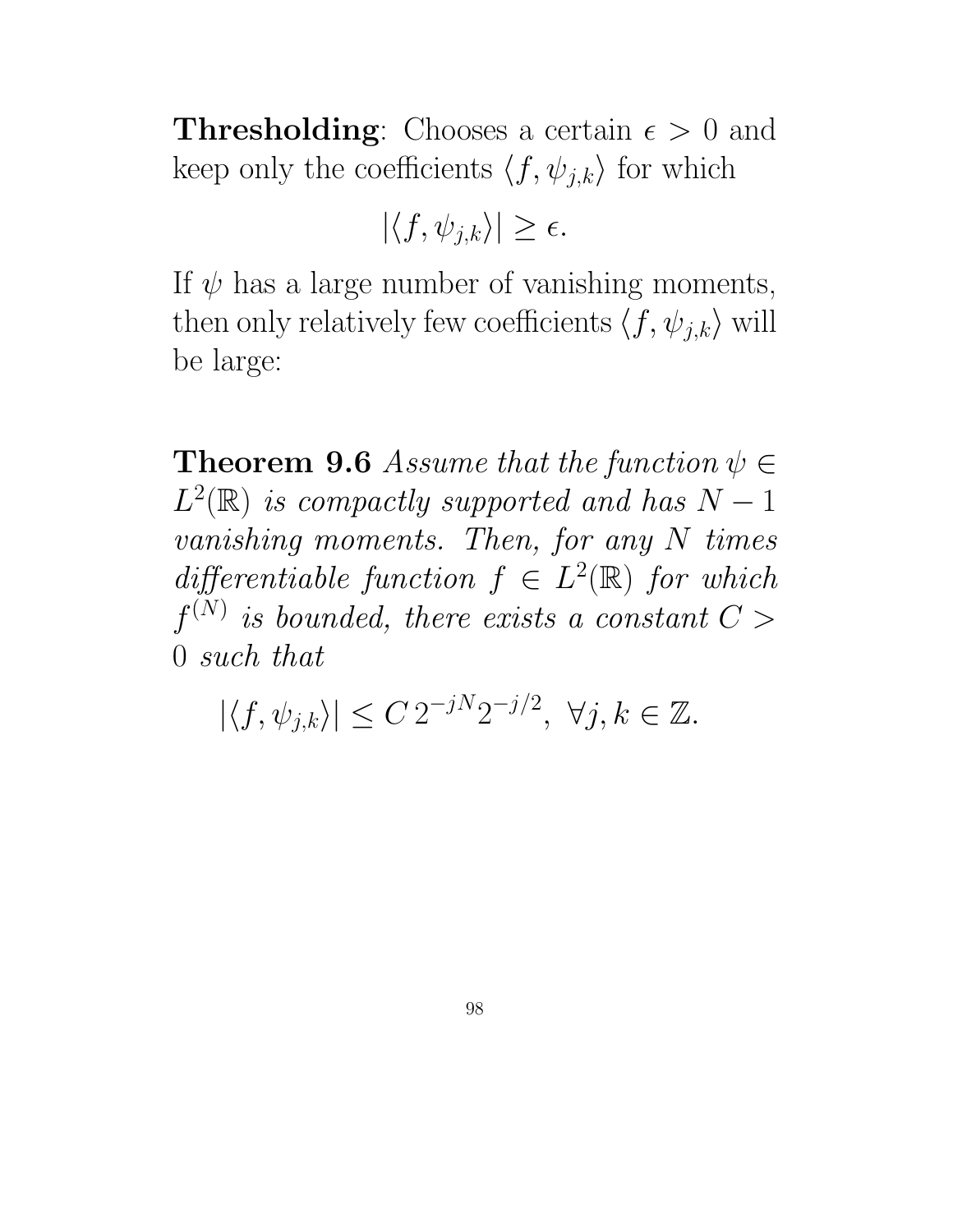**Thresholding:** Chooses a certain  $\epsilon > 0$  and keep only the coefficients  $\langle f, \psi_{j,k} \rangle$  for which

 $|\langle f, \psi_{i,k}\rangle| \geq \epsilon.$ 

If  $\psi$  has a large number of vanishing moments, then only relatively few coefficients  $\langle f, \psi_{j,k} \rangle$  will be large:

**Theorem 9.6** Assume that the function  $\psi \in$  $L^2(\mathbb{R})$  is compactly supported and has  $N-1$ vanishing moments. Then, for any N times differentiable function  $f \in L^2(\mathbb{R})$  for which  $f^{(N)}$  is bounded, there exists a constant  $C >$ 0 such that

 $|\langle f, \psi_{j,k} \rangle| \leq C 2^{-jN} 2^{-j/2}, \ \forall j, k \in \mathbb{Z}.$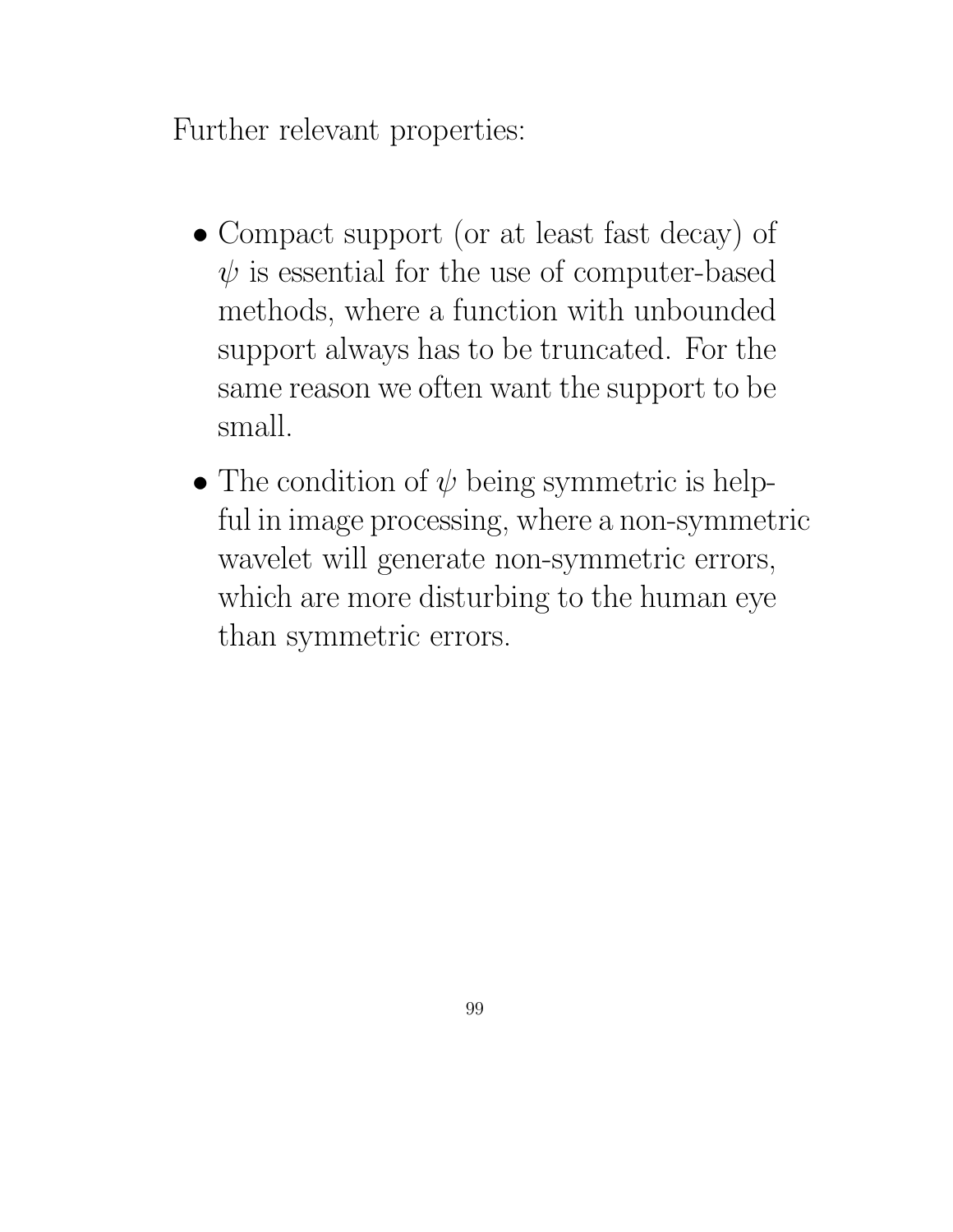Further relevant properties:

- Compact support (or at least fast decay) of  $\psi$  is essential for the use of computer-based methods, where a function with unbounded support always has to be truncated. For the same reason we often want the support to be small.
- The condition of  $\psi$  being symmetric is helpful in image processing, where a non-symmetric wavelet will generate non-symmetric errors, which are more disturbing to the human eye than symmetric errors.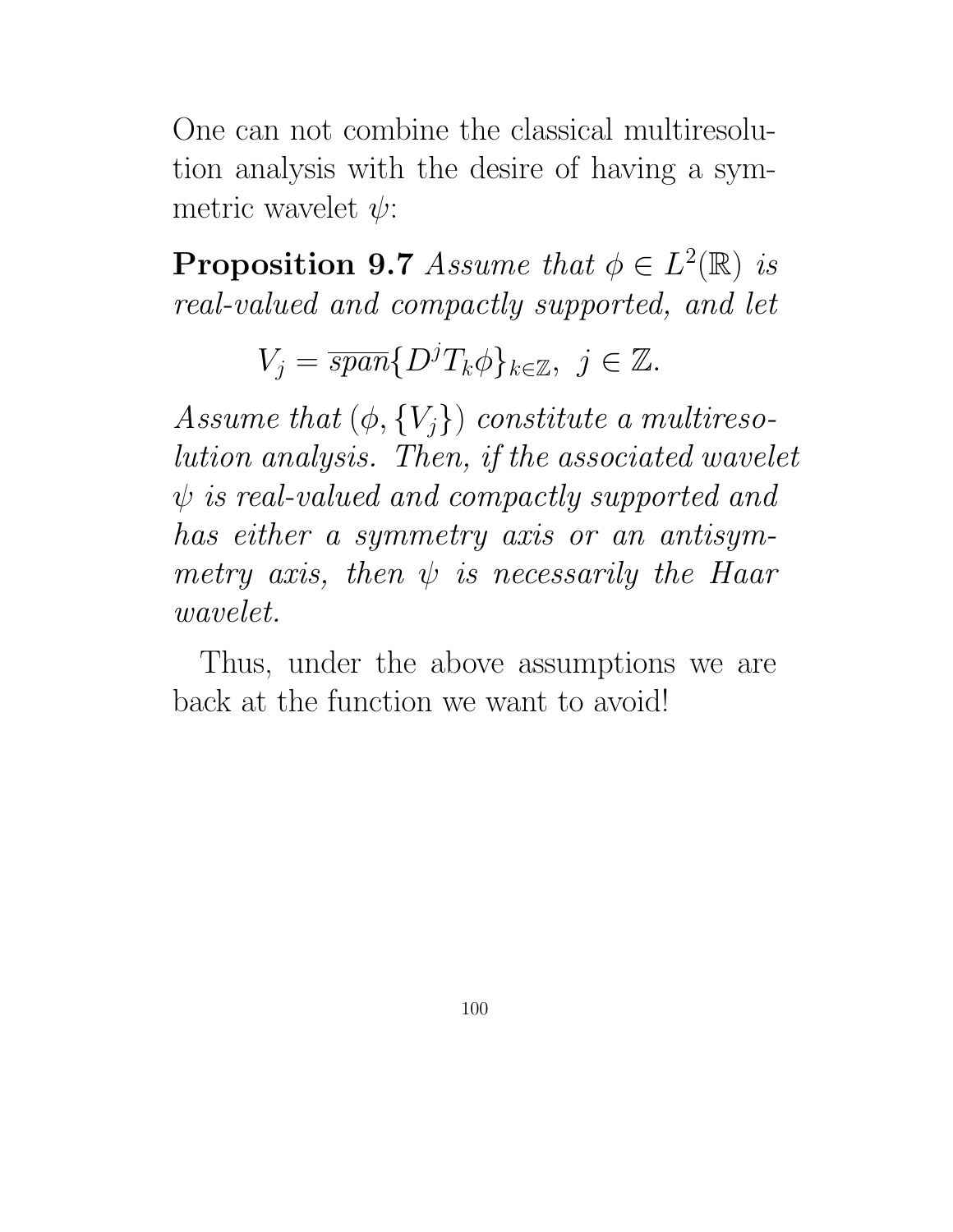One can not combine the classical multiresolution analysis with the desire of having a symmetric wavelet  $\psi$ :

**Proposition 9.7** Assume that  $\phi \in L^2(\mathbb{R})$  is real-valued and compactly supported, and let

 $V_j = \overline{span}\{D^jT_k\phi\}_{k\in\mathbb{Z}},\ j\in\mathbb{Z}.$ 

Assume that  $(\phi, \{V_i\})$  constitute a multiresolution analysis. Then, if the associated wavelet  $\psi$  is real-valued and compactly supported and has either a symmetry axis or an antisymmetry axis, then  $\psi$  is necessarily the Haar wavelet.

Thus, under the above assumptions we are back at the function we want to avoid!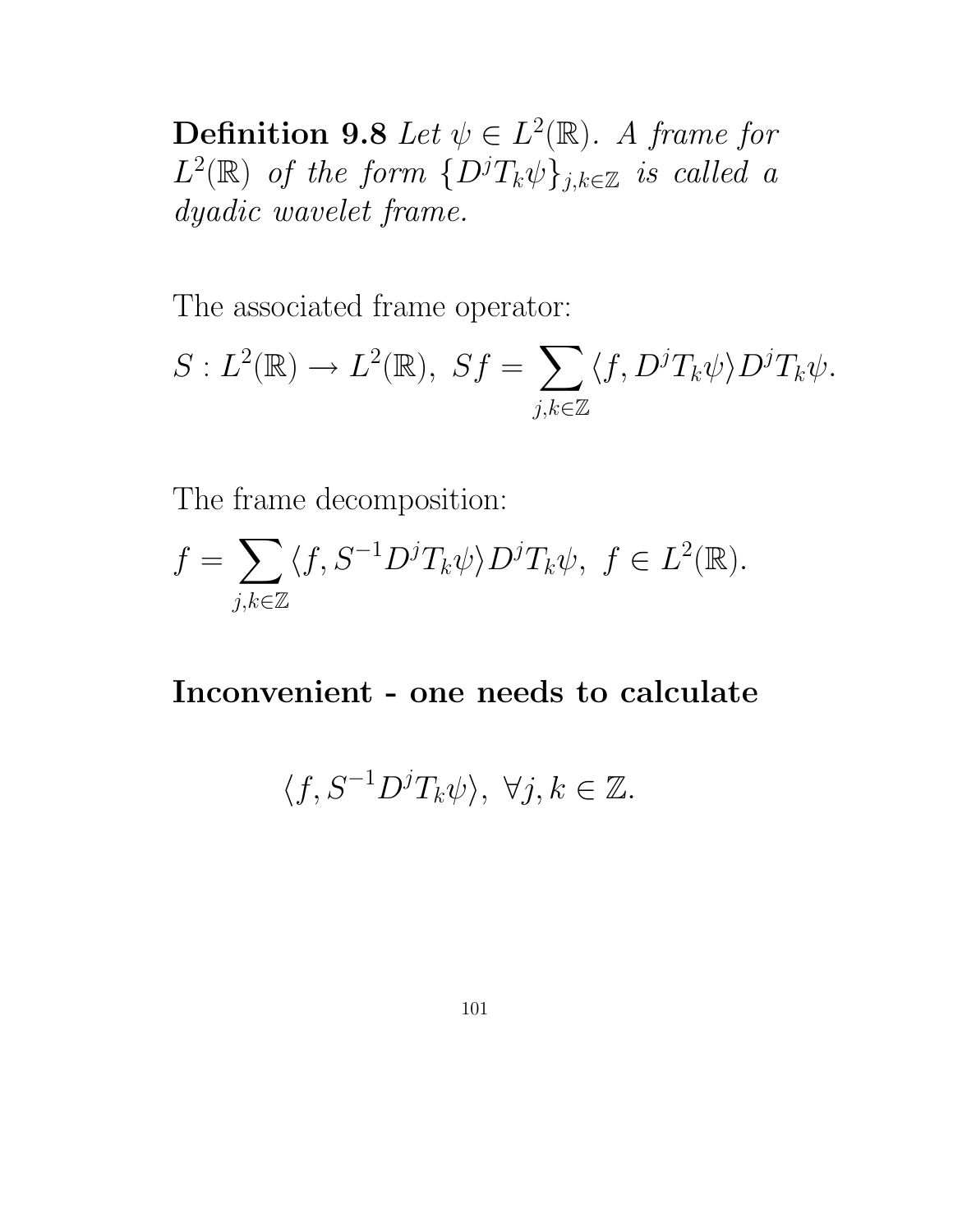**Definition 9.8** Let  $\psi \in L^2(\mathbb{R})$ . A frame for  $L^2(\mathbb{R})$  of the form  $\{D^jT_k\psi\}_{j,k\in\mathbb{Z}}$  is called a dyadic wavelet frame.

The associated frame operator:

$$
S: L^{2}(\mathbb{R}) \to L^{2}(\mathbb{R}), \ Sf = \sum_{j,k \in \mathbb{Z}} \langle f, D^{j}T_{k}\psi \rangle D^{j}T_{k}\psi.
$$

The frame decomposition:

$$
f = \sum_{j,k \in \mathbb{Z}} \langle f, S^{-1} D^j T_k \psi \rangle D^j T_k \psi, \ f \in L^2(\mathbb{R}).
$$

Inconvenient - one needs to calculate

$$
\langle f, S^{-1}D^{j}T_{k}\psi \rangle, \ \forall j, k \in \mathbb{Z}.
$$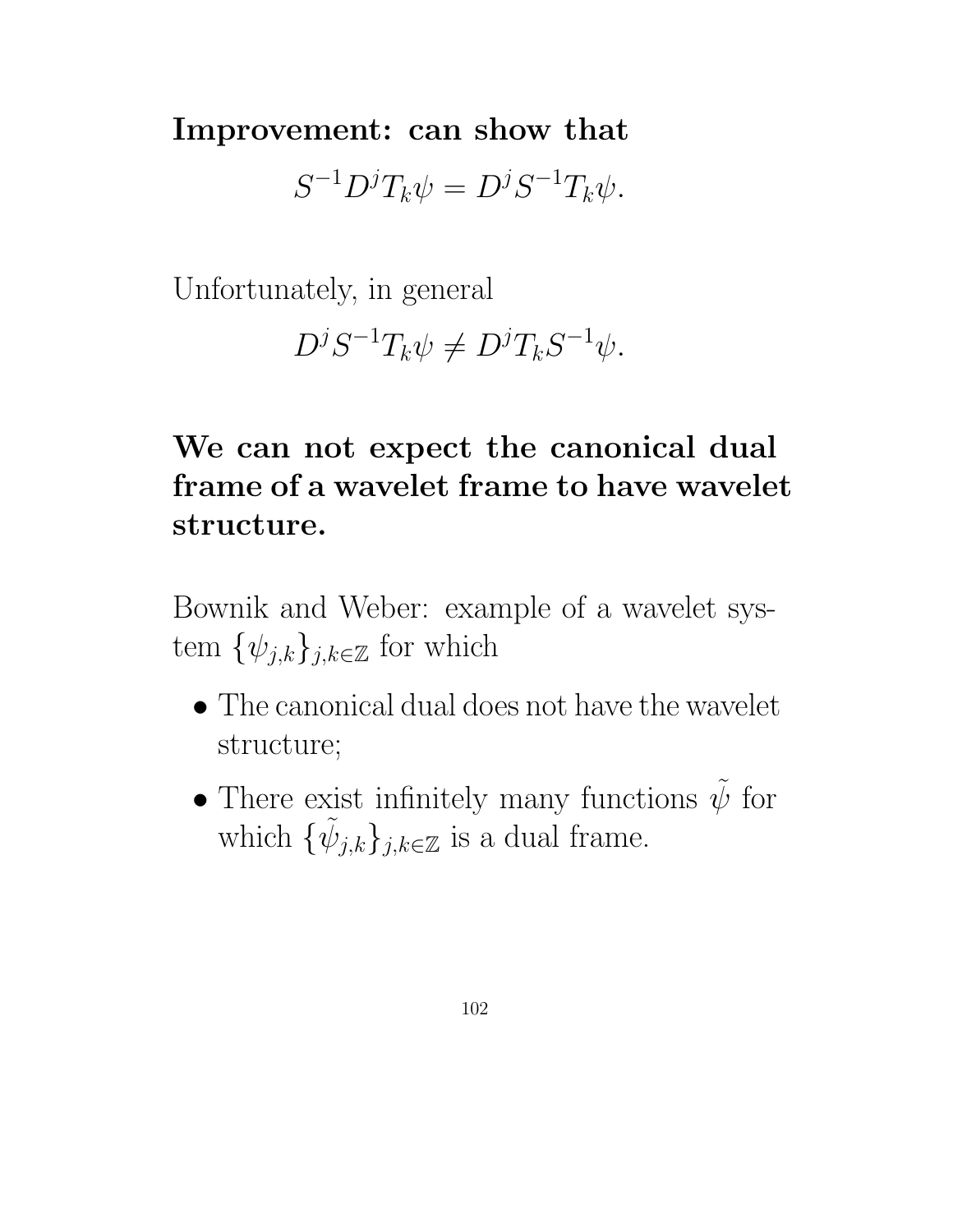Improvement: can show that

 $S^{-1}D^jT_k\psi = D^jS^{-1}T_k\psi.$ 

Unfortunately, in general

 $D^j S^{-1} T_k \psi \neq D^j T_k S^{-1} \psi.$ 

# We can not expect the canonical dual frame of a wavelet frame to have wavelet structure.

Bownik and Weber: example of a wavelet system  $\{\psi_{j,k}\}_{j,k\in\mathbb{Z}}$  for which

- The canonical dual does not have the wavelet structure;
- There exist infinitely many functions  $\tilde{\psi}$  for which  $\{\tilde{\psi}_{j,k}\}_{j,k\in\mathbb{Z}}$  is a dual frame.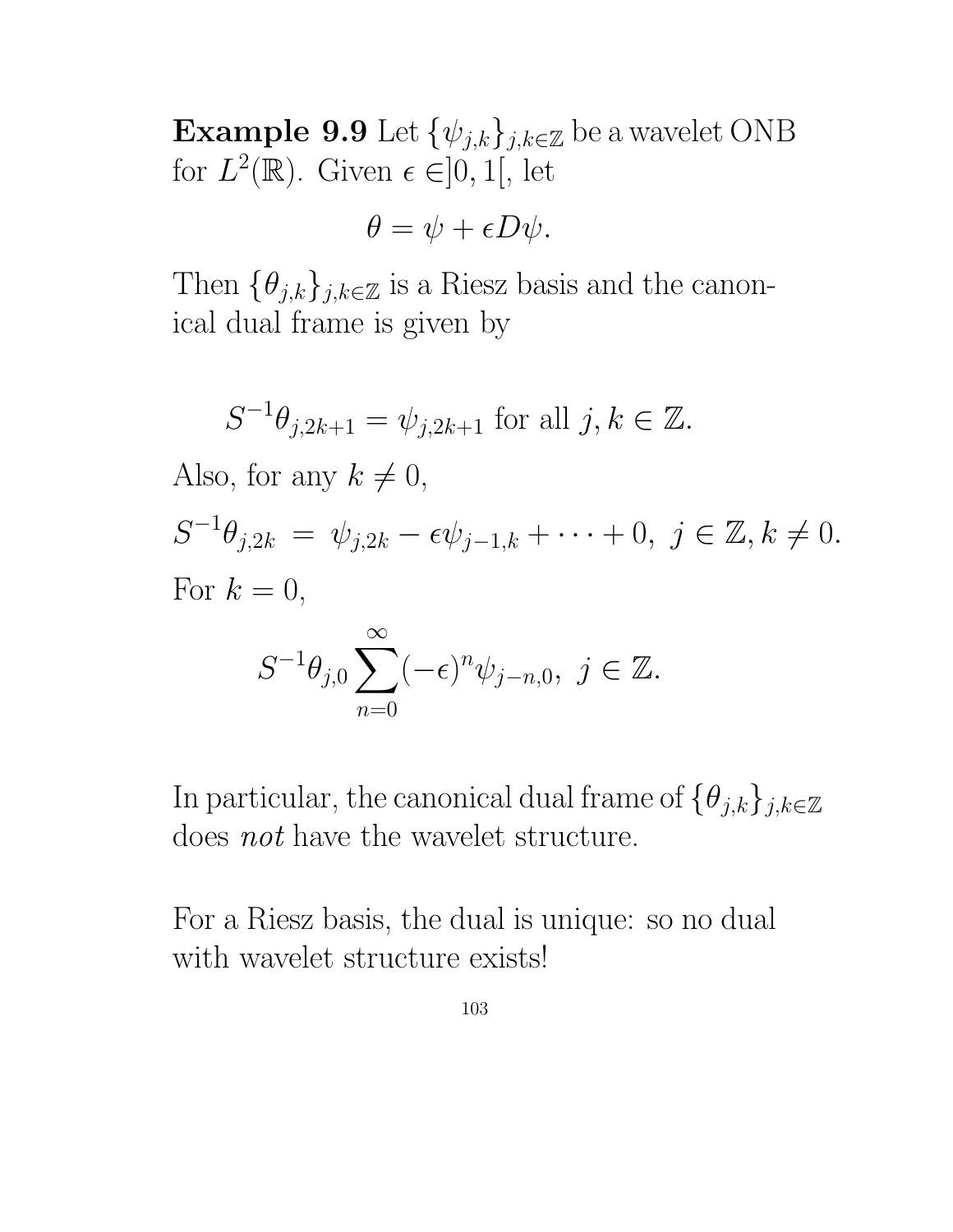Example 9.9 Let  $\{\psi_{j,k}\}_{j,k\in\mathbb{Z}}$  be a wavelet ONB for  $L^2(\mathbb{R})$ . Given  $\epsilon \in ]0,1[$ , let

$$
\theta = \psi + \epsilon D\psi.
$$

Then  $\{\theta_{j,k}\}_{j,k\in\mathbb{Z}}$  is a Riesz basis and the canonical dual frame is given by

$$
S^{-1}\theta_{j,2k+1} = \psi_{j,2k+1} \text{ for all } j,k \in \mathbb{Z}.
$$

Also, for any  $k \neq 0$ ,

 $S^{-1}\theta_{j,2k} = \psi_{j,2k} - \epsilon \psi_{j-1,k} + \cdots + 0, \ j \in \mathbb{Z}, k \neq 0.$ For  $k = 0$ ,

$$
S^{-1}\theta_{j,0}\sum_{n=0}^{\infty}(-\epsilon)^n\psi_{j-n,0},\ j\in\mathbb{Z}.
$$

In particular, the canonical dual frame of  $\{\theta_{j,k}\}_{j,k\in\mathbb{Z}}$ does not have the wavelet structure.

For a Riesz basis, the dual is unique: so no dual with wavelet structure exists!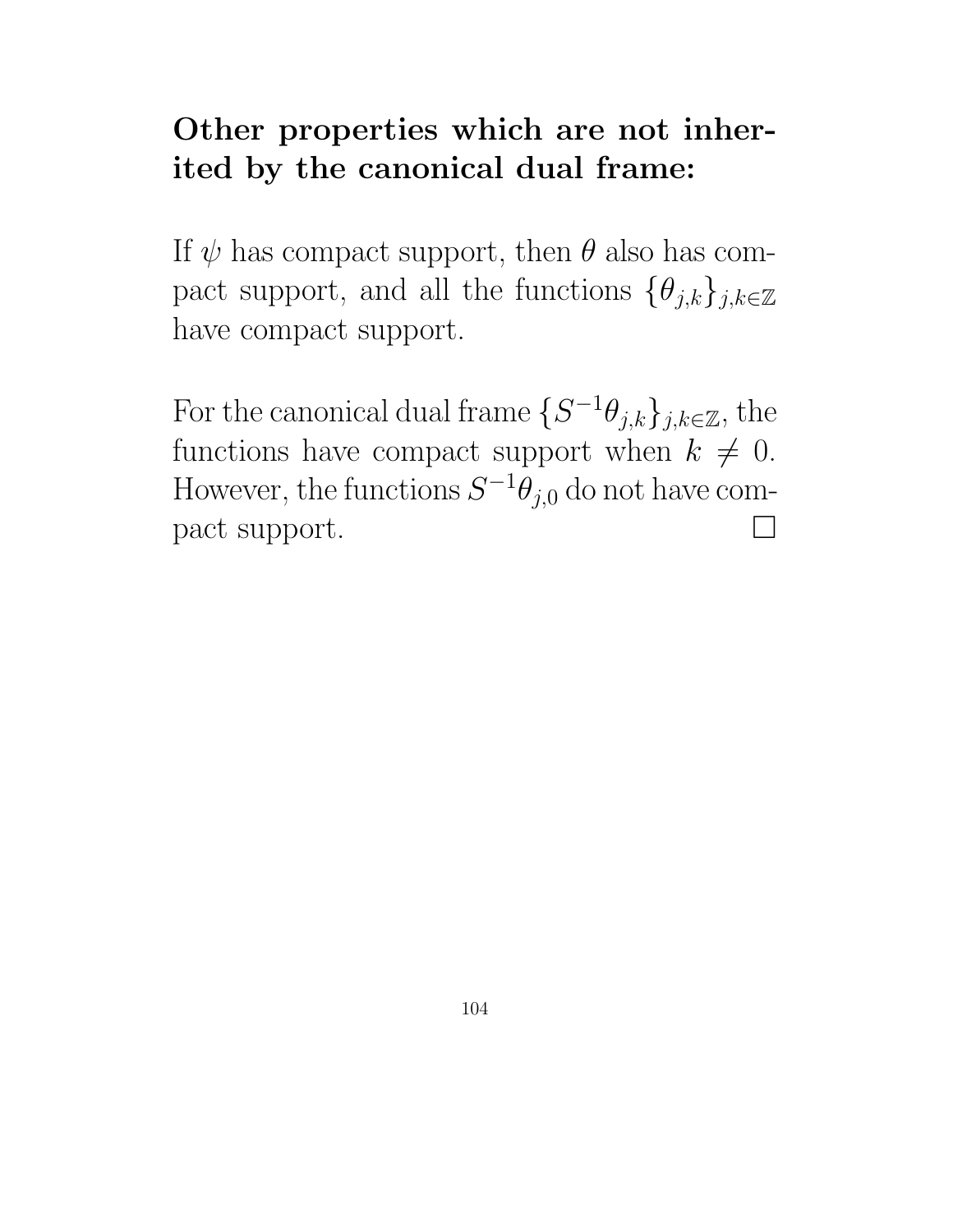## Other properties which are not inherited by the canonical dual frame:

If  $\psi$  has compact support, then  $\theta$  also has compact support, and all the functions  $\{\theta_{j,k}\}_{j,k\in\mathbb{Z}}$ have compact support.

For the canonical dual frame  $\{S^{-1}\theta_{j,k}\}_{j,k\in\mathbb{Z}},$  the functions have compact support when  $k \neq 0$ . However, the functions  $S^{-1}\theta_{j,0}$  do not have compact support.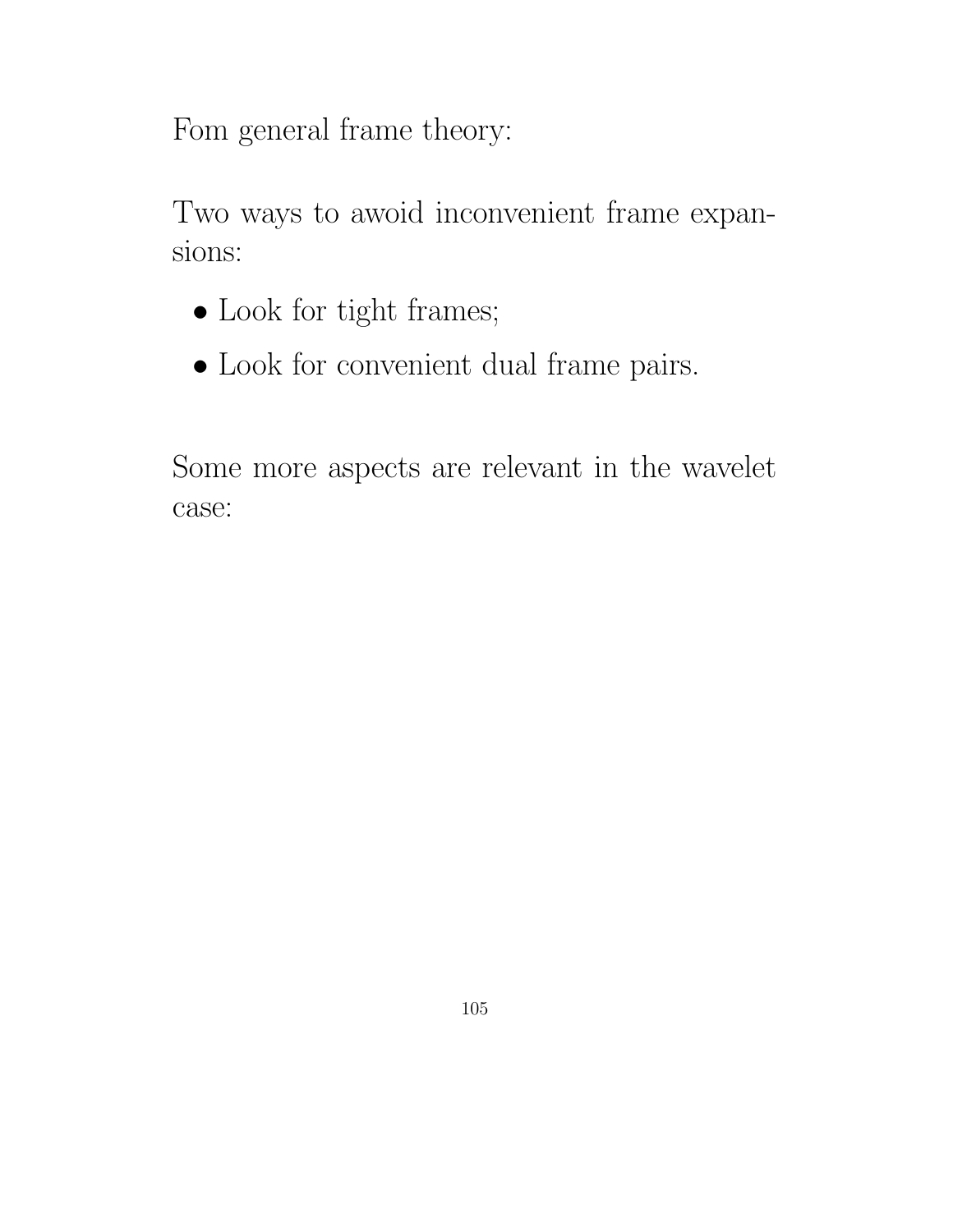Fom general frame theory:

Two ways to awoid inconvenient frame expansions:

- Look for tight frames;
- $\bullet$  Look for convenient dual frame pairs.

Some more aspects are relevant in the wavelet case: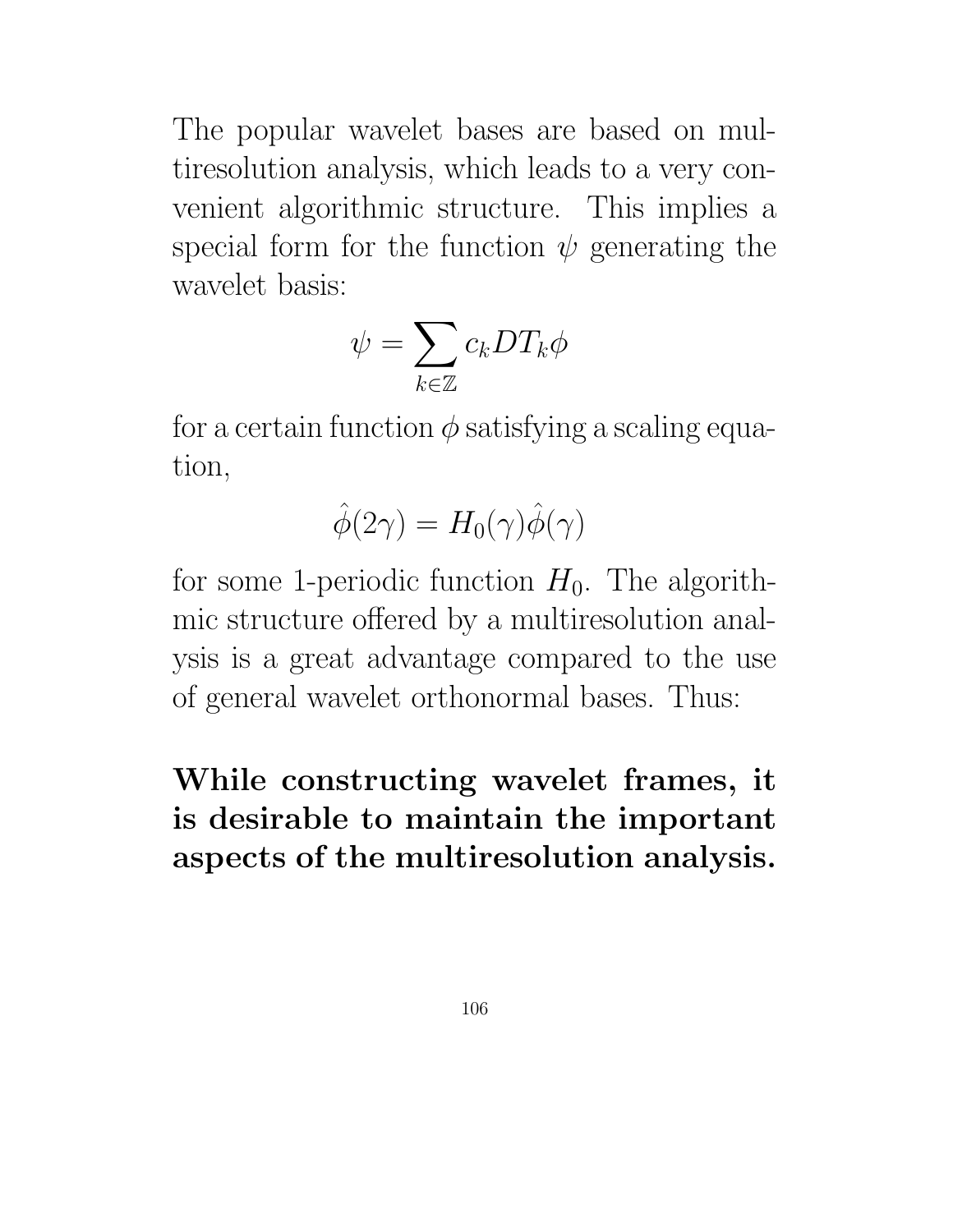The popular wavelet bases are based on multiresolution analysis, which leads to a very convenient algorithmic structure. This implies a special form for the function  $\psi$  generating the wavelet basis:

$$
\psi = \sum_{k \in \mathbb{Z}} c_k DT_k \phi
$$

for a certain function  $\phi$  satisfying a scaling equation,

$$
\hat{\phi}(2\gamma) = H_0(\gamma)\hat{\phi}(\gamma)
$$

for some 1-periodic function  $H_0$ . The algorithmic structure offered by a multiresolution analysis is a great advantage compared to the use of general wavelet orthonormal bases. Thus:

# While constructing wavelet frames, it is desirable to maintain the important aspects of the multiresolution analysis.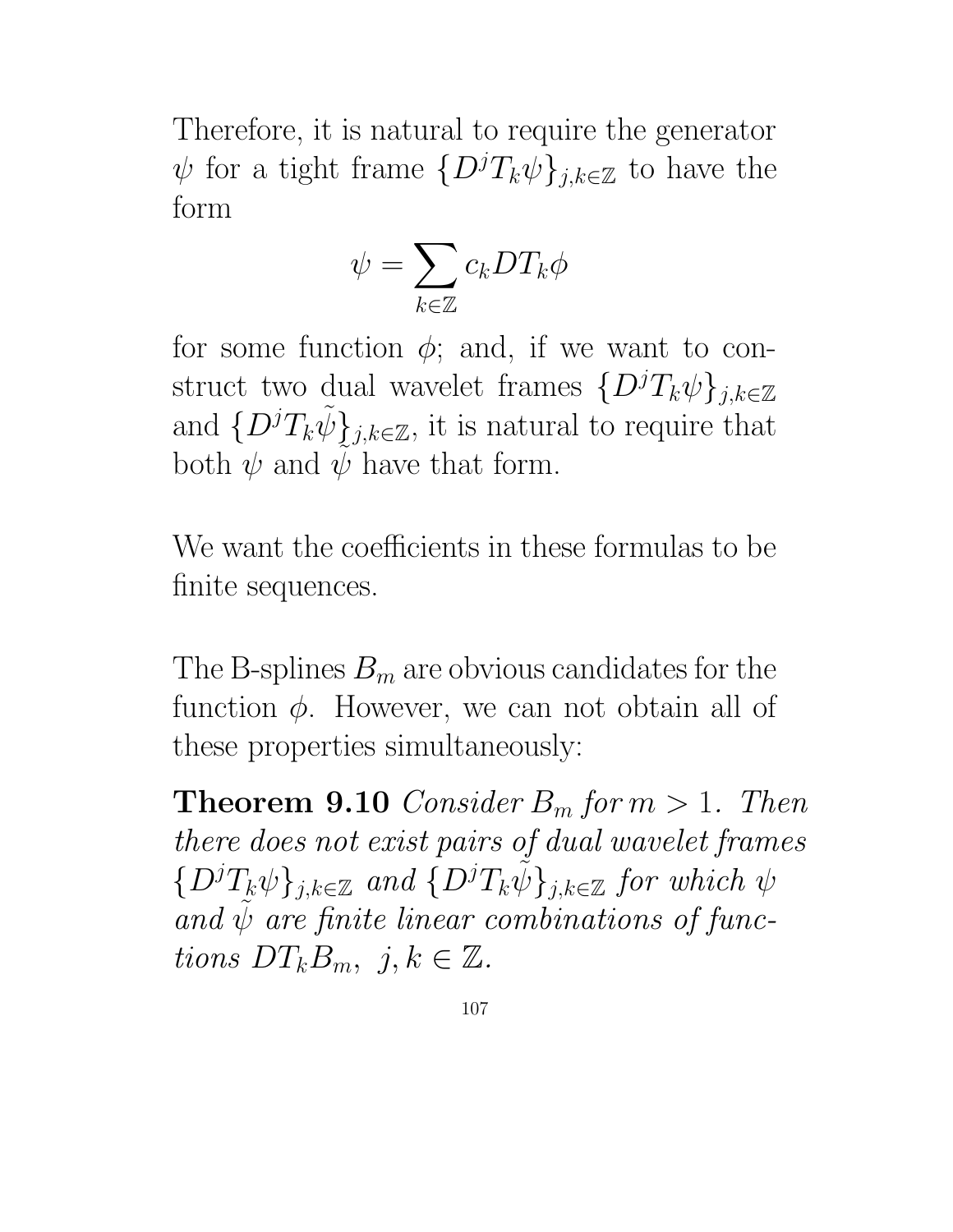Therefore, it is natural to require the generator  $\psi$  for a tight frame  $\{D^jT_k\psi\}_{j,k\in\mathbb{Z}}$  to have the form

$$
\psi = \sum_{k \in \mathbb{Z}} c_k DT_k \phi
$$

for some function  $\phi$ ; and, if we want to construct two dual wavelet frames  $\{D^jT_k\psi\}_{j,k\in\mathbb{Z}}$ and  $\{D^jT_k\tilde{\psi}\}_{j,k\in\mathbb{Z}}$ , it is natural to require that both  $\psi$  and  $\psi$  have that form.

We want the coefficients in these formulas to be finite sequences.

The B-splines  $B_m$  are obvious candidates for the function  $\phi$ . However, we can not obtain all of these properties simultaneously:

**Theorem 9.10** Consider  $B_m$  for  $m > 1$ . Then there does not exist pairs of dual wavelet frames  $\{D^jT_k\psi\}_{j,k\in\mathbb{Z}}$  and  $\{D^jT_k\psi\}_{j,k\in\mathbb{Z}}$  for which  $\psi$ and  $\psi$  are finite linear combinations of functions  $DT_kB_m$ ,  $j, k \in \mathbb{Z}$ .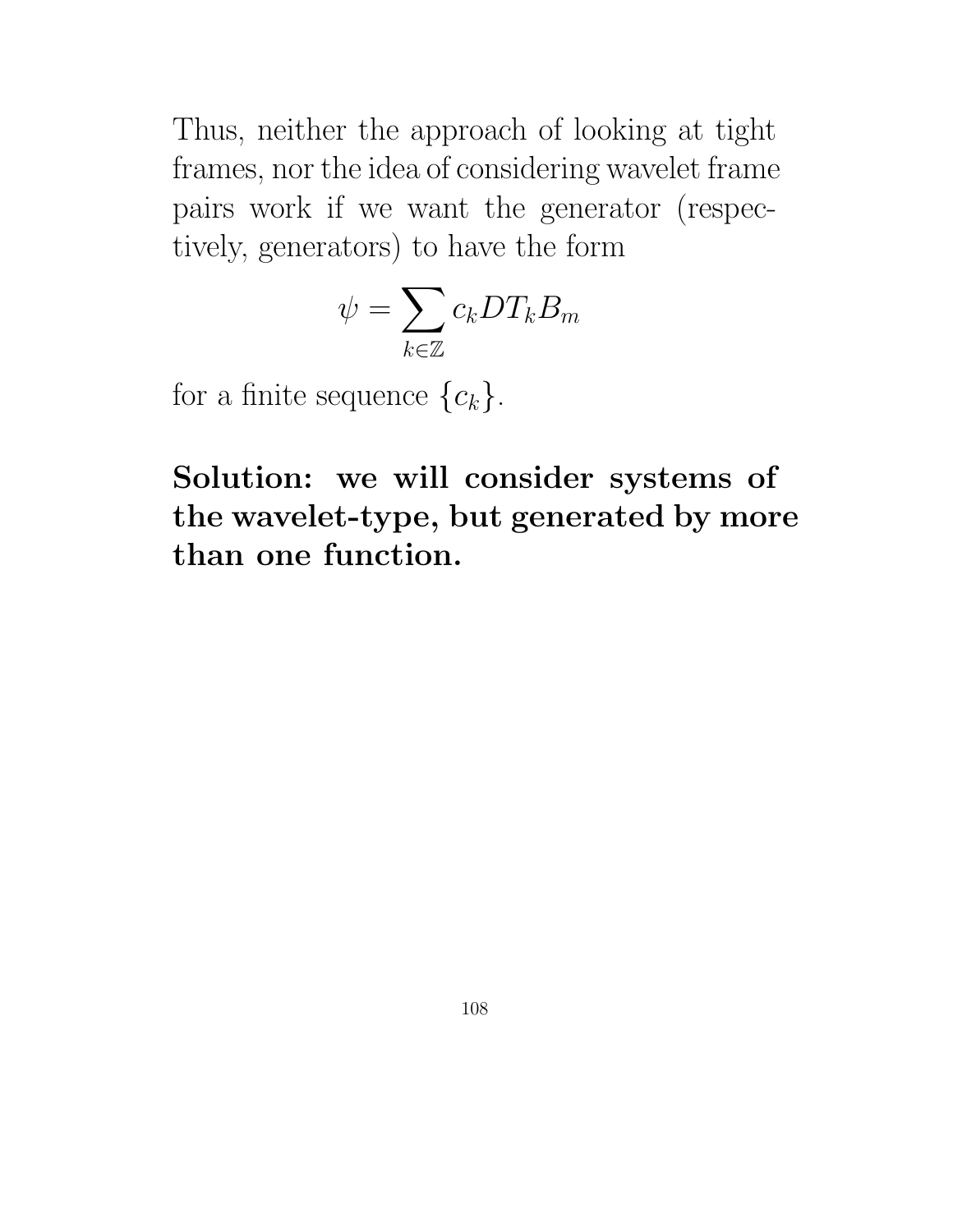Thus, neither the approach of looking at tight frames, nor the idea of considering wavelet frame pairs work if we want the generator (respectively, generators) to have the form

$$
\psi = \sum_{k \in \mathbb{Z}} c_k DT_k B_m
$$

for a finite sequence  ${c_k}$ .

Solution: we will consider systems of the wavelet-type, but generated by more than one function.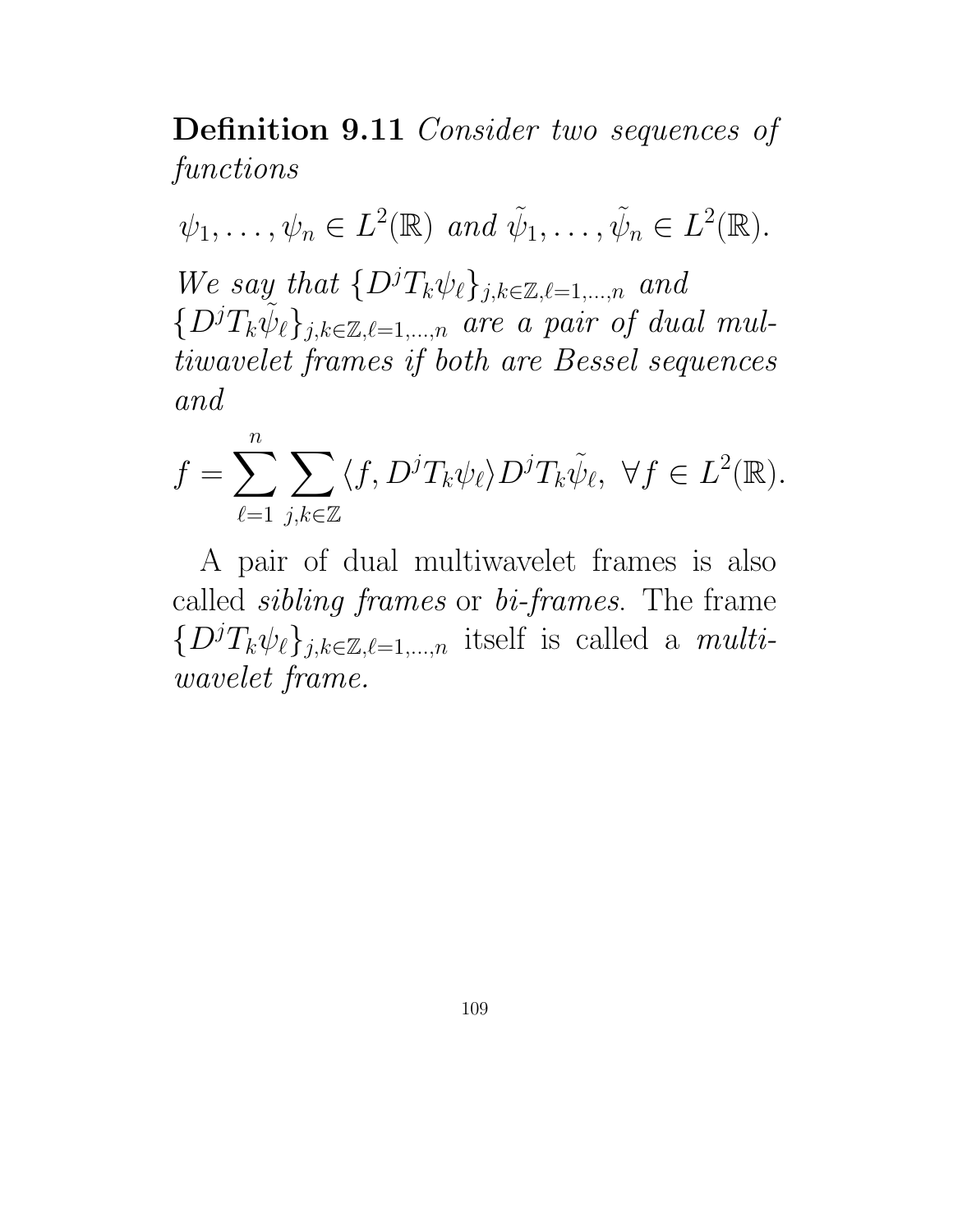Definition 9.11 Consider two sequences of functions

 $\psi_1, \ldots, \psi_n \in L^2(\mathbb{R})$  and  $\tilde{\psi}_1, \ldots, \tilde{\psi}_n \in L^2(\mathbb{R})$ . We say that  $\{D^jT_k\psi_\ell\}_{j,k\in\mathbb{Z},\ell=1,\ldots,n}$  and  $\{D^jT_k\widetilde{\psi}_\ell\}_{j,k\in\mathbb{Z},\ell=1,\dots,n}$  are a pair of dual multiwavelet frames if both are Bessel sequences and

$$
f = \sum_{\ell=1}^n \sum_{j,k \in \mathbb{Z}} \langle f, D^j T_k \psi_\ell \rangle D^j T_k \tilde{\psi}_\ell, \ \forall f \in L^2(\mathbb{R}).
$$

A pair of dual multiwavelet frames is also called sibling frames or bi-frames. The frame  $\{D^jT_k\psi_{\ell}\}_{j,k\in\mathbb{Z},\ell=1,\dots,n}$  itself is called a *multi*wavelet frame.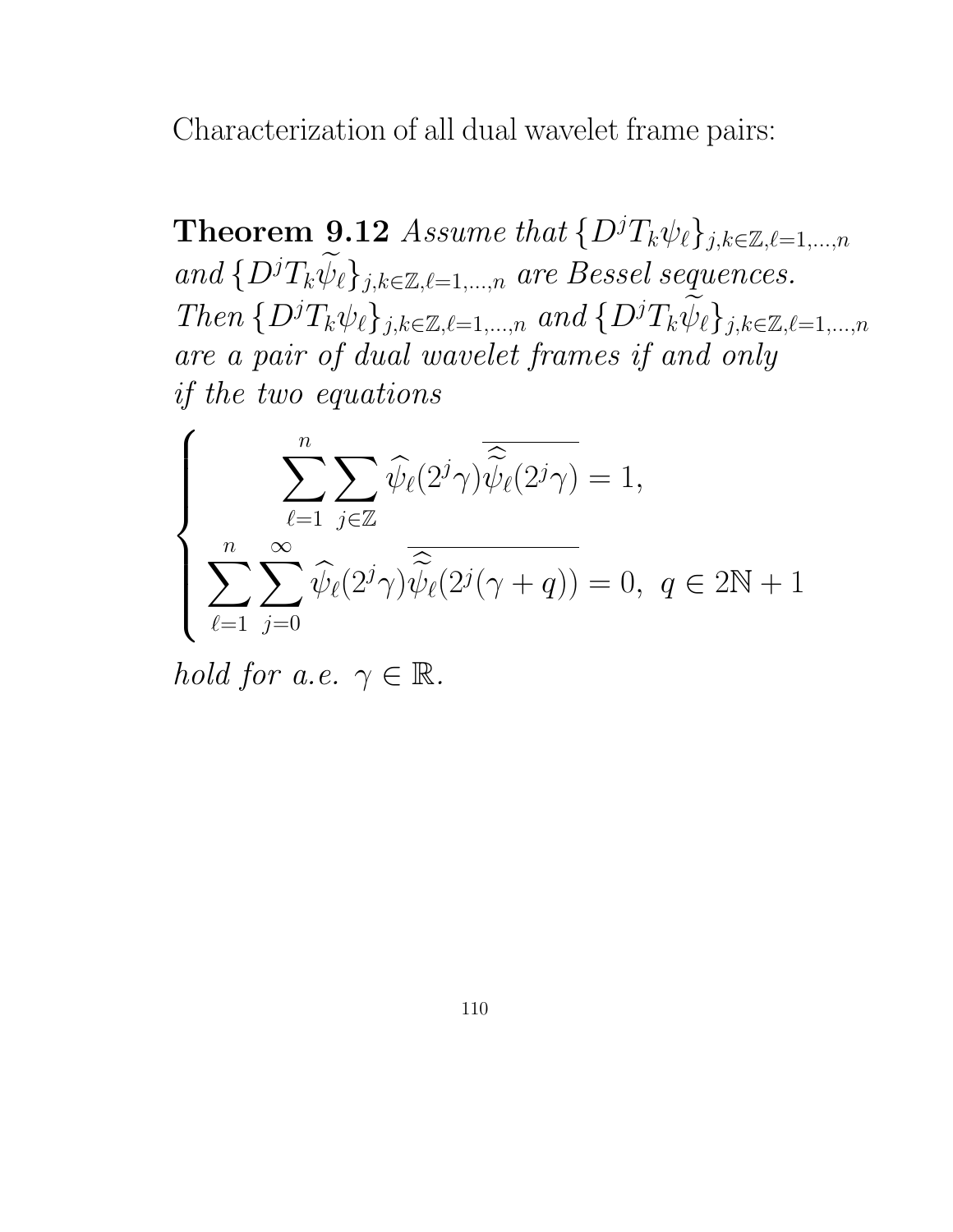Characterization of all dual wavelet frame pairs:

**Theorem 9.12** Assume that  $\{D^jT_k\psi_\ell\}_{j,k\in\mathbb{Z},\ell=1,\ldots,n}$ and  $\{D^j T_k \widetilde{\psi}_\ell\}_{j,k\in\mathbb{Z},\ell=1,\dots,n}$  are Bessel sequences. Then  $\{D^jT_k\psi_\ell\}_{j,k\in\mathbb{Z},\ell=1,\dots,n}$  and  $\{D^jT_k\widetilde{\psi}_\ell\}_{j,k\in\mathbb{Z},\ell=1,\dots,n}$ are a pair of dual wavelet frames if and only if the two equations

$$
\left\{\sum_{\ell=1}^n\sum_{j\in\mathbb{Z}}\widehat{\psi}_{\ell}(2^j\gamma)\overline{\widehat{\widetilde{\psi}}_{\ell}(2^j\gamma)}=1, \atop \sum_{\ell=1}^n\sum_{j=0}^\infty\widehat{\psi}_{\ell}(2^j\gamma)\overline{\widehat{\widetilde{\psi}}_{\ell}(2^j(\gamma+q))}=0, \ q\in 2\mathbb{N}+1 \right\}
$$

hold for a.e.  $\gamma \in \mathbb{R}$ .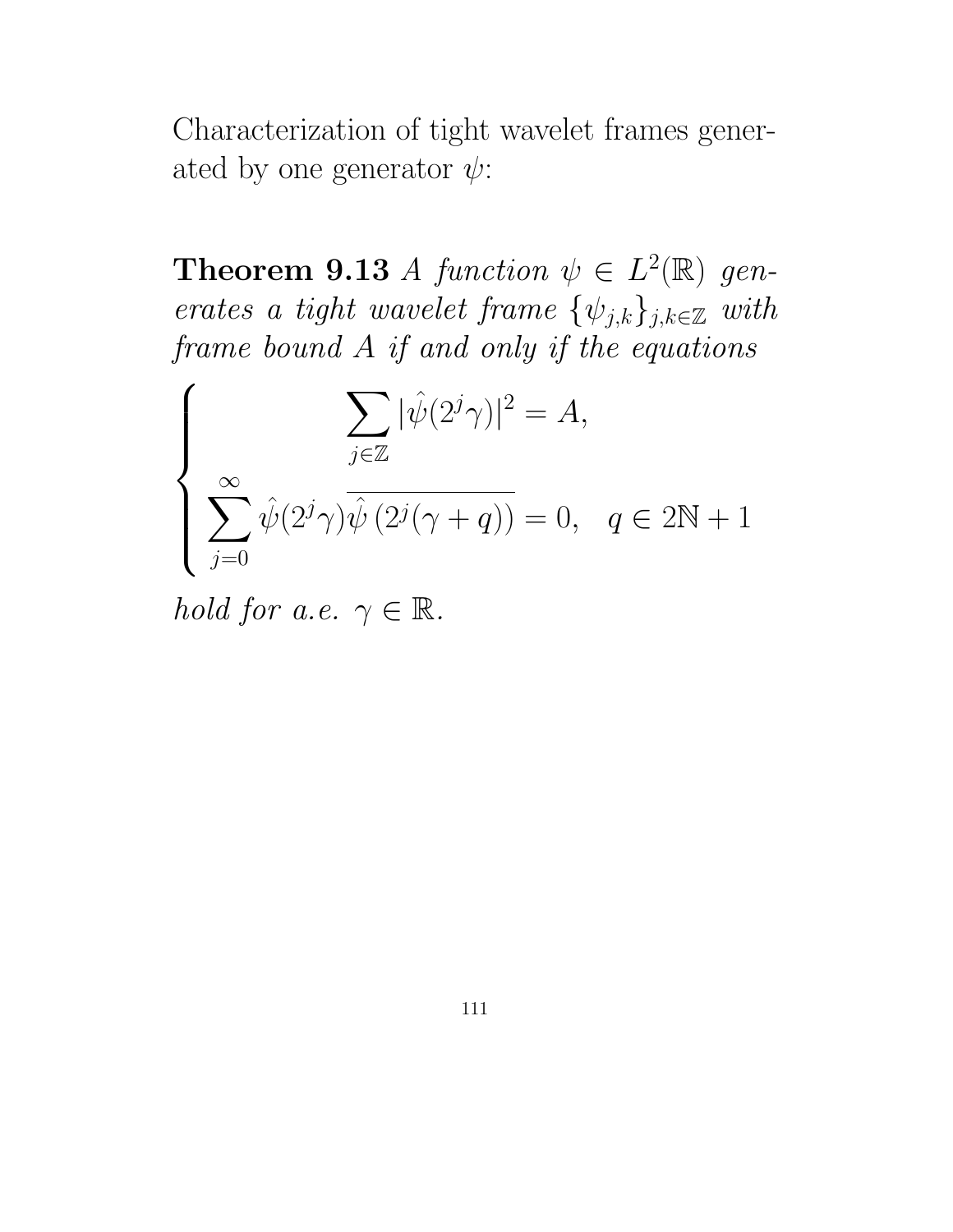Characterization of tight wavelet frames generated by one generator  $\psi$ :

**Theorem 9.13** A function  $\psi \in L^2(\mathbb{R})$  generates a tight wavelet frame  $\{\psi_{j,k}\}_{j,k\in\mathbb{Z}}$  with frame bound A if and only if the equations

$$
\left\{\begin{aligned} \sum_{j\in\mathbb{Z}}|\hat{\psi}(2^j\gamma)|^2=A,\\ \sum_{j=0}^\infty\hat{\psi}(2^j\gamma)\overline{\hat{\psi}(2^j(\gamma+q))}=0,\quad q\in2\mathbb{N}+1\end{aligned}\right.
$$

hold for a.e.  $\gamma \in \mathbb{R}$ .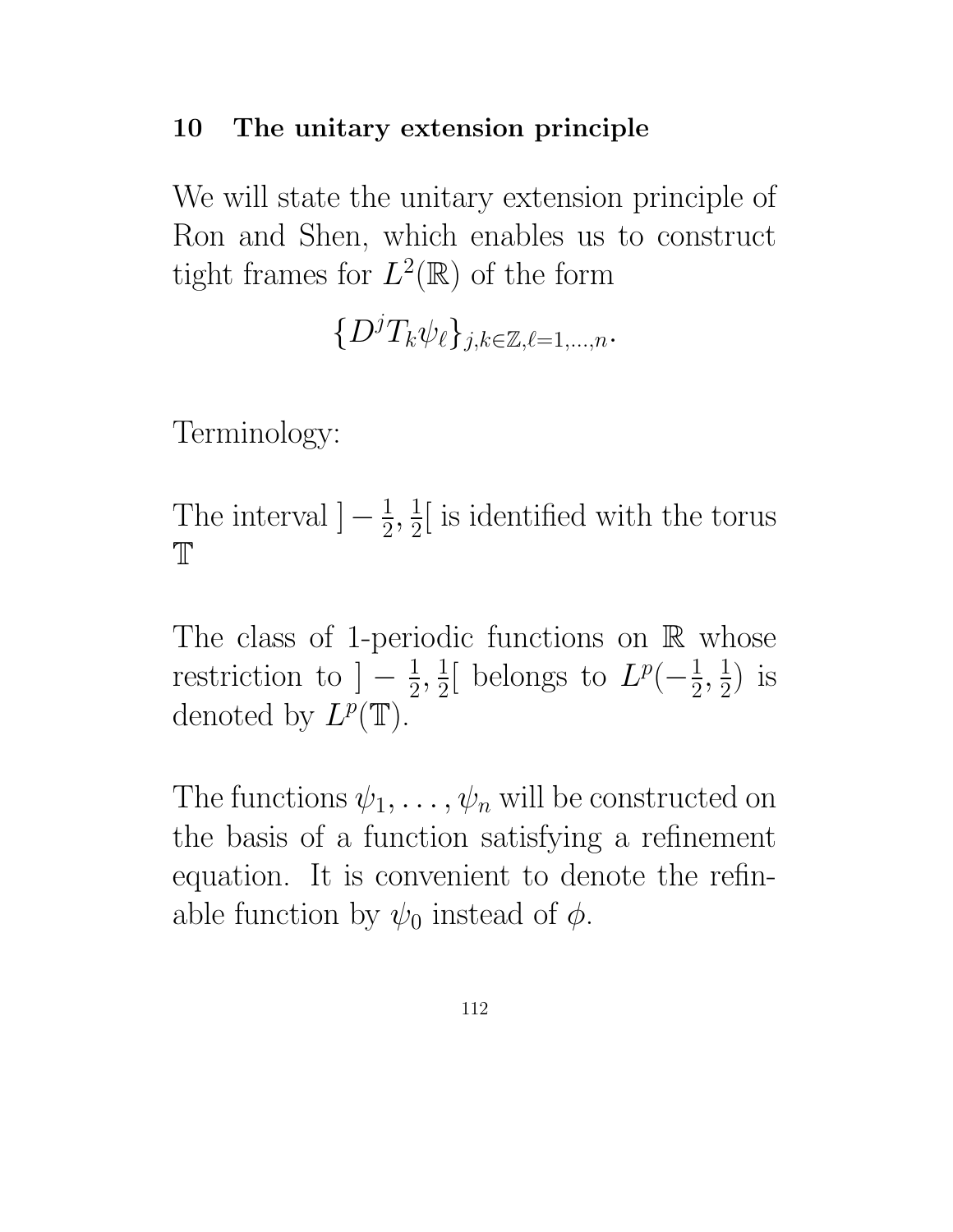#### 10 The unitary extension principle

We will state the unitary extension principle of Ron and Shen, which enables us to construct tight frames for  $L^2(\mathbb{R})$  of the form

 $\{D^jT_k\psi_\ell\}_{j,k\in\mathbb{Z},\ell=1,\ldots,n}.$ 

Terminology:

The interval  $\left[-\frac{1}{2}\right]$  $\frac{1}{2}, \frac{1}{2}$  $\frac{1}{2}$  is identified with the torus  $\mathbb{T}$ 

The class of 1-periodic functions on  $\mathbb R$  whose restriction to  $]-\frac{1}{2}$  $\frac{1}{2}, \frac{1}{2}$  $\frac{1}{2}$ [ belongs to  $L^p(-\frac{1}{2})$  $\frac{1}{2}, \frac{1}{2}$  $(\frac{1}{2})$  is denoted by  $L^p(\mathbb{T})$ .

The functions  $\psi_1, \ldots, \psi_n$  will be constructed on the basis of a function satisfying a refinement equation. It is convenient to denote the refinable function by  $\psi_0$  instead of  $\phi$ .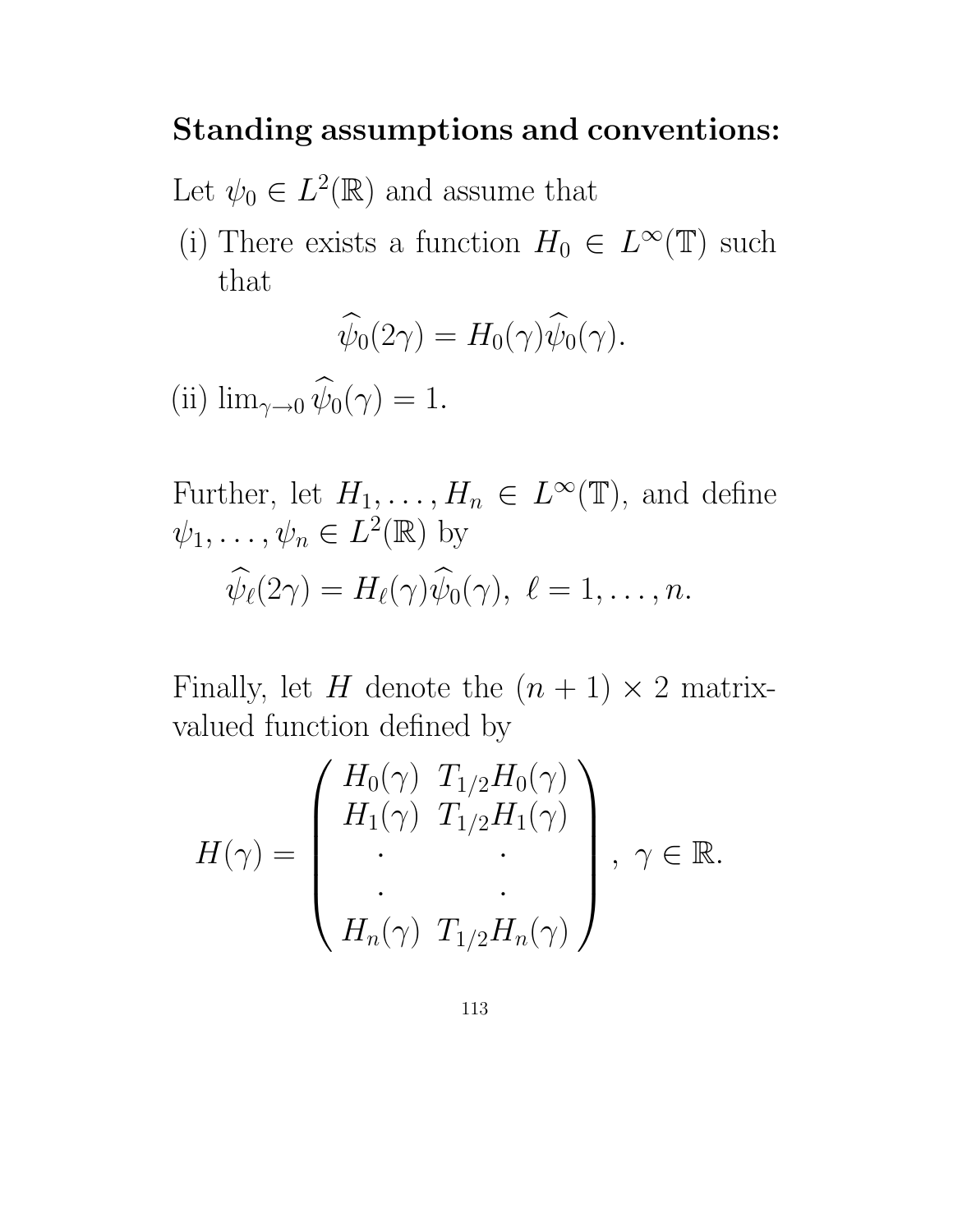### Standing assumptions and conventions:

Let  $\psi_0 \in L^2(\mathbb{R})$  and assume that

(i) There exists a function  $H_0 \in L^{\infty}(\mathbb{T})$  such that

$$
\widehat{\psi}_0(2\gamma) = H_0(\gamma)\widehat{\psi}_0(\gamma).
$$

(ii)  $\lim_{\gamma \to 0} \widehat{\psi}_0(\gamma) = 1.$ 

Further, let 
$$
H_1, ..., H_n \in L^{\infty}(\mathbb{T})
$$
, and define  
\n $\psi_1, ..., \psi_n \in L^2(\mathbb{R})$  by  
\n $\widehat{\psi}_{\ell}(2\gamma) = H_{\ell}(\gamma)\widehat{\psi}_0(\gamma), \ell = 1, ..., n.$ 

Finally, let H denote the  $(n + 1) \times 2$  matrixvalued function defined by

$$
H(\gamma) = \begin{pmatrix} H_0(\gamma) & T_{1/2}H_0(\gamma) \\ H_1(\gamma) & T_{1/2}H_1(\gamma) \\ \cdot & \cdot \\ \cdot & \cdot \\ H_n(\gamma) & T_{1/2}H_n(\gamma) \end{pmatrix}, \ \gamma \in \mathbb{R}.
$$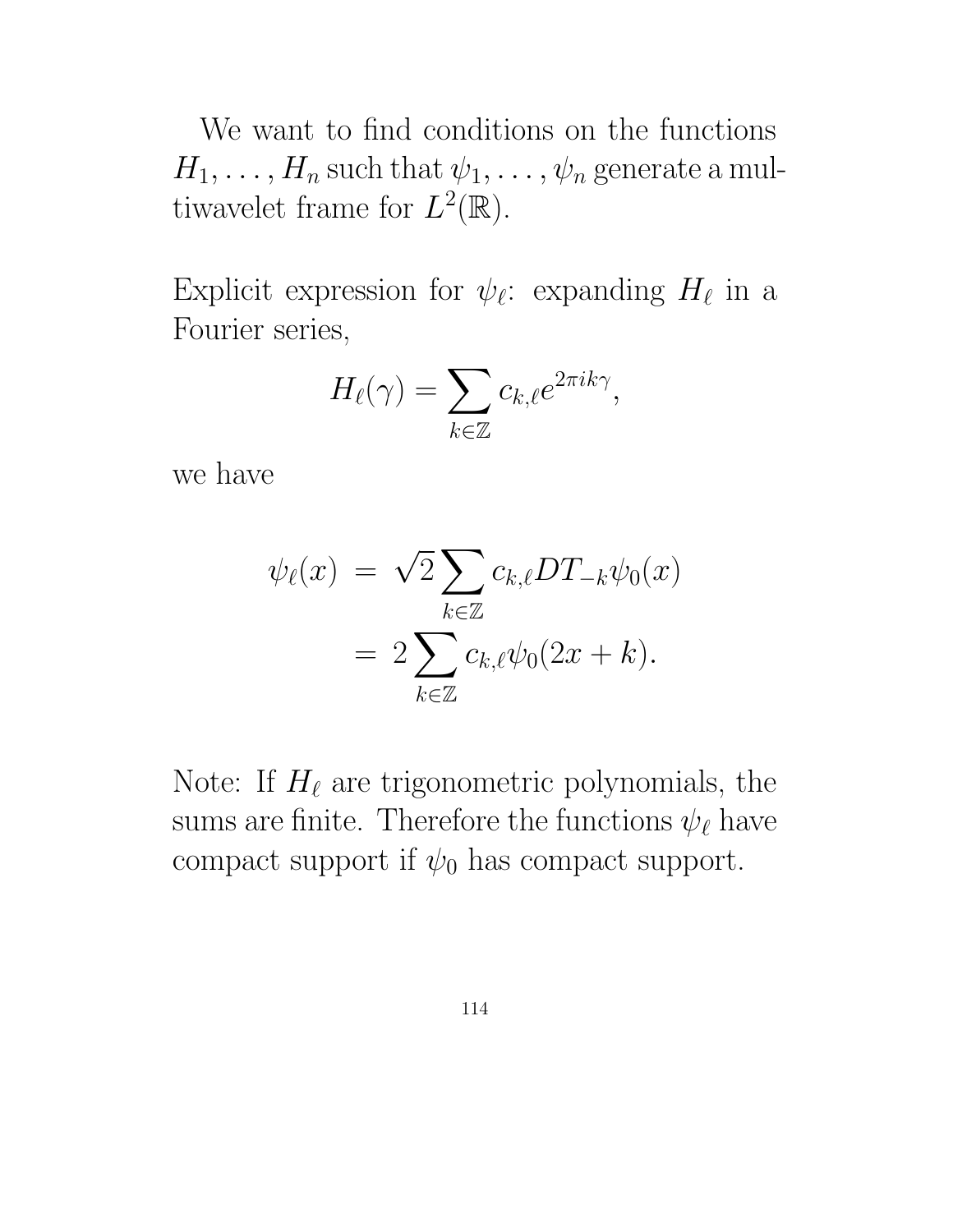We want to find conditions on the functions  $H_1, \ldots, H_n$  such that  $\psi_1, \ldots, \psi_n$  generate a multiwavelet frame for  $L^2(\mathbb{R})$ .

Explicit expression for  $\psi_{\ell}$ : expanding  $H_{\ell}$  in a Fourier series,

$$
H_{\ell}(\gamma) = \sum_{k \in \mathbb{Z}} c_{k,\ell} e^{2\pi i k \gamma},
$$

we have

$$
\psi_{\ell}(x) = \sqrt{2} \sum_{k \in \mathbb{Z}} c_{k,\ell} DT_{-k} \psi_0(x)
$$

$$
= 2 \sum_{k \in \mathbb{Z}} c_{k,\ell} \psi_0(2x + k).
$$

Note: If  $H_{\ell}$  are trigonometric polynomials, the sums are finite. Therefore the functions  $\psi_{\ell}$  have compact support if  $\psi_0$  has compact support.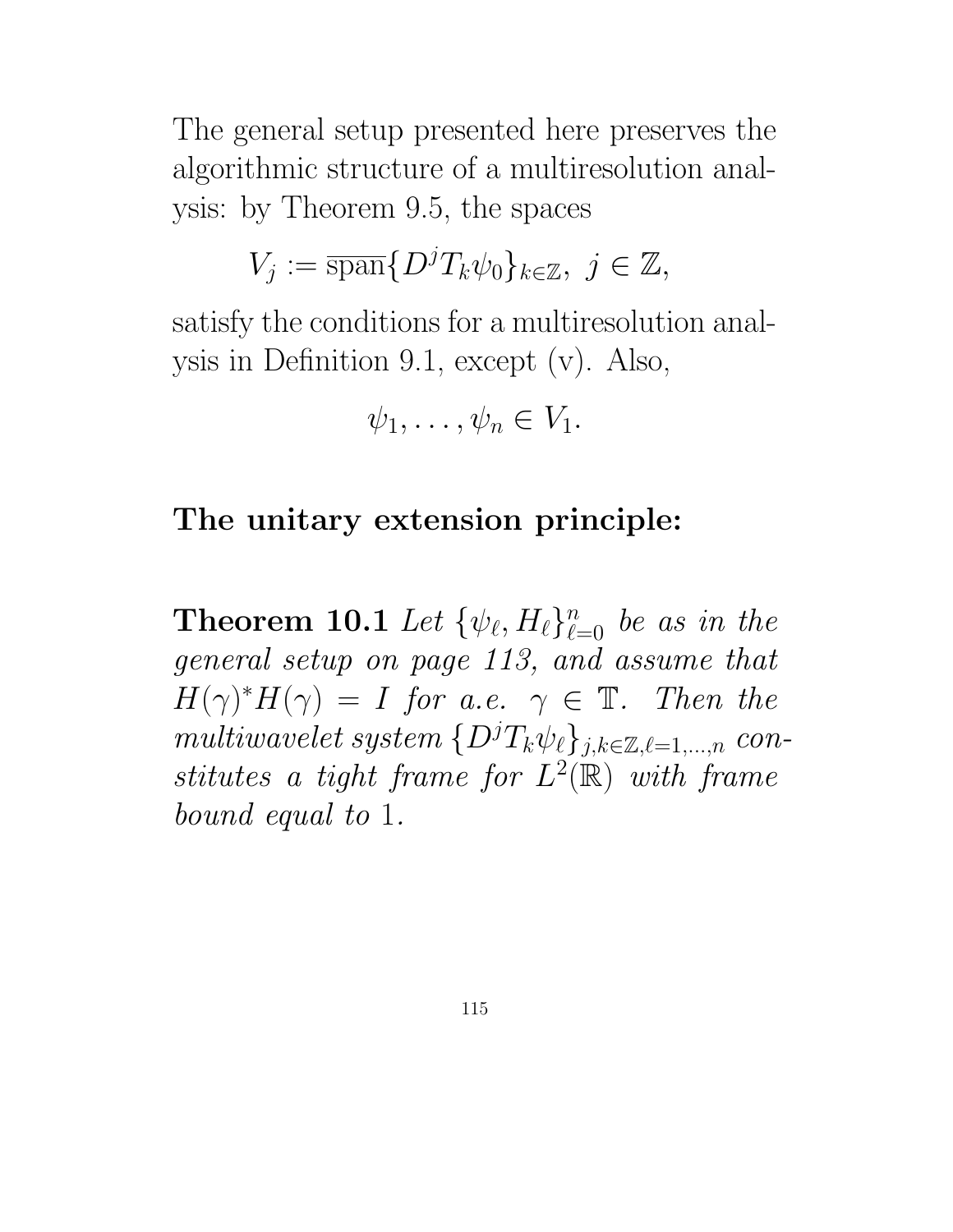The general setup presented here preserves the algorithmic structure of a multiresolution analysis: by Theorem 9.5, the spaces

$$
V_j := \overline{\operatorname{span}} \{ D^j T_k \psi_0 \}_{k \in \mathbb{Z}}, \ j \in \mathbb{Z},
$$

satisfy the conditions for a multiresolution analysis in Definition 9.1, except (v). Also,

$$
\psi_1,\ldots,\psi_n\in V_1.
$$

### The unitary extension principle:

**Theorem 10.1** Let  $\{\psi_{\ell}, H_{\ell}\}_{\ell=0}^n$  be as in the general setup on page 113, and assume that  $H(\gamma)^*H(\gamma) = I$  for a.e.  $\gamma \in \mathbb{T}$ . Then the multiwavelet system  $\{D^jT_k\psi_\ell\}_{j,k\in\mathbb{Z},\ell=1,\ldots,n}$  constitutes a tight frame for  $L^2(\mathbb{R})$  with frame bound equal to 1.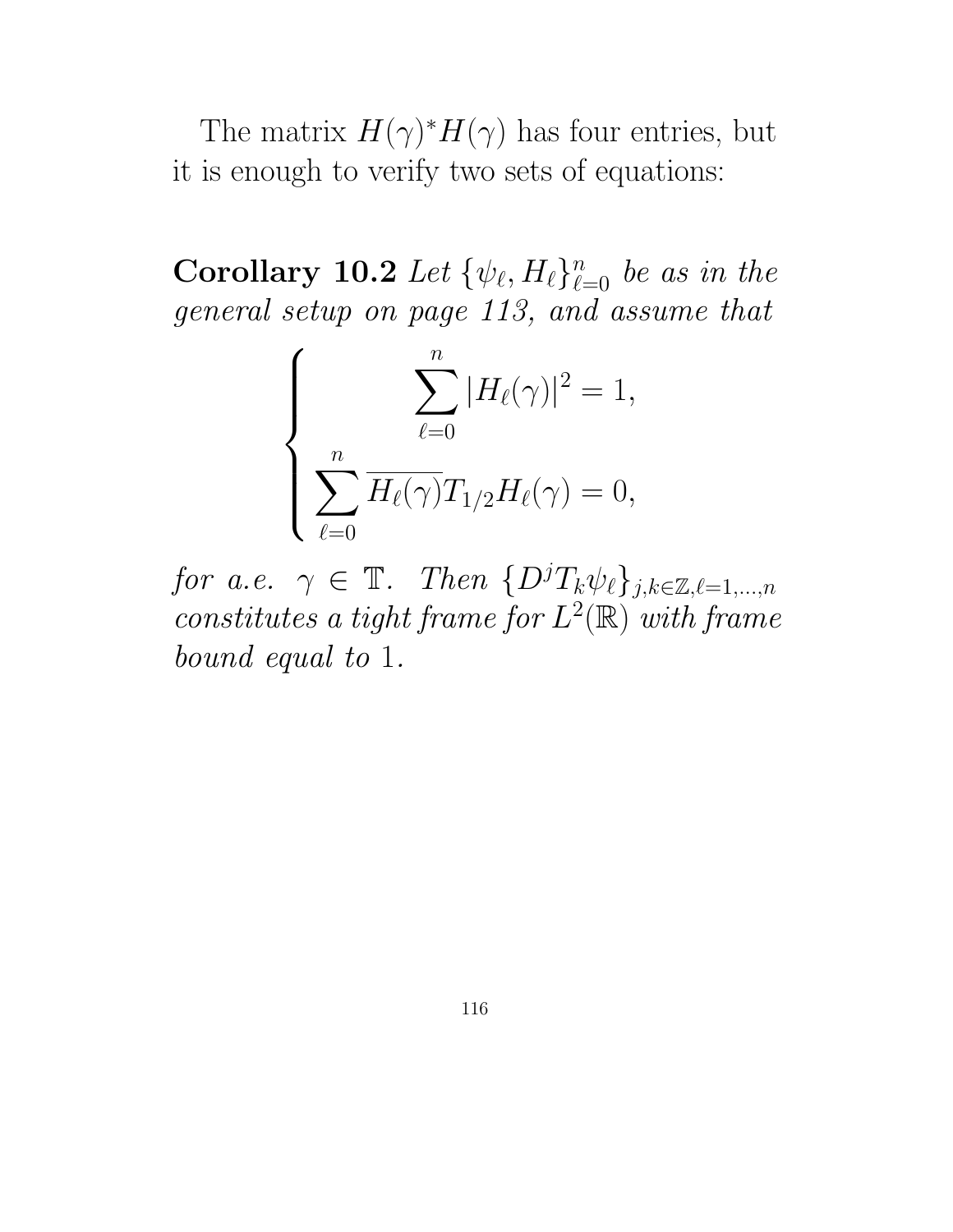The matrix  $H(\gamma)^* H(\gamma)$  has four entries, but it is enough to verify two sets of equations:

Corollary 10.2 Let  $\{\psi_{\ell}, H_{\ell}\}_{\ell=0}^n$  be as in the general setup on page 113, and assume that

$$
\left\{\sum_{\ell=0}^n |H_{\ell}(\gamma)|^2 = 1, \sum_{\ell=0}^n H_{\ell}(\gamma)T_{1/2}H_{\ell}(\gamma) = 0, \right\}
$$

for a.e.  $\gamma \in \mathbb{T}$ . Then  $\{D^jT_k\psi_{\ell}\}_{j,k\in\mathbb{Z},\ell=1,\ldots,n}$ constitutes a tight frame for  $L^2(\mathbb{R})$  with frame bound equal to 1.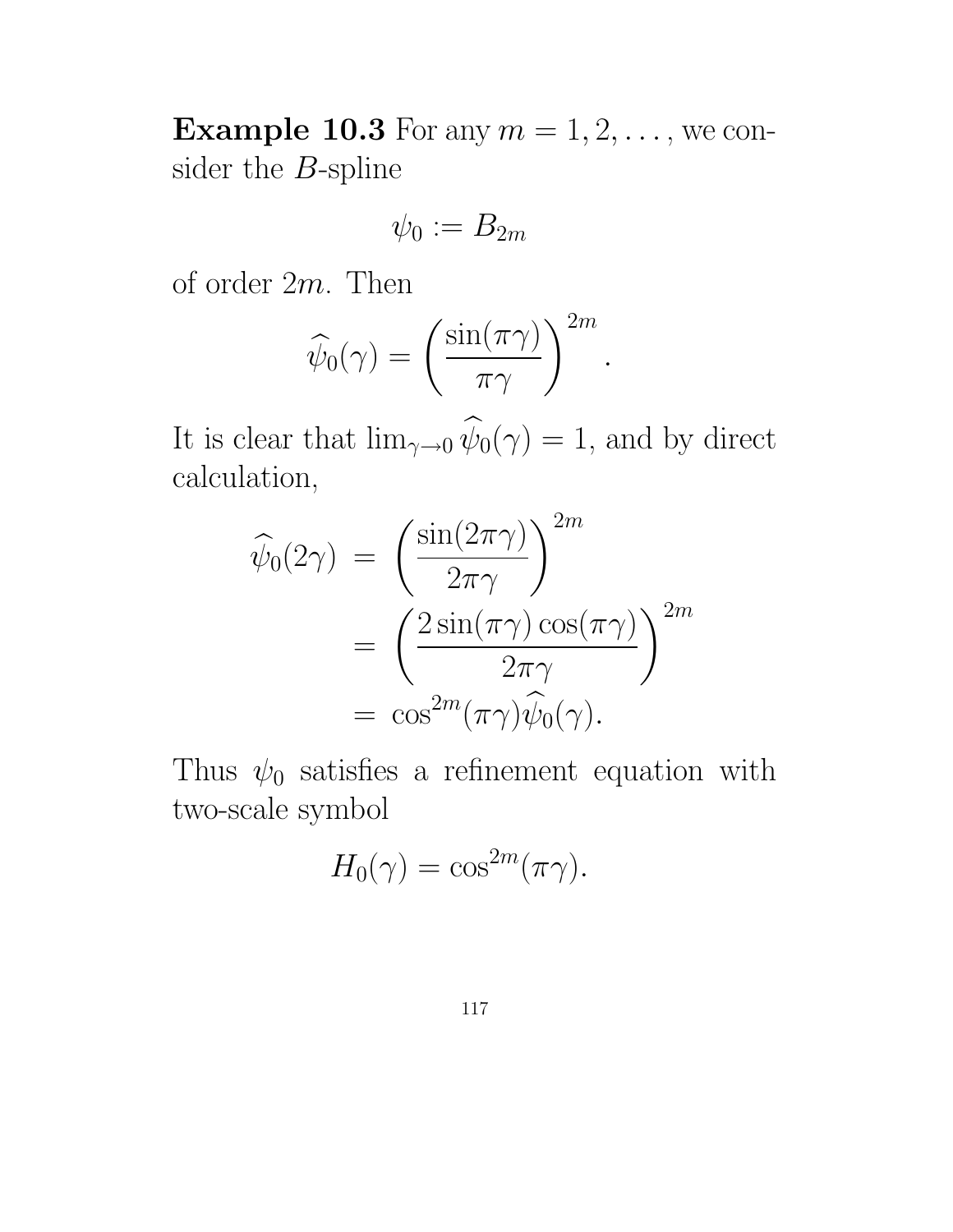**Example 10.3** For any  $m = 1, 2, \ldots$ , we consider the  $B\operatorname{\!-split}$ 

$$
\psi_0:=B_{2m}
$$

of order 2m. Then

$$
\widehat{\psi}_0(\gamma) = \left(\frac{\sin(\pi \gamma)}{\pi \gamma}\right)^{2m}.
$$

It is clear that  $\lim_{\gamma\to 0} \widehat{\psi}_0(\gamma) = 1$ , and by direct calculation,

$$
\widehat{\psi}_0(2\gamma) = \left(\frac{\sin(2\pi\gamma)}{2\pi\gamma}\right)^{2m}
$$

$$
= \left(\frac{2\sin(\pi\gamma)\cos(\pi\gamma)}{2\pi\gamma}\right)^{2m}
$$

$$
= \cos^{2m}(\pi\gamma)\widehat{\psi}_0(\gamma).
$$

Thus  $\psi_0$  satisfies a refinement equation with two-scale symbol

$$
H_0(\gamma) = \cos^{2m}(\pi \gamma).
$$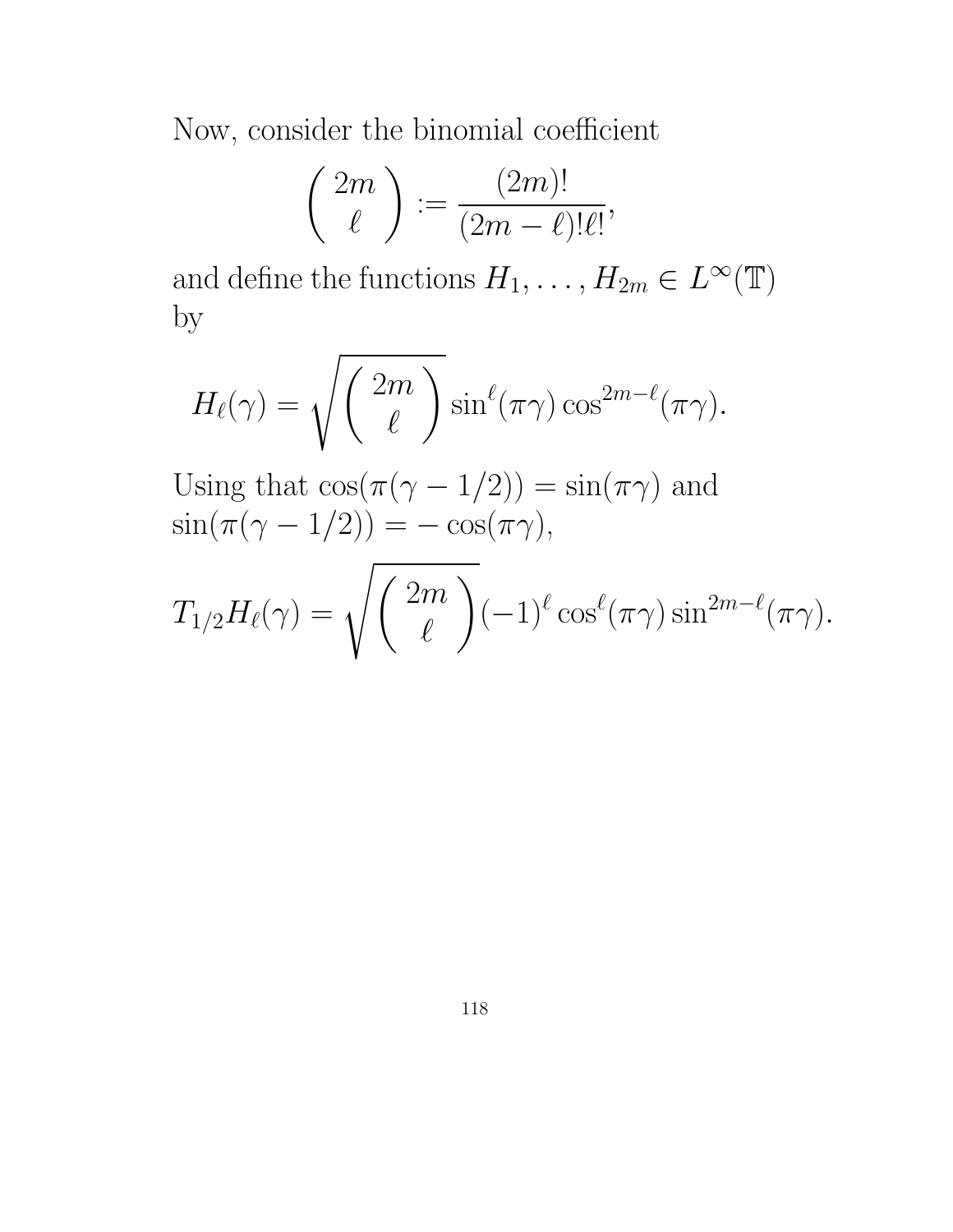Now, consider the binomial coefficient

$$
\left(\begin{array}{c} 2m \\ \ell \end{array}\right):=\frac{(2m)!}{(2m-\ell)!\ell!},
$$

and define the functions  $H_1, \ldots, H_{2m} \in L^{\infty}(\mathbb{T})$ by

$$
H_{\ell}(\gamma) = \sqrt{\left(\frac{2m}{\ell}\right)} \sin^{\ell}(\pi \gamma) \cos^{2m-\ell}(\pi \gamma).
$$

Using that  $\cos(\pi(\gamma - 1/2)) = \sin(\pi \gamma)$  and  $\sin(\pi(\gamma - 1/2)) = -\cos(\pi \gamma),$ 

$$
T_{1/2}H_{\ell}(\gamma)=\sqrt{\binom{2m}{\ell}}(-1)^{\ell}\cos^{\ell}(\pi\gamma)\sin^{2m-\ell}(\pi\gamma).
$$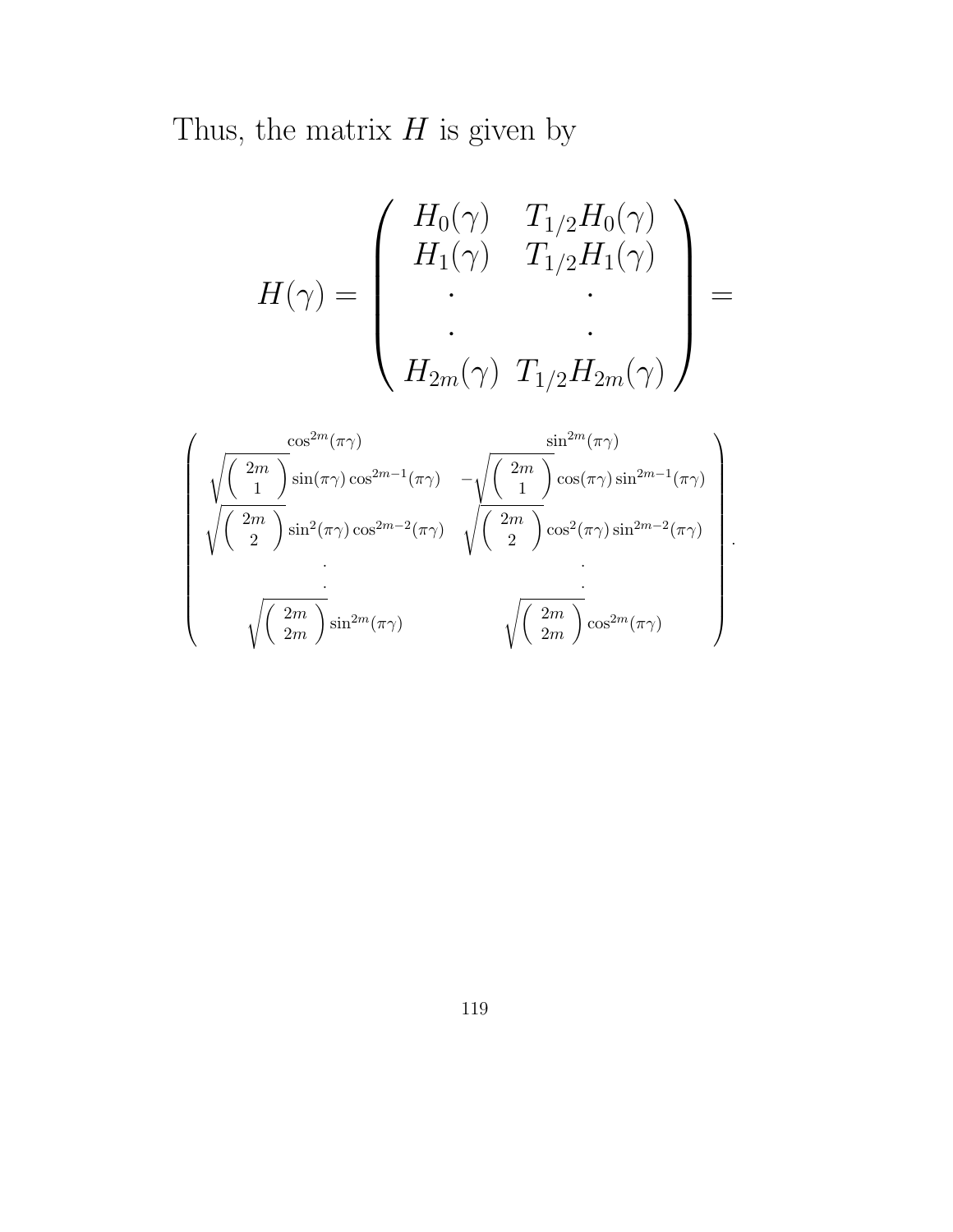Thus, the matrix  $H$  is given by

$$
H(\gamma) = \begin{pmatrix} H_0(\gamma) & T_{1/2}H_0(\gamma) \\ H_1(\gamma) & T_{1/2}H_1(\gamma) \\ \cdot & \cdot \\ \cdot & \cdot \\ H_{2m}(\gamma) & T_{1/2}H_{2m}(\gamma) \end{pmatrix} =
$$

$$
\begin{pmatrix} \frac{\cos^{2m}(\pi \gamma)}{1} & \frac{\sin^{2m}(\pi \gamma)}{1} \\ \sqrt{\frac{2m}{2}} \sin(\pi \gamma) \cos^{2m-1}(\pi \gamma) & -\sqrt{\frac{2m}{2}} \cos(\pi \gamma) \sin^{2m-1}(\pi \gamma) \\ \cdot & \cdot \\ \cdot & \cdot \\ \sqrt{\frac{2m}{2m}} \sin^{2}(\pi \gamma) \cos^{2m-2}(\pi \gamma) & \sqrt{\frac{2m}{2}} \cos^{2}(\pi \gamma) \sin^{2m-2}(\pi \gamma) \\ \cdot & \cdot \\ \sqrt{\frac{2m}{2m}} \cos^{2m}(\pi \gamma) & \sqrt{\frac{2m}{2m}} \cos^{2m}(\pi \gamma) \end{pmatrix}.
$$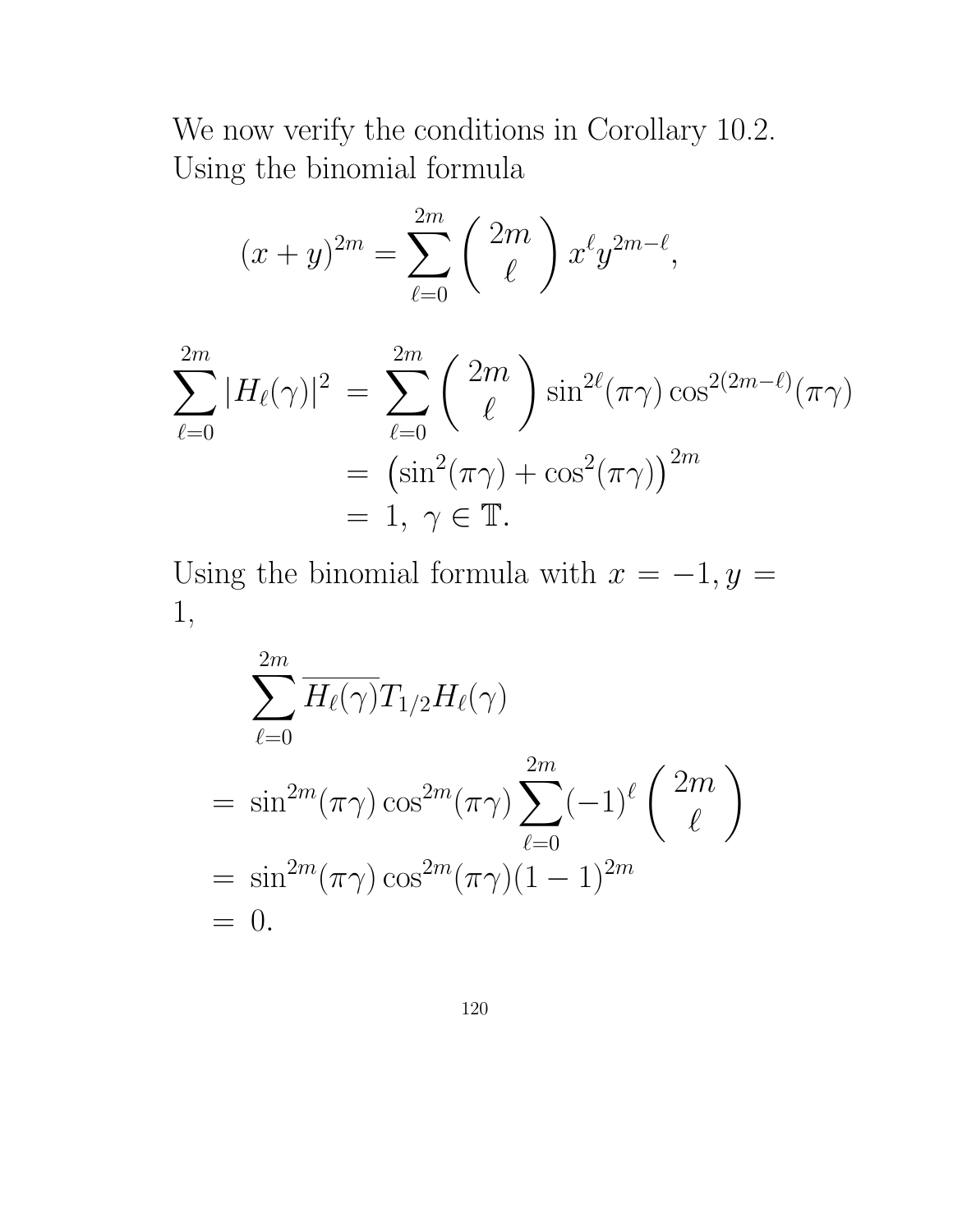We now verify the conditions in Corollary 10.2. Using the binomial formula

$$
(x+y)^{2m} = \sum_{\ell=0}^{2m} \binom{2m}{\ell} x^{\ell} y^{2m-\ell},
$$

$$
\sum_{\ell=0}^{2m} |H_{\ell}(\gamma)|^2 = \sum_{\ell=0}^{2m} {\binom{2m}{\ell}} \sin^{2\ell}(\pi \gamma) \cos^{2(2m-\ell)}(\pi \gamma)
$$

$$
= (\sin^2(\pi \gamma) + \cos^2(\pi \gamma))^{2m}
$$

$$
= 1, \ \gamma \in \mathbb{T}.
$$

Using the binomial formula with  $x = -1, y =$ 1,

$$
\sum_{\ell=0}^{2m} \overline{H_{\ell}(\gamma)} T_{1/2} H_{\ell}(\gamma)
$$
\n
$$
= \sin^{2m} (\pi \gamma) \cos^{2m} (\pi \gamma) \sum_{\ell=0}^{2m} (-1)^{\ell} {\binom{2m}{\ell}}
$$
\n
$$
= \sin^{2m} (\pi \gamma) \cos^{2m} (\pi \gamma) (1 - 1)^{2m}
$$
\n
$$
= 0.
$$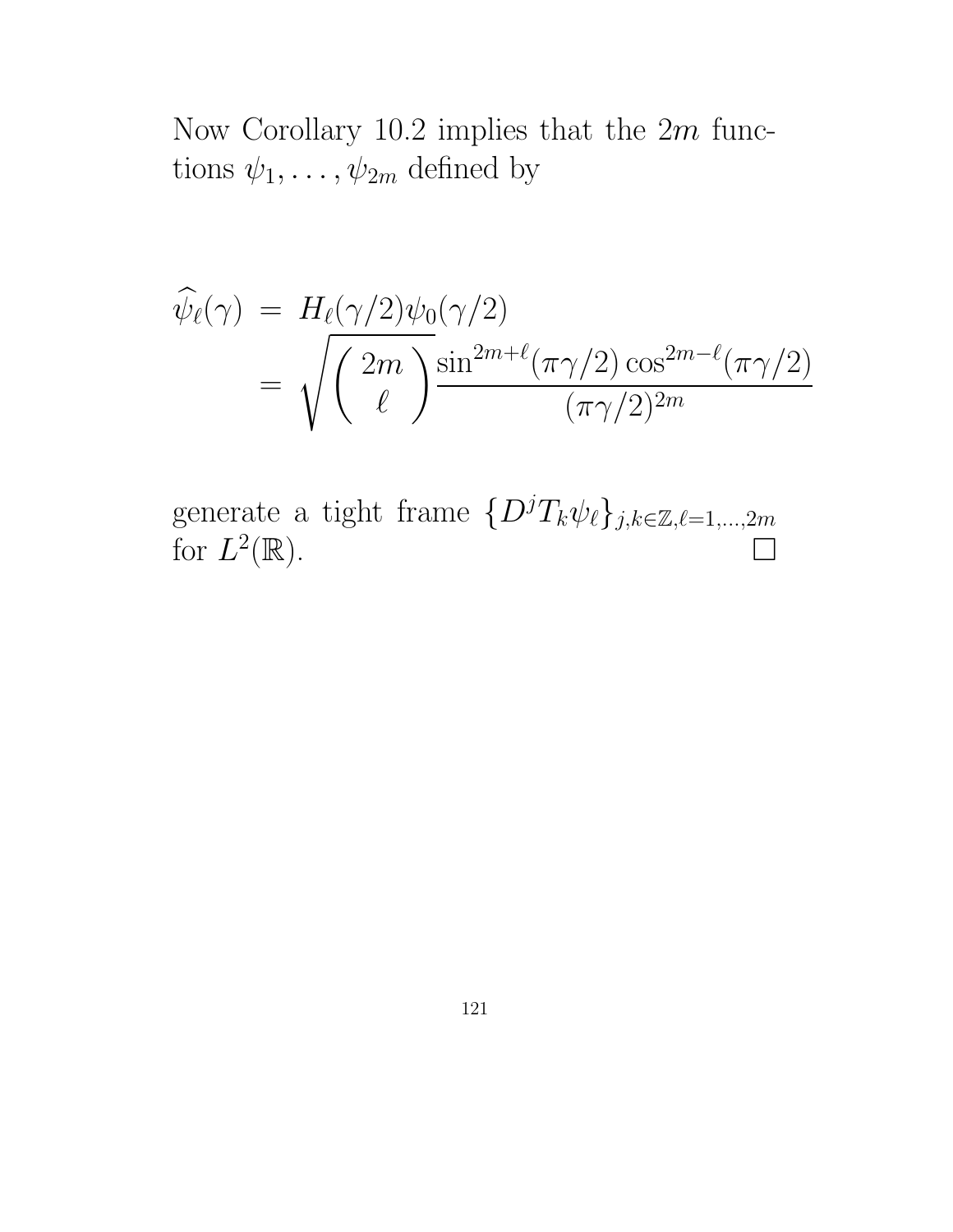Now Corollary 10.2 implies that the 2m functions  $\psi_1, \ldots, \psi_{2m}$  defined by

$$
\widehat{\psi}_{\ell}(\gamma) = H_{\ell}(\gamma/2)\psi_0(\gamma/2)
$$
  
= 
$$
\sqrt{\left(\frac{2m}{\ell}\right)^{\sin^{2m+\ell}(\pi\gamma/2)\cos^{2m-\ell}(\pi\gamma/2)}}
$$

generate a tight frame  $\{D^jT_k\psi_\ell\}_{j,k\in\mathbb{Z},\ell=1,\ldots,2m}$ for  $L^2(\mathbb{R})$ .  $^{2}(\mathbb{R})$ .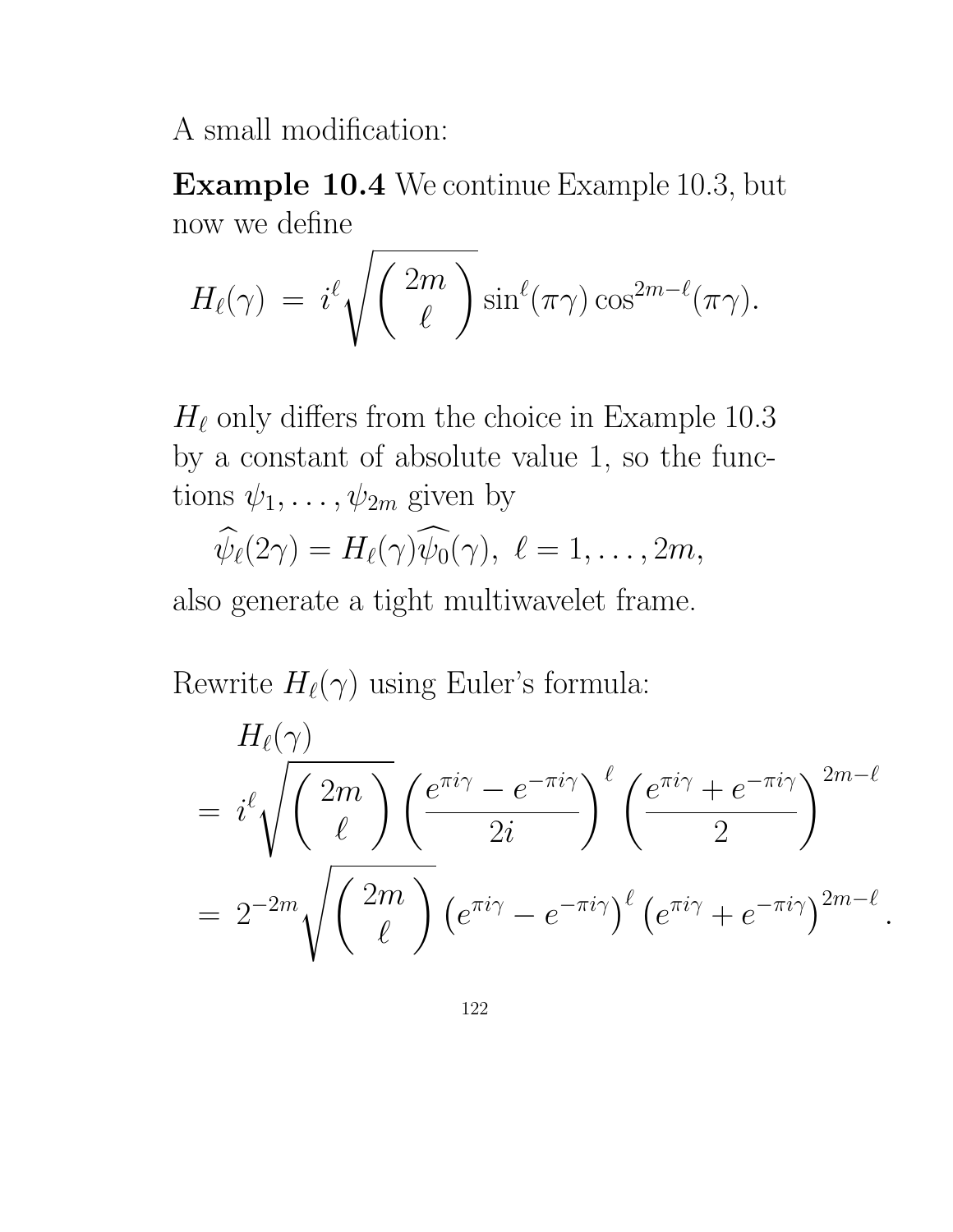A small modification:

Example 10.4 We continue Example 10.3, but now we define

$$
H_{\ell}(\gamma) = i^{\ell} \sqrt{\binom{2m}{\ell}} \sin^{\ell}(\pi \gamma) \cos^{2m-\ell}(\pi \gamma).
$$

 $H_{\ell}$  only differs from the choice in Example 10.3 by a constant of absolute value 1, so the functions  $\psi_1, \ldots, \psi_{2m}$  given by

$$
\widehat{\psi}_{\ell}(2\gamma)=H_{\ell}(\gamma)\widehat{\psi_0}(\gamma),\ \ell=1,\ldots,2m,
$$

also generate a tight multiwavelet frame.

Rewrite  $H_{\ell}(\gamma)$  using Euler's formula:

$$
H_{\ell}(\gamma)
$$
\n
$$
= i^{\ell} \sqrt{\binom{2m}{\ell}} \left(\frac{e^{\pi i \gamma} - e^{-\pi i \gamma}}{2i}\right)^{\ell} \left(\frac{e^{\pi i \gamma} + e^{-\pi i \gamma}}{2}\right)^{2m-\ell}
$$
\n
$$
= 2^{-2m} \sqrt{\binom{2m}{\ell}} \left(e^{\pi i \gamma} - e^{-\pi i \gamma}\right)^{\ell} \left(e^{\pi i \gamma} + e^{-\pi i \gamma}\right)^{2m-\ell}
$$

.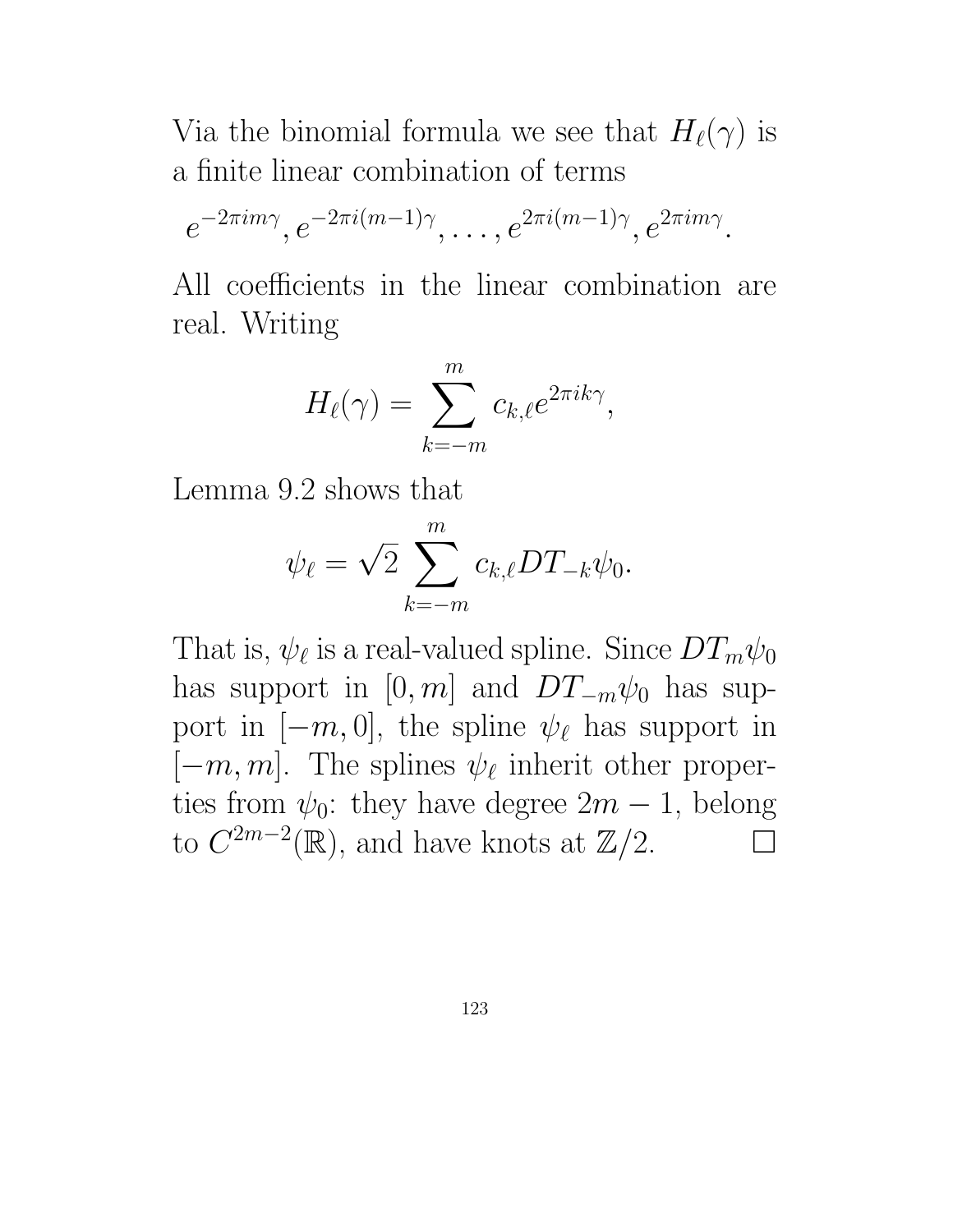Via the binomial formula we see that  $H_{\ell}(\gamma)$  is a finite linear combination of terms

$$
e^{-2\pi im\gamma}
$$
,  $e^{-2\pi i(m-1)\gamma}$ , ...,  $e^{2\pi i(m-1)\gamma}$ ,  $e^{2\pi im\gamma}$ .

All coefficients in the linear combination are real. Writing

$$
H_{\ell}(\gamma) = \sum_{k=-m}^{m} c_{k,\ell} e^{2\pi i k \gamma},
$$

Lemma 9.2 shows that

$$
\psi_{\ell} = \sqrt{2} \sum_{k=-m}^{m} c_{k,\ell} DT_{-k} \psi_0.
$$

That is,  $\psi_{\ell}$  is a real-valued spline. Since  $DT_m\psi_0$ has support in [0, m] and  $DT_{-m}\psi_0$  has support in  $[-m, 0]$ , the spline  $\psi_{\ell}$  has support in  $[-m, m]$ . The splines  $\psi_{\ell}$  inherit other properties from  $\psi_0$ : they have degree  $2m-1$ , belong to  $C^{2m-2}(\mathbb{R})$ , and have knots at  $\mathbb{Z}/2$ .  $\Box$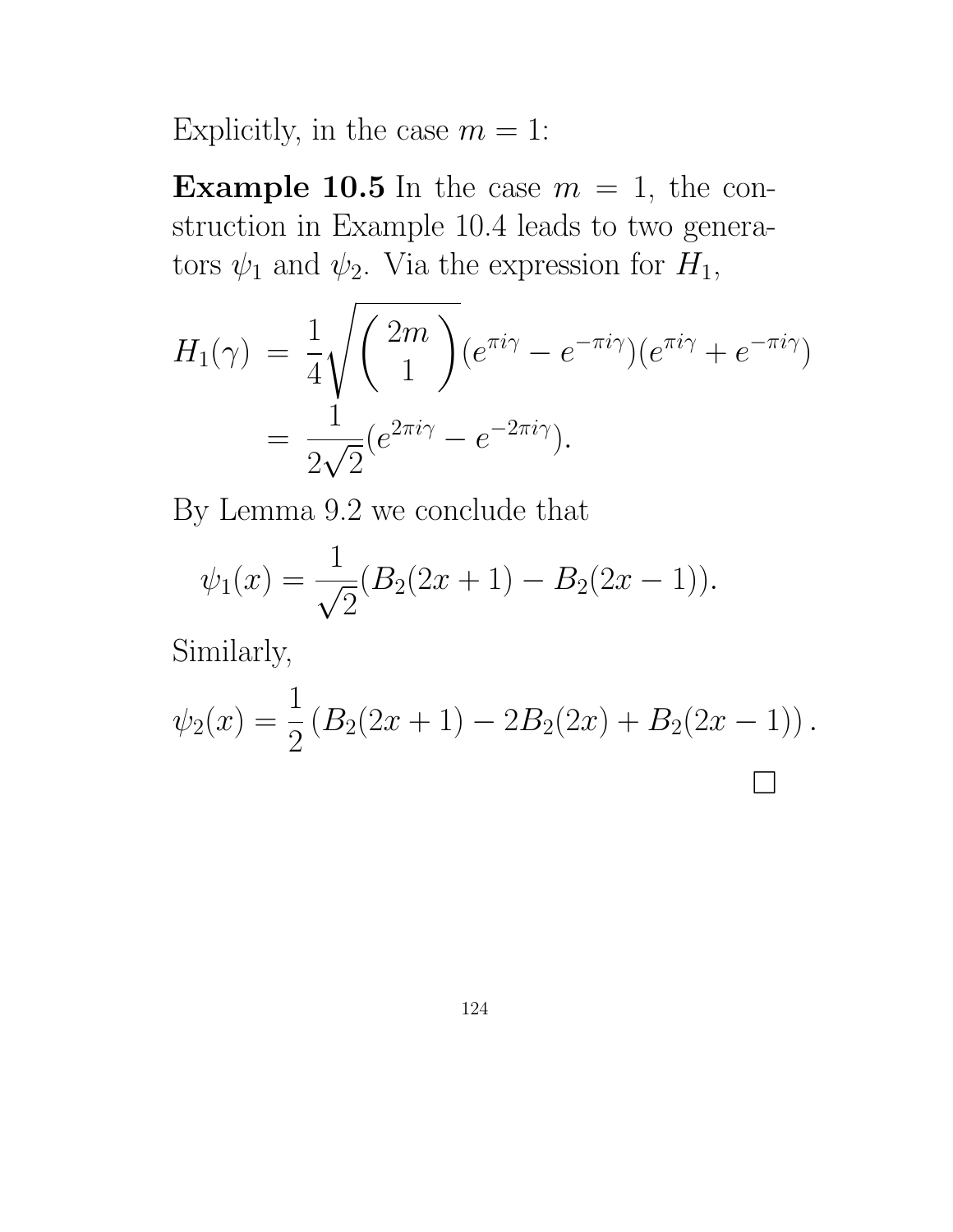Explicitly, in the case  $m = 1$ :

**Example 10.5** In the case  $m = 1$ , the construction in Example 10.4 leads to two generators  $\psi_1$  and  $\psi_2$ . Via the expression for  $H_1$ ,

$$
H_1(\gamma) = \frac{1}{4} \sqrt{\binom{2m}{1}} (e^{\pi i \gamma} - e^{-\pi i \gamma}) (e^{\pi i \gamma} + e^{-\pi i \gamma})
$$
  
= 
$$
\frac{1}{2\sqrt{2}} (e^{2\pi i \gamma} - e^{-2\pi i \gamma}).
$$

By Lemma 9.2 we conclude that

$$
\psi_1(x) = \frac{1}{\sqrt{2}}(B_2(2x+1) - B_2(2x-1)).
$$

Similarly,

$$
\psi_2(x) = \frac{1}{2} \left( B_2(2x+1) - 2B_2(2x) + B_2(2x-1) \right).
$$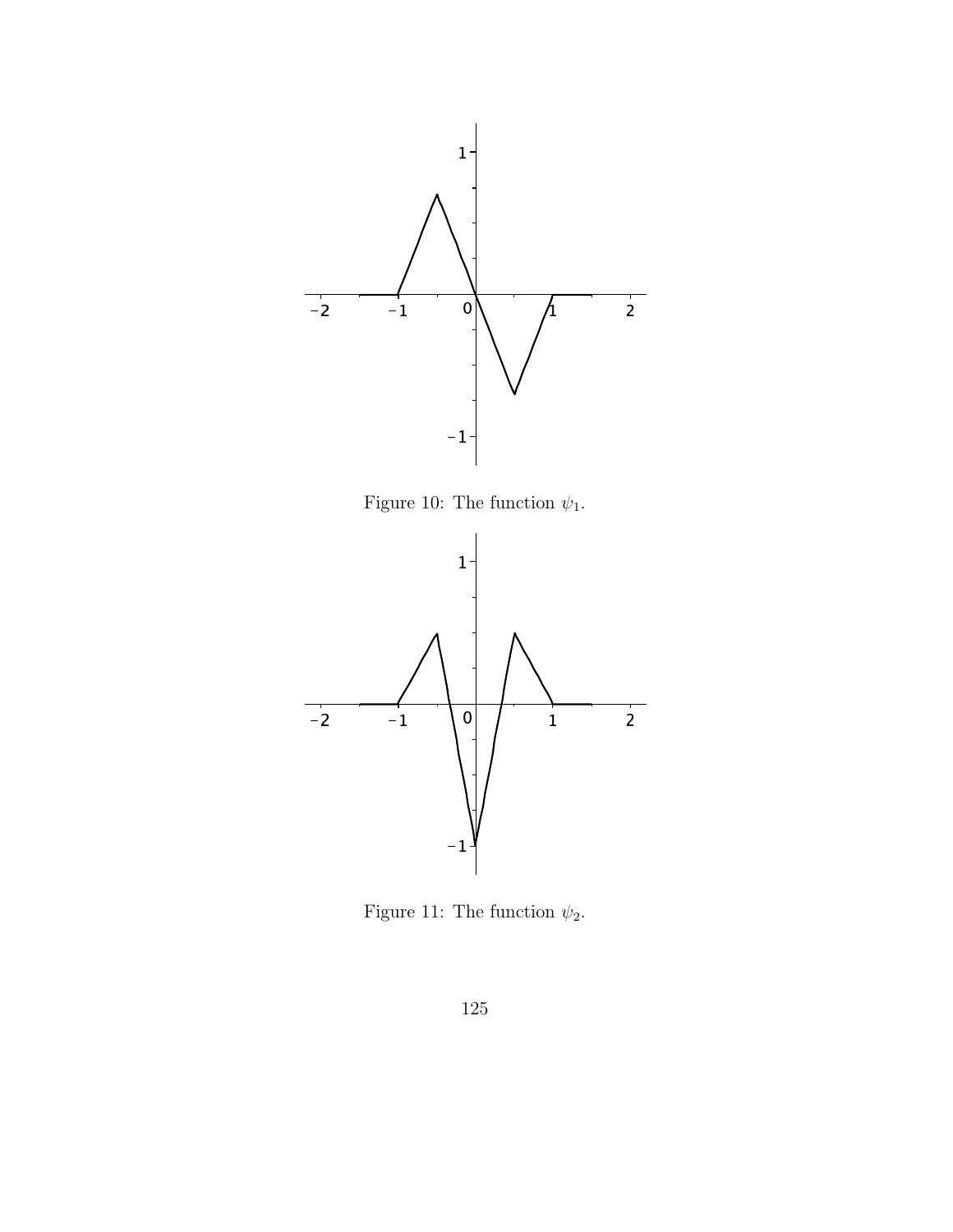

Figure 10: The function  $\psi_1$ .



Figure 11: The function  $\psi_2$ .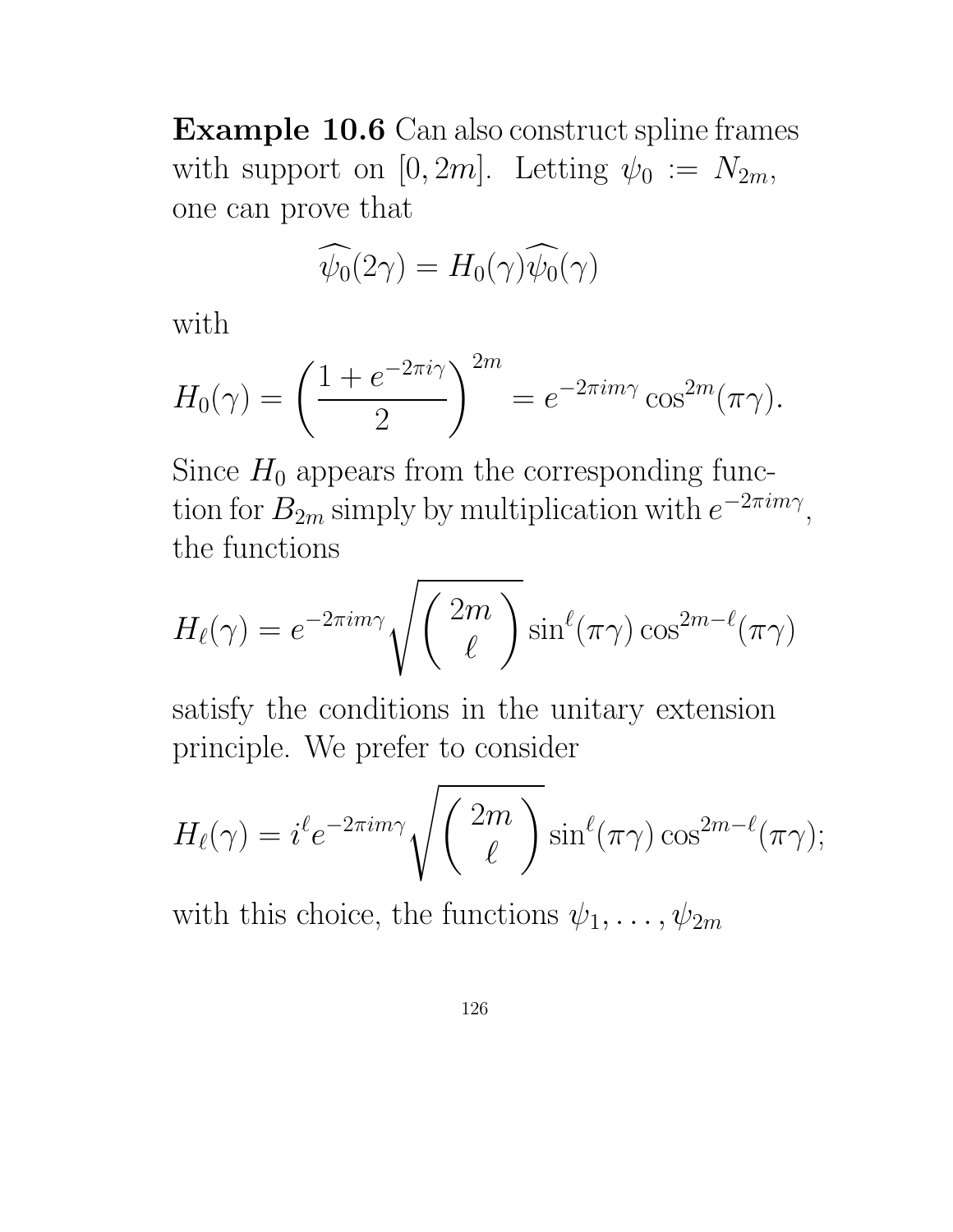Example 10.6 Can also construct spline frames with support on  $[0, 2m]$ . Letting  $\psi_0 := N_{2m}$ , one can prove that

$$
\widehat{\psi_0}(2\gamma) = H_0(\gamma)\widehat{\psi_0}(\gamma)
$$

with

$$
H_0(\gamma) = \left(\frac{1 + e^{-2\pi i \gamma}}{2}\right)^{2m} = e^{-2\pi i m \gamma} \cos^{2m}(\pi \gamma).
$$

Since  $H_0$  appears from the corresponding function for  $B_{2m}$  simply by multiplication with  $e^{-2\pi im\gamma}$ , the functions

$$
H_{\ell}(\gamma) = e^{-2\pi i m \gamma} \sqrt{\left(\frac{2m}{\ell}\right)} \sin^{\ell}(\pi \gamma) \cos^{2m-\ell}(\pi \gamma)
$$

satisfy the conditions in the unitary extension principle. We prefer to consider

$$
H_{\ell}(\gamma) = i^{\ell} e^{-2\pi i m \gamma} \sqrt{\binom{2m}{\ell}} \sin^{\ell}(\pi \gamma) \cos^{2m-\ell}(\pi \gamma);
$$

with this choice, the functions  $\psi_1, \ldots, \psi_{2m}$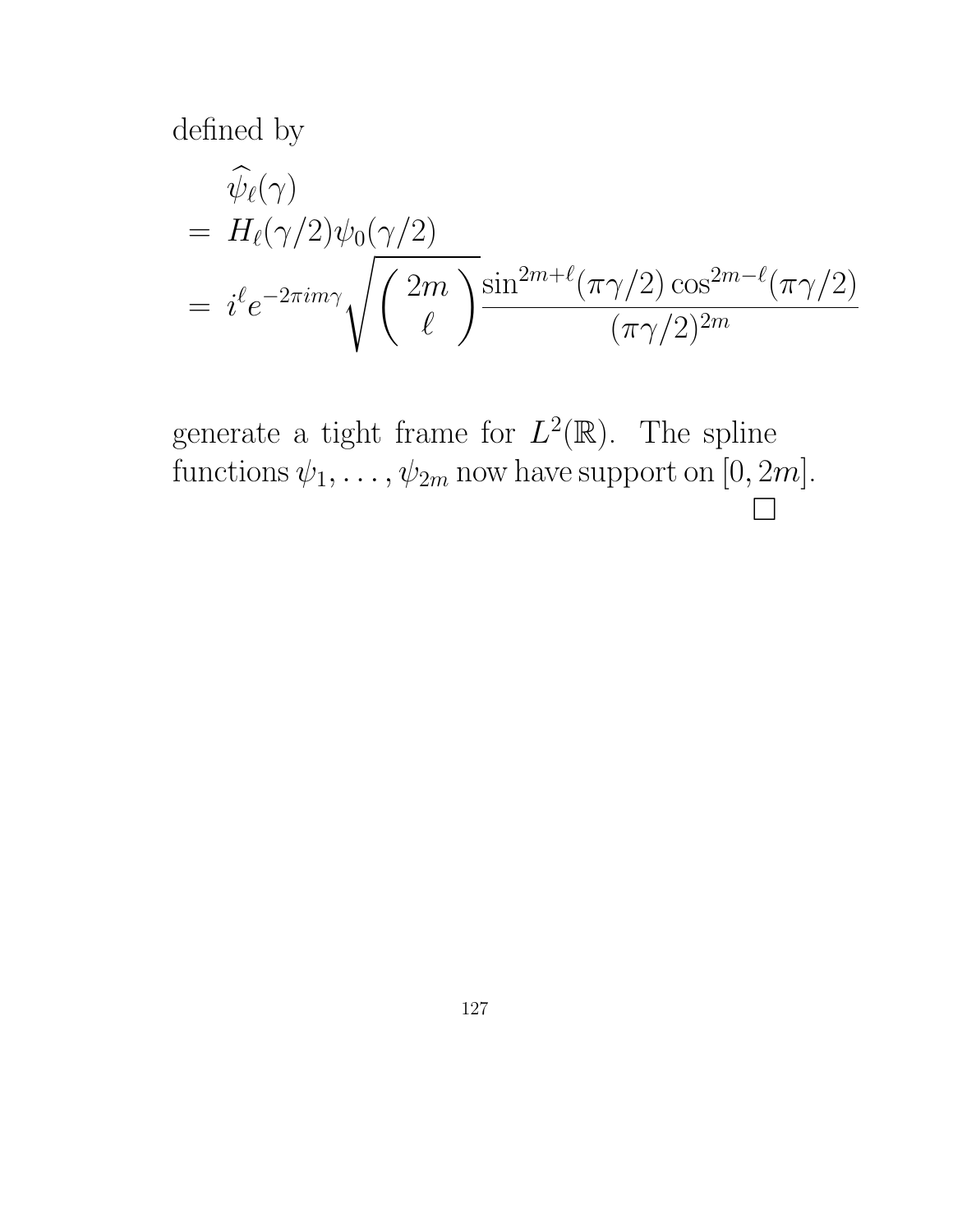defined by

$$
\begin{aligned}\n\widehat{\psi}_{\ell}(\gamma) \\
&= H_{\ell}(\gamma/2)\psi_0(\gamma/2) \\
&= i^{\ell} e^{-2\pi i m \gamma} \sqrt{\left(\frac{2m}{\ell}\right)^{\frac{\sin^{2m+\ell}(\pi \gamma/2) \cos^{2m-\ell}(\pi \gamma/2)}{(\pi \gamma/2)^{2m}}}\n\end{aligned}
$$

generate a tight frame for  $L^2(\mathbb{R})$ . The spline functions  $\psi_1, \ldots, \psi_{2m}$  now have support on [0, 2m].  $\Box$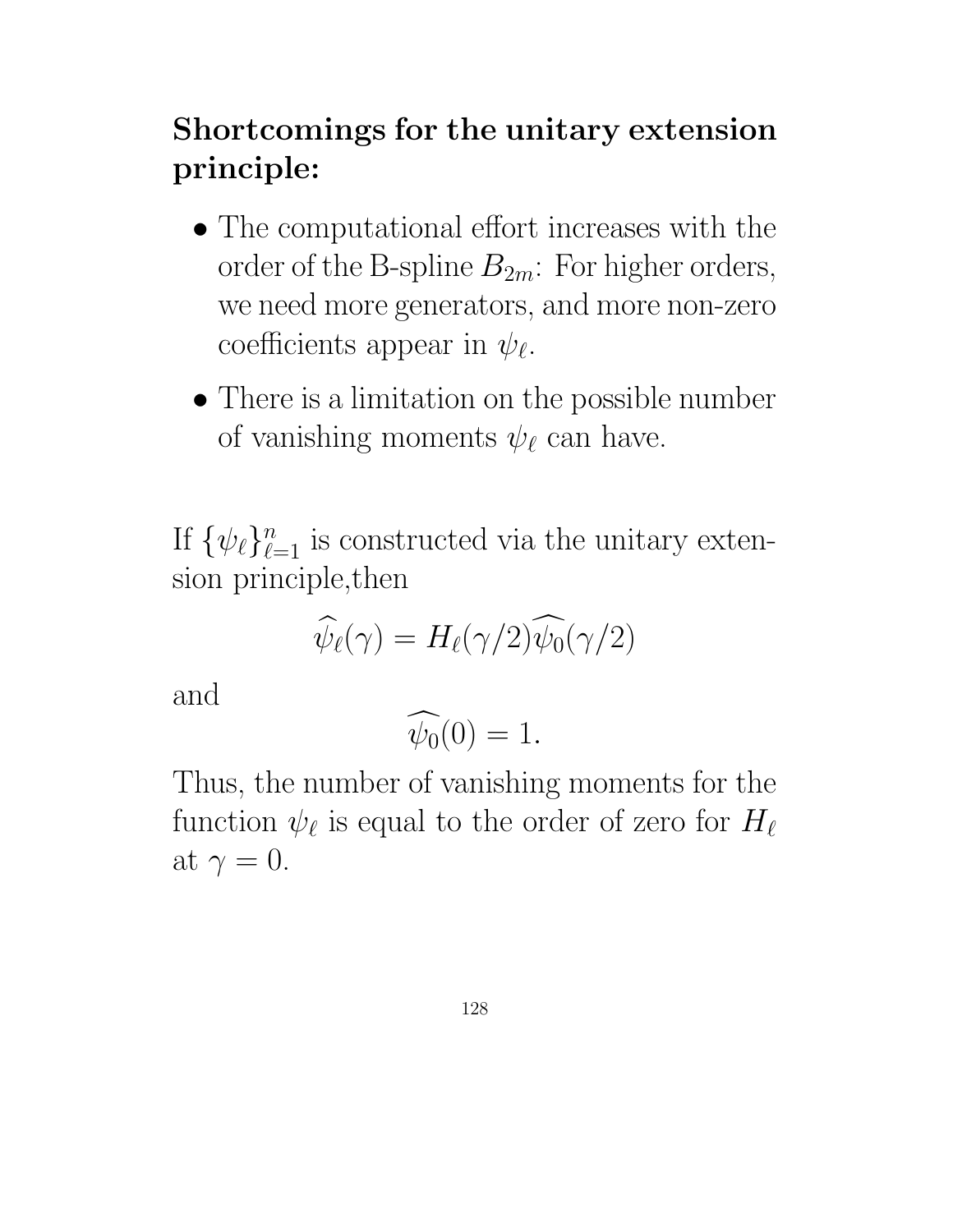# Shortcomings for the unitary extension principle:

- The computational effort increases with the order of the B-spline  $B_{2m}$ : For higher orders, we need more generators, and more non-zero coefficients appear in  $\psi_{\ell}$ .
- There is a limitation on the possible number of vanishing moments  $\psi_{\ell}$  can have.

If  $\{\psi_{\ell}\}_{\ell=1}^n$  is constructed via the unitary extension principle,then

$$
\widehat{\psi}_{\ell}(\gamma) = H_{\ell}(\gamma/2) \widehat{\psi_0}(\gamma/2)
$$

and

$$
\widehat{\psi_0}(0) = 1.
$$

Thus, the number of vanishing moments for the function  $\psi_{\ell}$  is equal to the order of zero for  $H_{\ell}$ at  $\gamma = 0$ .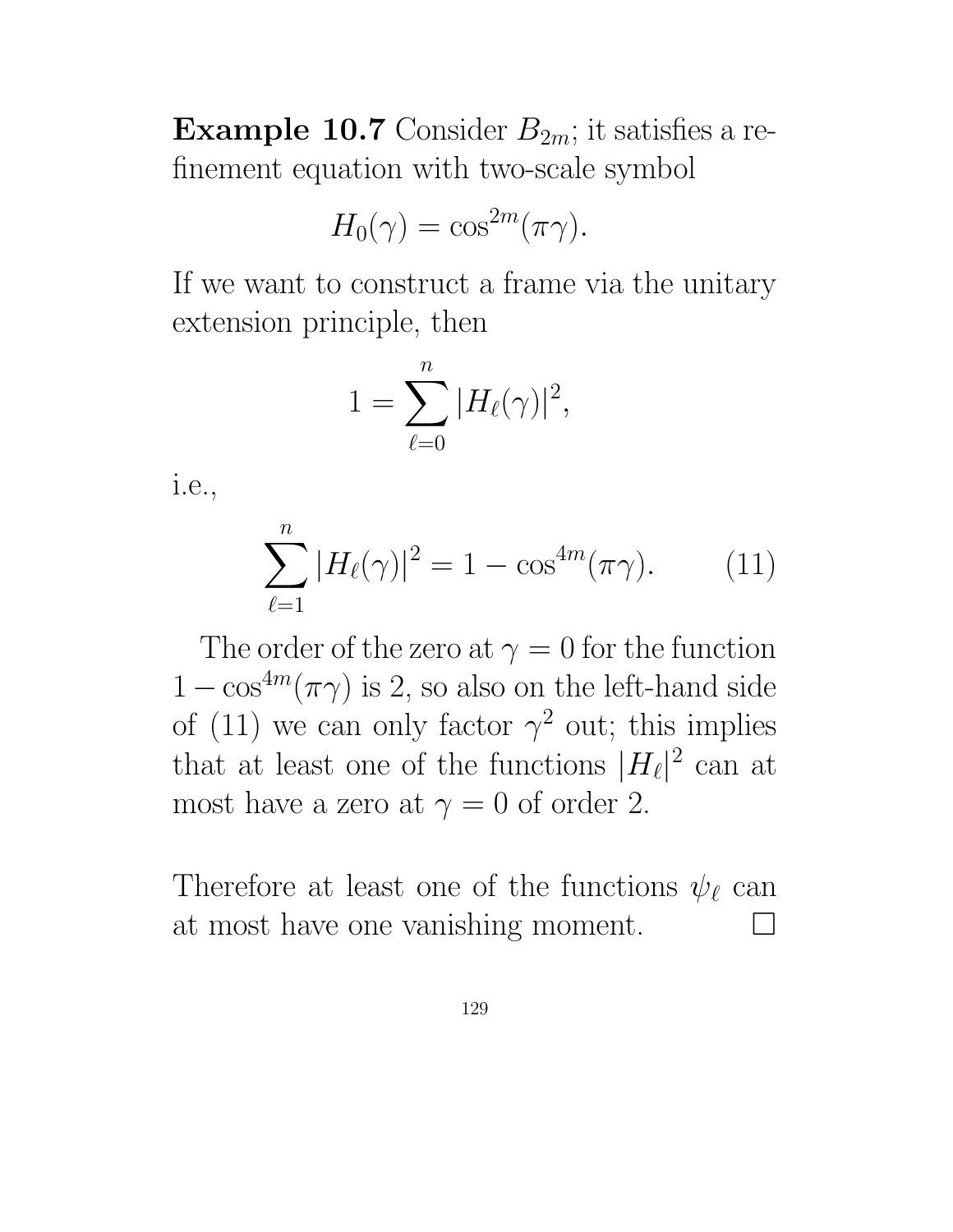**Example 10.7** Consider  $B_{2m}$ ; it satisfies a refinement equation with two-scale symbol

$$
H_0(\gamma) = \cos^{2m}(\pi \gamma).
$$

If we want to construct a frame via the unitary extension principle, then

$$
1=\sum_{\ell=0}^n|H_{\ell}(\gamma)|^2,
$$

i.e.,

$$
\sum_{\ell=1}^{n} |H_{\ell}(\gamma)|^2 = 1 - \cos^{4m}(\pi \gamma).
$$
 (11)

The order of the zero at  $\gamma = 0$  for the function  $1 - \cos^{4m}(\pi \gamma)$  is 2, so also on the left-hand side of (11) we can only factor  $\gamma^2$  out; this implies that at least one of the functions  $|H_{\ell}|$ 2 can at most have a zero at  $\gamma = 0$  of order 2.

Therefore at least one of the functions  $\psi_{\ell}$  can at most have one vanishing moment.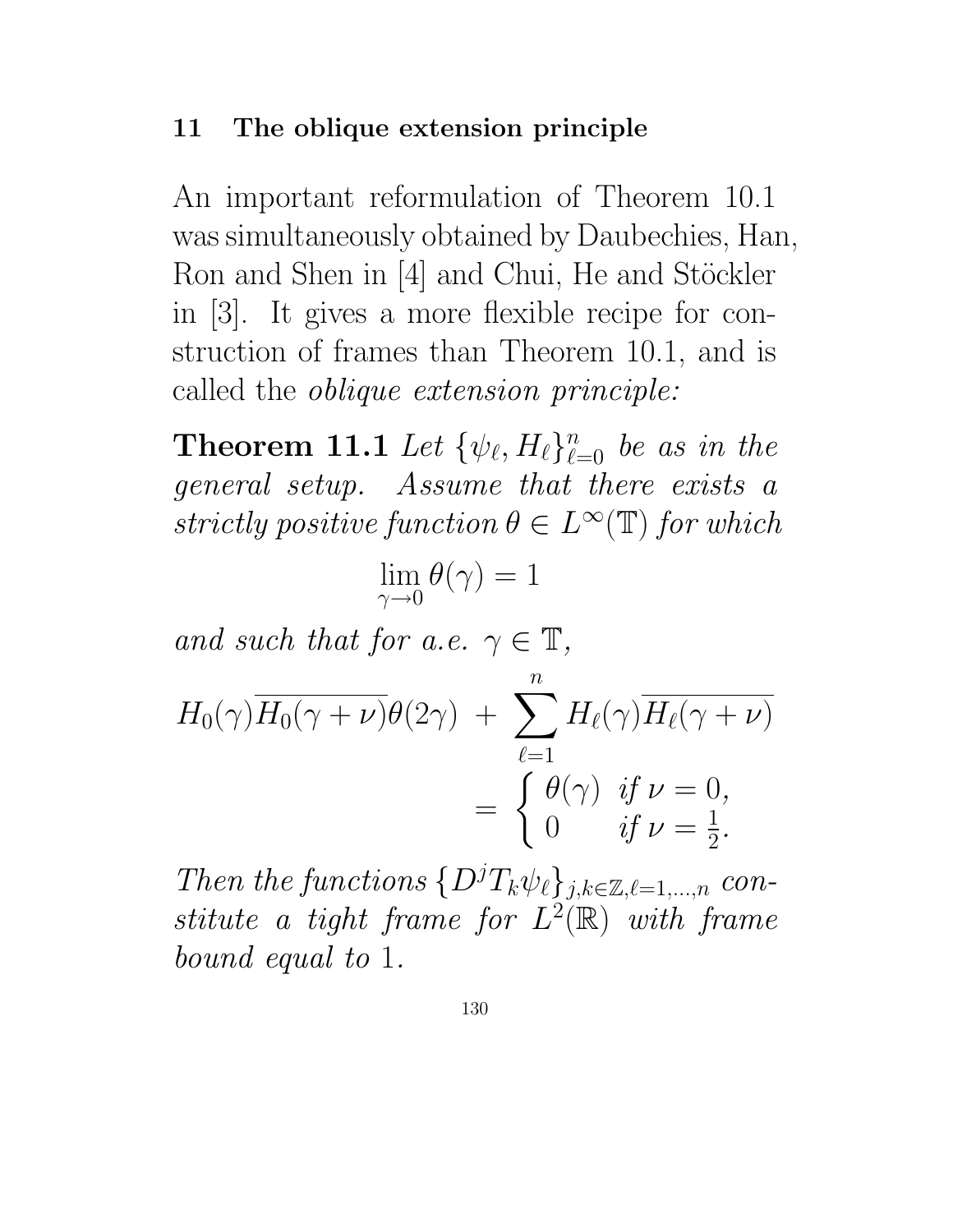#### 11 The oblique extension principle

An important reformulation of Theorem 10.1 was simultaneously obtained by Daubechies, Han, Ron and Shen in [4] and Chui, He and Stöckler in [3]. It gives a more flexible recipe for construction of frames than Theorem 10.1, and is called the oblique extension principle:

**Theorem 11.1** Let  $\{\psi_{\ell}, H_{\ell}\}_{\ell=0}^n$  be as in the general setup. Assume that there exists a strictly positive function  $\theta \in L^{\infty}(\mathbb{T})$  for which

$$
\lim_{\gamma\to 0}\theta(\gamma)=1
$$

and such that for a.e.  $\gamma \in \mathbb{T}$ ,

$$
H_0(\gamma) \overline{H_0(\gamma + \nu)} \theta(2\gamma) + \sum_{\ell=1}^n H_\ell(\gamma) \overline{H_\ell(\gamma + \nu)}
$$
  
= 
$$
\begin{cases} \theta(\gamma) & \text{if } \nu = 0, \\ 0 & \text{if } \nu = \frac{1}{2}. \end{cases}
$$

Then the functions  $\{D^jT_k\psi_{\ell}\}_{j,k\in\mathbb{Z},\ell=1,\ldots,n}$  constitute a tight frame for  $L^2(\mathbb{R})$  with frame bound equal to 1.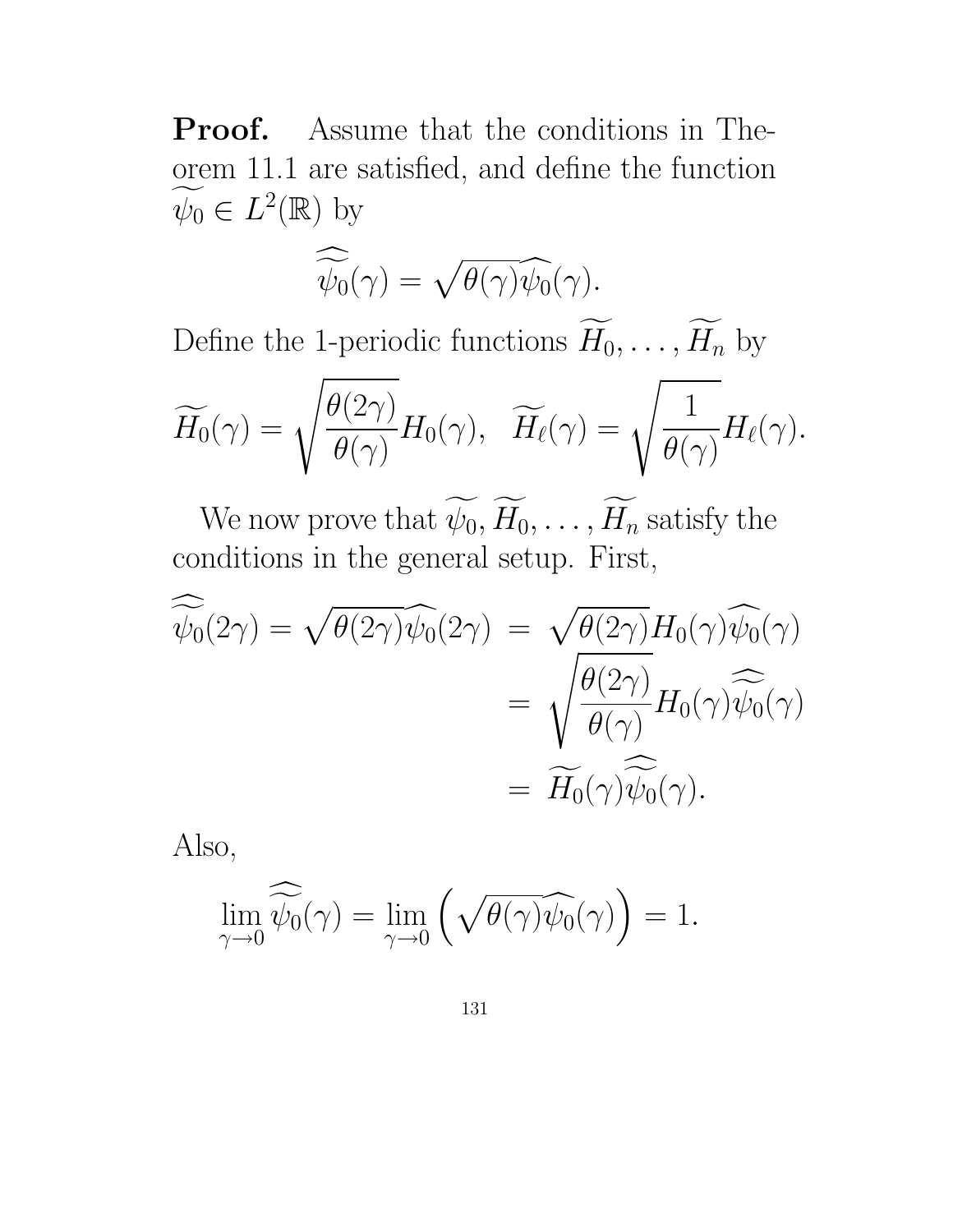Proof. Assume that the conditions in Theorem 11.1 are satisfied, and define the function  $\psi_0 \in L^2(\mathbb{R})$  by

$$
\widehat{\widetilde{\psi_0}}(\gamma) = \sqrt{\theta(\gamma)} \widehat{\psi_0}(\gamma).
$$

Define the 1-periodic functions  $\widetilde{H}_0, \ldots, \widetilde{H}_n$  by

$$
\widetilde{H_0}(\gamma)=\sqrt{\frac{\theta(2\gamma)}{\theta(\gamma)}}H_0(\gamma),\quad \widetilde{H_\ell}(\gamma)=\sqrt{\frac{1}{\theta(\gamma)}}H_\ell(\gamma).
$$

We now prove that  $\widetilde{\psi_0}, \widetilde{H_0}, \ldots, \widetilde{H_n}$  satisfy the conditions in the general setup. First,

$$
\widehat{\widetilde{\psi_0}}(2\gamma) = \sqrt{\theta(2\gamma)}\widehat{\psi_0}(2\gamma) = \sqrt{\theta(2\gamma)}H_0(\gamma)\widehat{\psi_0}(\gamma)
$$

$$
= \sqrt{\frac{\theta(2\gamma)}{\theta(\gamma)}}H_0(\gamma)\widehat{\widetilde{\psi_0}}(\gamma)
$$

$$
= \widetilde{H_0}(\gamma)\widehat{\widetilde{\psi_0}}(\gamma).
$$

Also,

$$
\lim_{\gamma \to 0} \widehat{\widetilde{\psi_0}}(\gamma) = \lim_{\gamma \to 0} \left( \sqrt{\theta(\gamma)} \widehat{\psi_0}(\gamma) \right) = 1.
$$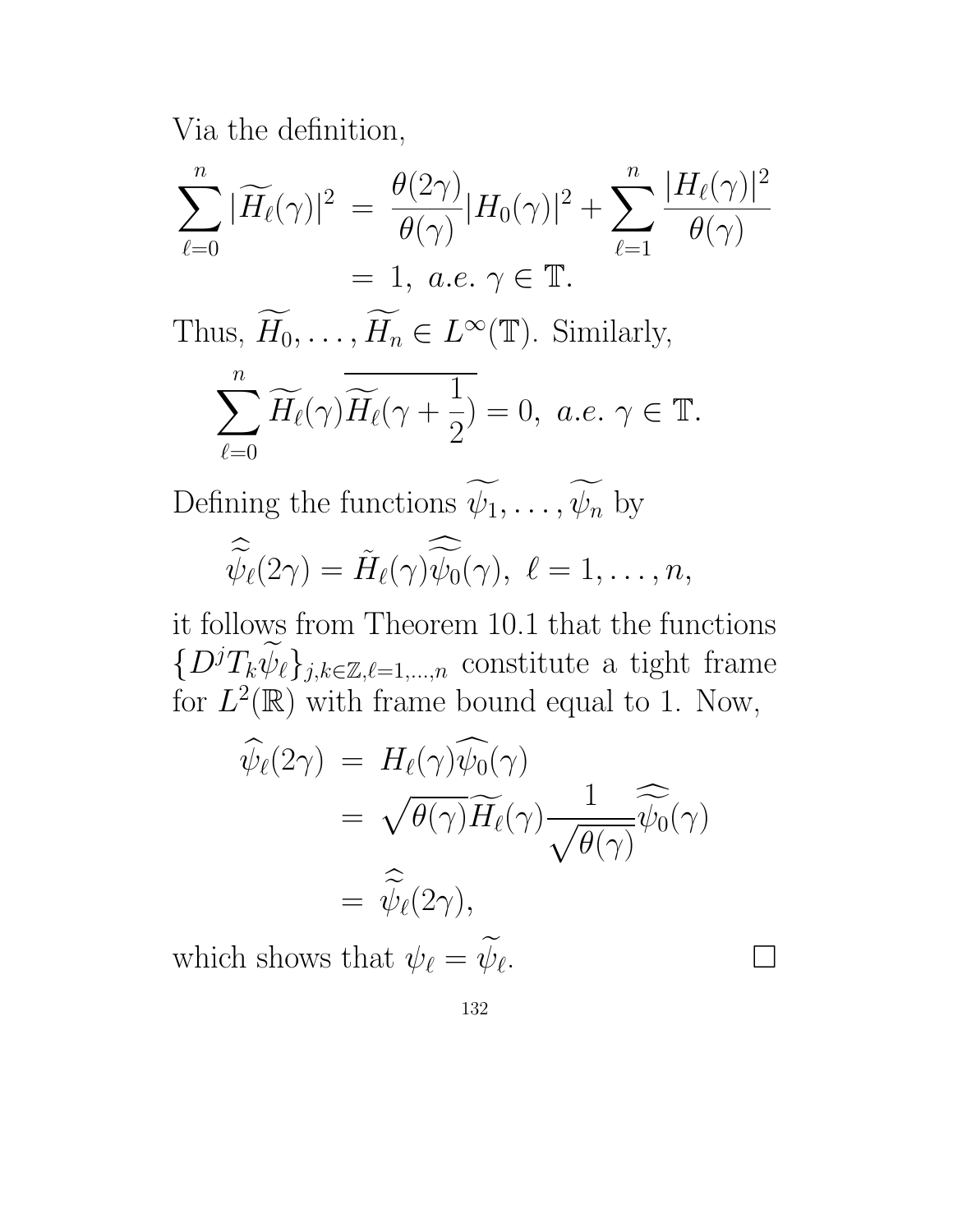Via the definition,

$$
\sum_{\ell=0}^n |\widetilde{H}_{\ell}(\gamma)|^2 = \frac{\theta(2\gamma)}{\theta(\gamma)} |H_0(\gamma)|^2 + \sum_{\ell=1}^n \frac{|H_{\ell}(\gamma)|^2}{\theta(\gamma)}
$$
  
= 1, *a.e.*  $\gamma \in \mathbb{T}$ .

Thus,  $H_0, \ldots, H_n \in L^{\infty}(\mathbb{T})$ . Similarly,

$$
\sum_{\ell=0}^n \widetilde{H_{\ell}}(\gamma) \overline{\widetilde{H_{\ell}}}(\gamma + \frac{1}{2}) = 0, \ a.e. \ \gamma \in \mathbb{T}.
$$

Defining the functions  $\widetilde{\psi_1}, \ldots, \widetilde{\psi_n}$  by

$$
\widehat{\widetilde{\psi}_{\ell}}(2\gamma) = \widetilde{H}_{\ell}(\gamma)\widehat{\widetilde{\psi}_{0}}(\gamma), \ \ell = 1,\ldots,n,
$$

it follows from Theorem 10.1 that the functions  $\{D^jT_k\widetilde{\psi}_\ell\}_{j,k\in\mathbb{Z},\ell=1,\dots,n}$  constitute a tight frame for  $L^2(\mathbb{R})$  with frame bound equal to 1. Now,

$$
\widehat{\psi}_{\ell}(2\gamma) = H_{\ell}(\gamma)\widehat{\psi}_{0}(\gamma)
$$
\n
$$
= \sqrt{\theta(\gamma)}\widetilde{H_{\ell}}(\gamma)\frac{1}{\sqrt{\theta(\gamma)}}\widehat{\widetilde{\psi}_{0}}(\gamma)
$$
\n
$$
= \widehat{\widetilde{\psi}_{\ell}}(2\gamma),
$$
\nn shows that  $\psi_{\ell} = \widetilde{\psi}_{\ell}$ .

\n
$$
\Box
$$

which shows that  $\psi_{\ell} = \psi_{\ell}$ .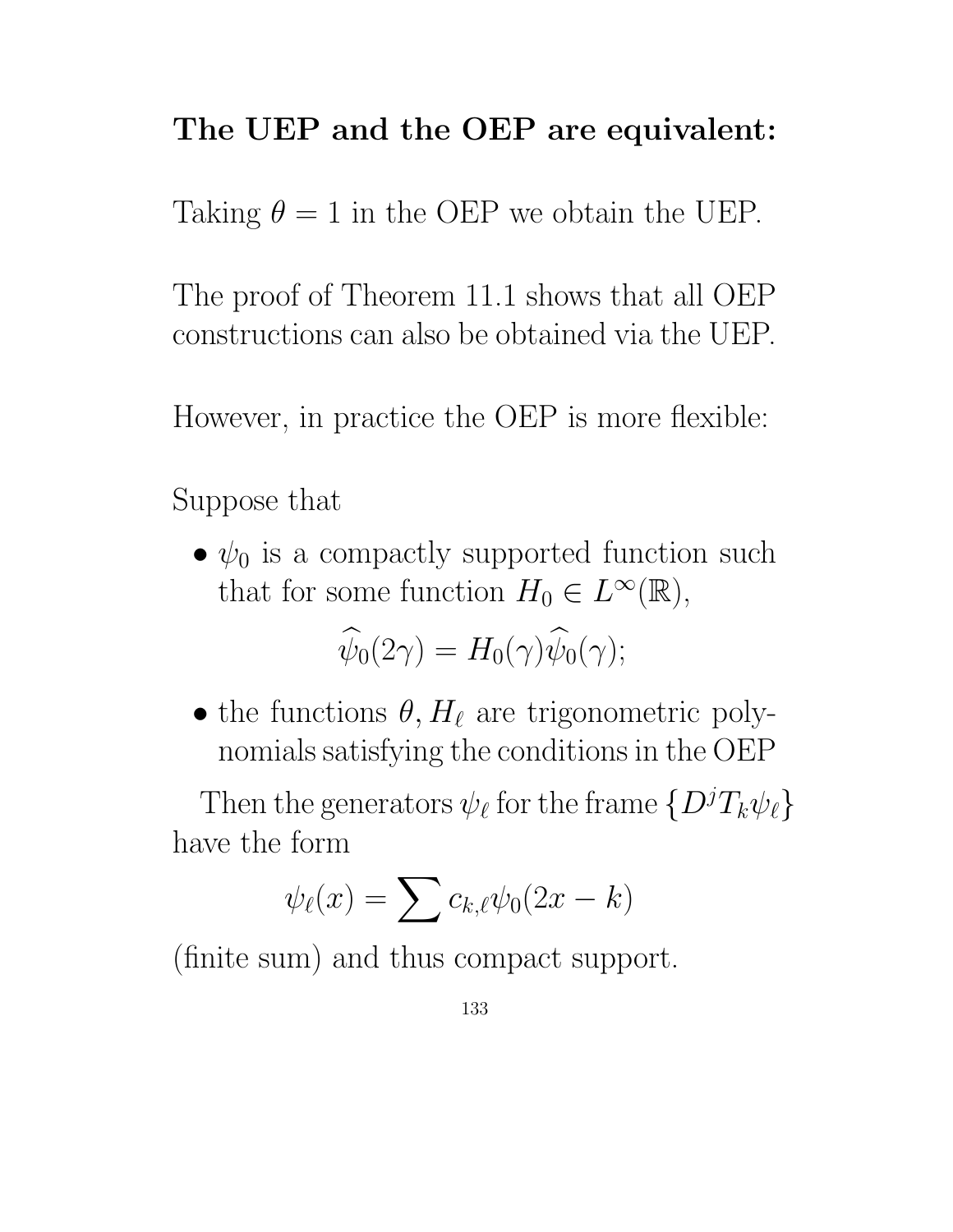## The UEP and the OEP are equivalent:

Taking  $\theta = 1$  in the OEP we obtain the UEP.

The proof of Theorem 11.1 shows that all OEP constructions can also be obtained via the UEP.

However, in practice the OEP is more flexible:

Suppose that

•  $\psi_0$  is a compactly supported function such that for some function  $H_0 \in L^{\infty}(\mathbb{R}),$ 

$$
\widehat{\psi}_0(2\gamma) = H_0(\gamma)\widehat{\psi}_0(\gamma);
$$

• the functions  $\theta, H_{\ell}$  are trigonometric polynomials satisfying the conditions in the OEP

Then the generators  $\psi_{\ell}$  for the frame  $\{D^{j}T_{k}\psi_{\ell}\}$ have the form

$$
\psi_{\ell}(x) = \sum c_{k,\ell} \psi_0(2x - k)
$$

(finite sum) and thus compact support.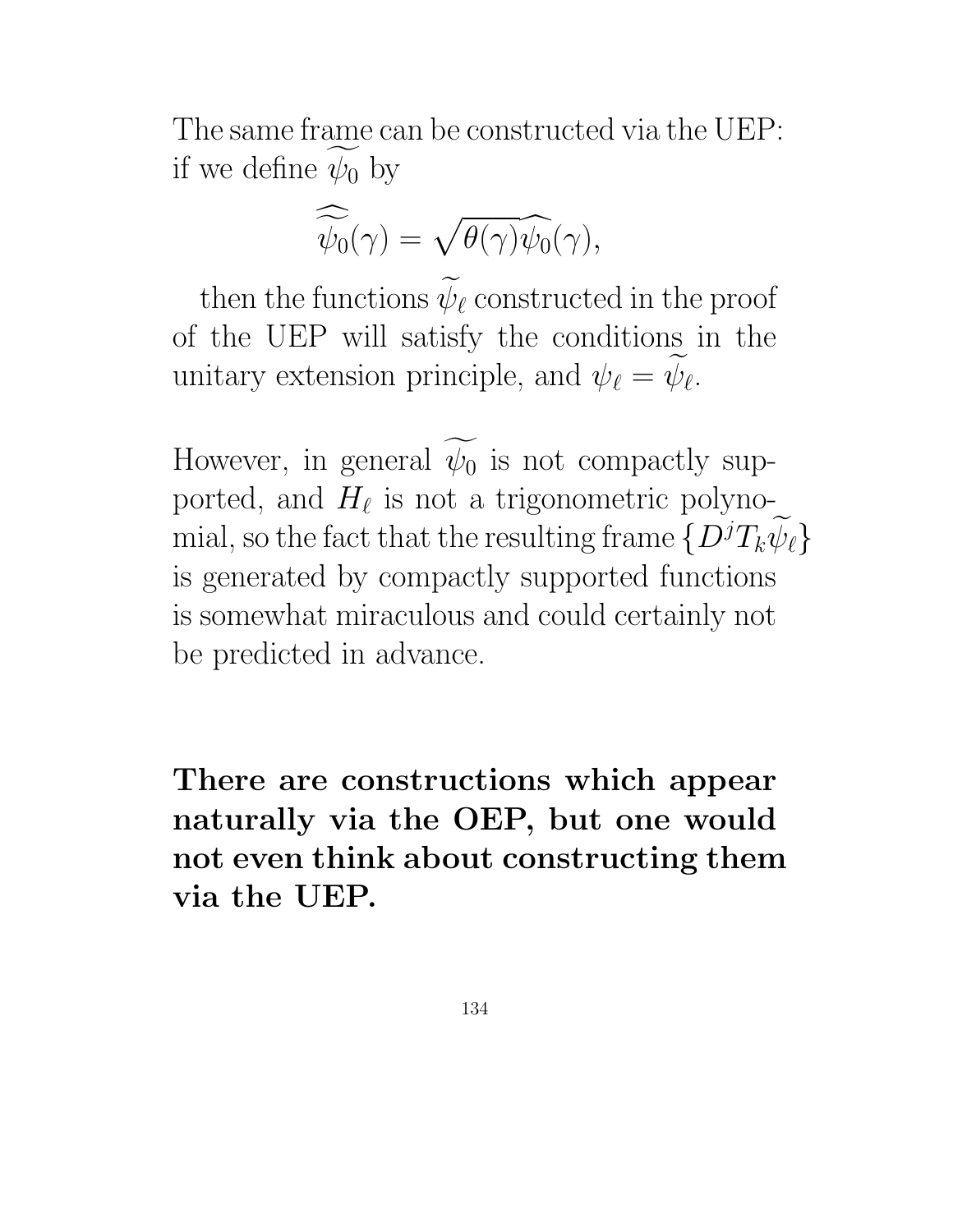The same frame can be constructed via the UEP: if we define  $\psi_0$  by

$$
\widehat{\widetilde{\psi_0}}(\gamma) = \sqrt{\theta(\gamma)} \widehat{\psi_0}(\gamma),
$$

then the functions  $\widetilde{\psi}_{\ell}$  constructed in the proof of the UEP will satisfy the conditions in the unitary extension principle, and  $\psi_{\ell} = \psi_{\ell}$ .

However, in general  $\psi_0$  is not compactly supported, and  $H_{\ell}$  is not a trigonometric polynomial, so the fact that the resulting frame  $\{D^jT_k\psi_\ell\}$ is generated by compactly supported functions is somewhat miraculous and could certainly not be predicted in advance.

There are constructions which appear naturally via the OEP, but one would not even think about constructing them via the UEP.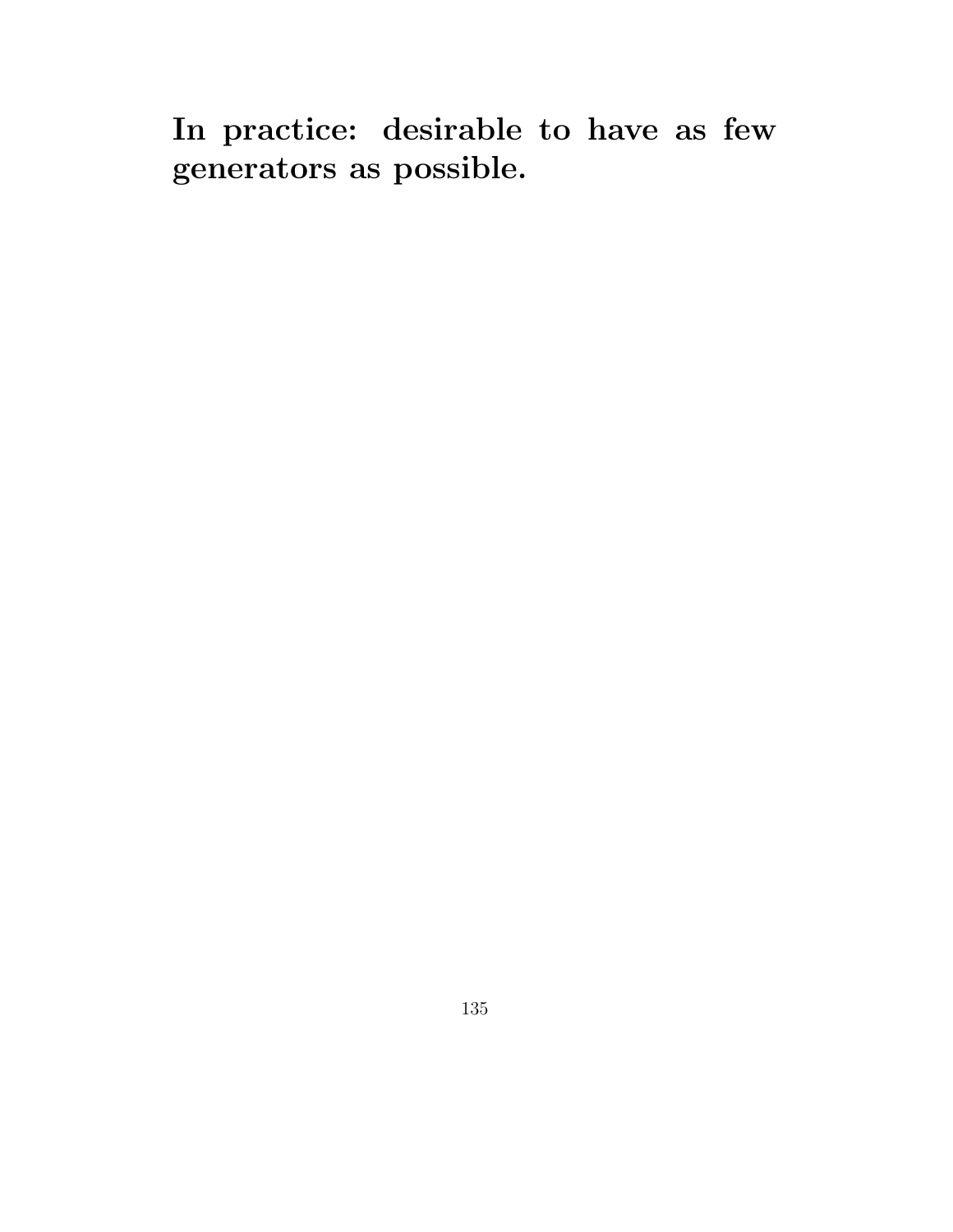In practice: desirable to have as few generators as possible.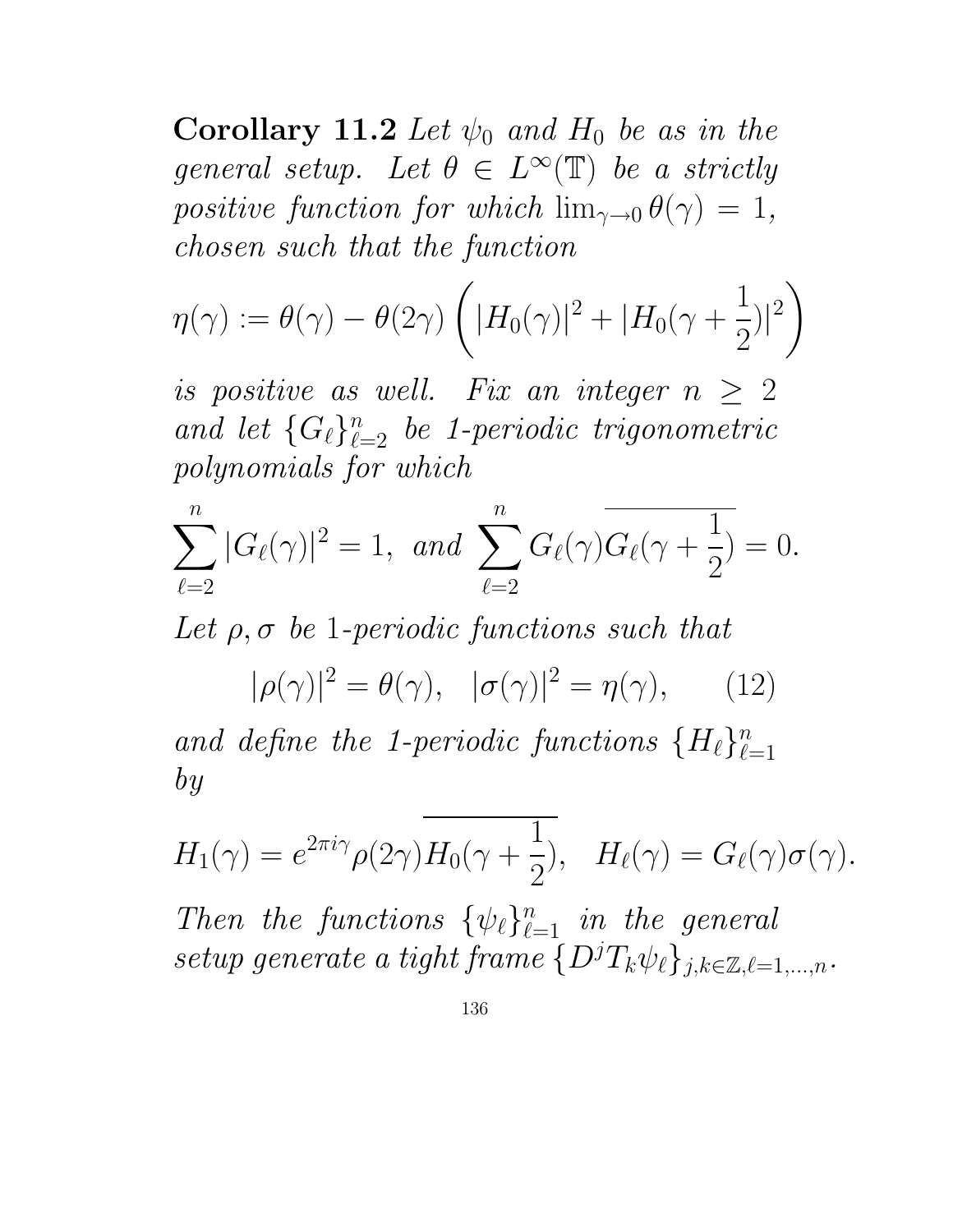Corollary 11.2 Let  $\psi_0$  and  $H_0$  be as in the general setup. Let  $\theta \in L^{\infty}(\mathbb{T})$  be a strictly positive function for which  $\lim_{\gamma\to 0} \theta(\gamma) = 1$ , chosen such that the function

$$
\eta(\gamma) := \theta(\gamma) - \theta(2\gamma) \left( |H_0(\gamma)|^2 + |H_0(\gamma + \frac{1}{2})|^2 \right)
$$

is positive as well. Fix an integer  $n \geq 2$ and let  $\{G_{\ell}\}_{\ell=2}^n$  be 1-periodic trigonometric polynomials for which

$$
\sum_{\ell=2}^{n} |G_{\ell}(\gamma)|^{2} = 1, \ \ and \ \sum_{\ell=2}^{n} G_{\ell}(\gamma) \overline{G_{\ell}(\gamma + \frac{1}{2})} = 0.
$$

Let  $\rho$ ,  $\sigma$  be 1-periodic functions such that

 $|\rho(\gamma)|^2 = \theta(\gamma), \quad |\sigma(\gamma)|^2 = \eta(\gamma),$  (12) and define the 1-periodic functions  $\{H_{\ell}\}_{\ell=1}^n$  $\ell=1$ by

$$
H_1(\gamma) = e^{2\pi i \gamma} \rho(2\gamma) H_0(\gamma + \frac{1}{2}), \quad H_\ell(\gamma) = G_\ell(\gamma) \sigma(\gamma).
$$

Then the functions  $\{\psi_{\ell}\}_{\ell=1}^n$  in the general setup generate a tight frame  $\{D^jT_k\psi_\ell\}_{j,k\in\mathbb{Z},\ell=1,\ldots,n}$ .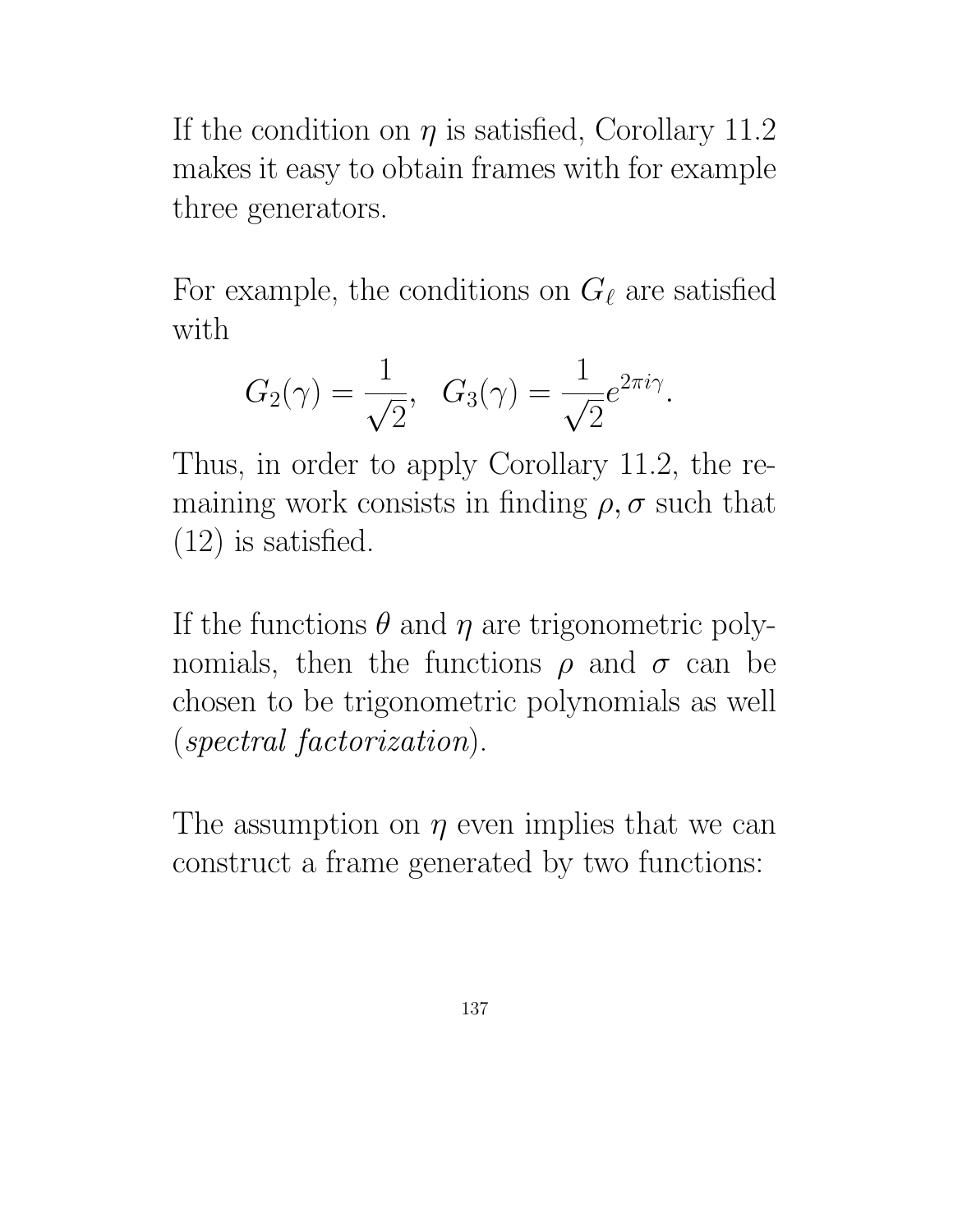If the condition on  $\eta$  is satisfied, Corollary 11.2 makes it easy to obtain frames with for example three generators.

For example, the conditions on  $G_\ell$  are satisfied with

$$
G_2(\gamma) = \frac{1}{\sqrt{2}}, \quad G_3(\gamma) = \frac{1}{\sqrt{2}} e^{2\pi i \gamma}.
$$

Thus, in order to apply Corollary 11.2, the remaining work consists in finding  $\rho$ ,  $\sigma$  such that (12) is satisfied.

If the functions  $\theta$  and  $\eta$  are trigonometric polynomials, then the functions  $\rho$  and  $\sigma$  can be chosen to be trigonometric polynomials as well (spectral factorization).

The assumption on  $\eta$  even implies that we can construct a frame generated by two functions: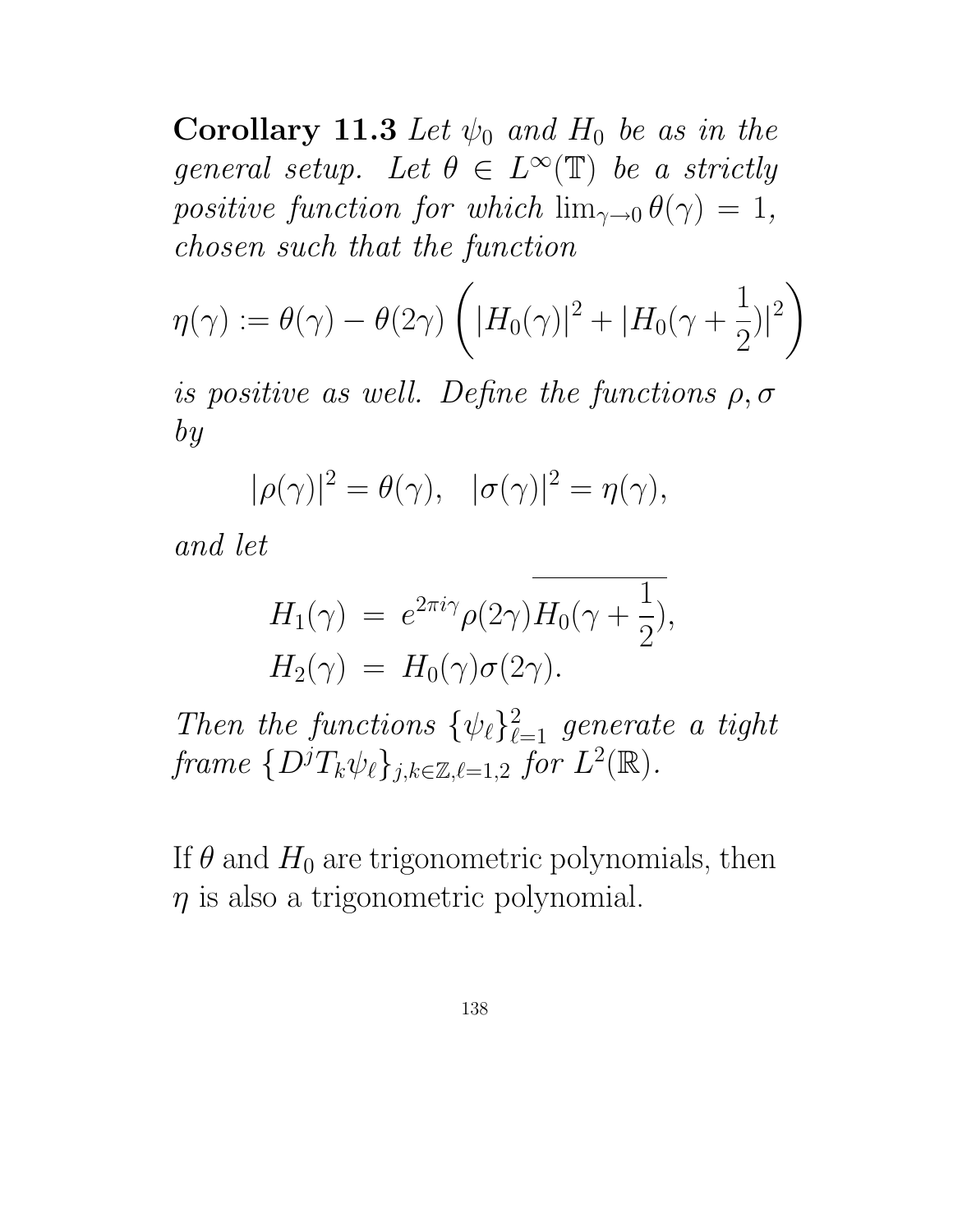Corollary 11.3 Let  $\psi_0$  and  $H_0$  be as in the general setup. Let  $\theta \in L^{\infty}(\mathbb{T})$  be a strictly positive function for which  $\lim_{\gamma\to 0} \theta(\gamma) = 1$ , chosen such that the function

$$
\eta(\gamma) := \theta(\gamma) - \theta(2\gamma) \left( |H_0(\gamma)|^2 + |H_0(\gamma + \frac{1}{2})|^2 \right)
$$

is positive as well. Define the functions  $\rho, \sigma$ by

$$
|\rho(\gamma)|^2 = \theta(\gamma), \quad |\sigma(\gamma)|^2 = \eta(\gamma),
$$

and let

$$
H_1(\gamma) = e^{2\pi i \gamma} \rho(2\gamma) H_0(\gamma + \frac{1}{2}),
$$
  
\n
$$
H_2(\gamma) = H_0(\gamma) \sigma(2\gamma).
$$

Then the functions  $\{\psi_{\ell}\}_{\ell=1}^2$  generate a tight frame  $\{D^jT_k\psi_\ell\}_{j,k\in\mathbb{Z},\ell=1,2}$  for  $L^2(\mathbb{R})$ .

If  $\theta$  and  $H_0$  are trigonometric polynomials, then  $\eta$  is also a trigonometric polynomial.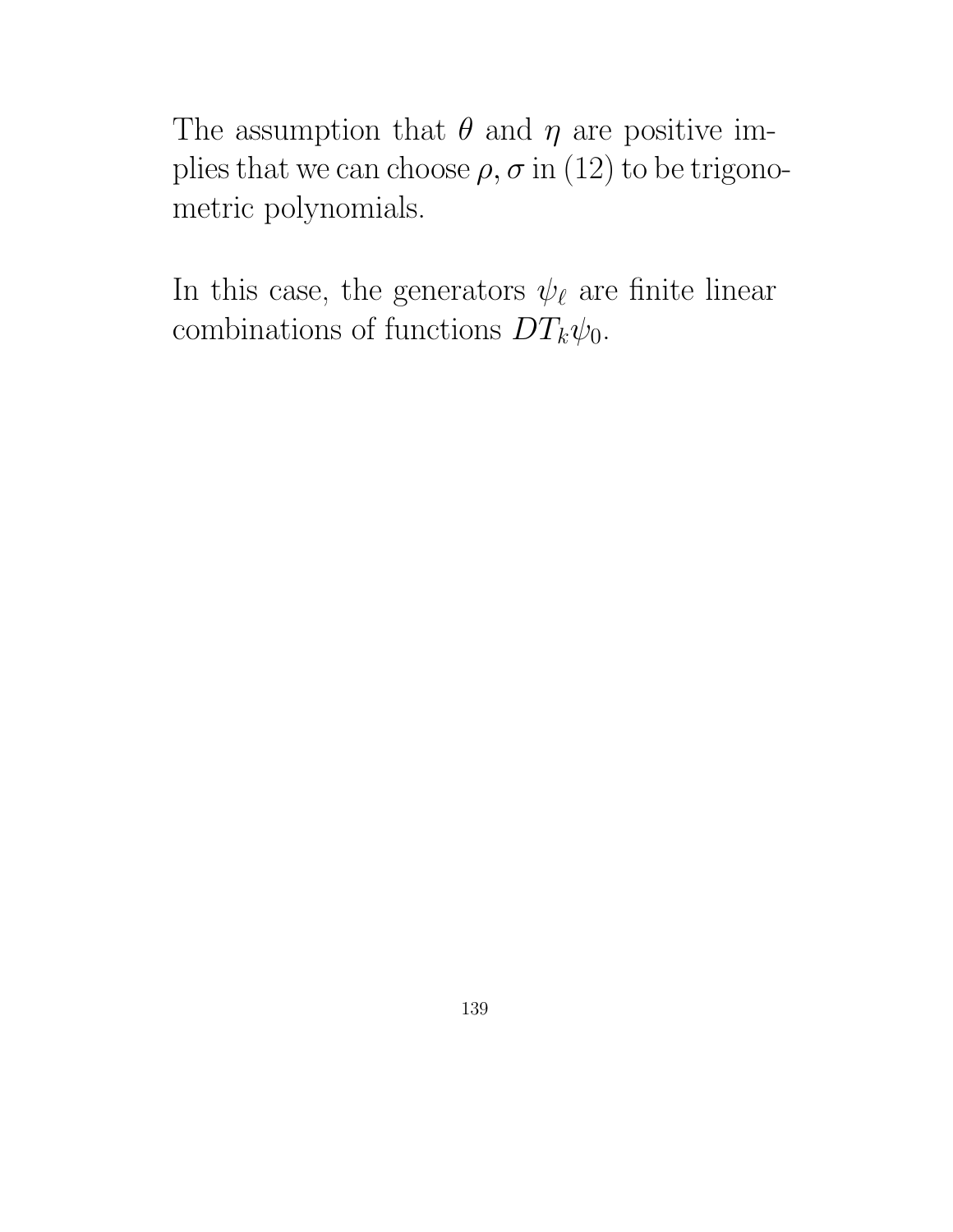The assumption that  $\theta$  and  $\eta$  are positive implies that we can choose  $\rho$ ,  $\sigma$  in (12) to be trigonometric polynomials.

In this case, the generators  $\psi_{\ell}$  are finite linear combinations of functions  $DT_k\psi_0$ .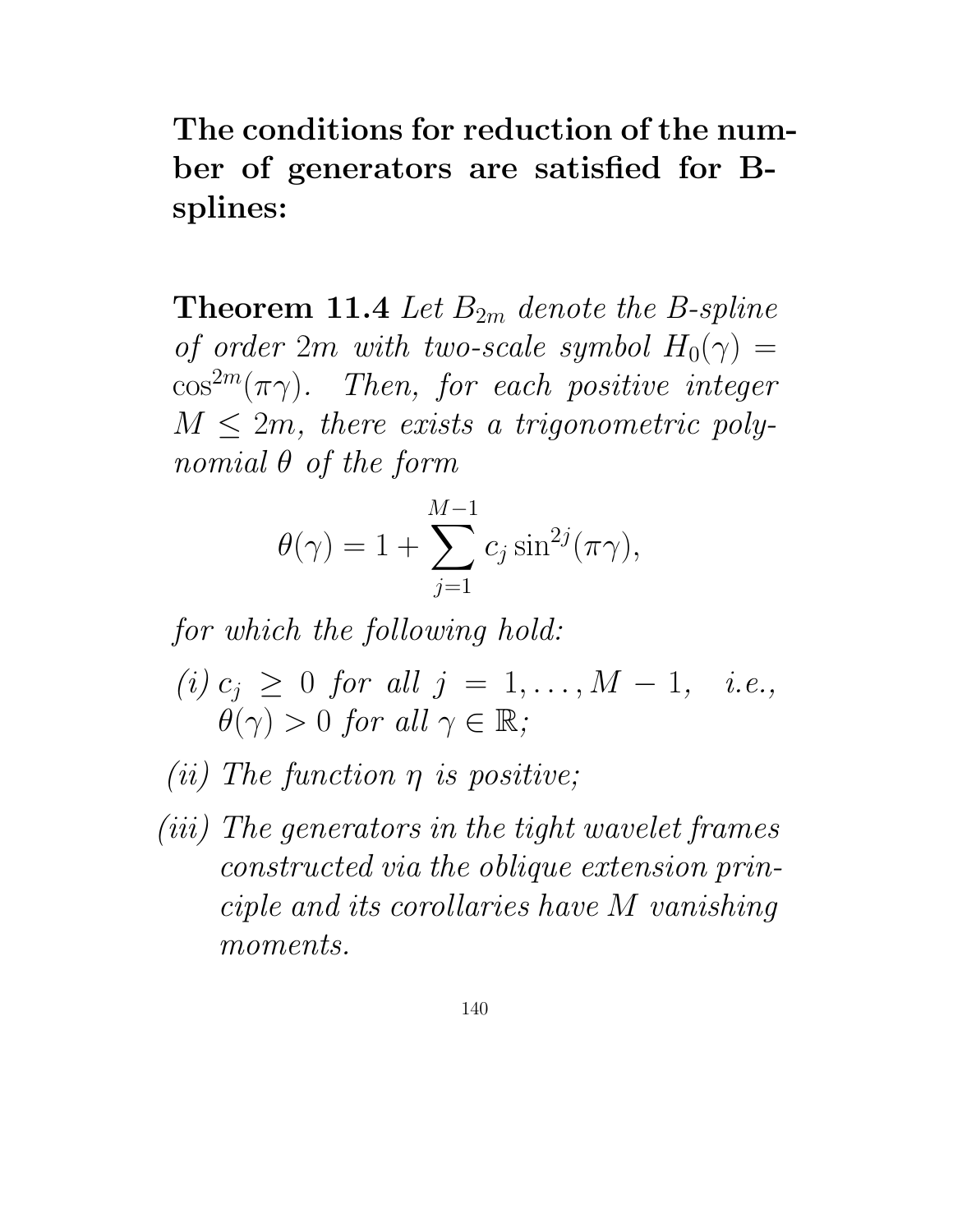The conditions for reduction of the number of generators are satisfied for Bsplines:

**Theorem 11.4** Let  $B_{2m}$  denote the B-spline of order 2m with two-scale symbol  $H_0(\gamma) =$  $\cos^{2m}(\pi\gamma)$ . Then, for each positive integer  $M \leq 2m$ , there exists a trigonometric polynomial θ of the form

$$
\theta(\gamma) = 1 + \sum_{j=1}^{M-1} c_j \sin^{2j}(\pi \gamma),
$$

for which the following hold:

- (i)  $c_j \geq 0$  for all  $j = 1, ..., M 1, i.e.,$  $\theta(\gamma) > 0$  for all  $\gamma \in \mathbb{R}$ ;
- (*ii*) The function  $\eta$  is positive;
- (iii) The generators in the tight wavelet frames constructed via the oblique extension principle and its corollaries have M vanishing moments.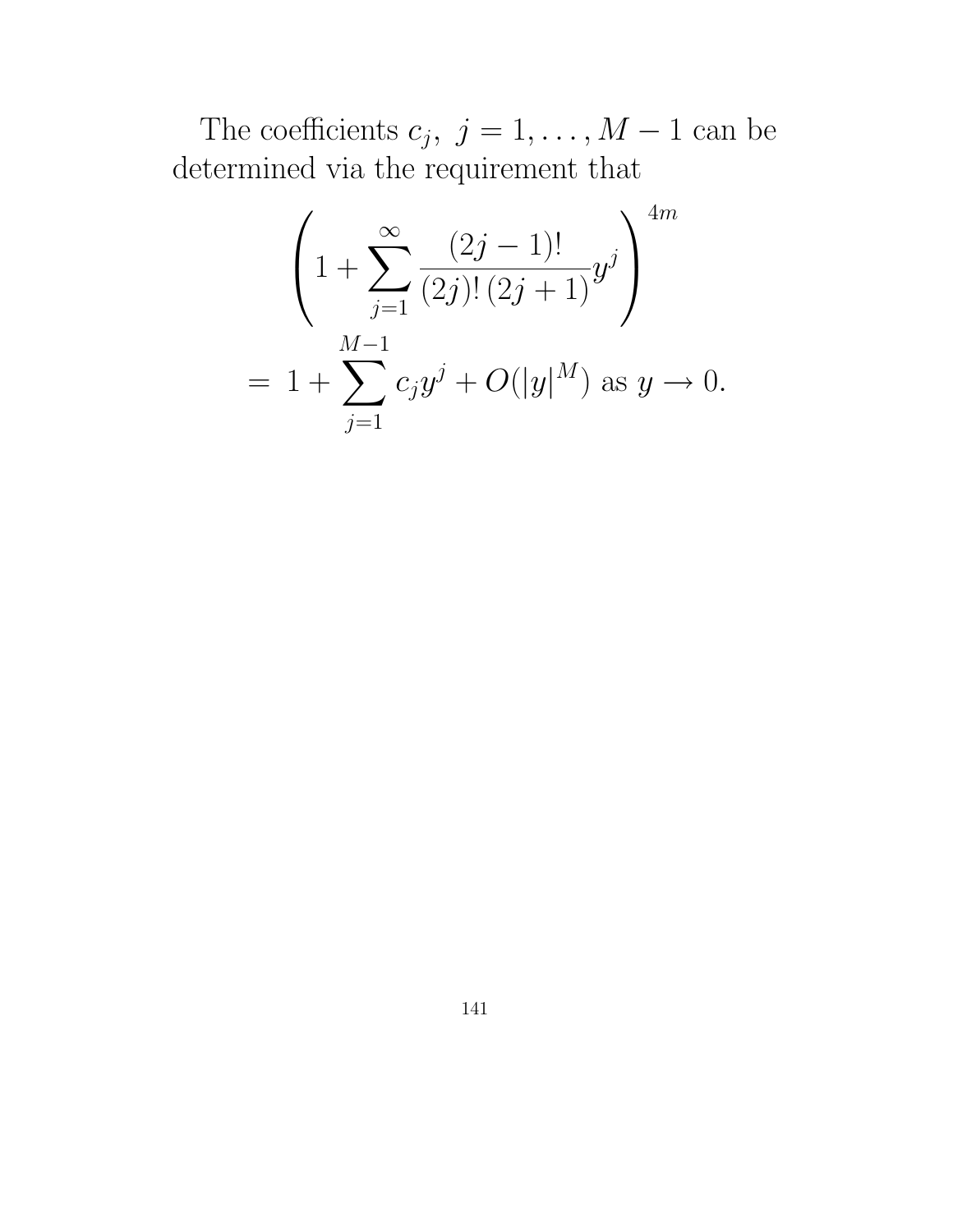The coefficients  $c_j, j = 1, ..., M - 1$  can be determined via the requirement that

$$
\left(1 + \sum_{j=1}^{\infty} \frac{(2j-1)!}{(2j)!(2j+1)} y^j\right)^{4m}
$$
  
=  $1 + \sum_{j=1}^{M-1} c_j y^j + O(|y|^M)$  as  $y \to 0$ .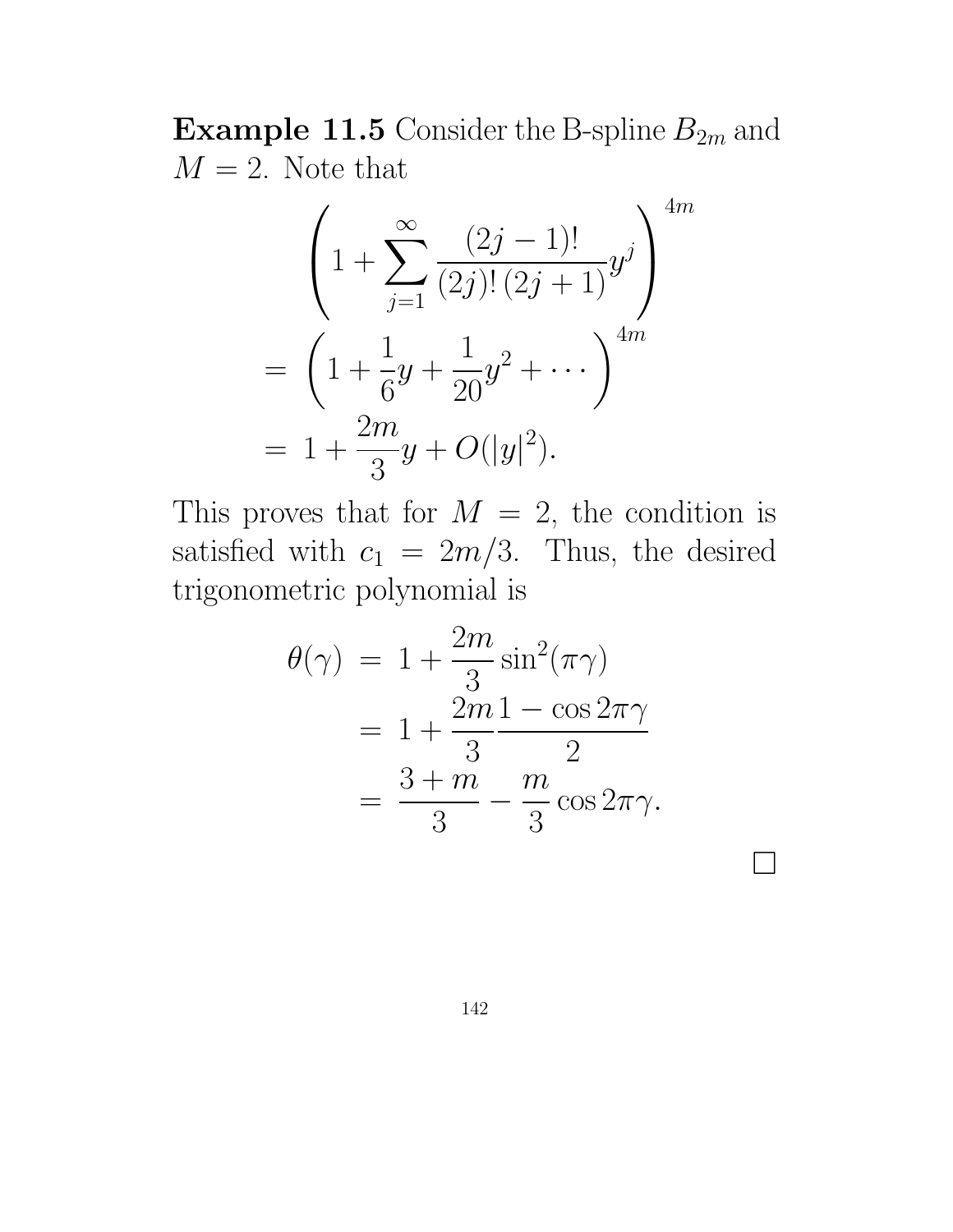**Example 11.5** Consider the B-spline  $B_{2m}$  and  $M = 2$ . Note that

$$
\left(1 + \sum_{j=1}^{\infty} \frac{(2j-1)!}{(2j)!(2j+1)} y^j \right)^{4m}
$$
  
=  $\left(1 + \frac{1}{6}y + \frac{1}{20}y^2 + \cdots \right)^{4m}$   
=  $1 + \frac{2m}{3}y + O(|y|^2).$ 

This proves that for  $M = 2$ , the condition is satisfied with  $c_1 = 2m/3$ . Thus, the desired trigonometric polynomial is

$$
\theta(\gamma) = 1 + \frac{2m}{3}\sin^2(\pi\gamma)
$$
  
= 
$$
1 + \frac{2m}{3}\frac{1 - \cos 2\pi\gamma}{2}
$$
  
= 
$$
\frac{3 + m}{3} - \frac{m}{3}\cos 2\pi\gamma.
$$

 $\Box$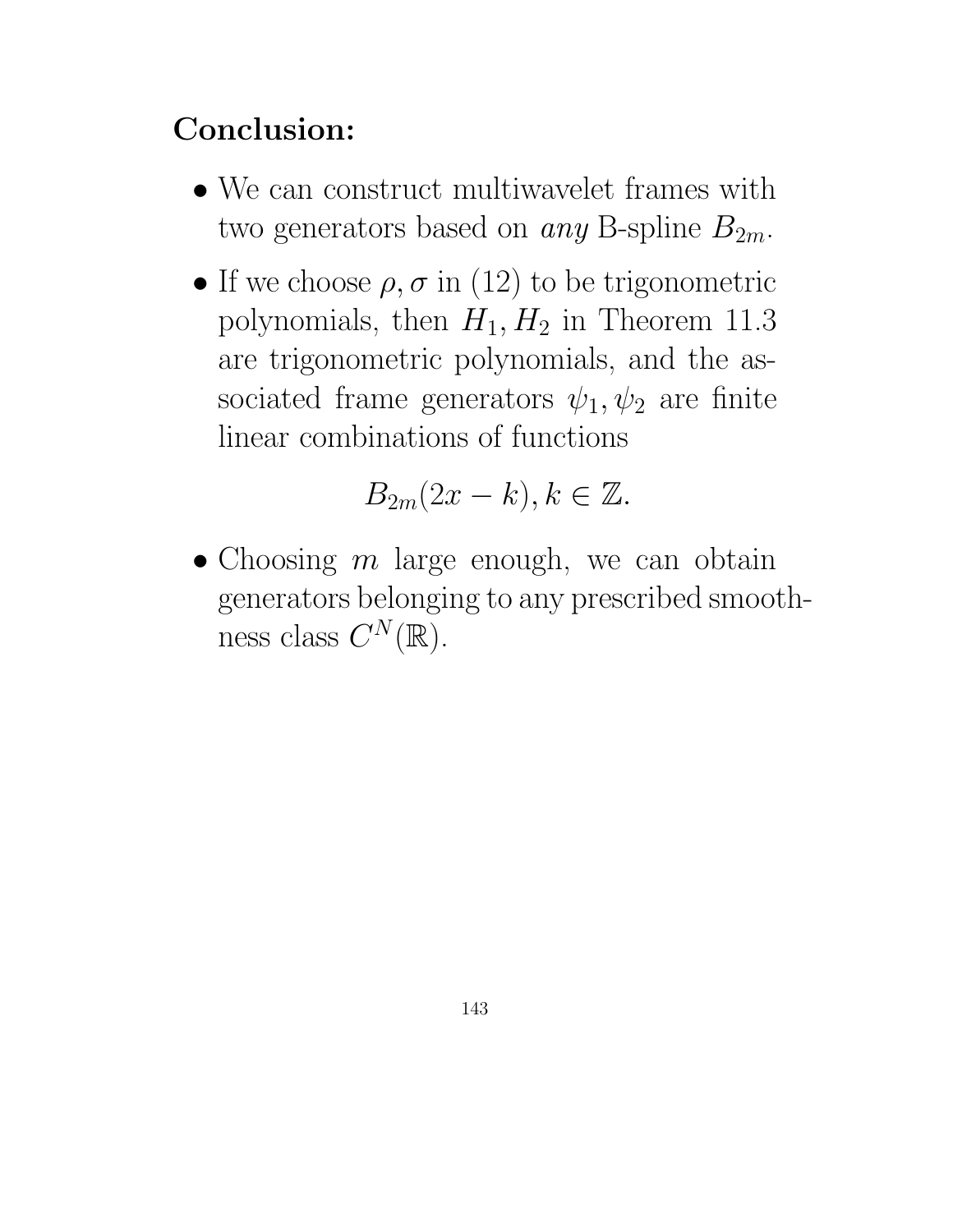## Conclusion:

- We can construct multiwavelet frames with two generators based on *any* B-spline  $B_{2m}$ .
- If we choose  $\rho, \sigma$  in (12) to be trigonometric polynomials, then  $H_1, H_2$  in Theorem 11.3 are trigonometric polynomials, and the associated frame generators  $\psi_1, \psi_2$  are finite linear combinations of functions

$$
B_{2m}(2x-k), k \in \mathbb{Z}.
$$

• Choosing  $m$  large enough, we can obtain generators belonging to any prescribed smoothness class  $C^N(\mathbb{R})$ .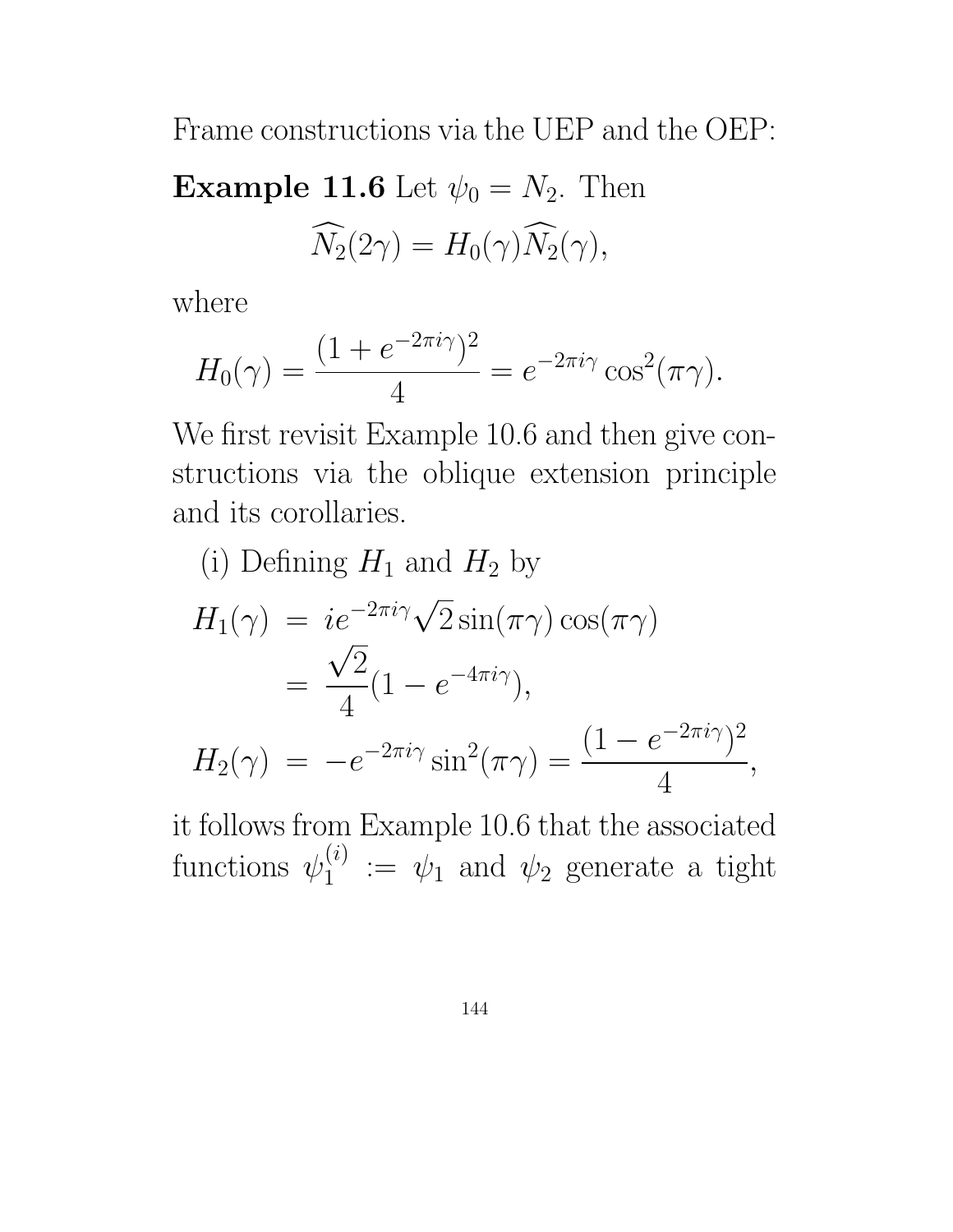Frame constructions via the UEP and the OEP:

Example 11.6 Let  $\psi_0 = N_2$ . Then  $\widehat{N}_2(2\gamma) = H_0(\gamma)\widehat{N}_2(\gamma),$ 

where

$$
H_0(\gamma) = \frac{(1 + e^{-2\pi i \gamma})^2}{4} = e^{-2\pi i \gamma} \cos^2(\pi \gamma).
$$

We first revisit Example 10.6 and then give constructions via the oblique extension principle and its corollaries.

(i) Defining 
$$
H_1
$$
 and  $H_2$  by  
\n
$$
H_1(\gamma) = ie^{-2\pi i \gamma} \sqrt{2} \sin(\pi \gamma) \cos(\pi \gamma)
$$
\n
$$
= \frac{\sqrt{2}}{4} (1 - e^{-4\pi i \gamma}),
$$
\n
$$
H_2(\gamma) = -e^{-2\pi i \gamma} \sin^2(\pi \gamma) = \frac{(1 - e^{-2\pi i \gamma})^2}{4},
$$

it follows from Example 10.6 that the associated functions  $\psi_1^{(i)}$  $\psi_1^{(i)} := \psi_1$  and  $\psi_2$  generate a tight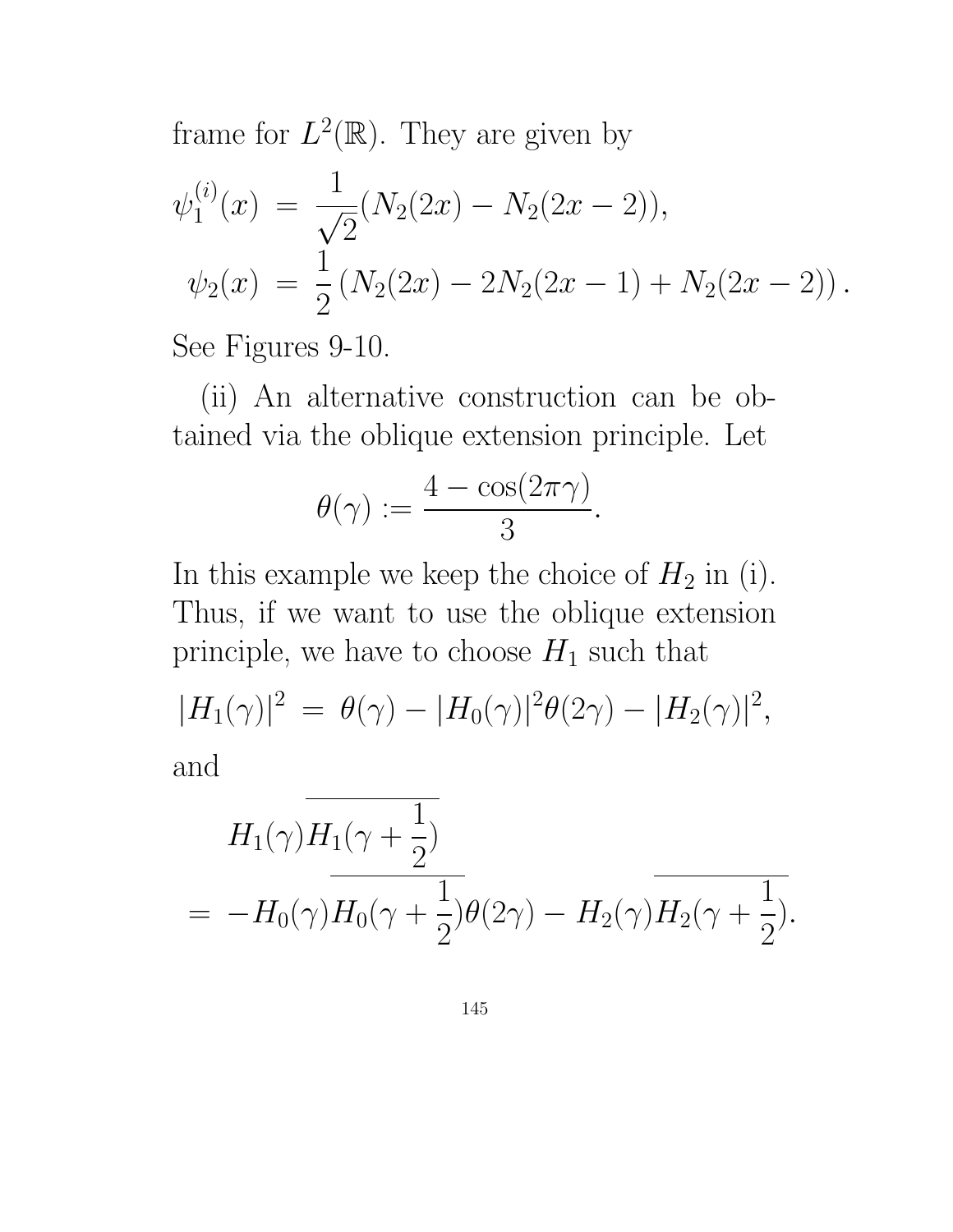frame for  $L^2(\mathbb{R})$ . They are given by

$$
\psi_1^{(i)}(x) = \frac{1}{\sqrt{2}} (N_2(2x) - N_2(2x - 2)),
$$
  

$$
\psi_2(x) = \frac{1}{2} (N_2(2x) - 2N_2(2x - 1) + N_2(2x - 2)).
$$

See Figures 9-10.

(ii) An alternative construction can be obtained via the oblique extension principle. Let

$$
\theta(\gamma) := \frac{4 - \cos(2\pi\gamma)}{3}.
$$

In this example we keep the choice of  $H_2$  in (i). Thus, if we want to use the oblique extension principle, we have to choose  $H_1$  such that

$$
|H_1(\gamma)|^2 = \theta(\gamma) - |H_0(\gamma)|^2 \theta(2\gamma) - |H_2(\gamma)|^2,
$$
  
and

$$
H_1(\gamma)H_1(\gamma + \frac{1}{2})
$$
  
=  $-H_0(\gamma)H_0(\gamma + \frac{1}{2})\theta(2\gamma) - H_2(\gamma)H_2(\gamma + \frac{1}{2}).$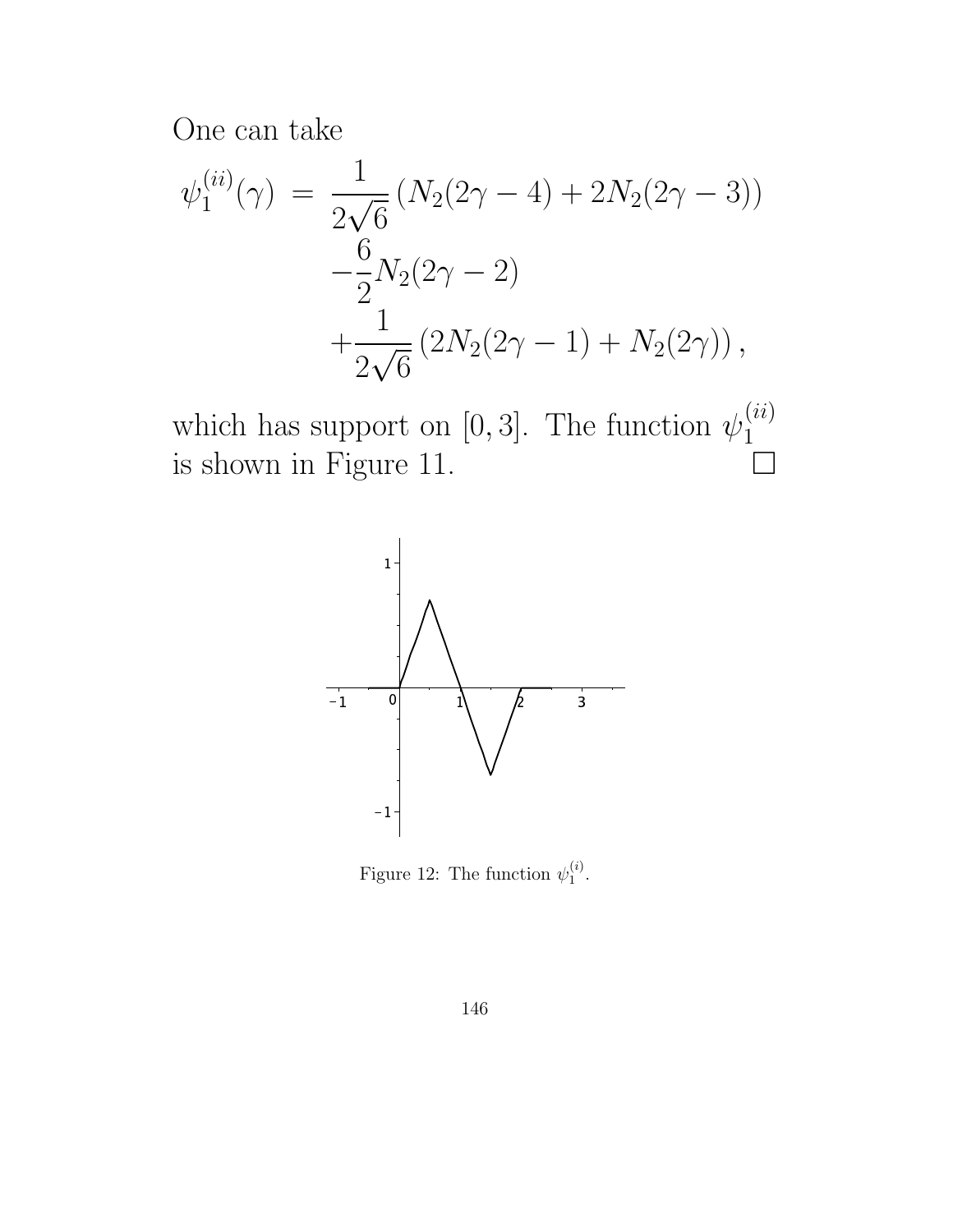One can take

$$
\psi_1^{(ii)}(\gamma) = \frac{1}{2\sqrt{6}} (N_2(2\gamma - 4) + 2N_2(2\gamma - 3))
$$
  

$$
-\frac{6}{2}N_2(2\gamma - 2)
$$
  

$$
+\frac{1}{2\sqrt{6}} (2N_2(2\gamma - 1) + N_2(2\gamma)),
$$

which has support on [0, 3]. The function  $\psi_1^{(ii)}$ 1 is shown in Figure 11.  $\Box$ 



Figure 12: The function  $\psi_1^{(i)}$  $\mathbf{1}^{(i)}$ .

146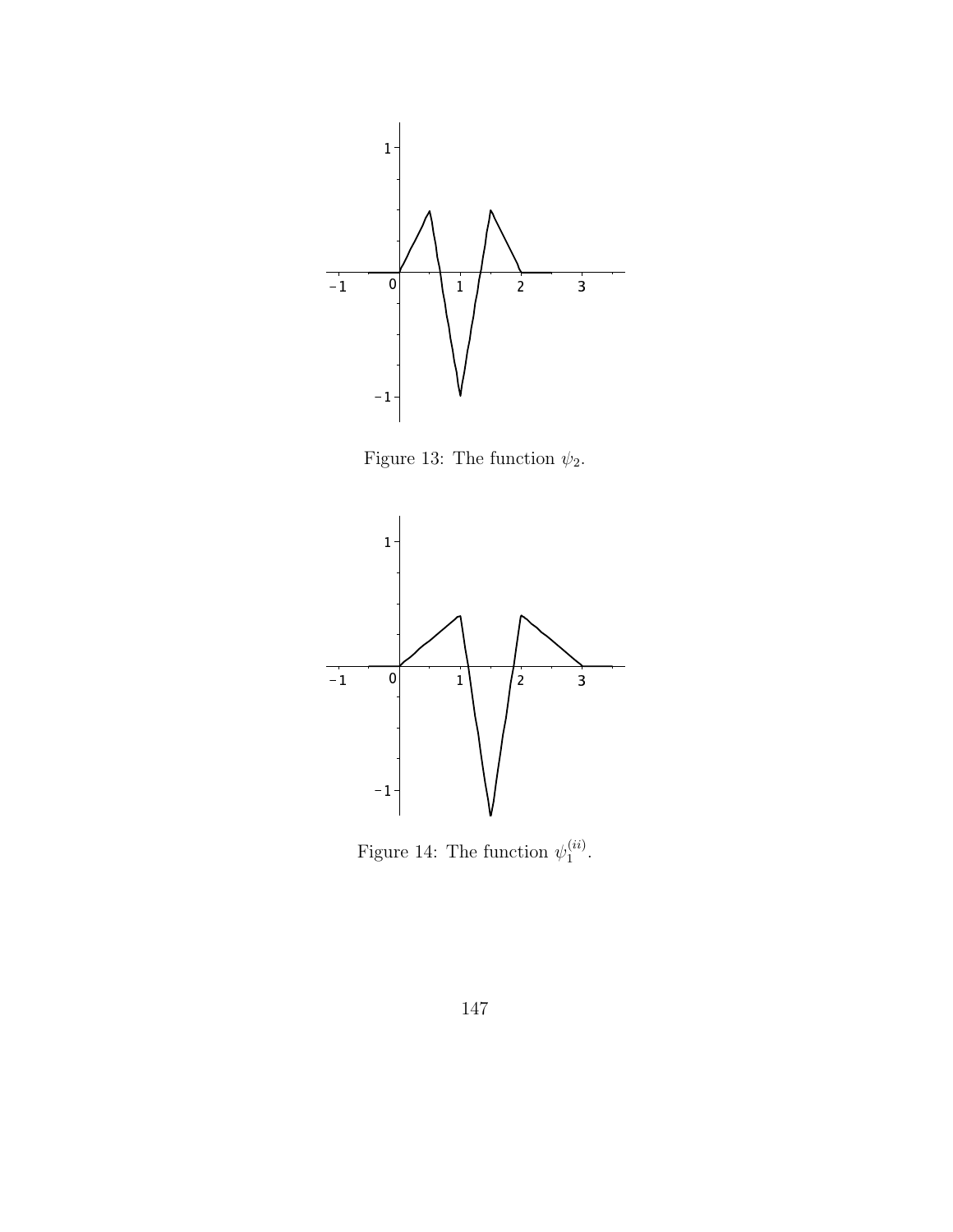

Figure 13: The function  $\psi_2.$ 



Figure 14: The function  $\psi_1^{(ii)}$  $\mathbf{1}^{(u)}$ .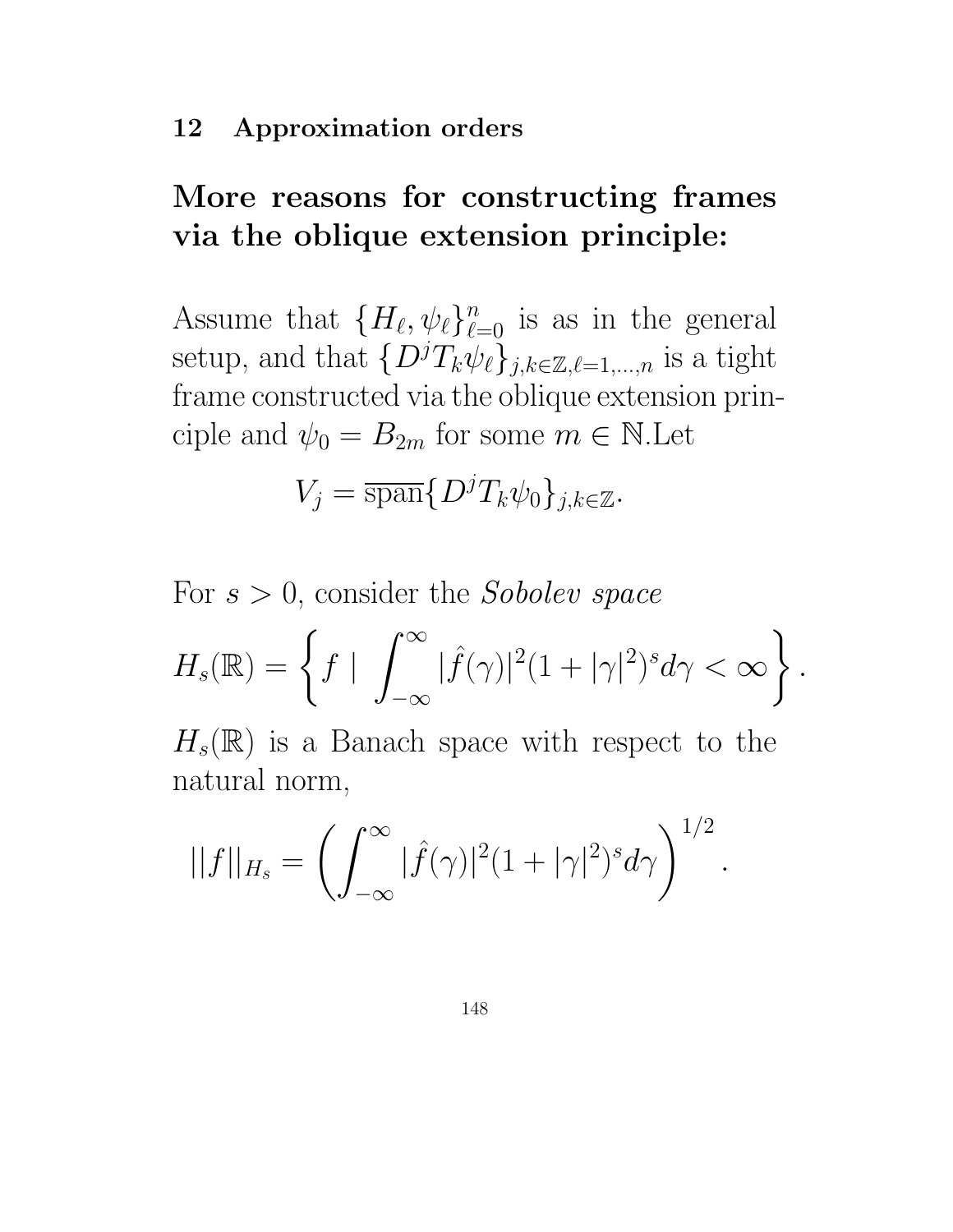#### 12 Approximation orders

# More reasons for constructing frames via the oblique extension principle:

Assume that  $\{H_{\ell}, \psi_{\ell}\}_{\ell=0}^n$  is as in the general setup, and that  $\{D^jT_k\psi_{\ell}\}_{j,k\in\mathbb{Z},\ell=1,\ldots,n}$  is a tight frame constructed via the oblique extension principle and  $\psi_0 = B_{2m}$  for some  $m \in \mathbb{N}$ . Let

$$
V_j = \overline{\operatorname{span}} \{ D^j T_k \psi_0 \}_{j,k \in \mathbb{Z}}.
$$

For  $s > 0$ , consider the *Sobolev space* 

$$
H_s(\mathbb{R}) = \left\{ f \mid \int_{-\infty}^{\infty} |\widehat{f}(\gamma)|^2 (1 + |\gamma|^2)^s d\gamma < \infty \right\}.
$$

 $H_s(\mathbb{R})$  is a Banach space with respect to the natural norm,

.

$$
||f||_{H_s} = \left(\int_{-\infty}^{\infty} |\hat{f}(\gamma)|^2 (1+|\gamma|^2)^s d\gamma\right)^{1/2}
$$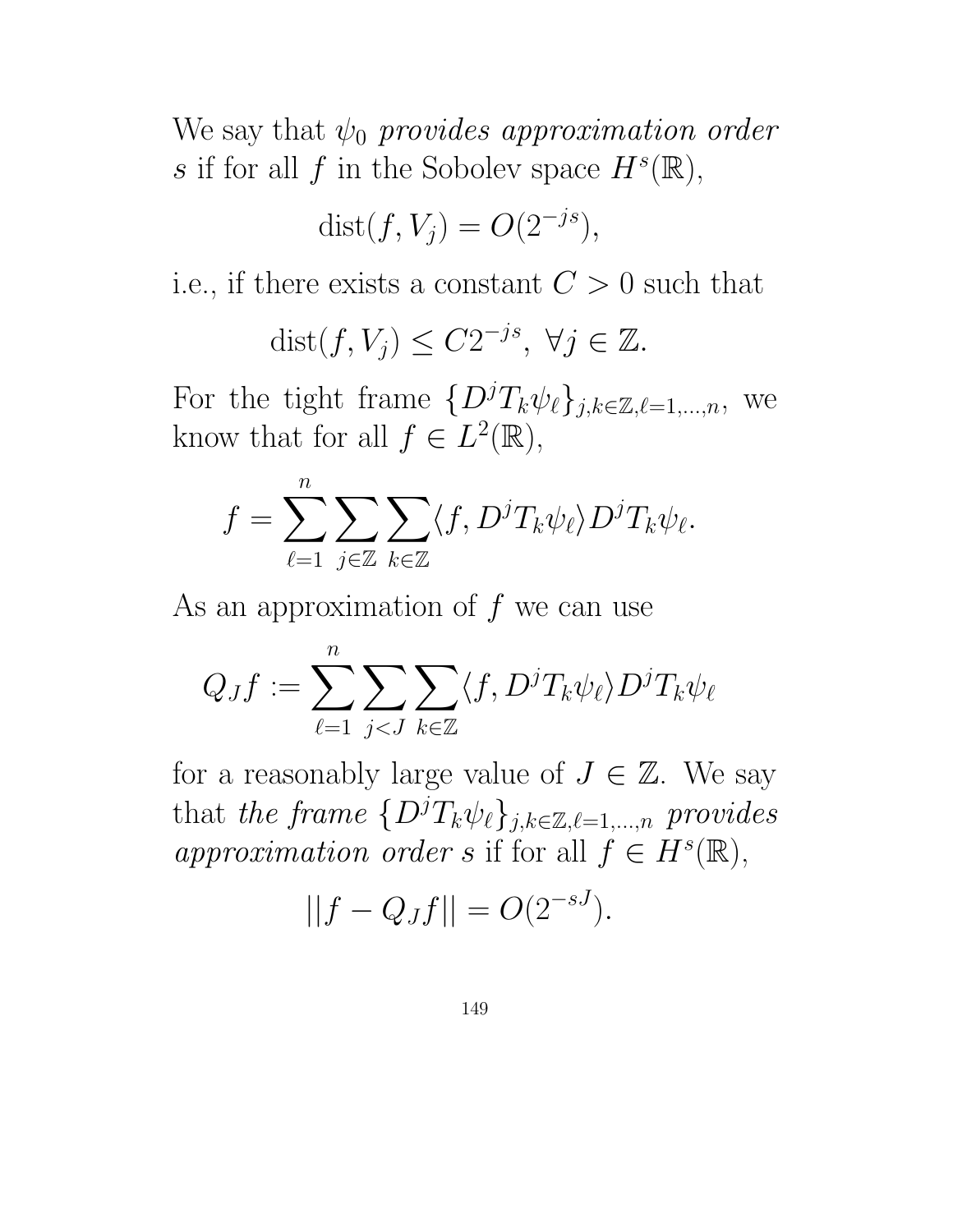We say that  $\psi_0$  provides approximation order s if for all f in the Sobolev space  $H^s(\mathbb{R}),$ 

$$
dist(f, V_j) = O(2^{-js}),
$$

i.e., if there exists a constant  $C > 0$  such that

$$
dist(f, V_j) \le C2^{-js}, \ \forall j \in \mathbb{Z}.
$$

For the tight frame  $\{D^jT_k\psi_\ell\}_{j,k\in\mathbb{Z},\ell=1,\ldots,n}$ , we know that for all  $f \in L^2(\mathbb{R}),$ 

$$
f = \sum_{\ell=1}^n \sum_{j \in \mathbb{Z}} \sum_{k \in \mathbb{Z}} \langle f, D^j T_k \psi_\ell \rangle D^j T_k \psi_\ell.
$$

As an approximation of  $f$  we can use

$$
Q_Jf:=\sum_{\ell=1}^n\sum_{j
$$

for a reasonably large value of  $J \in \mathbb{Z}$ . We say that the frame  $\{D^jT_k\psi_\ell\}_{j,k\in\mathbb{Z},\ell=1,\ldots,n}$  provides approximation order s if for all  $f \in H^s(\mathbb{R}),$ 

$$
||f - Q_Jf|| = O(2^{-sJ}).
$$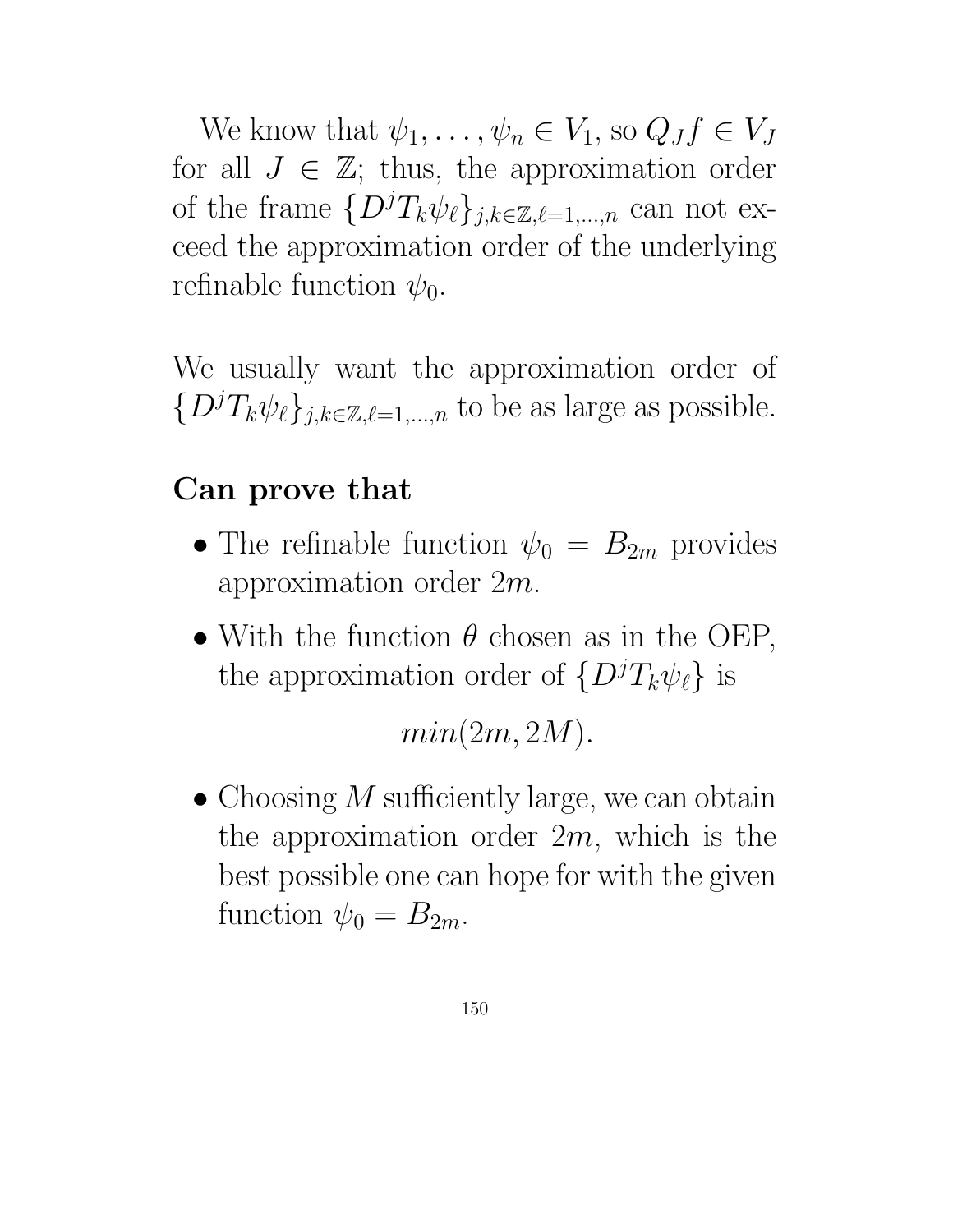We know that  $\psi_1, \ldots, \psi_n \in V_1$ , so  $Q_J f \in V_J$ for all  $J \in \mathbb{Z}$ ; thus, the approximation order of the frame  $\{D^jT_k\psi_{\ell}\}_{j,k\in\mathbb{Z},\ell=1,\ldots,n}$  can not exceed the approximation order of the underlying refinable function  $\psi_0$ .

We usually want the approximation order of  $\{D^jT_k\psi_{\ell}\}_{j,k\in\mathbb{Z},\ell=1,\ldots,n}$  to be as large as possible.

### Can prove that

- The refinable function  $\psi_0 = B_{2m}$  provides approximation order 2m.
- With the function  $\theta$  chosen as in the OEP, the approximation order of  $\{D^jT_k\psi_\ell\}$  is

 $min(2m, 2M)$ .

• Choosing  $M$  sufficiently large, we can obtain the approximation order  $2m$ , which is the best possible one can hope for with the given function  $\psi_0 = B_{2m}$ .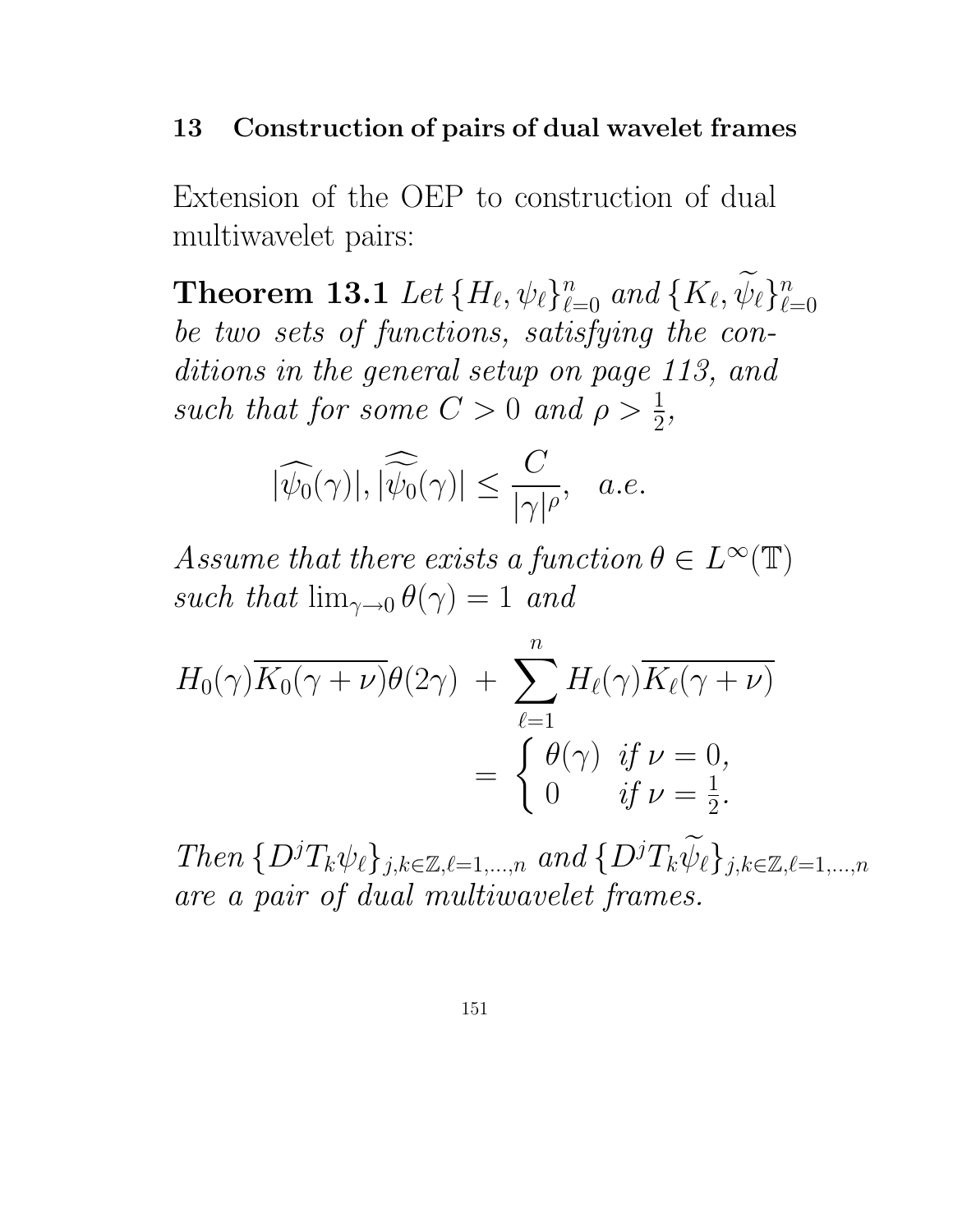#### 13 Construction of pairs of dual wavelet frames

Extension of the OEP to construction of dual multiwavelet pairs:

**Theorem 13.1** Let  $\{H_{\ell}, \psi_{\ell}\}_{\ell=0}^n$  and  $\{K_{\ell}, \psi_{\ell}\}_{\ell=0}^n$  $\ell = 0$ be two sets of functions, satisfying the conditions in the general setup on page 113, and such that for some  $C > 0$  and  $\rho > \frac{1}{2}$  $\frac{1}{2}$ ,

$$
|\widehat{\psi_0}(\gamma)|, |\widehat{\widetilde{\psi_0}}(\gamma)| \le \frac{C}{|\gamma|^\rho}, \quad a.e.
$$

Assume that there exists a function  $\theta \in L^{\infty}(\mathbb{T})$ such that  $\lim_{\gamma \to 0} \theta(\gamma) = 1$  and

$$
H_0(\gamma)\overline{K_0(\gamma+\nu)}\theta(2\gamma) + \sum_{\ell=1}^n H_\ell(\gamma)\overline{K_\ell(\gamma+\nu)}
$$
  
= 
$$
\begin{cases} \theta(\gamma) & \text{if } \nu=0, \\ 0 & \text{if } \nu=\frac{1}{2}. \end{cases}
$$

Then  $\{D^jT_k\psi_\ell\}_{j,k\in\mathbb{Z},\ell=1,\ldots,n}$  and  $\{D^jT_k\widetilde{\psi}_\ell\}_{j,k\in\mathbb{Z},\ell=1,\ldots,n}$ are a pair of dual multiwavelet frames.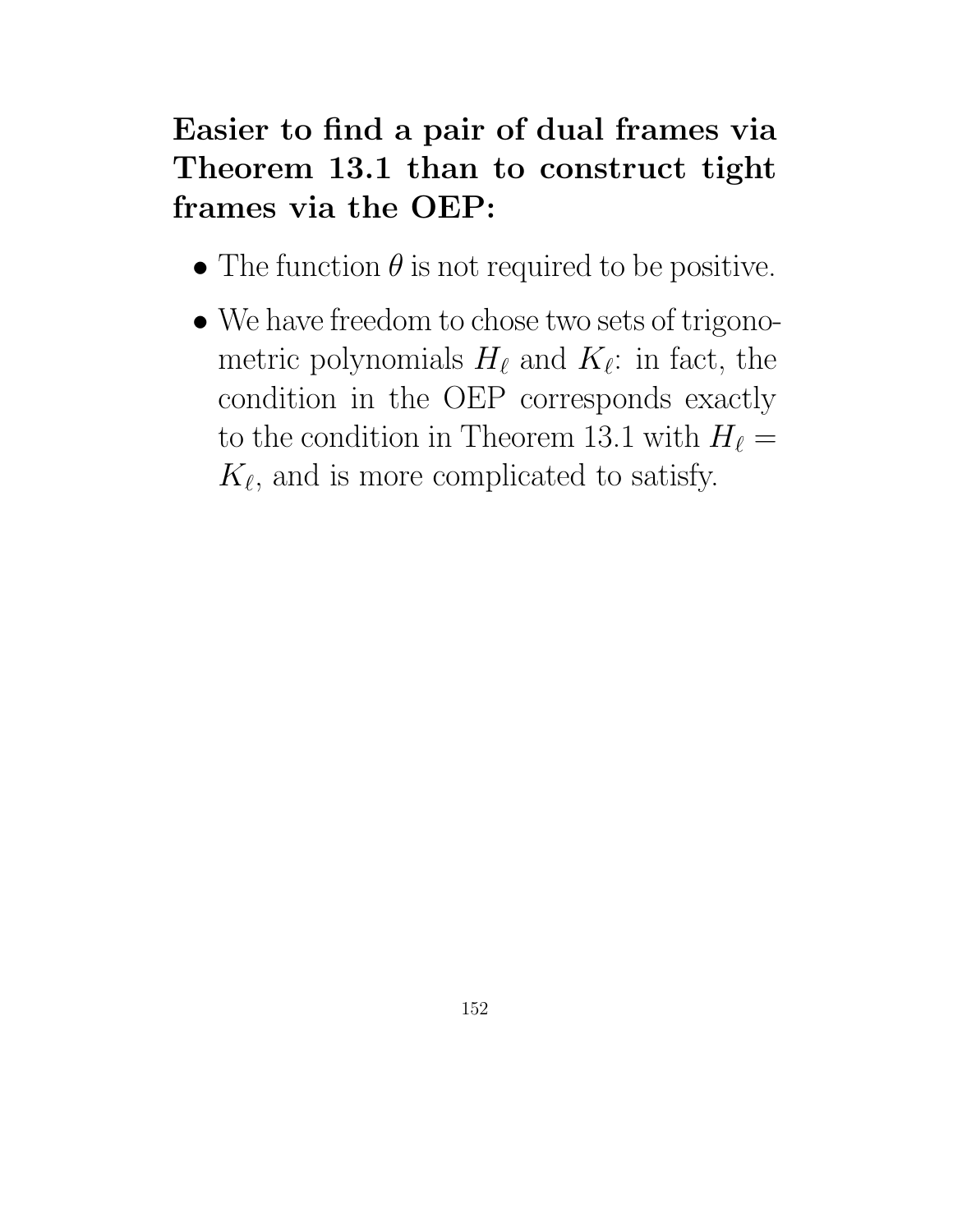# Easier to find a pair of dual frames via Theorem 13.1 than to construct tight frames via the OEP:

- The function  $\theta$  is not required to be positive.
- We have freedom to chose two sets of trigonometric polynomials  $H_{\ell}$  and  $K_{\ell}$ : in fact, the condition in the OEP corresponds exactly to the condition in Theorem 13.1 with  $H_{\ell} =$  $K_{\ell}$ , and is more complicated to satisfy.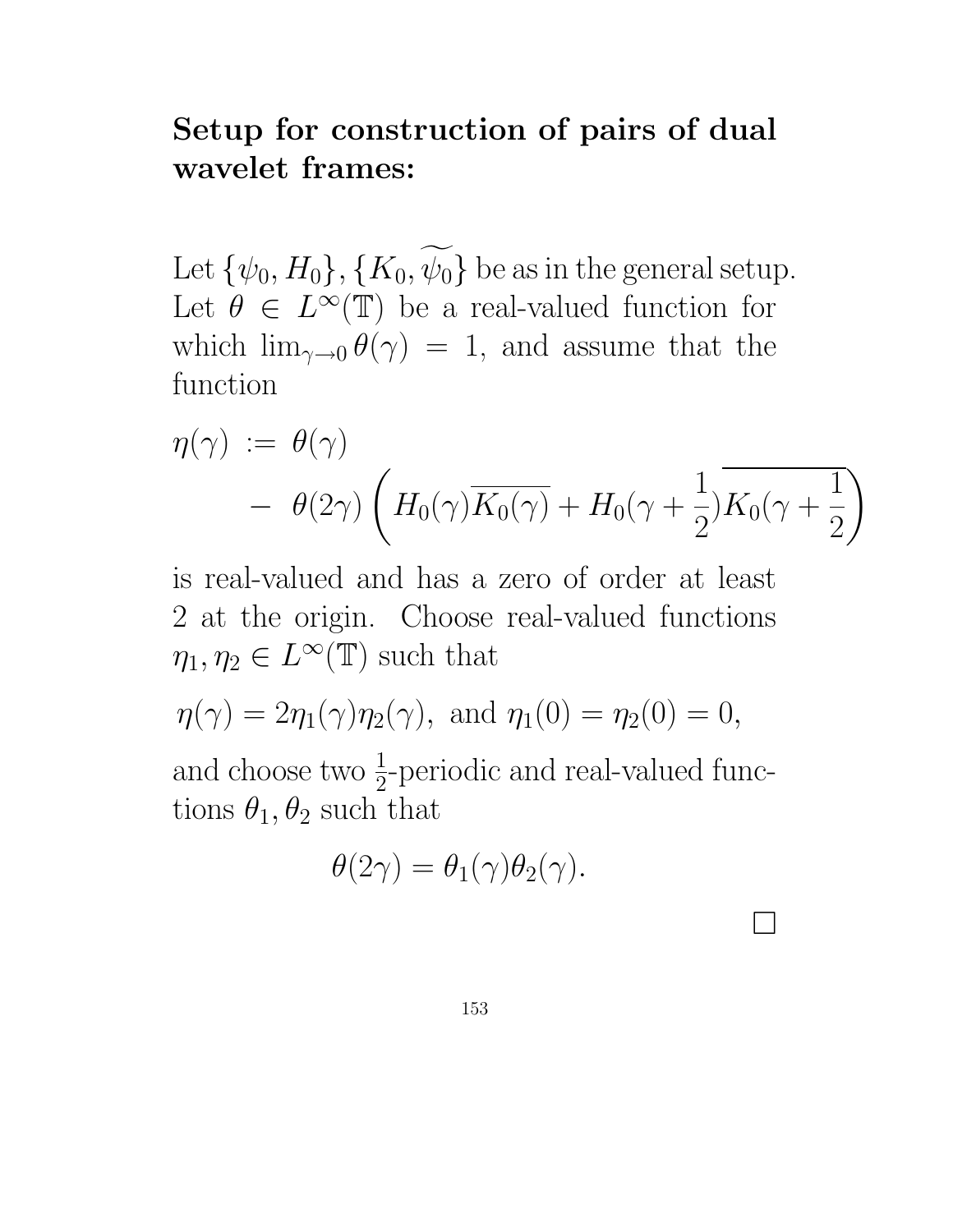## Setup for construction of pairs of dual wavelet frames:

Let  $\{\psi_0, H_0\}, \{K_0, \widetilde{\psi_0}\}$  be as in the general setup. Let  $\theta \in L^{\infty}(\mathbb{T})$  be a real-valued function for which  $\lim_{\gamma\to 0} \theta(\gamma) = 1$ , and assume that the function

$$
\eta(\gamma) := \theta(\gamma)
$$
  
-  $\theta(2\gamma) \left( H_0(\gamma) \overline{K_0(\gamma)} + H_0(\gamma + \frac{1}{2}) \overline{K_0(\gamma + \frac{1}{2})} \right)$ 

is real-valued and has a zero of order at least 2 at the origin. Choose real-valued functions  $\eta_1, \eta_2 \in L^{\infty}(\mathbb{T})$  such that

$$
\eta(\gamma) = 2\eta_1(\gamma)\eta_2(\gamma)
$$
, and  $\eta_1(0) = \eta_2(0) = 0$ ,

and choose two  $\frac{1}{2}$  $\frac{1}{2}$ -periodic and real-valued functions  $\theta_1, \theta_2$  such that

$$
\theta(2\gamma) = \theta_1(\gamma)\theta_2(\gamma).
$$

 $\Box$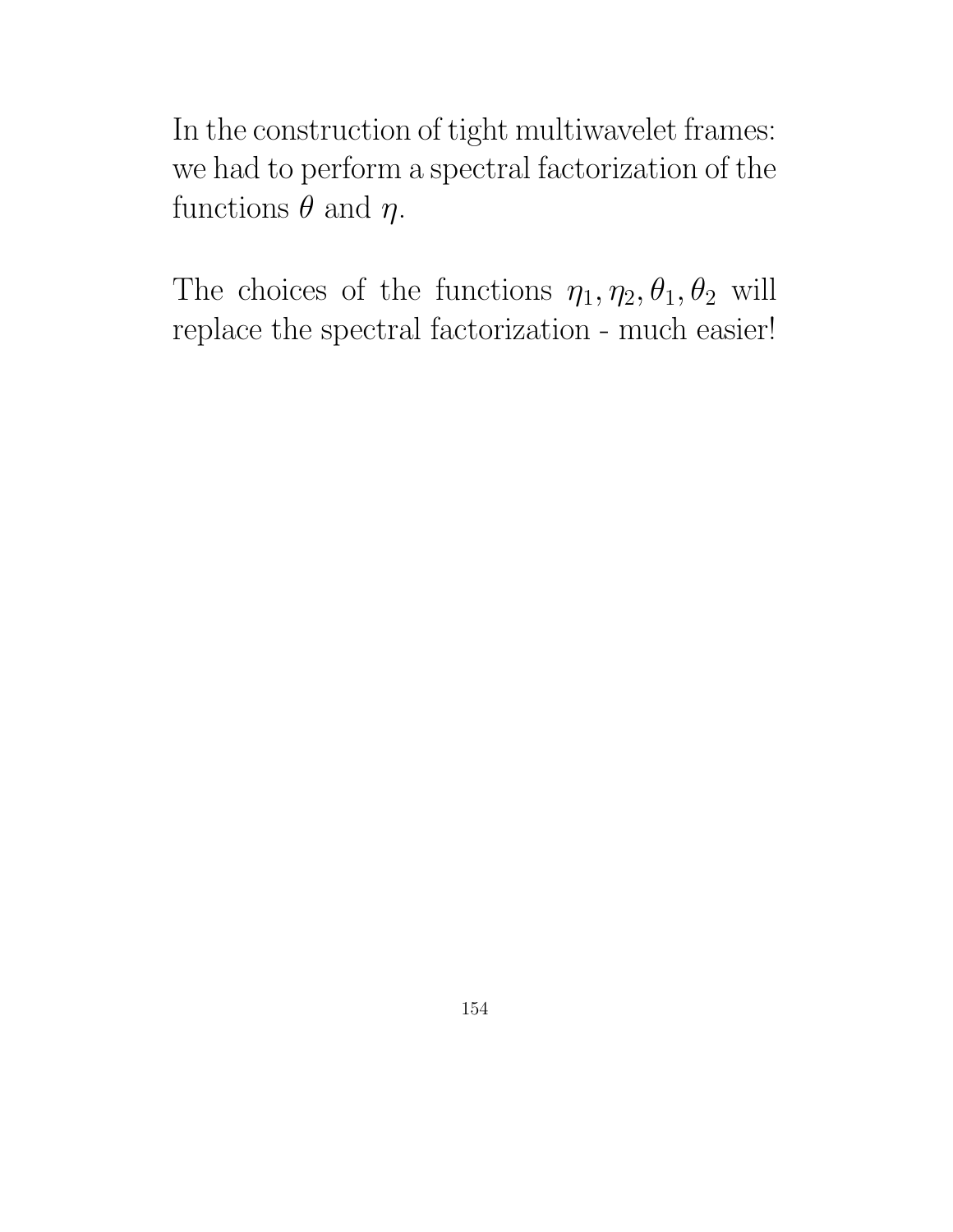In the construction of tight multiwavelet frames: we had to perform a spectral factorization of the functions  $\theta$  and  $\eta$ .

The choices of the functions  $\eta_1, \eta_2, \theta_1, \theta_2$  will replace the spectral factorization - much easier!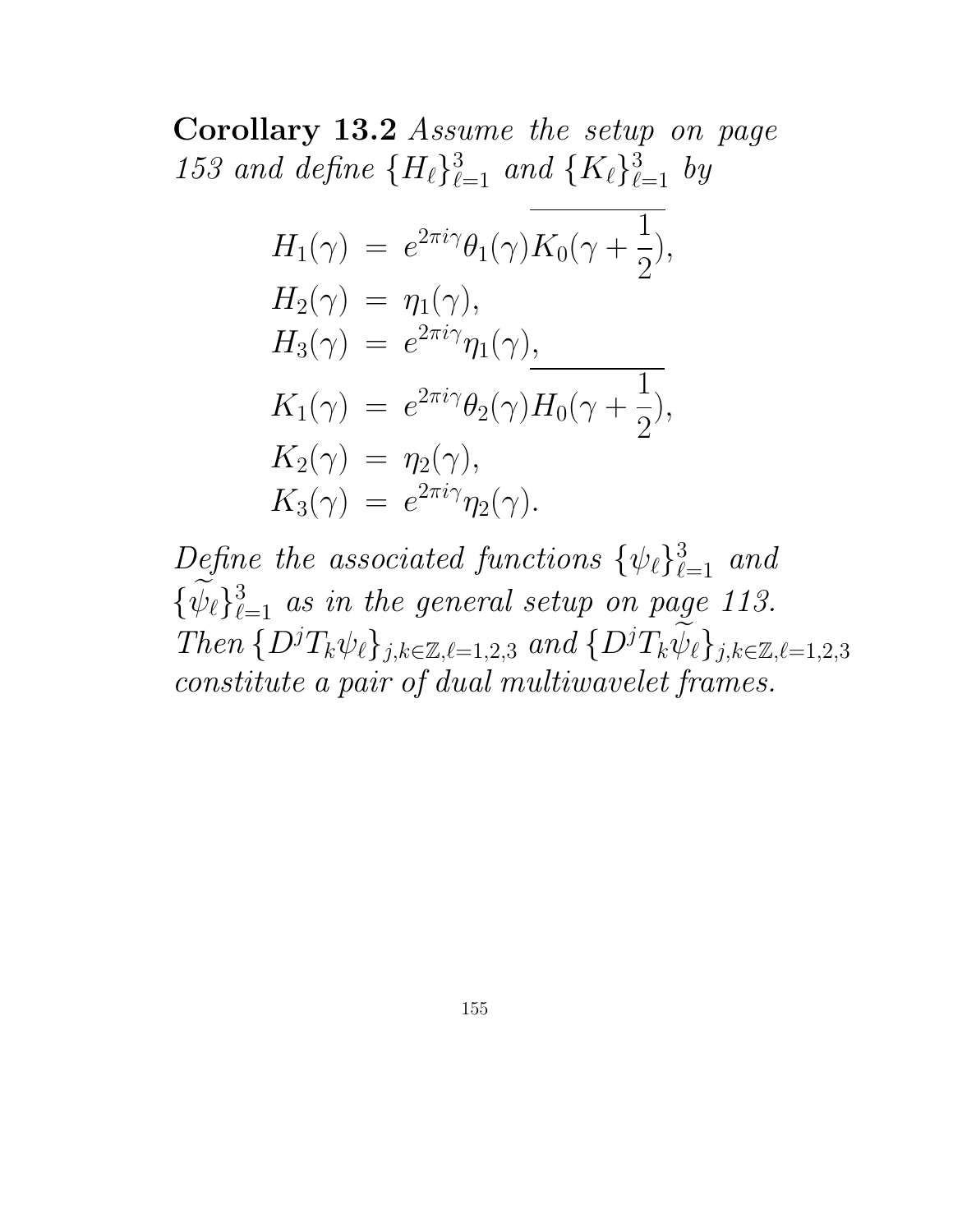Corollary 13.2 Assume the setup on page 153 and define  ${H_{\ell}}_{\ell=1}^{3}$  and  ${K_{\ell}}_{\ell=1}^{3}$  by

$$
H_1(\gamma) = e^{2\pi i \gamma} \theta_1(\gamma) \overline{K_0(\gamma + \frac{1}{2})},
$$
  
\n
$$
H_2(\gamma) = \eta_1(\gamma),
$$
  
\n
$$
H_3(\gamma) = e^{2\pi i \gamma} \eta_1(\gamma),
$$
  
\n
$$
K_1(\gamma) = e^{2\pi i \gamma} \theta_2(\gamma) H_0(\gamma + \frac{1}{2}),
$$
  
\n
$$
K_2(\gamma) = \eta_2(\gamma),
$$
  
\n
$$
K_3(\gamma) = e^{2\pi i \gamma} \eta_2(\gamma).
$$

Define the associated functions  $\{\psi_{\ell}\}_{\ell=1}^3$  and  $\{\psi_{\ell}\}_{\ell=1}^3$  as in the general setup on page 113.  $Then \{D^jT_k\psi_\ell\}_{j,k\in\mathbb{Z},\ell=1,2,3} and \{D^jT_k\widetilde{\psi}_\ell\}_{j,k\in\mathbb{Z},\ell=1,2,3}$ constitute a pair of dual multiwavelet frames.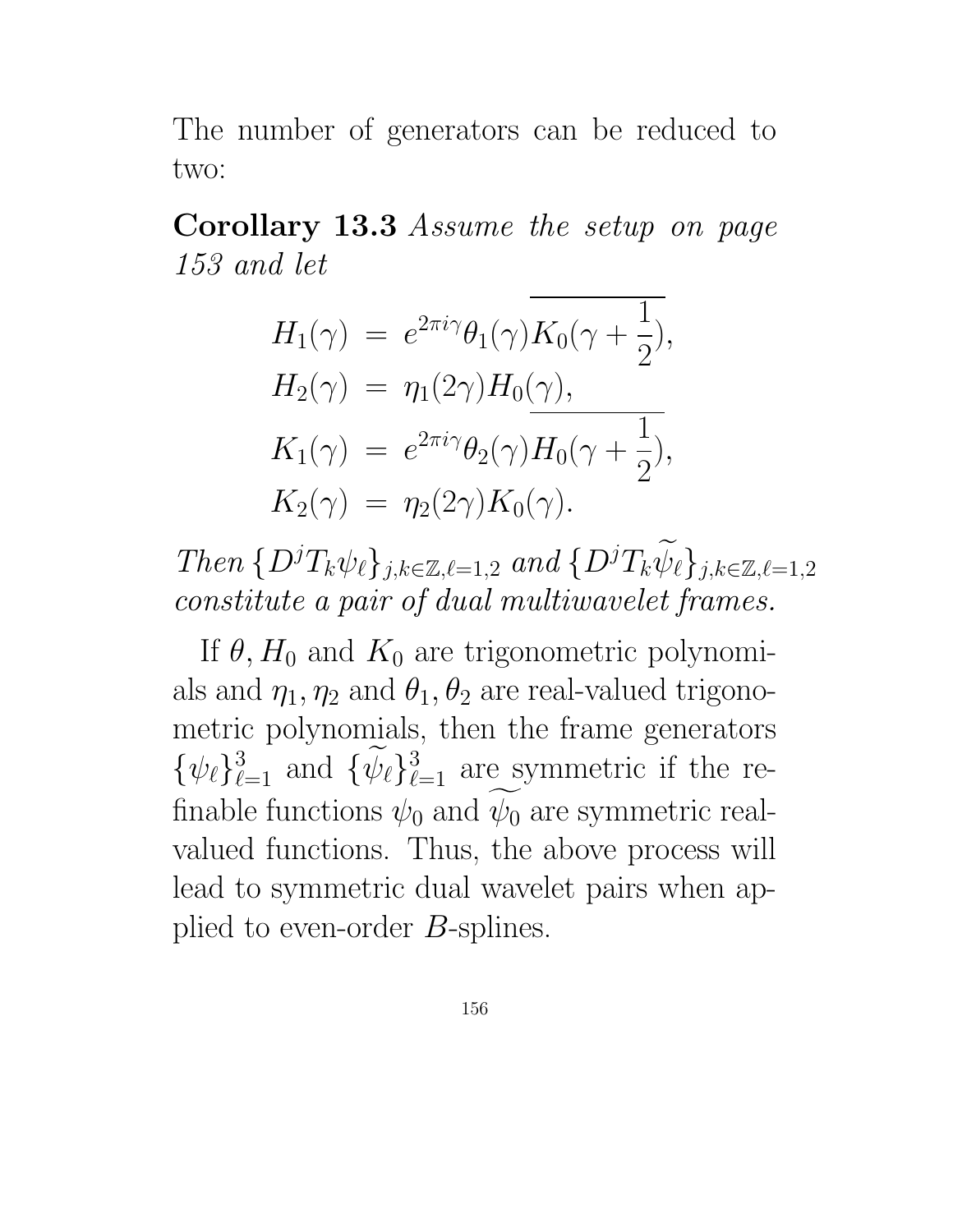The number of generators can be reduced to two:

Corollary 13.3 Assume the setup on page 153 and let

$$
H_1(\gamma) = e^{2\pi i \gamma} \theta_1(\gamma) K_0(\gamma + \frac{1}{2}),
$$
  
\n
$$
H_2(\gamma) = \eta_1(2\gamma) H_0(\gamma),
$$
  
\n
$$
K_1(\gamma) = e^{2\pi i \gamma} \theta_2(\gamma) H_0(\gamma + \frac{1}{2}),
$$
  
\n
$$
K_2(\gamma) = \eta_2(2\gamma) K_0(\gamma).
$$

Then  $\{D^jT_k\psi_\ell\}_{j,k\in\mathbb{Z},\ell=1,2}$  and  $\{D^jT_k\widetilde{\psi}_\ell\}_{j,k\in\mathbb{Z},\ell=1,2}$ constitute a pair of dual multiwavelet frames.

If  $\theta$ ,  $H_0$  and  $K_0$  are trigonometric polynomials and  $\eta_1, \eta_2$  and  $\theta_1, \theta_2$  are real-valued trigonometric polynomials, then the frame generators  $\{\psi_{\ell}\}_{\ell=1}^3$  and  $\{\psi_{\ell}\}_{\ell=1}^3$  are symmetric if the refinable functions  $\psi_0$  and  $\psi_0$  are symmetric realvalued functions. Thus, the above process will lead to symmetric dual wavelet pairs when applied to even-order B-splines.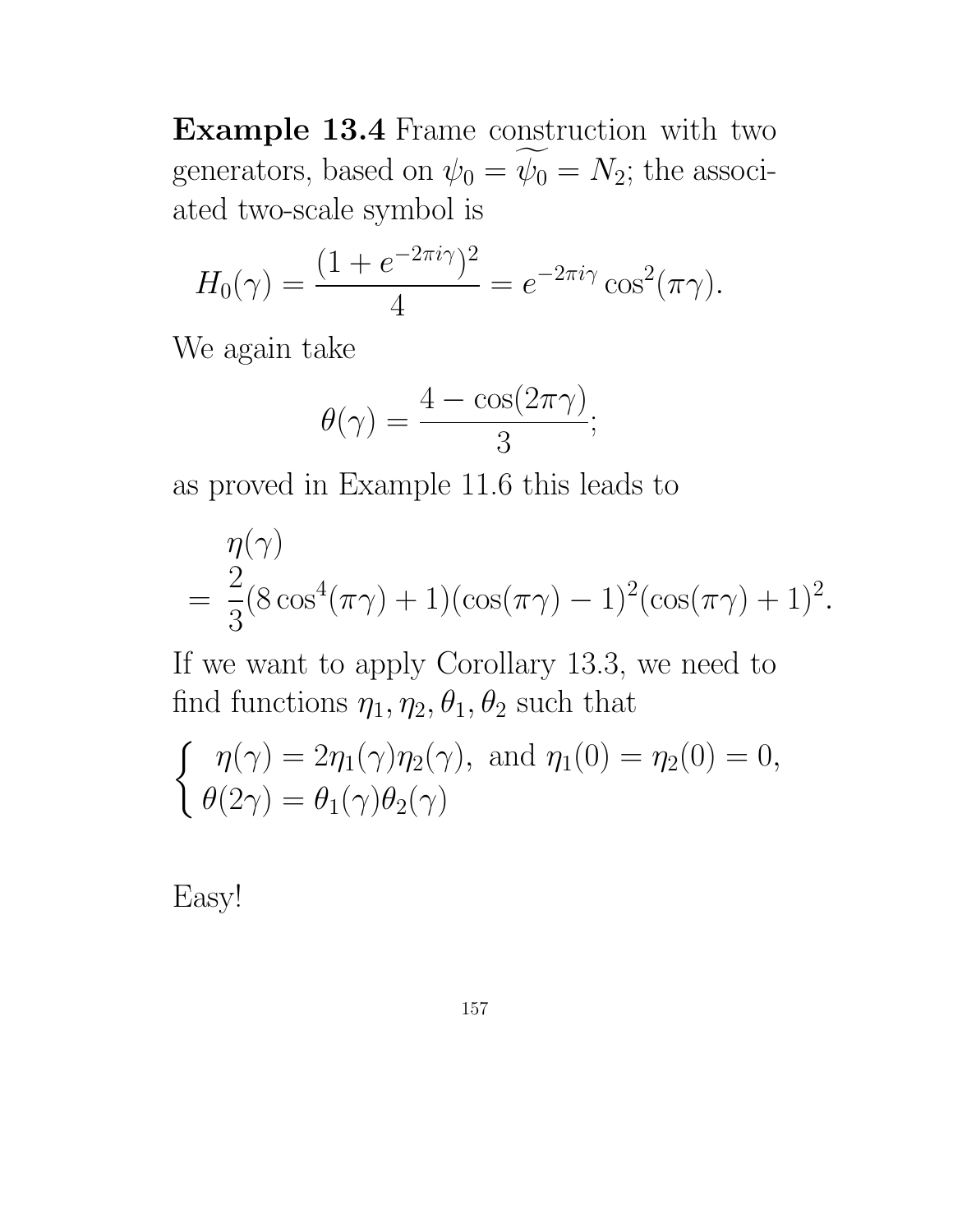Example 13.4 Frame construction with two generators, based on  $\psi_0 = \psi_0 = N_2$ ; the associated two-scale symbol is

$$
H_0(\gamma) = \frac{(1 + e^{-2\pi i \gamma})^2}{4} = e^{-2\pi i \gamma} \cos^2(\pi \gamma).
$$

We again take

$$
\theta(\gamma) = \frac{4 - \cos(2\pi\gamma)}{3};
$$

as proved in Example 11.6 this leads to

$$
\eta(\gamma)
$$
  
=  $\frac{2}{3}(8\cos^4(\pi\gamma) + 1)(\cos(\pi\gamma) - 1)^2(\cos(\pi\gamma) + 1)^2$ .

If we want to apply Corollary 13.3, we need to find functions  $\eta_1, \eta_2, \theta_1, \theta_2$  such that

$$
\begin{cases} \eta(\gamma) = 2\eta_1(\gamma)\eta_2(\gamma), \text{ and } \eta_1(0) = \eta_2(0) = 0, \\ \theta(2\gamma) = \theta_1(\gamma)\theta_2(\gamma) \end{cases}
$$

Easy!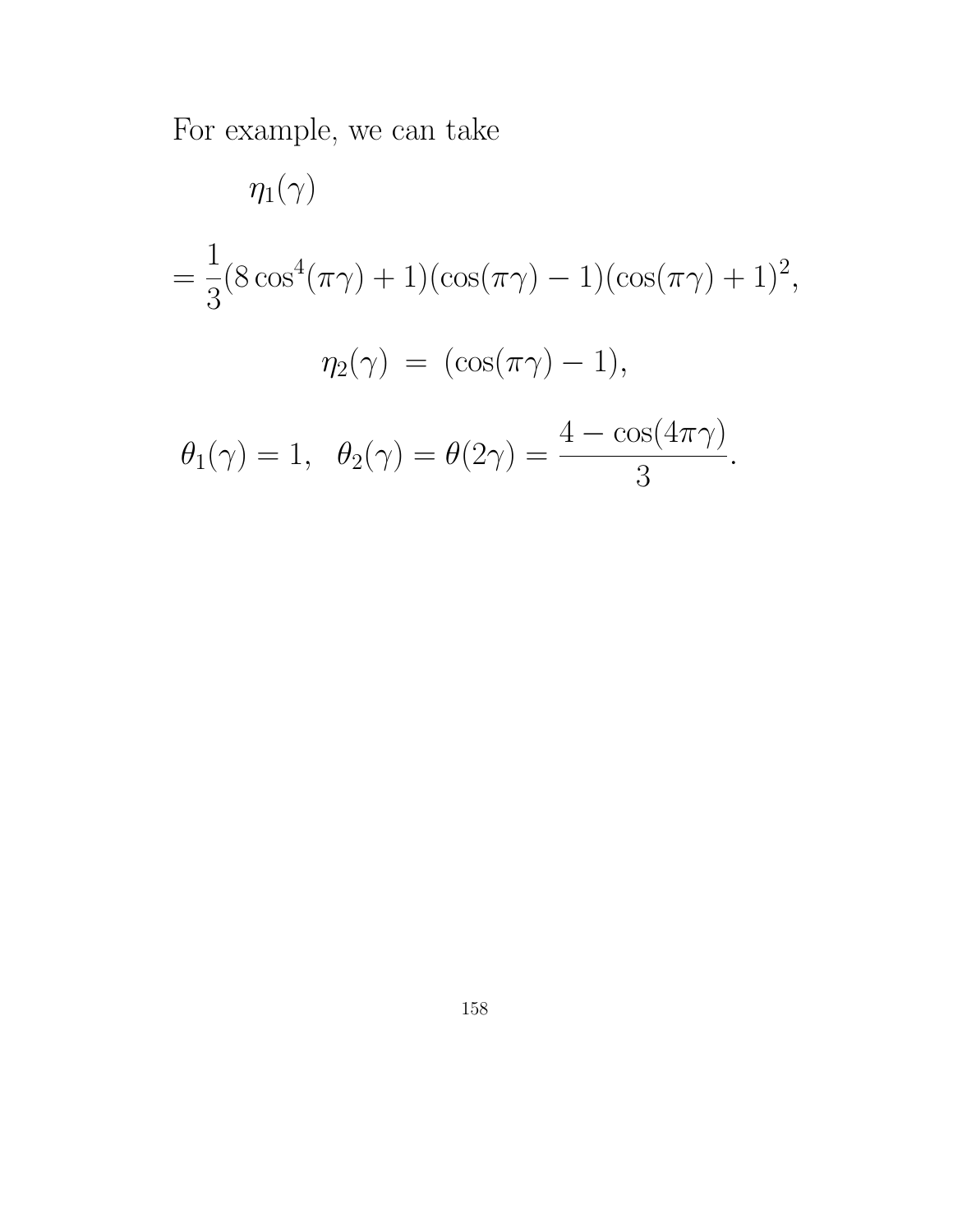For example, we can take

$$
\eta_1(\gamma)
$$
  
=  $\frac{1}{3}(8 \cos^4(\pi \gamma) + 1)(\cos(\pi \gamma) - 1)(\cos(\pi \gamma) + 1)^2$ ,  

$$
\eta_2(\gamma) = (\cos(\pi \gamma) - 1),
$$
  

$$
\theta_1(\gamma) = 1, \quad \theta_2(\gamma) = \theta(2\gamma) = \frac{4 - \cos(4\pi \gamma)}{3}.
$$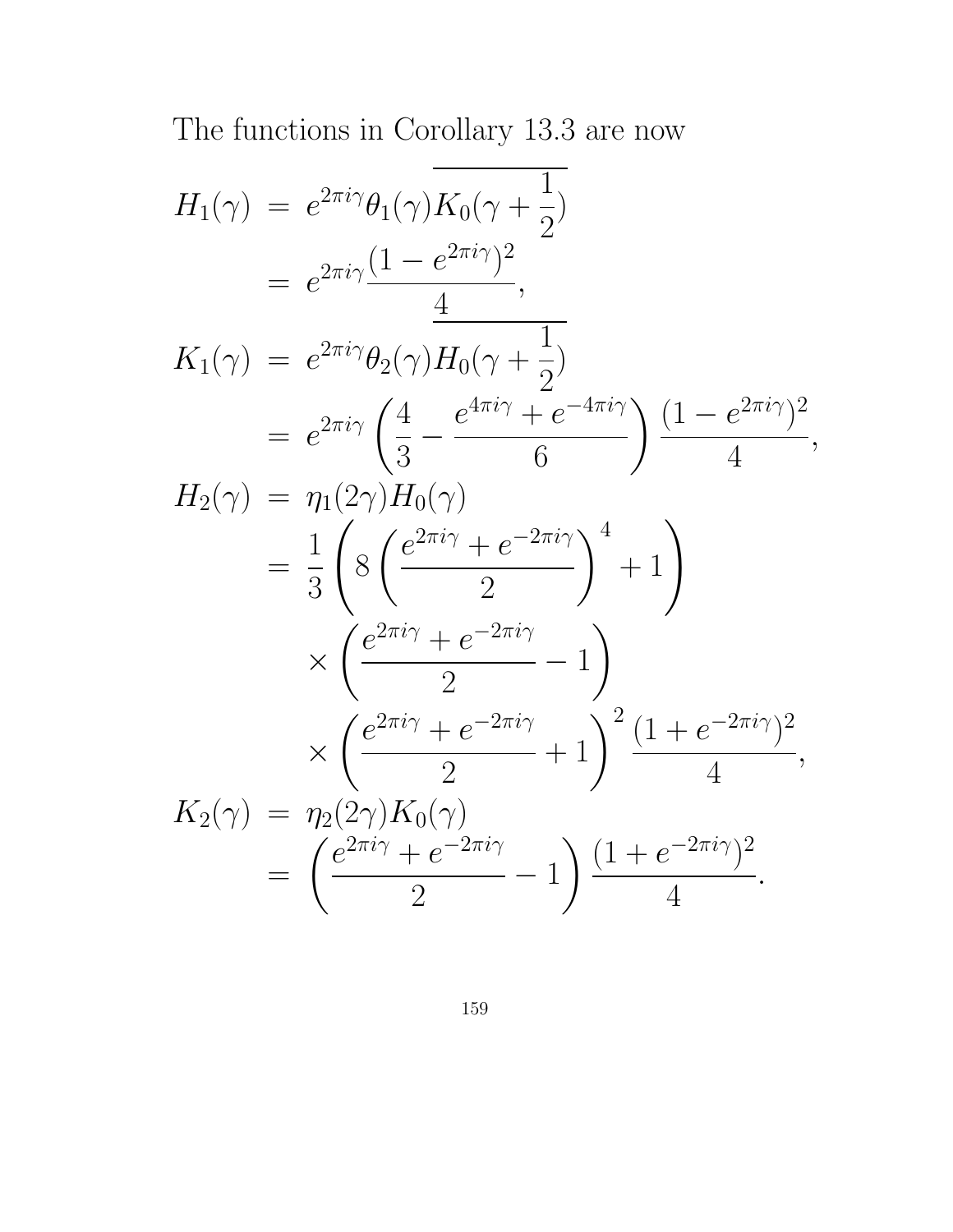The functions in Corollary 13.3 are now

$$
H_1(\gamma) = e^{2\pi i \gamma} \theta_1(\gamma) \overline{K_0(\gamma + \frac{1}{2})}
$$
  
\n
$$
= e^{2\pi i \gamma} \frac{(1 - e^{2\pi i \gamma})^2}{4},
$$
  
\n
$$
K_1(\gamma) = e^{2\pi i \gamma} \theta_2(\gamma) H_0(\gamma + \frac{1}{2})
$$
  
\n
$$
= e^{2\pi i \gamma} \left(\frac{4}{3} - \frac{e^{4\pi i \gamma} + e^{-4\pi i \gamma}}{6}\right) \frac{(1 - e^{2\pi i \gamma})^2}{4},
$$
  
\n
$$
H_2(\gamma) = \eta_1(2\gamma) H_0(\gamma)
$$
  
\n
$$
= \frac{1}{3} \left( 8 \left( \frac{e^{2\pi i \gamma} + e^{-2\pi i \gamma}}{2} \right)^4 + 1 \right)
$$
  
\n
$$
\times \left( \frac{e^{2\pi i \gamma} + e^{-2\pi i \gamma}}{2} - 1 \right)
$$
  
\n
$$
\times \left( \frac{e^{2\pi i \gamma} + e^{-2\pi i \gamma}}{2} + 1 \right)^2 \frac{(1 + e^{-2\pi i \gamma})^2}{4},
$$
  
\n
$$
K_2(\gamma) = \eta_2(2\gamma) K_0(\gamma)
$$
  
\n
$$
= \left( \frac{e^{2\pi i \gamma} + e^{-2\pi i \gamma}}{2} - 1 \right) \frac{(1 + e^{-2\pi i \gamma})^2}{4}.
$$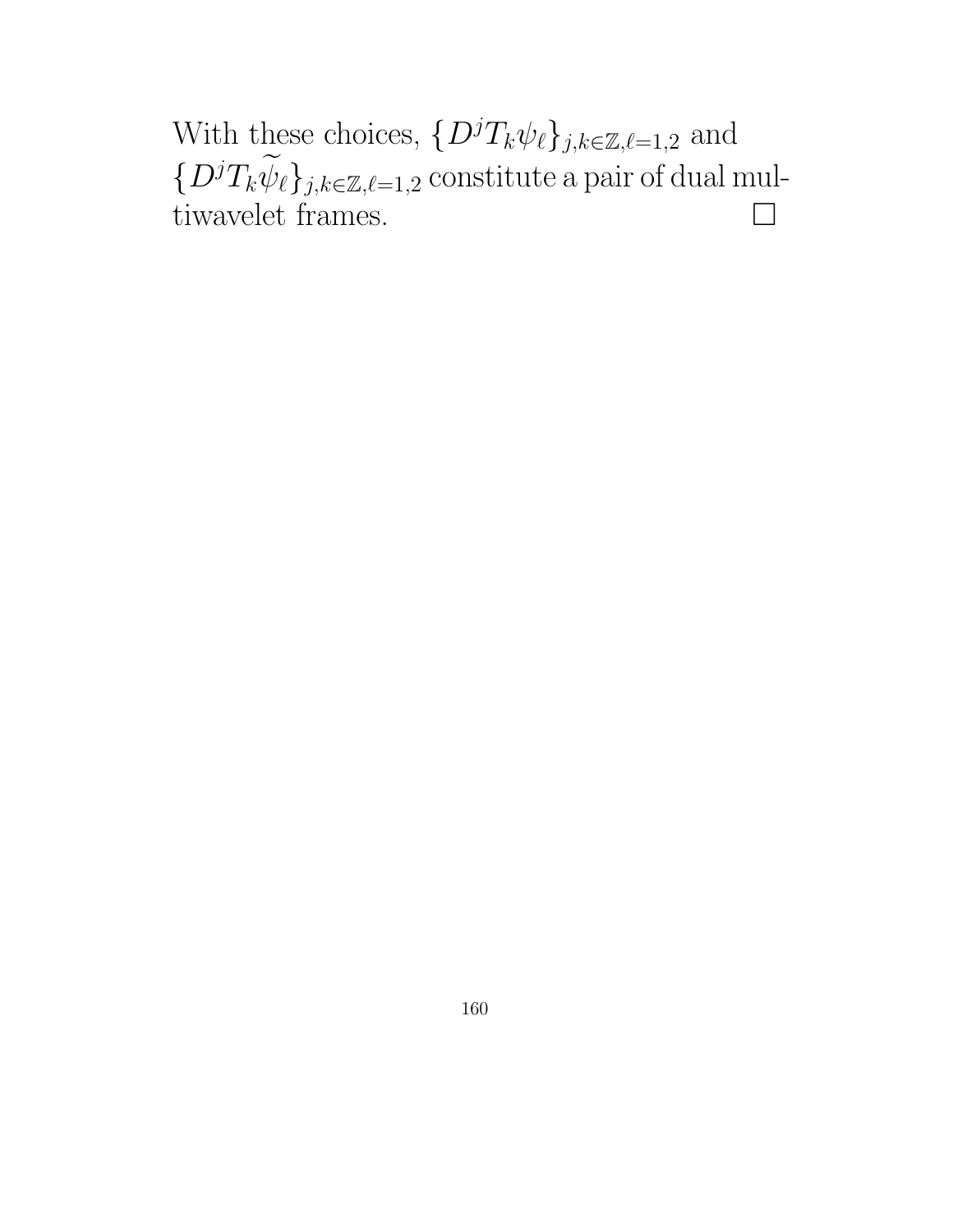With these choices,  $\{D^j T_k \psi_\ell\}_{j,k\in\mathbb{Z},\ell=1,2}$  and  $\{D^jT_k\widetilde{\psi}_\ell\}_{j,k\in\mathbb{Z},\ell=1,2}$  constitute a pair of dual mul-<br>tiwayelet frames tiwavelet frames.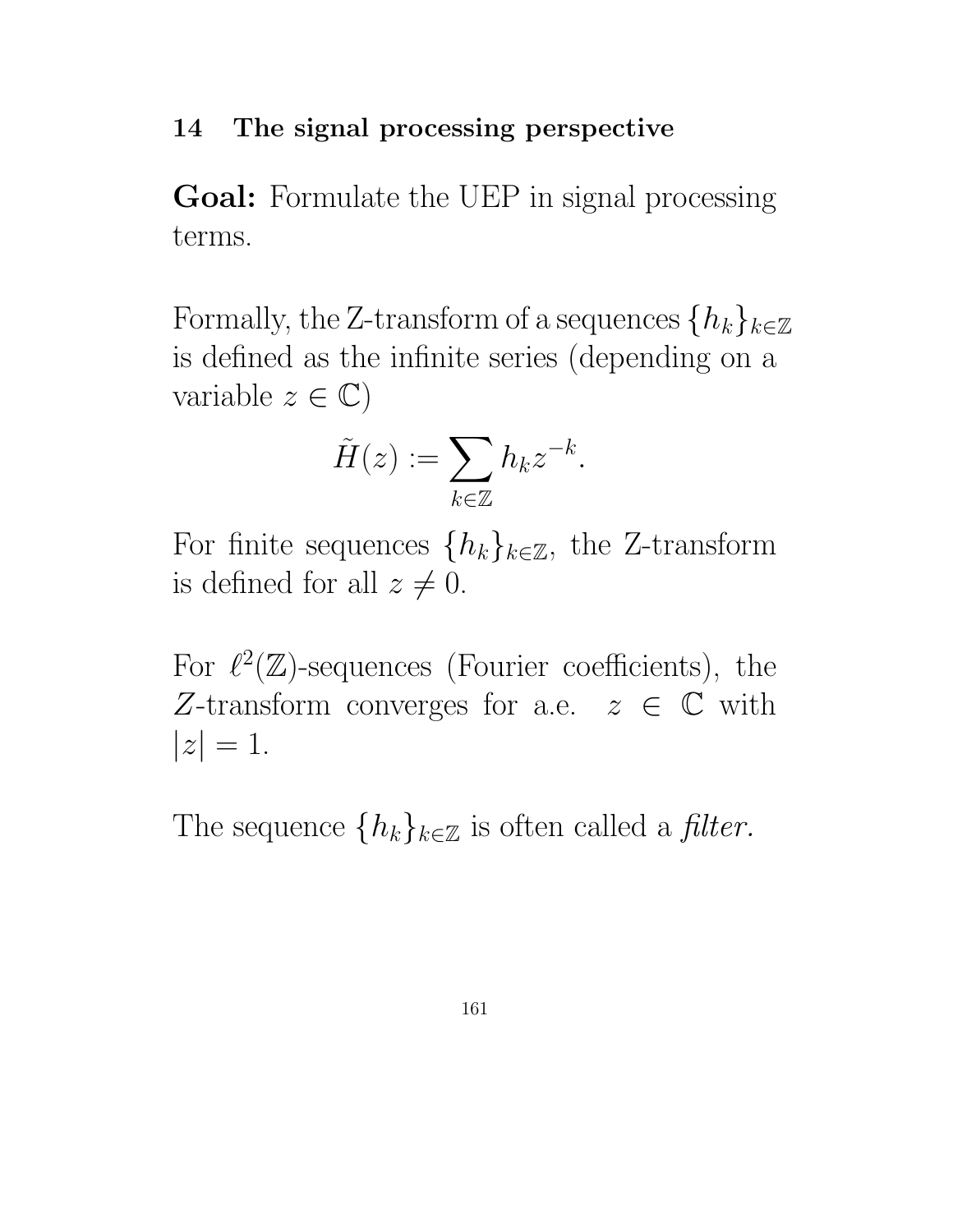### 14 The signal processing perspective

Goal: Formulate the UEP in signal processing terms.

Formally, the Z-transform of a sequences  $\{h_k\}_{k\in\mathbb{Z}}$ is defined as the infinite series (depending on a variable  $z \in \mathbb{C}$ )

$$
\tilde{H}(z) := \sum_{k \in \mathbb{Z}} h_k z^{-k}.
$$

For finite sequences  $\{h_k\}_{k\in\mathbb{Z}}$ , the Z-transform is defined for all  $z \neq 0$ .

For  $\ell^2(\mathbb{Z})$ -sequences (Fourier coefficients), the Z-transform converges for a.e.  $z \in \mathbb{C}$  with  $|z| = 1.$ 

The sequence  $\{h_k\}_{k\in\mathbb{Z}}$  is often called a *filter*.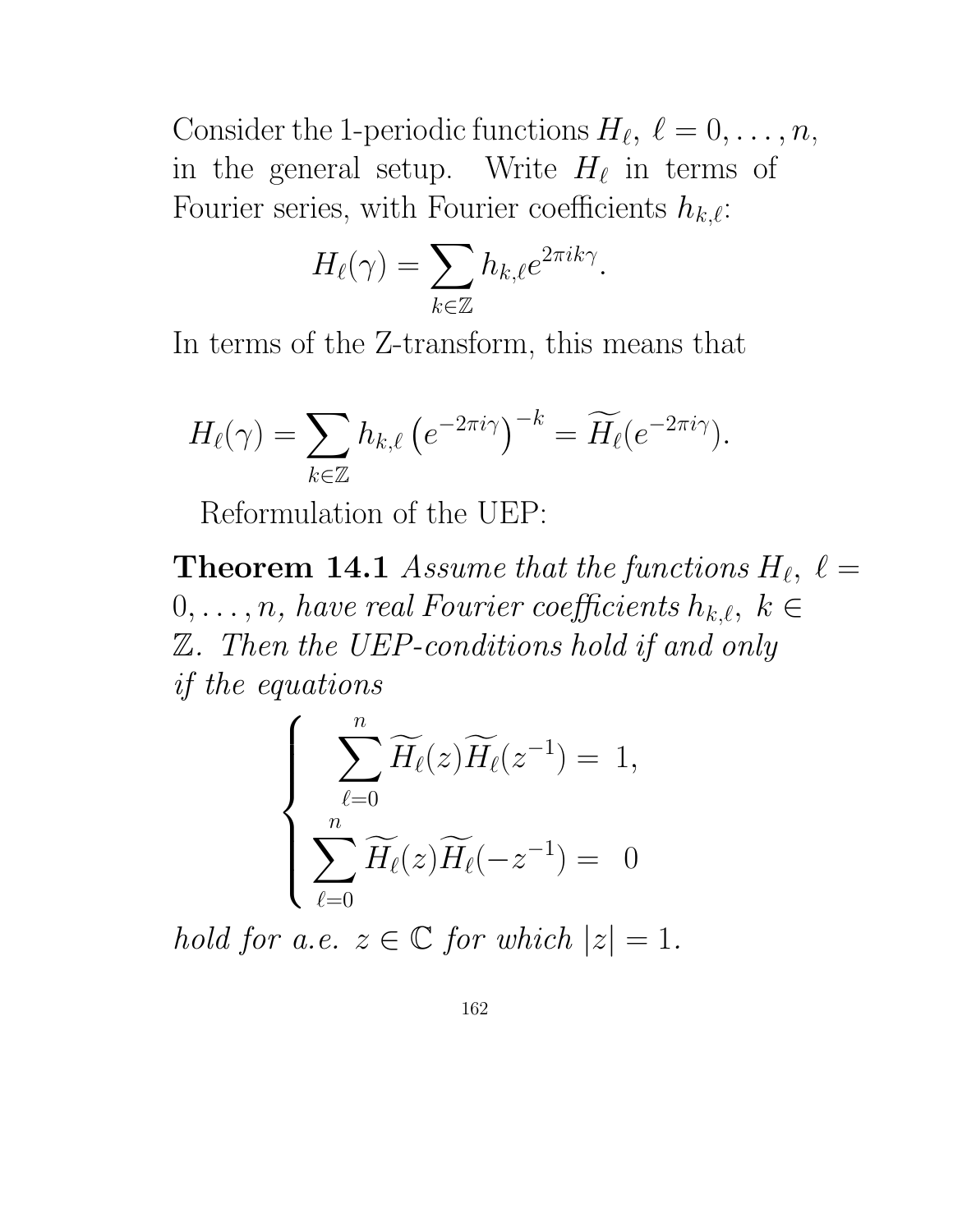Consider the 1-periodic functions  $H_{\ell}, \ell = 0, \ldots, n$ , in the general setup. Write  $H_{\ell}$  in terms of Fourier series, with Fourier coefficients  $h_{k,\ell}$ :

$$
H_{\ell}(\gamma) = \sum_{k \in \mathbb{Z}} h_{k,\ell} e^{2\pi i k \gamma}.
$$

In terms of the Z-transform, this means that

$$
H_{\ell}(\gamma) = \sum_{k \in \mathbb{Z}} h_{k,\ell} \left( e^{-2\pi i \gamma} \right)^{-k} = \widetilde{H}_{\ell}(e^{-2\pi i \gamma}).
$$

Reformulation of the UEP:

**Theorem 14.1** Assume that the functions  $H_{\ell}$ ,  $\ell =$  $0, \ldots, n$ , have real Fourier coefficients  $h_{k,\ell}, k \in$ Z. Then the UEP-conditions hold if and only if the equations

$$
\begin{cases}\n\sum_{\ell=0}^{n} \widetilde{H}_{\ell}(z) \widetilde{H}_{\ell}(z^{-1}) = 1, \\
\sum_{\ell=0}^{n} \widetilde{H}_{\ell}(z) \widetilde{H}_{\ell}(-z^{-1}) = 0\n\end{cases}
$$

hold for a.e.  $z \in \mathbb{C}$  for which  $|z|=1$ .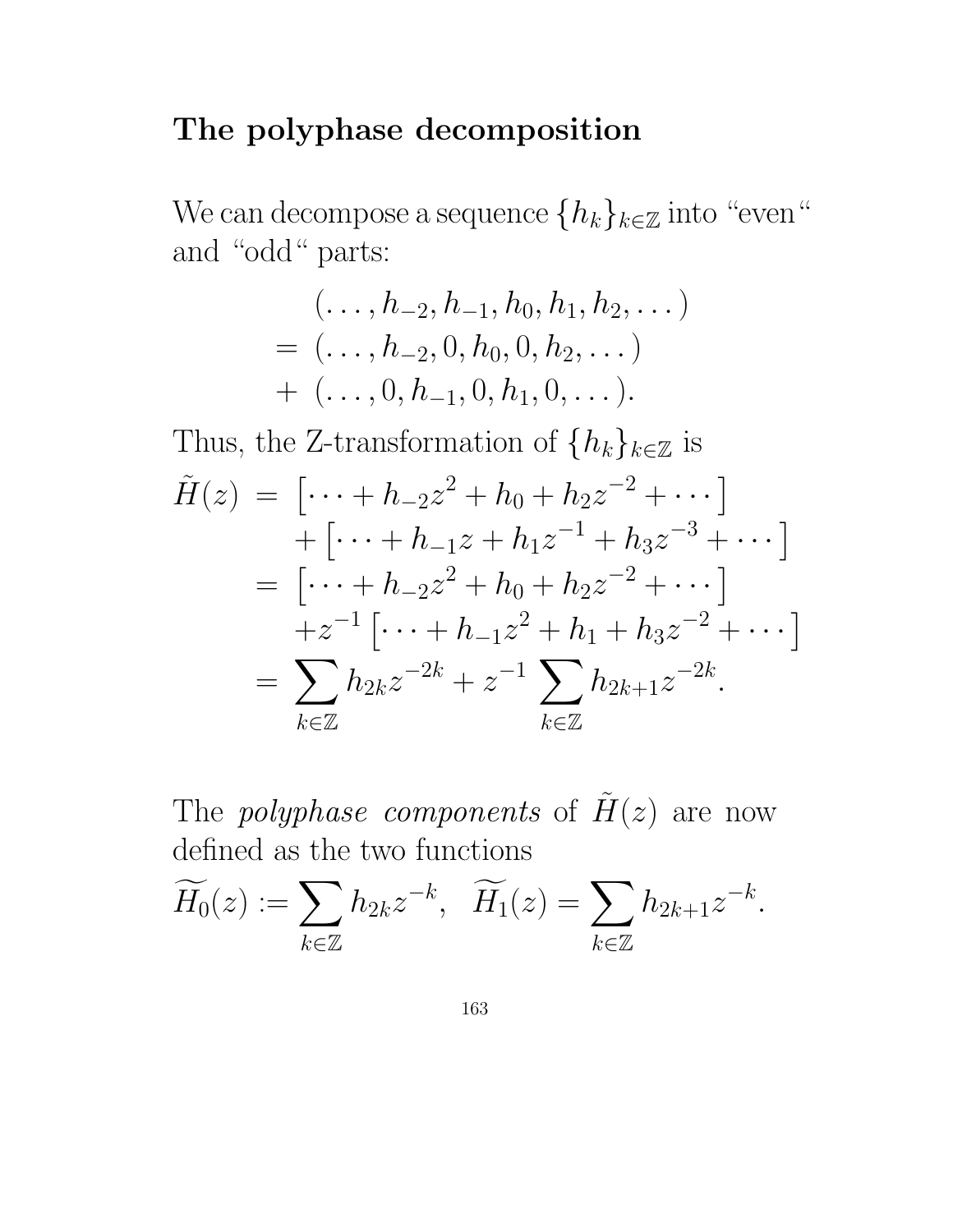### The polyphase decomposition

We can decompose a sequence  $\{h_k\}_{k\in\mathbb{Z}}$  into "even" and "odd" parts:

$$
(\ldots, h_{-2}, h_{-1}, h_0, h_1, h_2, \ldots)
$$
  
=  $(\ldots, h_{-2}, 0, h_0, 0, h_2, \ldots)$   
+  $(\ldots, 0, h_{-1}, 0, h_1, 0, \ldots).$ 

Thus, the Z-transformation of  $\{h_k\}_{k\in\mathbb{Z}}$  is

$$
\tilde{H}(z) = \left[ \dots + h_{-2} z^2 + h_0 + h_2 z^{-2} + \dots \right] \n+ \left[ \dots + h_{-1} z + h_1 z^{-1} + h_3 z^{-3} + \dots \right] \n= \left[ \dots + h_{-2} z^2 + h_0 + h_2 z^{-2} + \dots \right] \n+ z^{-1} \left[ \dots + h_{-1} z^2 + h_1 + h_3 z^{-2} + \dots \right] \n= \sum_{k \in \mathbb{Z}} h_{2k} z^{-2k} + z^{-1} \sum_{k \in \mathbb{Z}} h_{2k+1} z^{-2k}.
$$

The *polyphase components* of  $H(z)$  are now defined as the two functions

$$
\widetilde{H_0}(z):=\sum_{k\in\mathbb{Z}}h_{2k}z^{-k},\quad \widetilde{H_1}(z)=\sum_{k\in\mathbb{Z}}h_{2k+1}z^{-k}.
$$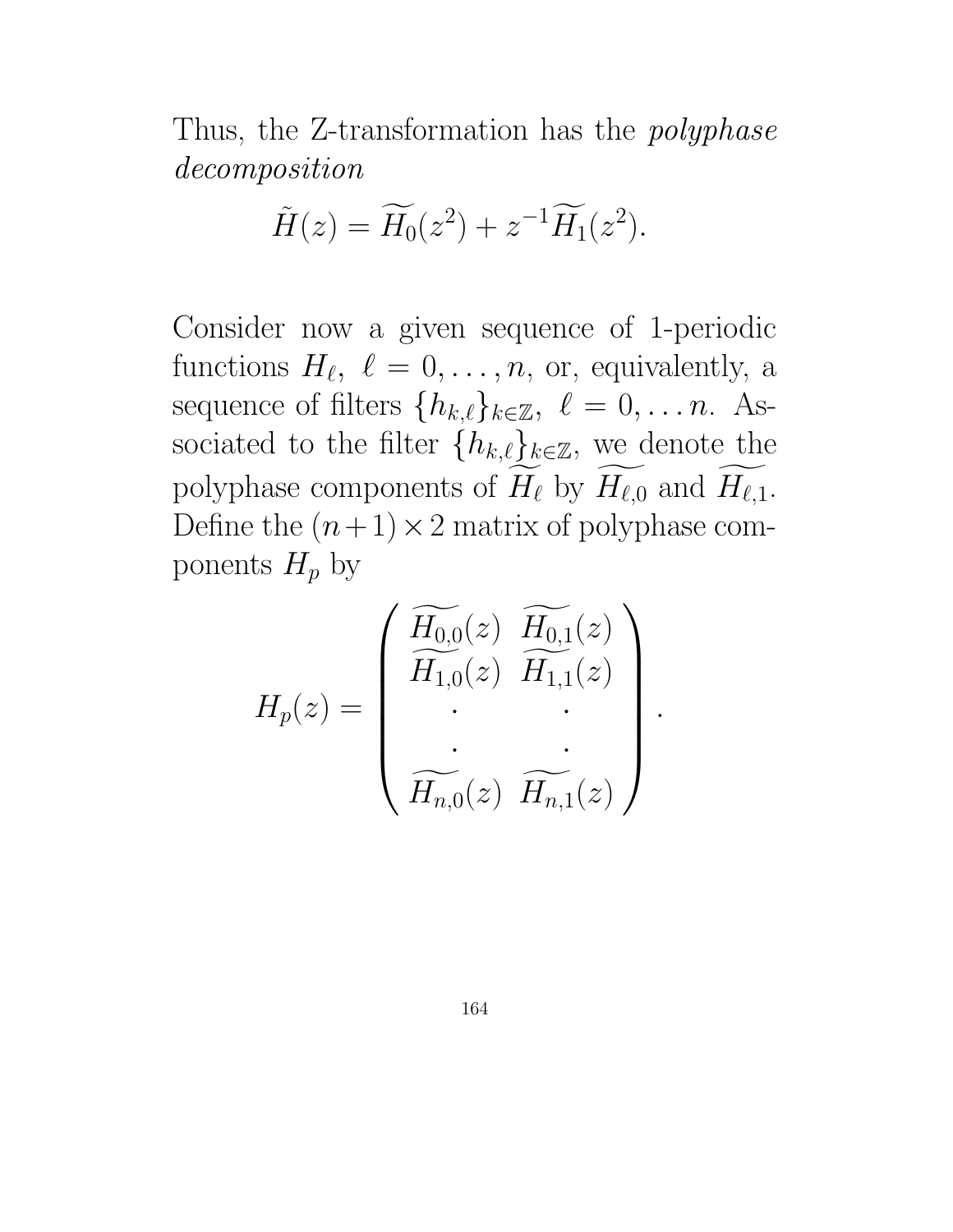Thus, the Z-transformation has the *polyphase* decomposition

$$
\widetilde{H}(z) = \widetilde{H}_0(z^2) + z^{-1} \widetilde{H}_1(z^2).
$$

Consider now a given sequence of 1-periodic functions  $H_{\ell}, \ell = 0, \ldots, n$ , or, equivalently, a sequence of filters  $\{h_{k,\ell}\}_{k\in\mathbb{Z}}, \ell = 0, \ldots n$ . Associated to the filter  $\{h_{k,\ell}\}_{k\in\mathbb{Z}}$ , we denote the polyphase components of  $H_\ell$  by  $H_{\ell,0}$  and  $H_{\ell,1}$ . Define the  $(n+1) \times 2$  matrix of polyphase components  $H_p$  by

$$
H_p(z) = \begin{pmatrix} \widetilde{H_{0,0}}(z) & \widetilde{H_{0,1}}(z) \\ \widetilde{H_{1,0}}(z) & \widetilde{H_{1,1}}(z) \\ \vdots & \vdots \\ \widetilde{H_{n,0}}(z) & \widetilde{H_{n,1}}(z) \end{pmatrix}
$$

.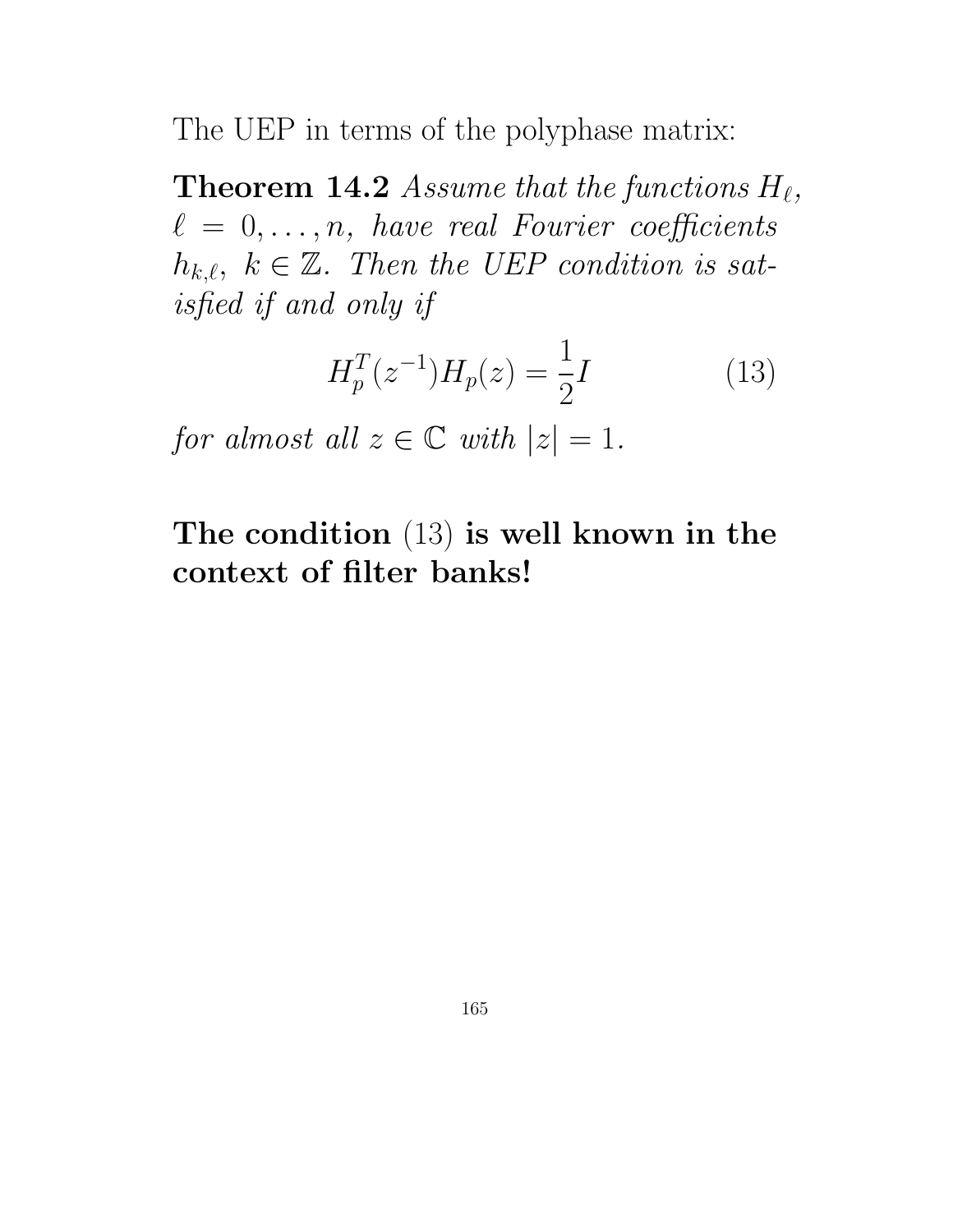The UEP in terms of the polyphase matrix:

**Theorem 14.2** Assume that the functions  $H_{\ell}$ ,  $\ell = 0, \ldots, n$ , have real Fourier coefficients  $h_{k,\ell}, k \in \mathbb{Z}$ . Then the UEP condition is satisfied if and only if

$$
H_p^T(z^{-1})H_p(z) = \frac{1}{2}I\tag{13}
$$

for almost all  $z \in \mathbb{C}$  with  $|z| = 1$ .

The condition (13) is well known in the context of filter banks!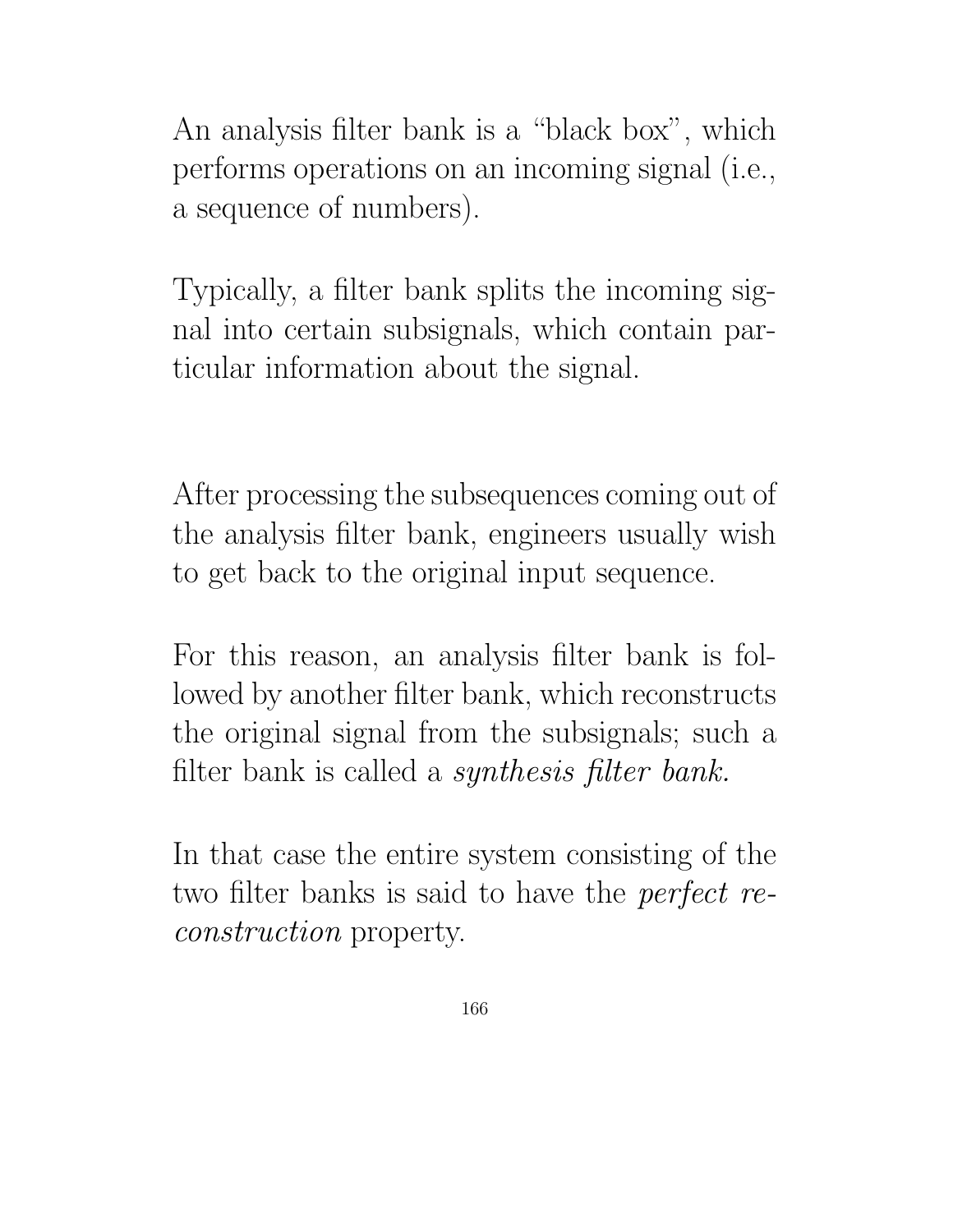An analysis filter bank is a "black box", which performs operations on an incoming signal (i.e., a sequence of numbers).

Typically, a filter bank splits the incoming signal into certain subsignals, which contain particular information about the signal.

After processing the subsequences coming out of the analysis filter bank, engineers usually wish to get back to the original input sequence.

For this reason, an analysis filter bank is followed by another filter bank, which reconstructs the original signal from the subsignals; such a filter bank is called a synthesis filter bank.

In that case the entire system consisting of the two filter banks is said to have the *perfect* reconstruction property.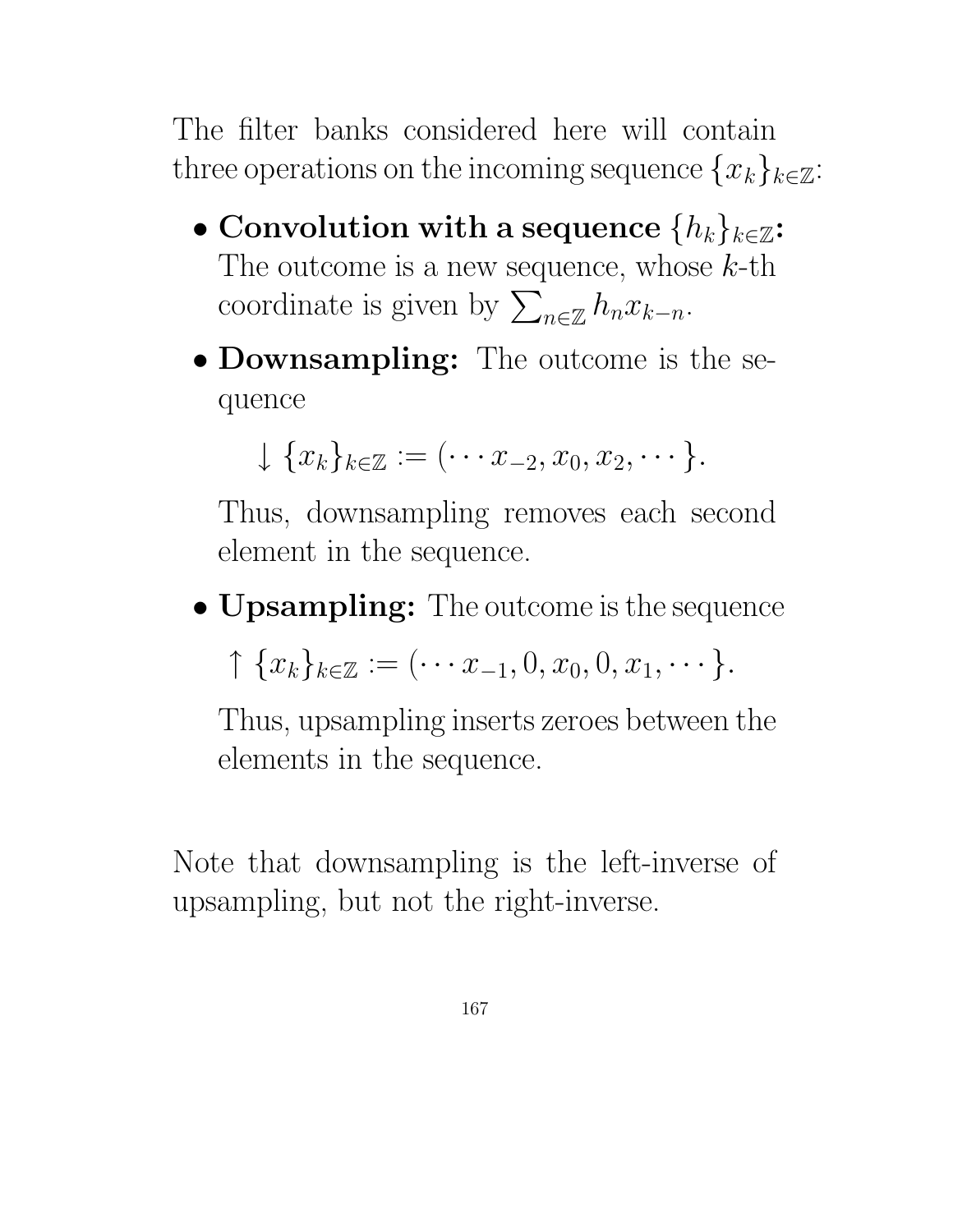The filter banks considered here will contain three operations on the incoming sequence  ${x_k}_{k \in \mathbb{Z}}$ :

- Convolution with a sequence  $\{h_k\}_{k\in\mathbb{Z}}$ : The outcome is a new sequence, whose  $k$ -th coordinate is given by  $\sum$  $n \in \mathbb{Z}$   $h_n x_{k-n}$ .
- Downsampling: The outcome is the sequence

$$
\downarrow \{x_k\}_{k\in\mathbb{Z}}:=\{\cdots x_{-2},x_0,x_2,\cdots\}.
$$

Thus, downsampling removes each second element in the sequence.

• **Upsampling:** The outcome is the sequence

 $\uparrow \{x_k\}_{k\in\mathbb{Z}} := (\cdots x_{-1}, 0, x_0, 0, x_1, \cdots \}.$ 

Thus, upsampling inserts zeroes between the elements in the sequence.

Note that downsampling is the left-inverse of upsampling, but not the right-inverse.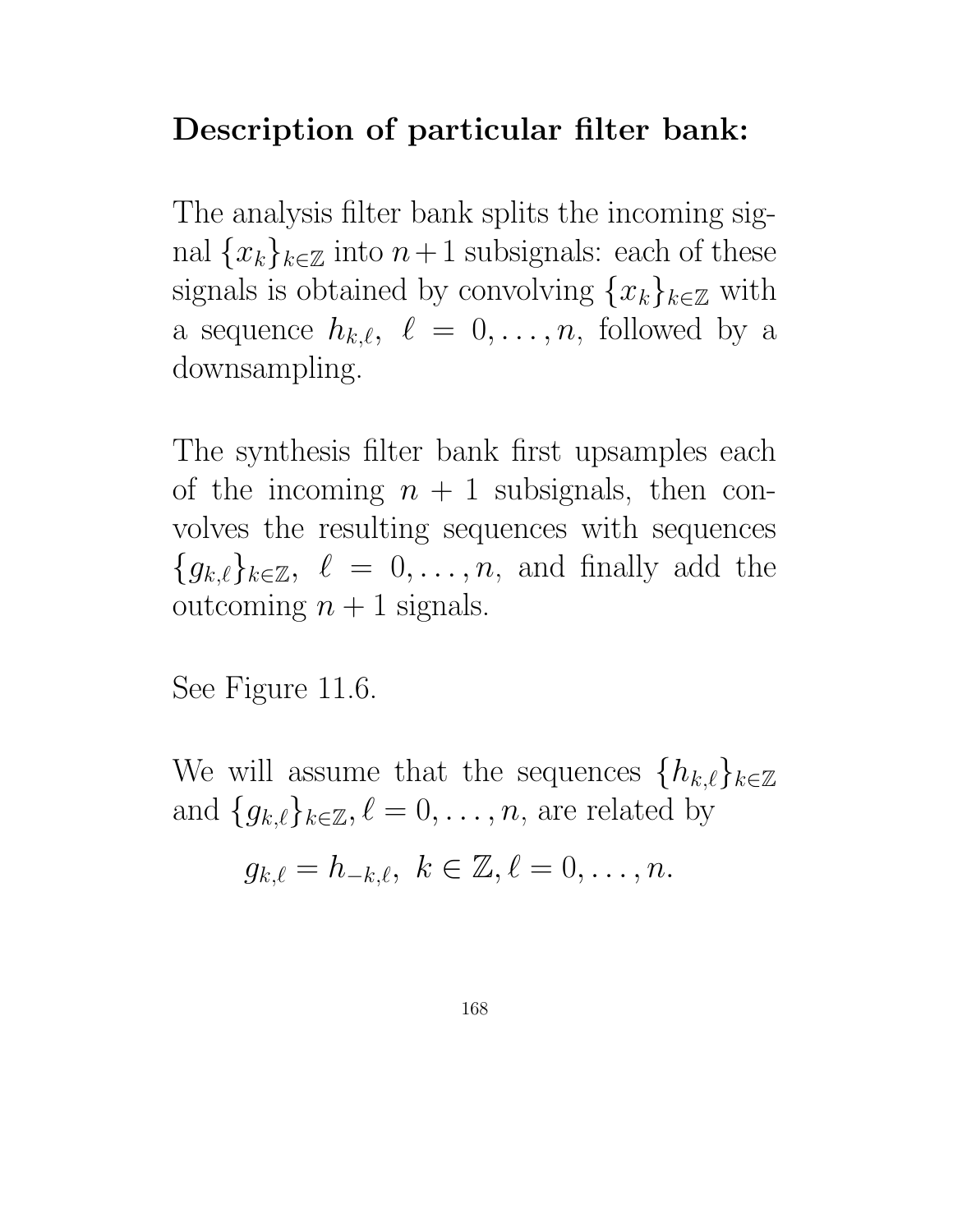## Description of particular filter bank:

The analysis filter bank splits the incoming signal  ${x_k}_{k\in\mathbb{Z}}$  into  $n+1$  subsignals: each of these signals is obtained by convolving  $\{x_k\}_{k\in\mathbb{Z}}$  with a sequence  $h_{k,\ell}, \ell = 0, \ldots, n$ , followed by a downsampling.

The synthesis filter bank first upsamples each of the incoming  $n + 1$  subsignals, then convolves the resulting sequences with sequences  ${g_{k,\ell}}_{k\in\mathbb{Z}}$ ,  $\ell = 0, \ldots, n$ , and finally add the outcoming  $n + 1$  signals.

See Figure 11.6.

We will assume that the sequences  $\{h_{k,\ell}\}_{k\in\mathbb{Z}}$ and  $\{g_{k,\ell}\}_{k\in\mathbb{Z}}, \ell = 0, \ldots, n$ , are related by

$$
g_{k,\ell}=h_{-k,\ell},\ k\in\mathbb{Z},\ell=0,\ldots,n.
$$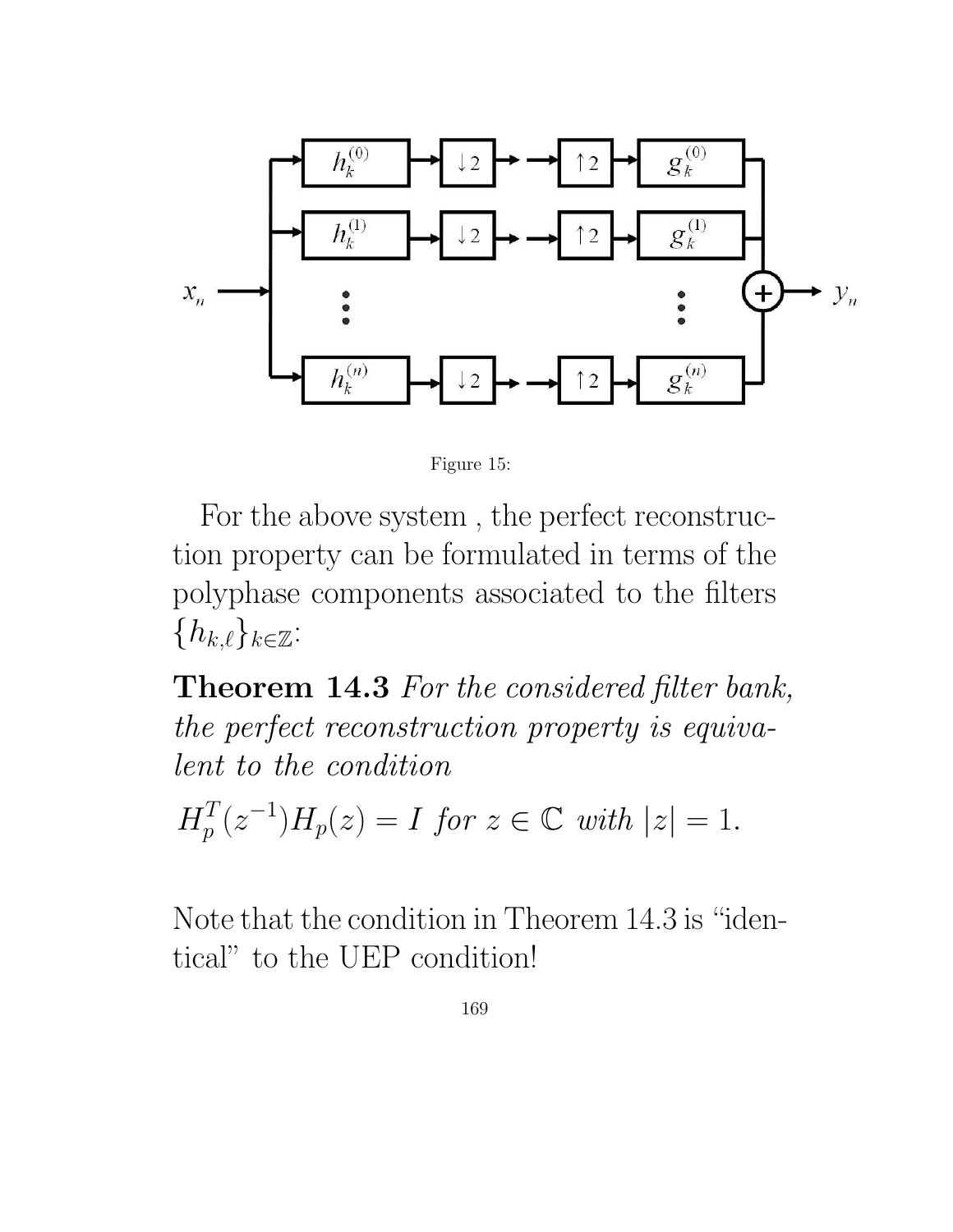



For the above system , the perfect reconstruction property can be formulated in terms of the polyphase components associated to the filters  ${h_{k,\ell}}_{k\in\mathbb{Z}}$ :

Theorem 14.3 For the considered filter bank, the perfect reconstruction property is equivalent to the condition

 $H_p^T$  $p_T^T(z^{-1})H_p(z) = I$  for  $z \in \mathbb{C}$  with  $|z| = 1$ .

Note that the condition in Theorem 14.3 is "identical" to the UEP condition!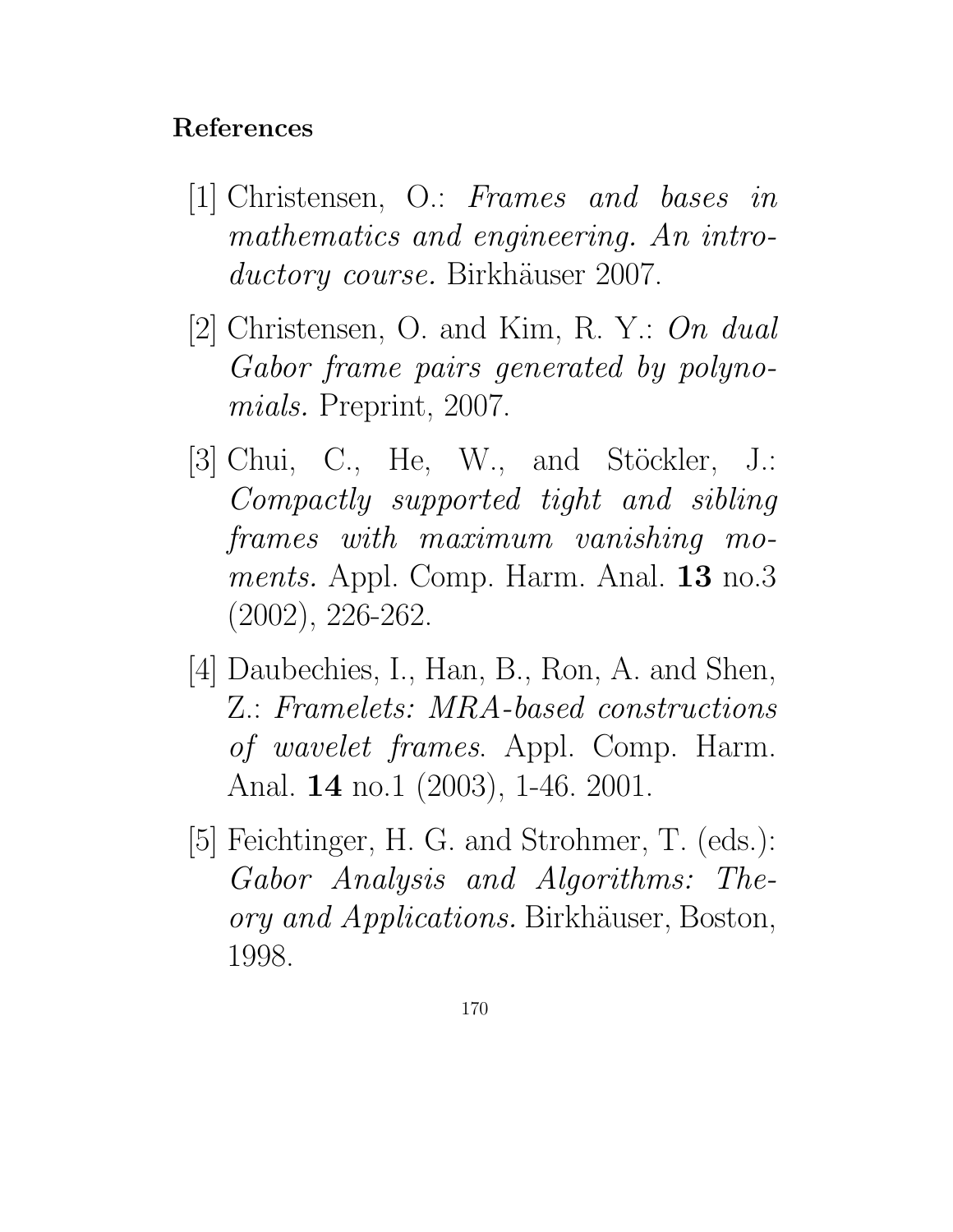### References

- [1] Christensen, O.: Frames and bases in mathematics and engineering. An introductory course. Birkhäuser 2007.
- [2] Christensen, O. and Kim, R. Y.: On dual Gabor frame pairs generated by polynomials. Preprint, 2007.
- [3] Chui, C., He, W., and Stöckler, J.: Compactly supported tight and sibling frames with maximum vanishing moments. Appl. Comp. Harm. Anal. **13** no.3 (2002), 226-262.
- [4] Daubechies, I., Han, B., Ron, A. and Shen, Z.: Framelets: MRA-based constructions of wavelet frames. Appl. Comp. Harm. Anal. 14 no.1 (2003), 1-46. 2001.
- [5] Feichtinger, H. G. and Strohmer, T. (eds.): Gabor Analysis and Algorithms: Theory and Applications. Birkhäuser, Boston, 1998.